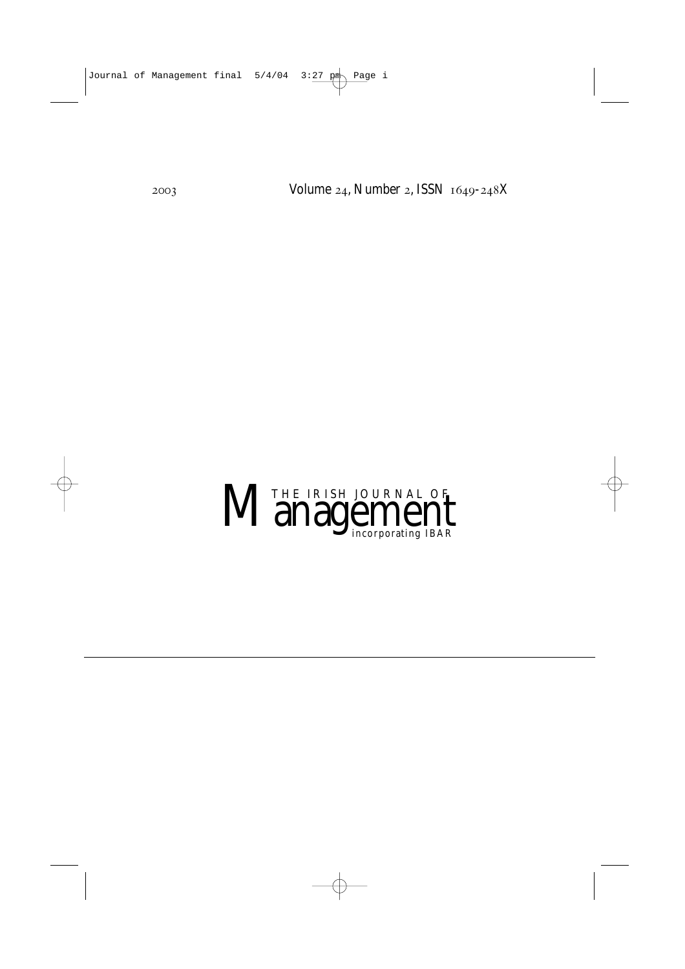$2003$  Volume 24, Number 2, ISSN  $1649 - 248X$ 

# MIHE IRISH JOURNAL OF MANAGEMENT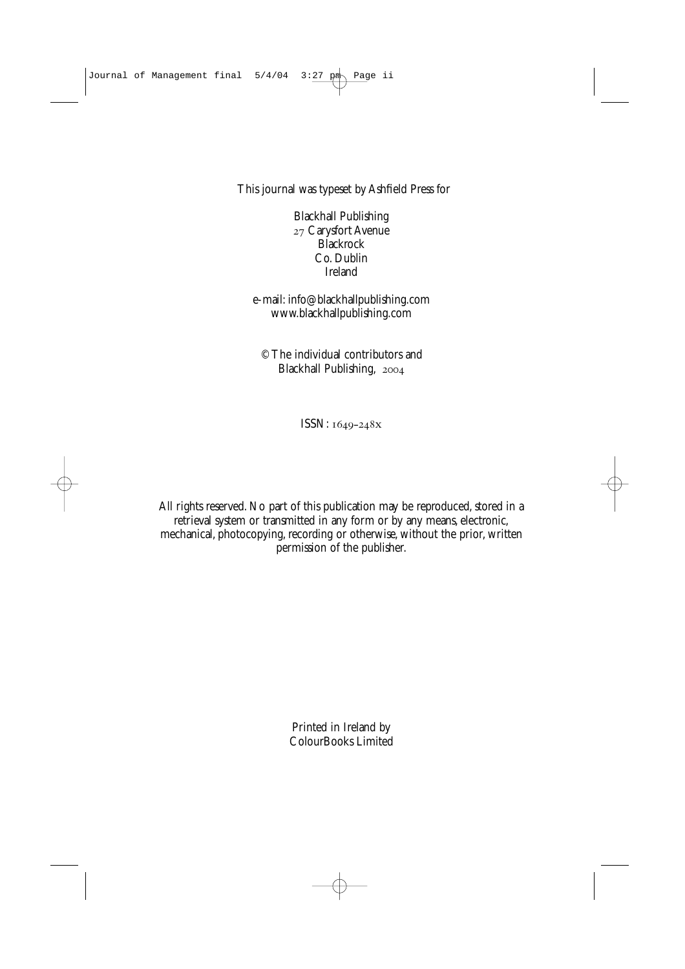This journal was typeset by Ashfield Press for

Blackhall Publishing 27 Carysfort Avenue Blackrock Co. Dublin Ireland

e-mail: info@blackhallpublishing.com www.blackhallpublishing.com

© The individual contributors and Blackhall Publishing,

ISSN: 1649-248x

All rights reserved. No part of this publication may be reproduced, stored in a retrieval system or transmitted in any form or by any means, electronic, mechanical, photocopying, recording or otherwise, without the prior, written permission of the publisher.

> Printed in Ireland by ColourBooks Limited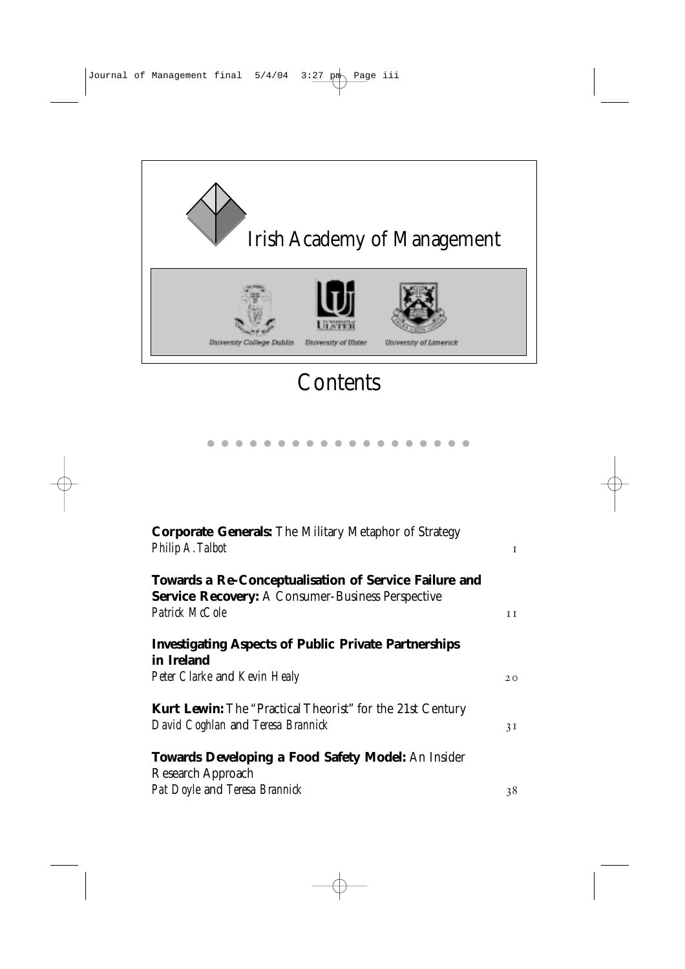

# **Contents**

| <b>Corporate Generals:</b> The Military Metaphor of Strategy<br>Philip A. Talbot                                                    | $\mathbf{I}$   |
|-------------------------------------------------------------------------------------------------------------------------------------|----------------|
| Towards a Re-Conceptualisation of Service Failure and<br><b>Service Recovery:</b> A Consumer-Business Perspective<br>Patrick McCole | I <sub>I</sub> |
| <b>Investigating Aspects of Public Private Partnerships</b><br>in Ireland<br>Peter Clarke and Kevin Healy                           | 20             |
| <b>Kurt Lewin:</b> The "Practical Theorist" for the 21st Century<br>David Coghlan and Teresa Brannick                               | 3I             |
| <b>Towards Developing a Food Safety Model:</b> An Insider<br>Research Approach<br>Pat Doyle and Teresa Brannick                     | 38             |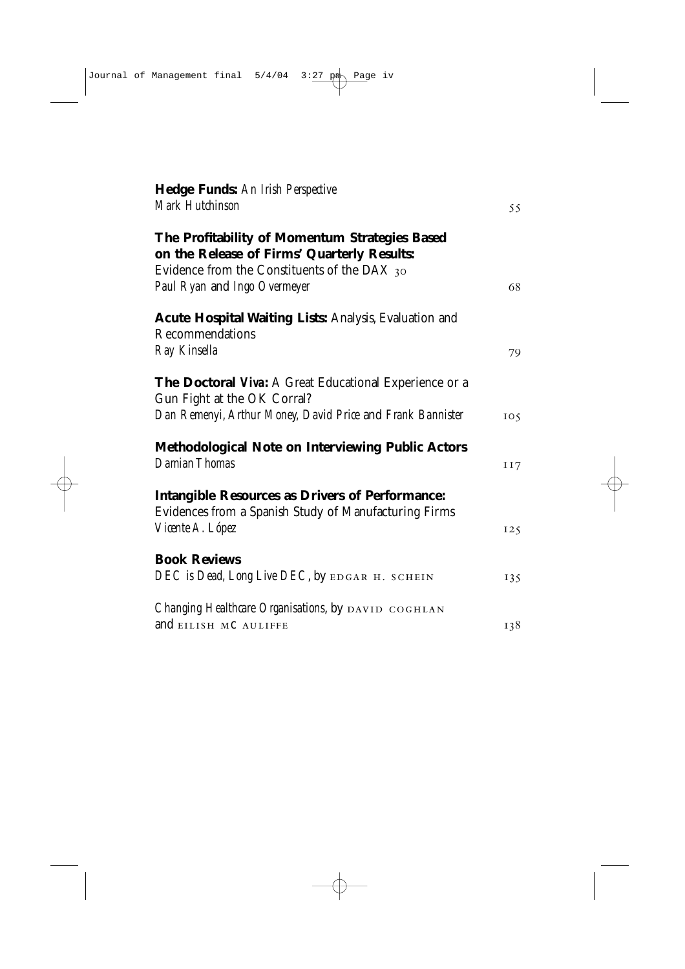| <b>Hedge Funds:</b> An Irish Perspective                                                                        |     |
|-----------------------------------------------------------------------------------------------------------------|-----|
| Mark Hutchinson                                                                                                 | 55  |
| The Profitability of Momentum Strategies Based<br>on the Release of Firms' Quarterly Results:                   |     |
| Evidence from the Constituents of the DAX 30                                                                    |     |
| Paul Ryan and Ingo Overmeyer                                                                                    | 68  |
| Acute Hospital Waiting Lists: Analysis, Evaluation and<br>Recommendations                                       |     |
| Ray Kinsella                                                                                                    | 79  |
| The Doctoral Viva: A Great Educational Experience or a<br>Gun Fight at the OK Corral?                           |     |
| Dan Remenyi, Arthur Money, David Price and Frank Bannister                                                      | 105 |
| <b>Methodological Note on Interviewing Public Actors</b><br>Damian Thomas                                       | 117 |
| <b>Intangible Resources as Drivers of Performance:</b><br>Evidences from a Spanish Study of Manufacturing Firms |     |
| Vicente A. López                                                                                                | 125 |
| <b>Book Reviews</b>                                                                                             |     |
| DEC is Dead, Long Live DEC, by EDGAR H. SCHEIN                                                                  | 135 |
| Changing Healthcare Organisations, by DAVID COGHLAN                                                             |     |
| and EILISH MC AULIFFE                                                                                           | 138 |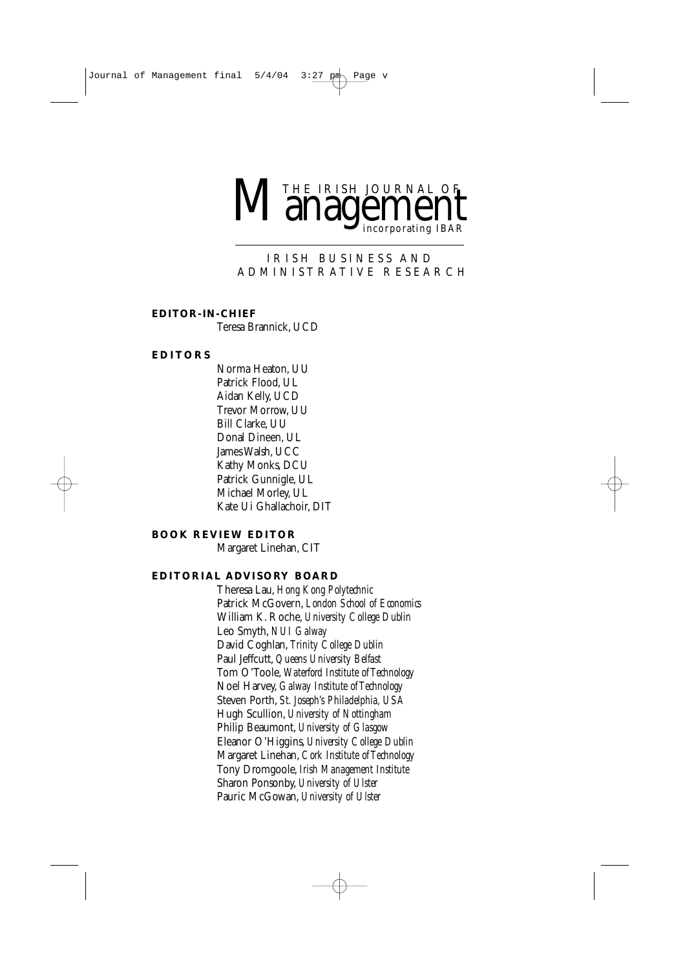# Management IBAR

# IRISH BUSINESS AND ADMINISTRATIVE RESEARCH

#### **EDITOR-IN-CHIEF**

Teresa Brannick, UCD

#### **EDITORS**

Norma Heaton, UU Patrick Flood, UL Aidan Kelly, UCD Trevor Morrow, UU Bill Clarke, UU Donal Dineen, UL James Walsh, UCC Kathy Monks, DCU Patrick Gunnigle, UL Michael Morley, UL Kate Ui Ghallachoir, DIT

# **BOOK REVIEW EDITOR**

Margaret Linehan, CIT

## **EDITORIAL ADVISORY BOARD**

Theresa Lau, *Hong Kong Polytechnic* Patrick McGovern, *London School of Economics* William K. Roche, *University College Dublin* Leo Smyth, *NUI Galway* David Coghlan, *Trinity College Dublin* Paul Jeffcutt, *Queens University Belfast* Tom O'Toole, *Waterford Institute of Technology* Noel Harvey, *Galway Institute of Technology* Steven Porth, *St. Joseph's Philadelphia, USA* Hugh Scullion, *University of Nottingham* Philip Beaumont, *University of Glasgow* Eleanor O'Higgins, *University College Dublin* Margaret Linehan, *Cork Institute of Technology* Tony Dromgoole, *Irish Management Institute* Sharon Ponsonby, *University of Ulster* Pauric McGowan, *University of Ulster*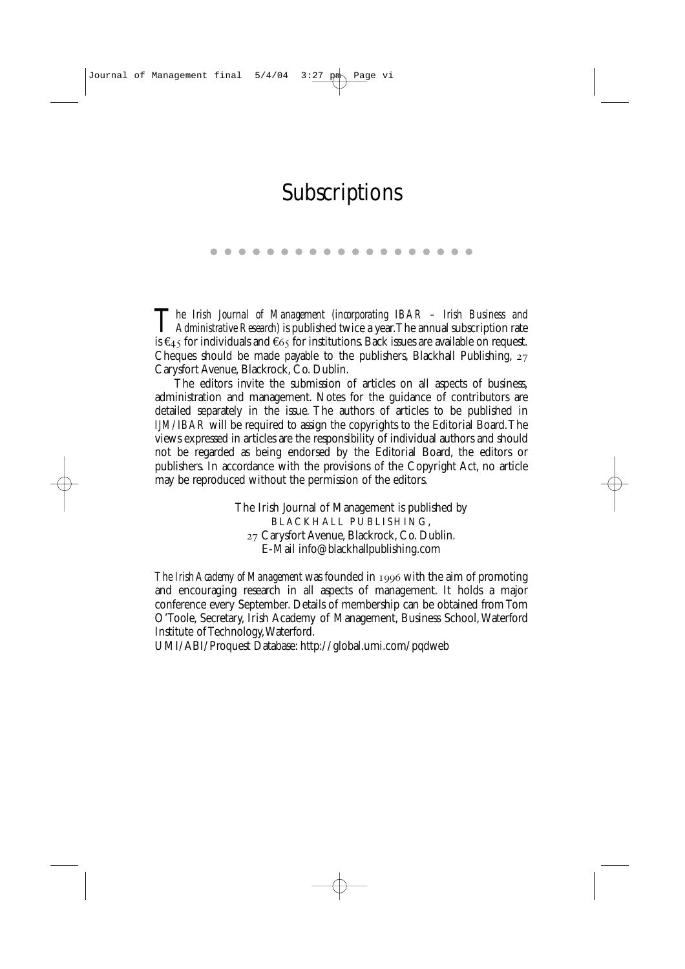# **Subscriptions**

. . . . . . . . . . . .

*The Irish Journal of Management (incorporating IBAR – Irish Business and*<br>*Administrative Research*) is published twice a year. The annual subscription rate is  $\epsilon_{45}$  for individuals and  $\epsilon_{65}$  for institutions. Back issues are available on request. Cheques should be made payable to the publishers, Blackhall Publishing, Carysfort Avenue, Blackrock, Co. Dublin.

The editors invite the submission of articles on all aspects of business, administration and management. Notes for the guidance of contributors are detailed separately in the issue. The authors of articles to be published in *IJM/IBAR* will be required to assign the copyrights to the Editorial Board.The views expressed in articles are the responsibility of individual authors and should not be regarded as being endorsed by the Editorial Board, the editors or publishers. In accordance with the provisions of the Copyright Act, no article may be reproduced without the permission of the editors.

> The Irish Journal of Management is published by BLACKHALL PUBLISHING, Carysfort Avenue, Blackrock, Co. Dublin. E-Mail info@blackhallpublishing.com

*The Irish Academy of Management* was founded in 1996 with the aim of promoting and encouraging research in all aspects of management. It holds a major conference every September. Details of membership can be obtained from Tom O'Toole, Secretary, Irish Academy of Management, Business School,Waterford Institute of Technology,Waterford.

UMI/ABI/Proquest Database: http://global.umi.com/pqdweb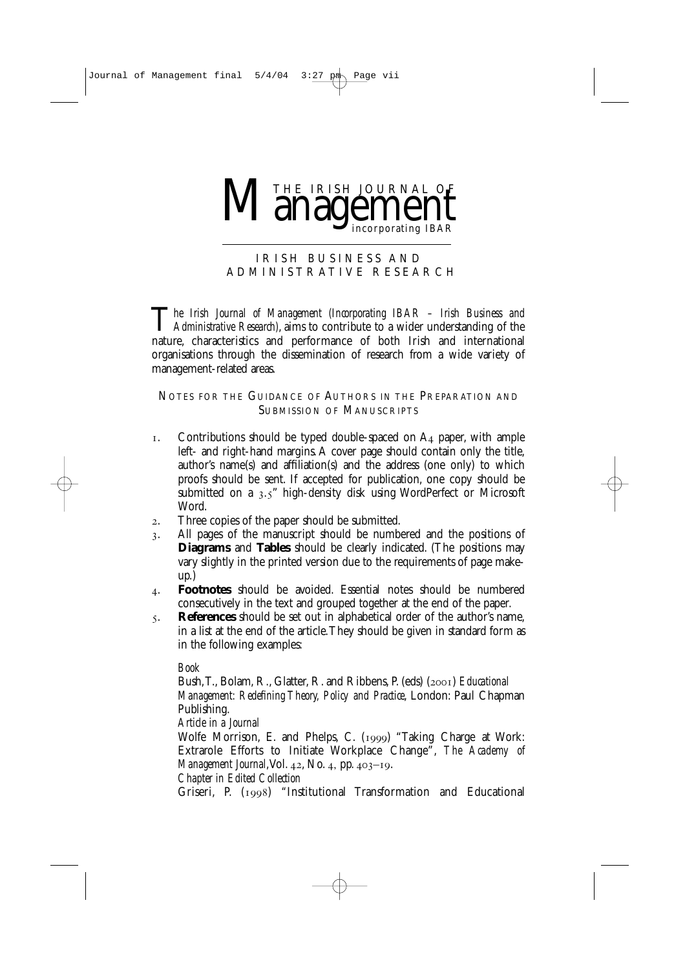

# IRISH BUSINESS AND ADMINISTRATIVE RESEARCH

T*he Irish Journal of Management (Incorporating IBAR – Irish Business and Administrative Research)*, aims to contribute to a wider understanding of the nature, characteristics and performance of both Irish and international organisations through the dissemination of research from a wide variety of management-related areas.

NOTES FOR THE GUIDANCE OF AUTHORS IN THE PREPARATION AND SUBMISSION OF MANUSCRIPTS

- $I.$  Contributions should be typed double-spaced on A<sub>4</sub> paper, with ample left- and right-hand margins. A cover page should contain only the title, author's name(s) and affiliation(s) and the address (one only) to which proofs should be sent. If accepted for publication, one copy should be submitted on a  $3.5$ " high-density disk using WordPerfect or Microsoft Word.
- . Three copies of the paper should be submitted.
- . All pages of the manuscript should be numbered and the positions of **Diagrams** and **Tables** should be clearly indicated. (The positions may vary slightly in the printed version due to the requirements of page makeup.)
- . **Footnotes** should be avoided. Essential notes should be numbered consecutively in the text and grouped together at the end of the paper.
- . **References** should be set out in alphabetical order of the author's name, in a list at the end of the article.They should be given in standard form as in the following examples:

*Book*

Bush, T., Bolam, R., Glatter, R. and Ribbens, P. (eds) (2001) *Educational Management: Redefining Theory, Policy and Practice*, London: Paul Chapman Publishing.

*Article in a Journal*

Wolfe Morrison, E. and Phelps, C. (1999) "Taking Charge at Work: Extrarole Efforts to Initiate Workplace Change", *The Academy of Management Journal*, *Vol. 42*, *No. 4*, *pp. 403-19*.

*Chapter in Edited Collection*

Griseri, P. (1998) "Institutional Transformation and Educational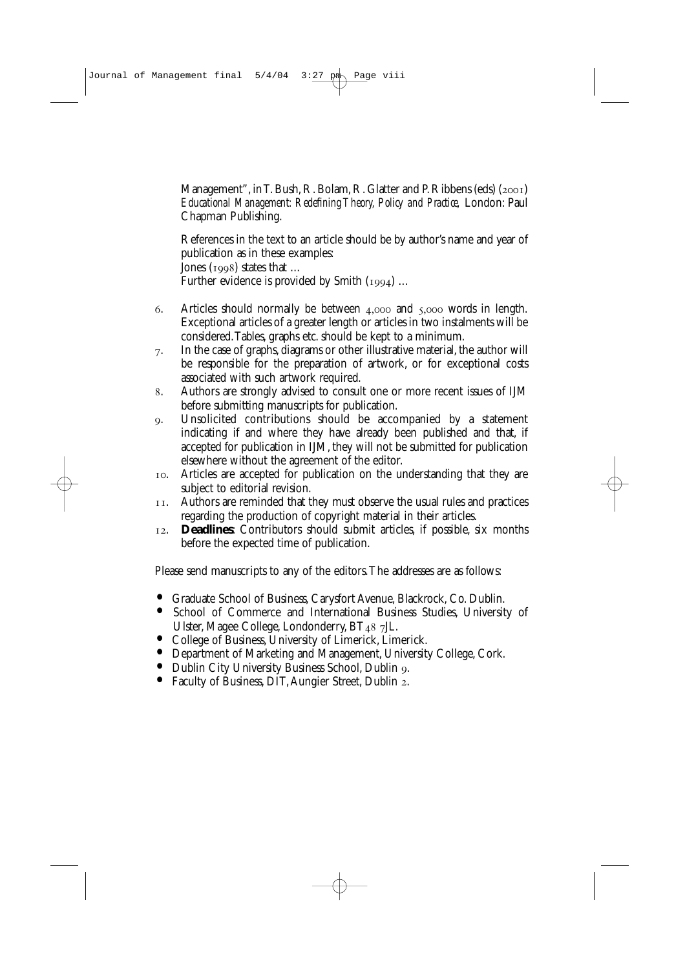Management", in T. Bush, R. Bolam, R. Glatter and P. Ribbens (eds) (2001) *Educational Management: Redefining Theory, Policy and Practice,* London: Paul Chapman Publishing.

References in the text to an article should be by author's name and year of publication as in these examples: Jones  $(1998)$  states that  $\dots$ Further evidence is provided by Smith  $(1994)$  ...

- 6. Articles should normally be between  $4,000$  and  $5,000$  words in length. Exceptional articles of a greater length or articles in two instalments will be considered.Tables, graphs etc. should be kept to a minimum.
- . In the case of graphs, diagrams or other illustrative material, the author will be responsible for the preparation of artwork, or for exceptional costs associated with such artwork required.
- . Authors are strongly advised to consult one or more recent issues of IJM before submitting manuscripts for publication.
- . Unsolicited contributions should be accompanied by a statement indicating if and where they have already been published and that, if accepted for publication in IJM, they will not be submitted for publication elsewhere without the agreement of the editor.
- . Articles are accepted for publication on the understanding that they are subject to editorial revision.
- . Authors are reminded that they must observe the usual rules and practices regarding the production of copyright material in their articles.
- . **Deadlines**: Contributors should submit articles, if possible, six months before the expected time of publication.

Please send manuscripts to any of the editors.The addresses are as follows:

- **•** Graduate School of Business, Carysfort Avenue, Blackrock, Co. Dublin.
- **•** School of Commerce and International Business Studies, University of Ulster, Magee College, Londonderry,  $BT_48$  7JL.
- **•** College of Business, University of Limerick, Limerick.
- **•** Department of Marketing and Management, University College, Cork.
- **•** Dublin City University Business School, Dublin .
- Faculty of Business, DIT, Aungier Street, Dublin 2.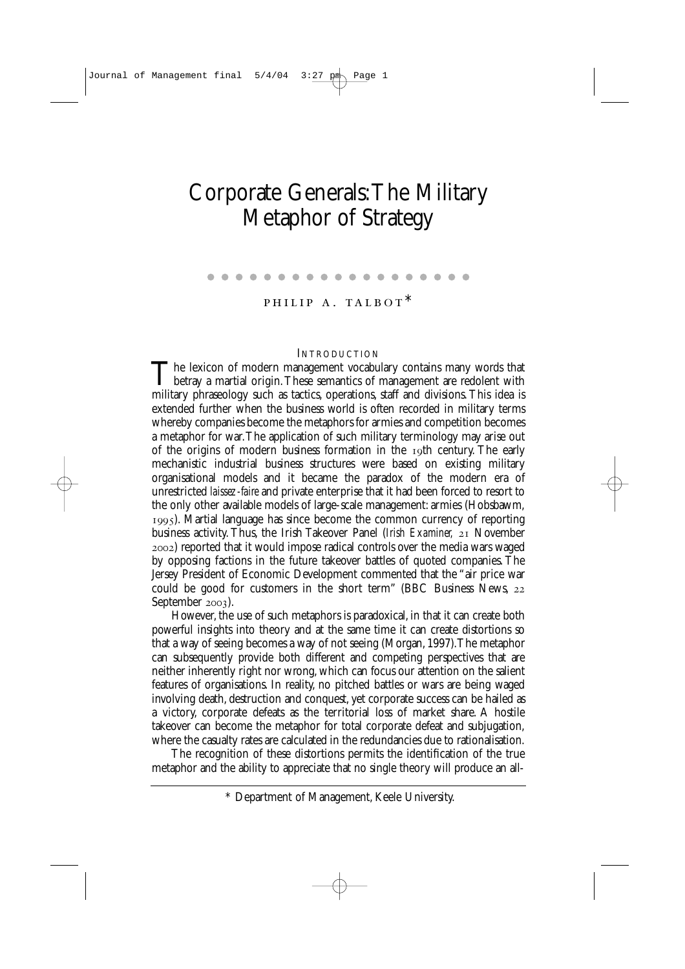# Corporate Generals:The Military Metaphor of Strategy

. . . . . . . . . . . . .

PHILIP A. TALBOT\*

#### **INTRODUCTION**

The lexicon of modern management vocabulary contains many words that **L** betray a martial origin. These semantics of management are redolent with military phraseology such as tactics, operations, staff and divisions. This idea is extended further when the business world is often recorded in military terms whereby companies become the metaphors for armies and competition becomes a metaphor for war.The application of such military terminology may arise out of the origins of modern business formation in the 19th century. The early mechanistic industrial business structures were based on existing military organisational models and it became the paradox of the modern era of unrestricted *laissez-faire* and private enterprise that it had been forced to resort to the only other available models of large-scale management: armies (Hobsbawm, ). Martial language has since become the common currency of reporting business activity. Thus, the Irish Takeover Panel (*Irish Examiner*, 21 November ) reported that it would impose radical controls over the media wars waged by opposing factions in the future takeover battles of quoted companies. The Jersey President of Economic Development commented that the "air price war could be good for customers in the short term" (BBC Business News, September  $2003$ ).

However, the use of such metaphors is paradoxical, in that it can create both powerful insights into theory and at the same time it can create distortions so that a way of seeing becomes a way of not seeing (Morgan, 1997).The metaphor can subsequently provide both different and competing perspectives that are neither inherently right nor wrong, which can focus our attention on the salient features of organisations. In reality, no pitched battles or wars are being waged involving death, destruction and conquest, yet corporate success can be hailed as a victory, corporate defeats as the territorial loss of market share. A hostile takeover can become the metaphor for total corporate defeat and subjugation, where the casualty rates are calculated in the redundancies due to rationalisation.

The recognition of these distortions permits the identification of the true metaphor and the ability to appreciate that no single theory will produce an all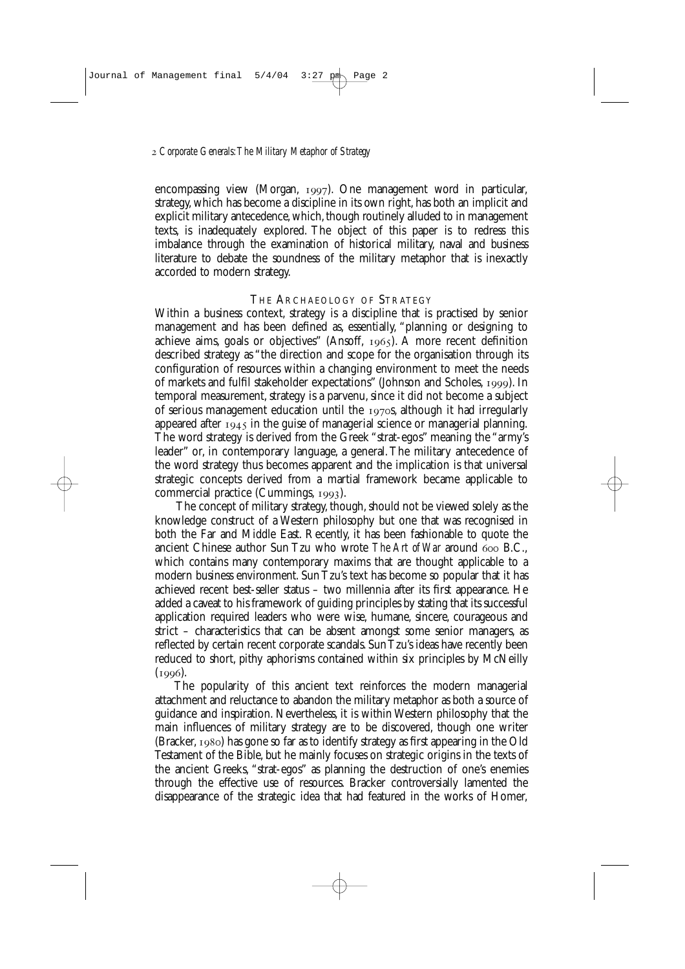encompassing view (Morgan,  $1997$ ). One management word in particular, strategy, which has become a discipline in its own right, has both an implicit and explicit military antecedence, which, though routinely alluded to in management texts, is inadequately explored. The object of this paper is to redress this imbalance through the examination of historical military, naval and business literature to debate the soundness of the military metaphor that is inexactly accorded to modern strategy.

#### THE ARCHAEOLOGY OF STRATEGY

Within a business context, strategy is a discipline that is practised by senior management and has been defined as, essentially, "planning or designing to achieve aims, goals or objectives" (Ansoff,  $1965$ ). A more recent definition described strategy as "the direction and scope for the organisation through its configuration of resources within a changing environment to meet the needs of markets and fulfil stakeholder expectations" (Johnson and Scholes, 1999). In temporal measurement, strategy is a parvenu, since it did not become a subject of serious management education until the  $197$ os, although it had irregularly appeared after  $1945$  in the guise of managerial science or managerial planning. The word strategy is derived from the Greek "strat-egos" meaning the "army's leader" or, in contemporary language, a general.The military antecedence of the word strategy thus becomes apparent and the implication is that universal strategic concepts derived from a martial framework became applicable to commercial practice (Cummings,  $1993$ ).

The concept of military strategy, though, should not be viewed solely as the knowledge construct of a Western philosophy but one that was recognised in both the Far and Middle East. Recently, it has been fashionable to quote the ancient Chinese author Sun Tzu who wrote *The Art of War* around 600 B.C., which contains many contemporary maxims that are thought applicable to a modern business environment. Sun Tzu's text has become so popular that it has achieved recent best-seller status – two millennia after its first appearance. He added a caveat to his framework of guiding principles by stating that its successful application required leaders who were wise, humane, sincere, courageous and strict – characteristics that can be absent amongst some senior managers, as reflected by certain recent corporate scandals. Sun Tzu's ideas have recently been reduced to short, pithy aphorisms contained within six principles by McNeilly  $(1996).$ 

The popularity of this ancient text reinforces the modern managerial attachment and reluctance to abandon the military metaphor as both a source of guidance and inspiration. Nevertheless, it is within Western philosophy that the main influences of military strategy are to be discovered, though one writer (Bracker, 1980) has gone so far as to identify strategy as first appearing in the Old Testament of the Bible, but he mainly focuses on strategic origins in the texts of the ancient Greeks, "strat-egos" as planning the destruction of one's enemies through the effective use of resources. Bracker controversially lamented the disappearance of the strategic idea that had featured in the works of Homer,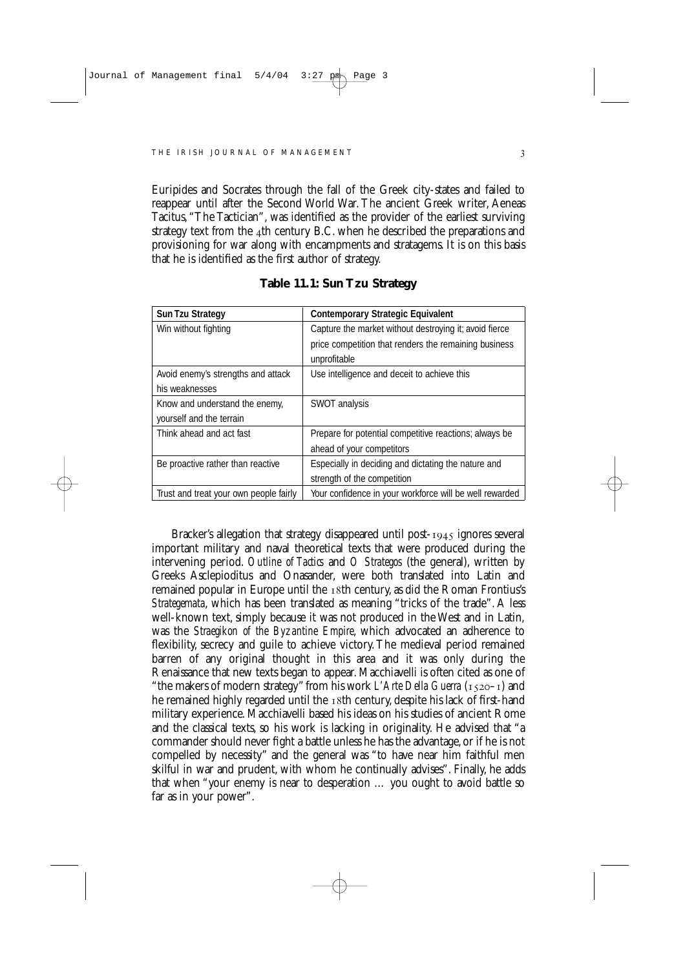Euripides and Socrates through the fall of the Greek city-states and failed to reappear until after the Second World War. The ancient Greek writer, Aeneas Tacitus, "The Tactician", was identified as the provider of the earliest surviving strategy text from the 4th century B.C. when he described the preparations and provisioning for war along with encampments and stratagems. It is on this basis that he is identified as the first author of strategy.

| <b>Sun Tzu Strategy</b>                | <b>Contemporary Strategic Equivalent</b>                |
|----------------------------------------|---------------------------------------------------------|
| Win without fighting                   | Capture the market without destroying it; avoid fierce  |
|                                        | price competition that renders the remaining business   |
|                                        | unprofitable                                            |
| Avoid enemy's strengths and attack     | Use intelligence and deceit to achieve this             |
| his weaknesses                         |                                                         |
| Know and understand the enemy,         | <b>SWOT analysis</b>                                    |
| yourself and the terrain               |                                                         |
| Think ahead and act fast               | Prepare for potential competitive reactions; always be  |
|                                        | ahead of your competitors                               |
| Be proactive rather than reactive      | Especially in deciding and dictating the nature and     |
|                                        | strength of the competition                             |
| Trust and treat your own people fairly | Your confidence in your workforce will be well rewarded |

**Table 11.1: Sun Tzu Strategy**

Bracker's allegation that strategy disappeared until post-1945 ignores several important military and naval theoretical texts that were produced during the intervening period. *Outline of Tactics* and *O Strategos* (the general), written by Greeks Asclepioditus and Onasander, were both translated into Latin and remained popular in Europe until the  $18$ th century, as did the Roman Frontius's *Strategemata*, which has been translated as meaning "tricks of the trade". A less well-known text, simply because it was not produced in the West and in Latin, was the *Straegikon of the Byzantine Empire*, which advocated an adherence to flexibility, secrecy and guile to achieve victory. The medieval period remained barren of any original thought in this area and it was only during the Renaissance that new texts began to appear. Macchiavelli is often cited as one of "the makers of modern strategy" from his work *L'Arte Della Guerra* ( $1520-1$ ) and he remained highly regarded until the  $r$ 8th century, despite his lack of first-hand military experience. Macchiavelli based his ideas on his studies of ancient Rome and the classical texts, so his work is lacking in originality. He advised that "a commander should never fight a battle unless he has the advantage, or if he is not compelled by necessity" and the general was "to have near him faithful men skilful in war and prudent, with whom he continually advises". Finally, he adds that when "your enemy is near to desperation … you ought to avoid battle so far as in your power".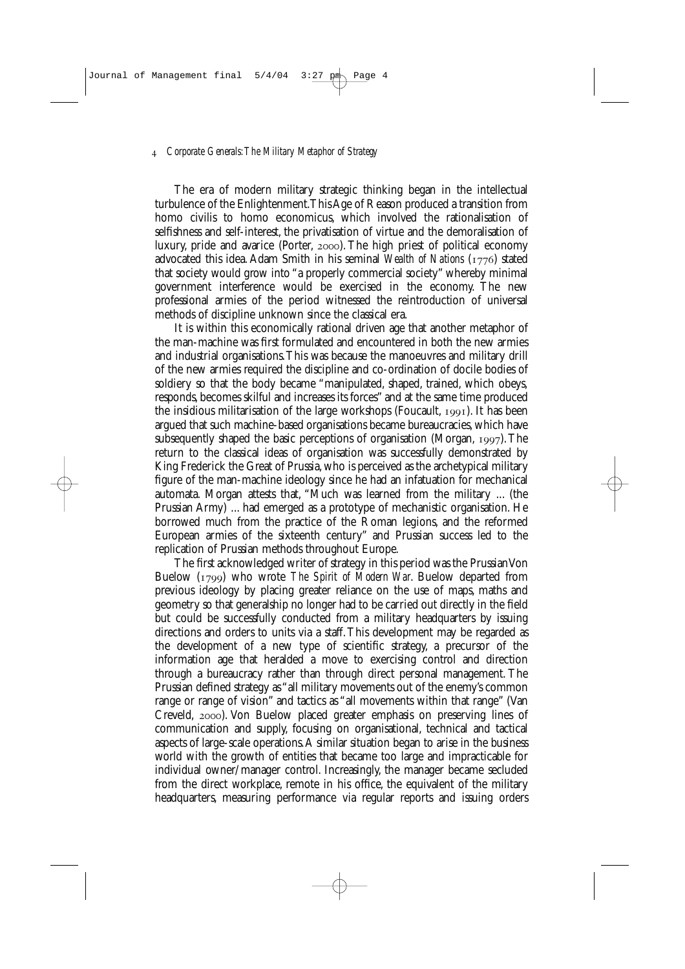The era of modern military strategic thinking began in the intellectual turbulence of the Enlightenment.This Age of Reason produced a transition from homo civilis to homo economicus, which involved the rationalisation of selfishness and self-interest, the privatisation of virtue and the demoralisation of luxury, pride and avarice (Porter, 2000). The high priest of political economy advocated this idea. Adam Smith in his seminal *Wealth of Nations* (1776) stated that society would grow into "a properly commercial society" whereby minimal government interference would be exercised in the economy. The new professional armies of the period witnessed the reintroduction of universal methods of discipline unknown since the classical era.

It is within this economically rational driven age that another metaphor of the man-machine was first formulated and encountered in both the new armies and industrial organisations.This was because the manoeuvres and military drill of the new armies required the discipline and co-ordination of docile bodies of soldiery so that the body became "manipulated, shaped, trained, which obeys, responds, becomes skilful and increases its forces" and at the same time produced the insidious militarisation of the large workshops (Foucault,  $1991$ ). It has been argued that such machine-based organisations became bureaucracies,which have subsequently shaped the basic perceptions of organisation (Morgan,  $1997$ ). The return to the classical ideas of organisation was successfully demonstrated by King Frederick the Great of Prussia,who is perceived as the archetypical military figure of the man-machine ideology since he had an infatuation for mechanical automata. Morgan attests that, "Much was learned from the military ... (the Prussian Army) ... had emerged as a prototype of mechanistic organisation. He borrowed much from the practice of the Roman legions, and the reformed European armies of the sixteenth century" and Prussian success led to the replication of Prussian methods throughout Europe.

The first acknowledged writer of strategy in this period was the Prussian Von Buelow () who wrote *The Spirit of Modern War*. Buelow departed from previous ideology by placing greater reliance on the use of maps, maths and geometry so that generalship no longer had to be carried out directly in the field but could be successfully conducted from a military headquarters by issuing directions and orders to units via a staff.This development may be regarded as the development of a new type of scientific strategy, a precursor of the information age that heralded a move to exercising control and direction through a bureaucracy rather than through direct personal management. The Prussian defined strategy as "all military movements out of the enemy's common range or range of vision" and tactics as "all movements within that range" (Van Creveld, 2000). Von Buelow placed greater emphasis on preserving lines of communication and supply, focusing on organisational, technical and tactical aspects of large-scale operations.A similar situation began to arise in the business world with the growth of entities that became too large and impracticable for individual owner/manager control. Increasingly, the manager became secluded from the direct workplace, remote in his office, the equivalent of the military headquarters, measuring performance via regular reports and issuing orders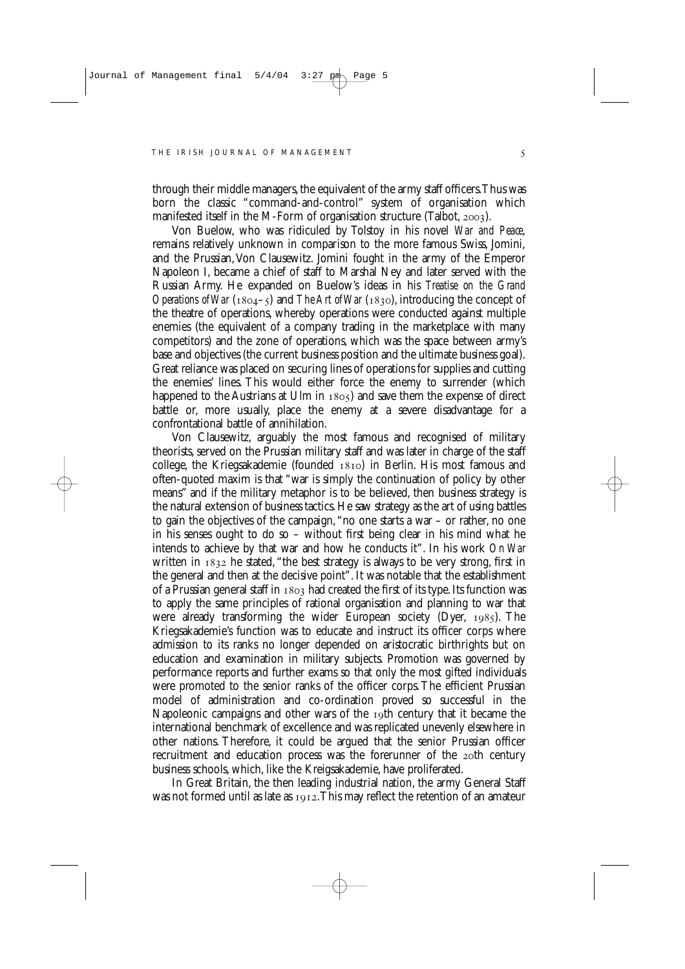through their middle managers, the equivalent of the army staff officers. Thus was born the classic "command-and-control" system of organisation which manifested itself in the M-Form of organisation structure (Talbot,  $2003$ ).

Von Buelow, who was ridiculed by Tolstoy in his novel *War and Peace*, remains relatively unknown in comparison to the more famous Swiss, Jomini, and the Prussian, Von Clausewitz. Jomini fought in the army of the Emperor Napoleon I, became a chief of staff to Marshal Ney and later served with the Russian Army. He expanded on Buelow's ideas in his *Treatise on the Grand Operations of War*  $(1804-5)$  and *The Art of War*  $(1830)$ , introducing the concept of the theatre of operations, whereby operations were conducted against multiple enemies (the equivalent of a company trading in the marketplace with many competitors) and the zone of operations, which was the space between army's base and objectives (the current business position and the ultimate business goal). Great reliance was placed on securing lines of operations for supplies and cutting the enemies' lines. This would either force the enemy to surrender (which happened to the Austrians at Ulm in  $1805$  and save them the expense of direct battle or, more usually, place the enemy at a severe disadvantage for a confrontational battle of annihilation.

Von Clausewitz, arguably the most famous and recognised of military theorists, served on the Prussian military staff and was later in charge of the staff college, the Kriegsakademie (founded  $1810$ ) in Berlin. His most famous and often-quoted maxim is that "war is simply the continuation of policy by other means" and if the military metaphor is to be believed, then business strategy is the natural extension of business tactics.He saw strategy as the art of using battles to gain the objectives of the campaign,"no one starts a war – or rather, no one in his senses ought to do so – without first being clear in his mind what he intends to achieve by that war and how he conducts it". In his work *On War* written in  $1832$  he stated, "the best strategy is always to be very strong, first in the general and then at the decisive point". It was notable that the establishment of a Prussian general staff in  $1803$  had created the first of its type. Its function was to apply the same principles of rational organisation and planning to war that were already transforming the wider European society (Dyer,  $1985$ ). The Kriegsakademie's function was to educate and instruct its officer corps where admission to its ranks no longer depended on aristocratic birthrights but on education and examination in military subjects. Promotion was governed by performance reports and further exams so that only the most gifted individuals were promoted to the senior ranks of the officer corps.The efficient Prussian model of administration and co-ordination proved so successful in the Napoleonic campaigns and other wars of the  $I$ <sub>19</sub>th century that it became the international benchmark of excellence and was replicated unevenly elsewhere in other nations. Therefore, it could be argued that the senior Prussian officer recruitment and education process was the forerunner of the 20th century business schools, which, like the Kreigsakademie, have proliferated.

In Great Britain, the then leading industrial nation, the army General Staff was not formed until as late as 1912. This may reflect the retention of an amateur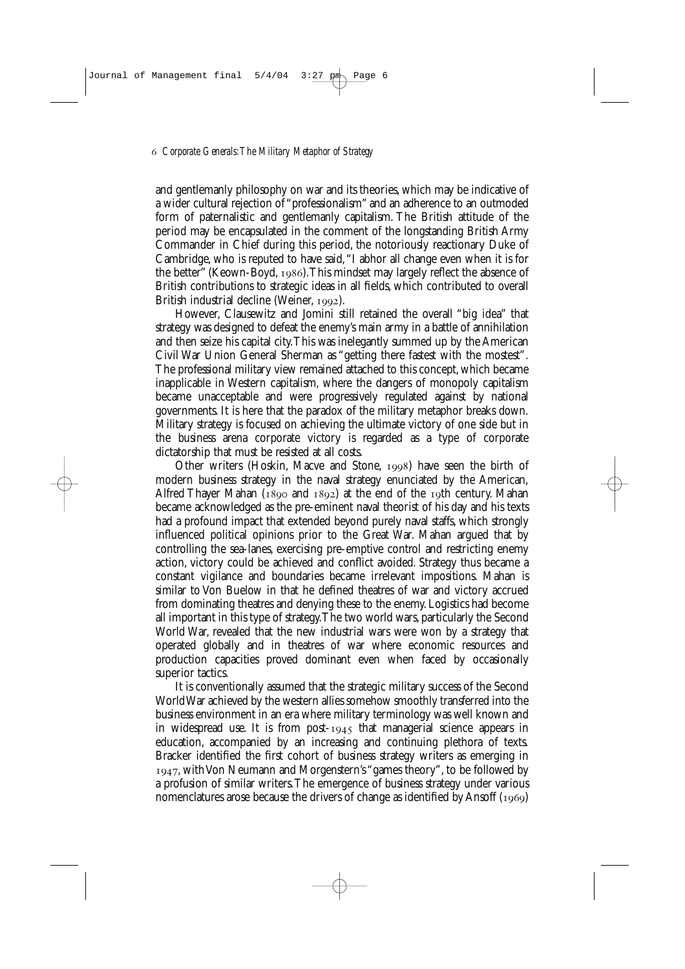and gentlemanly philosophy on war and its theories, which may be indicative of a wider cultural rejection of "professionalism" and an adherence to an outmoded form of paternalistic and gentlemanly capitalism. The British attitude of the period may be encapsulated in the comment of the longstanding British Army Commander in Chief during this period, the notoriously reactionary Duke of Cambridge, who is reputed to have said,"I abhor all change even when it is for the better" (Keown-Boyd, 1986). This mindset may largely reflect the absence of British contributions to strategic ideas in all fields, which contributed to overall British industrial decline (Weiner,  $1002$ ).

However, Clausewitz and Jomini still retained the overall "big idea" that strategy was designed to defeat the enemy's main army in a battle of annihilation and then seize his capital city.This was inelegantly summed up by the American Civil War Union General Sherman as "getting there fastest with the mostest". The professional military view remained attached to this concept, which became inapplicable in Western capitalism, where the dangers of monopoly capitalism became unacceptable and were progressively regulated against by national governments. It is here that the paradox of the military metaphor breaks down. Military strategy is focused on achieving the ultimate victory of one side but in the business arena corporate victory is regarded as a type of corporate dictatorship that must be resisted at all costs.

Other writers (Hoskin, Macve and Stone, 1998) have seen the birth of modern business strategy in the naval strategy enunciated by the American, Alfred Thayer Mahan ( $1890$  and  $1892$ ) at the end of the 19th century. Mahan became acknowledged as the pre-eminent naval theorist of his day and his texts had a profound impact that extended beyond purely naval staffs, which strongly influenced political opinions prior to the Great War. Mahan argued that by controlling the sea-lanes, exercising pre-emptive control and restricting enemy action, victory could be achieved and conflict avoided. Strategy thus became a constant vigilance and boundaries became irrelevant impositions. Mahan is similar to Von Buelow in that he defined theatres of war and victory accrued from dominating theatres and denying these to the enemy. Logistics had become all important in this type of strategy. The two world wars, particularly the Second World War, revealed that the new industrial wars were won by a strategy that operated globally and in theatres of war where economic resources and production capacities proved dominant even when faced by occasionally superior tactics.

It is conventionally assumed that the strategic military success of the Second World War achieved by the western allies somehow smoothly transferred into the business environment in an era where military terminology was well known and in widespread use. It is from post- $1945$  that managerial science appears in education, accompanied by an increasing and continuing plethora of texts. Bracker identified the first cohort of business strategy writers as emerging in 1947, with Von Neumann and Morgenstern's "games theory", to be followed by a profusion of similar writers.The emergence of business strategy under various nomenclatures arose because the drivers of change as identified by Ansoff  $(1969)$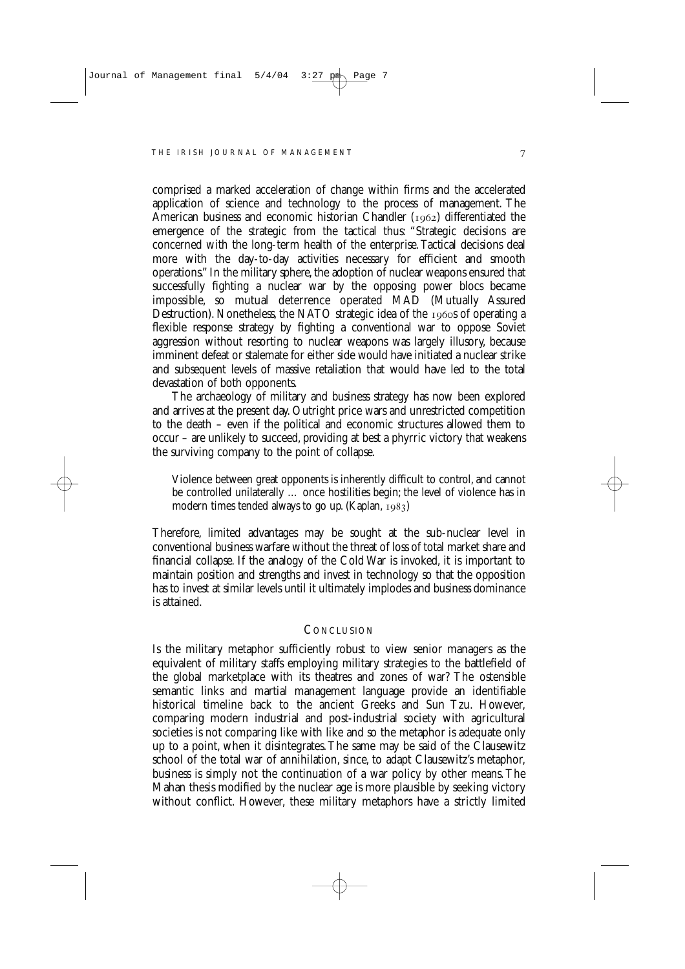comprised a marked acceleration of change within firms and the accelerated application of science and technology to the process of management. The American business and economic historian Chandler  $(1962)$  differentiated the emergence of the strategic from the tactical thus: "Strategic decisions are concerned with the long-term health of the enterprise.Tactical decisions deal more with the day-to-day activities necessary for efficient and smooth operations." In the military sphere, the adoption of nuclear weapons ensured that successfully fighting a nuclear war by the opposing power blocs became impossible, so mutual deterrence operated MAD (Mutually Assured Destruction). Nonetheless, the NATO strategic idea of the 1960s of operating a flexible response strategy by fighting a conventional war to oppose Soviet aggression without resorting to nuclear weapons was largely illusory, because imminent defeat or stalemate for either side would have initiated a nuclear strike and subsequent levels of massive retaliation that would have led to the total devastation of both opponents.

The archaeology of military and business strategy has now been explored and arrives at the present day. Outright price wars and unrestricted competition to the death – even if the political and economic structures allowed them to occur – are unlikely to succeed, providing at best a phyrric victory that weakens the surviving company to the point of collapse.

Violence between great opponents is inherently difficult to control, and cannot be controlled unilaterally … once hostilities begin; the level of violence has in modern times tended always to go up. (Kaplan,  $1983$ )

Therefore, limited advantages may be sought at the sub-nuclear level in conventional business warfare without the threat of loss of total market share and financial collapse. If the analogy of the Cold War is invoked, it is important to maintain position and strengths and invest in technology so that the opposition has to invest at similar levels until it ultimately implodes and business dominance is attained.

#### **CONCLUSION**

Is the military metaphor sufficiently robust to view senior managers as the equivalent of military staffs employing military strategies to the battlefield of the global marketplace with its theatres and zones of war? The ostensible semantic links and martial management language provide an identifiable historical timeline back to the ancient Greeks and Sun Tzu. However, comparing modern industrial and post-industrial society with agricultural societies is not comparing like with like and so the metaphor is adequate only up to a point, when it disintegrates.The same may be said of the Clausewitz school of the total war of annihilation, since, to adapt Clausewitz's metaphor, business is simply not the continuation of a war policy by other means. The Mahan thesis modified by the nuclear age is more plausible by seeking victory without conflict. However, these military metaphors have a strictly limited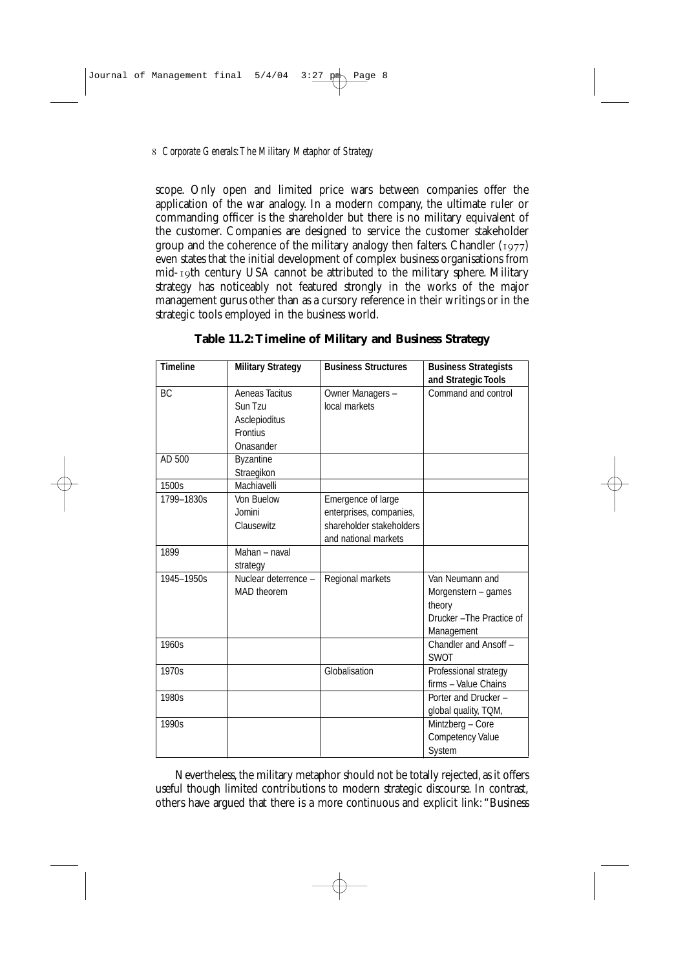scope. Only open and limited price wars between companies offer the application of the war analogy. In a modern company, the ultimate ruler or commanding officer is the shareholder but there is no military equivalent of the customer. Companies are designed to service the customer stakeholder group and the coherence of the military analogy then falters. Chandler  $(1977)$ even states that the initial development of complex business organisations from mid-19th century USA cannot be attributed to the military sphere. Military strategy has noticeably not featured strongly in the works of the major management gurus other than as a cursory reference in their writings or in the strategic tools employed in the business world.

| <b>Timeline</b> | <b>Military Strategy</b> | <b>Business Structures</b> | <b>Business Strategists</b> |
|-----------------|--------------------------|----------------------------|-----------------------------|
|                 |                          |                            | and Strategic Tools         |
| <b>BC</b>       | Aeneas Tacitus           | Owner Managers -           | Command and control         |
|                 | Sun Tzu                  | local markets              |                             |
|                 | Asclepioditus            |                            |                             |
|                 | <b>Frontius</b>          |                            |                             |
|                 | Onasander                |                            |                             |
| AD 500          | Byzantine                |                            |                             |
|                 | Straegikon               |                            |                             |
| 1500s           | Machiavelli              |                            |                             |
| 1799-1830s      | Von Buelow               | Emergence of large         |                             |
|                 | Jomini                   | enterprises, companies,    |                             |
|                 | Clausewitz               | shareholder stakeholders   |                             |
|                 |                          | and national markets       |                             |
| 1899            | Mahan - naval            |                            |                             |
|                 | strategy                 |                            |                             |
| 1945-1950s      | Nuclear deterrence -     | Regional markets           | Van Neumann and             |
|                 | <b>MAD</b> theorem       |                            | Morgenstern - games         |
|                 |                          |                            | theory                      |
|                 |                          |                            | Drucker-The Practice of     |
|                 |                          |                            | Management                  |
| 1960s           |                          |                            | Chandler and Ansoff -       |
|                 |                          |                            | <b>SWOT</b>                 |
| 1970s           |                          | Globalisation              | Professional strategy       |
|                 |                          |                            | firms - Value Chains        |
| 1980s           |                          |                            | Porter and Drucker -        |
|                 |                          |                            | global quality, TQM,        |
| 1990s           |                          |                            | Mintzberg - Core            |
|                 |                          |                            | Competency Value            |
|                 |                          |                            | System                      |

**Table 11.2:Timeline of Military and Business Strategy**

Nevertheless, the military metaphor should not be totally rejected, as it offers useful though limited contributions to modern strategic discourse. In contrast, others have argued that there is a more continuous and explicit link: "Business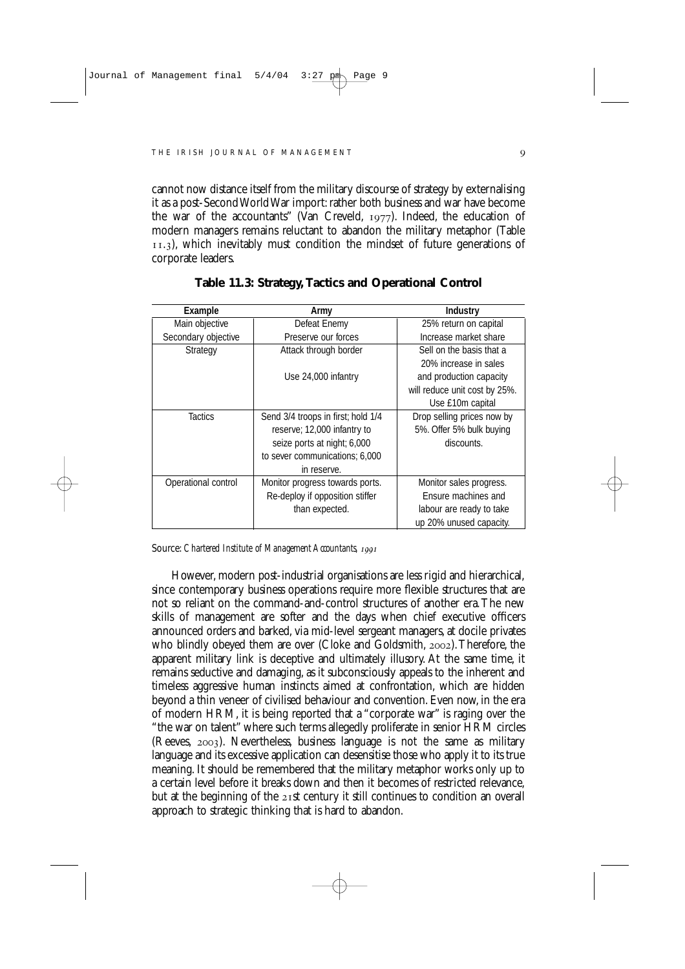cannot now distance itself from the military discourse of strategy by externalising it as a post-Second World War import: rather both business and war have become the war of the accountants" (Van Creveld,  $1977$ ). Indeed, the education of modern managers remains reluctant to abandon the military metaphor (Table .), which inevitably must condition the mindset of future generations of corporate leaders.

| Example             | Army                               | <b>Industry</b>               |
|---------------------|------------------------------------|-------------------------------|
| Main objective      | Defeat Enemy                       | 25% return on capital         |
| Secondary objective | Preserve our forces                | Increase market share         |
| Strategy            | Attack through border              | Sell on the basis that a      |
|                     |                                    | 20% increase in sales         |
|                     | Use 24,000 infantry                | and production capacity       |
|                     |                                    | will reduce unit cost by 25%. |
|                     |                                    | Use £10m capital              |
| Tactics             | Send 3/4 troops in first; hold 1/4 | Drop selling prices now by    |
|                     | reserve; 12,000 infantry to        | 5%. Offer 5% bulk buying      |
|                     | seize ports at night; 6,000        | discounts.                    |
|                     | to sever communications; 6,000     |                               |
|                     | in reserve.                        |                               |
| Operational control | Monitor progress towards ports.    | Monitor sales progress.       |
|                     | Re-deploy if opposition stiffer    | Ensure machines and           |
|                     | than expected.                     | labour are ready to take      |
|                     |                                    | up 20% unused capacity.       |

**Table 11.3: Strategy,Tactics and Operational Control**

Source: *Chartered Institute of Management Accountants,*

However, modern post-industrial organisations are less rigid and hierarchical, since contemporary business operations require more flexible structures that are not so reliant on the command-and-control structures of another era.The new skills of management are softer and the days when chief executive officers announced orders and barked, via mid-level sergeant managers, at docile privates who blindly obeyed them are over (Cloke and Goldsmith, 2002). Therefore, the apparent military link is deceptive and ultimately illusory. At the same time, it remains seductive and damaging, as it subconsciously appeals to the inherent and timeless aggressive human instincts aimed at confrontation, which are hidden beyond a thin veneer of civilised behaviour and convention. Even now, in the era of modern HRM, it is being reported that a "corporate war" is raging over the "the war on talent" where such terms allegedly proliferate in senior HRM circles  $(Reeves, 2003)$ . Nevertheless, business language is not the same as military language and its excessive application can desensitise those who apply it to its true meaning. It should be remembered that the military metaphor works only up to a certain level before it breaks down and then it becomes of restricted relevance, but at the beginning of the  $21st$  century it still continues to condition an overall approach to strategic thinking that is hard to abandon.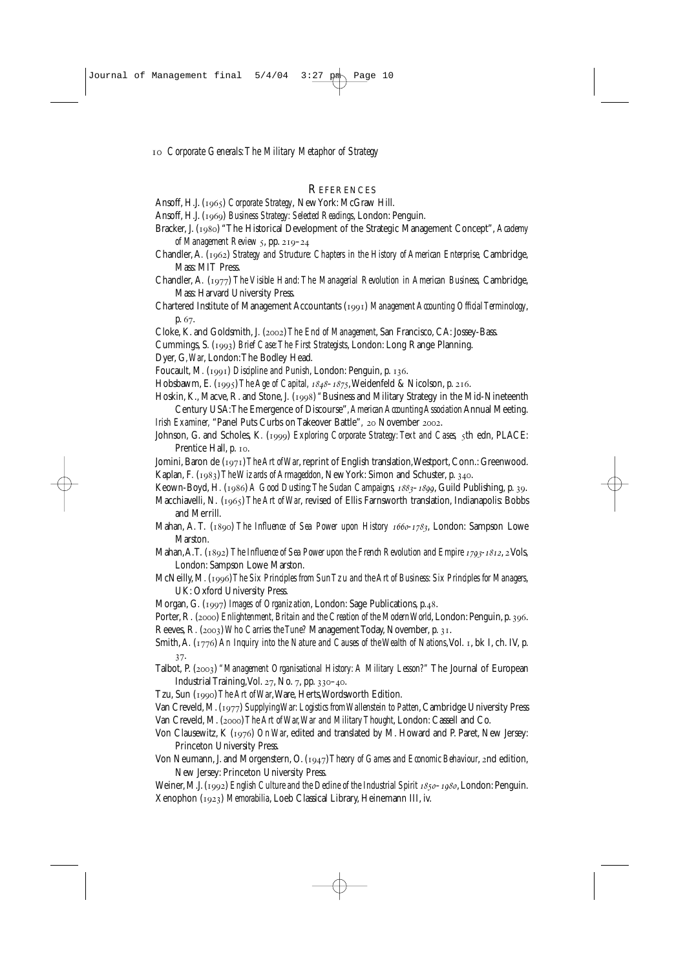#### **REFERENCES**

- Ansoff, H.J. (1965) Corporate Strategy, New York: McGraw Hill.
- Ansoff, H.J. (1969) *Business Strategy: Selected Readings*, London: Penguin.
- Bracker, J. (1980) "The Historical Development of the Strategic Management Concept", *Academy of Management Review 5, pp. 219-24*
- Chandler, A. (1962) Strategy and Structure: Chapters in the History of American Enterprise, Cambridge, Mass: MIT Press.
- Chandler, A*.* () *The Visible Hand:The Managerial Revolution in American Business,* Cambridge, Mass: Harvard University Press.
- Chartered Institute of Management Accountants () *Management Accounting Official Terminology*, p. 67.

Cloke, K. and Goldsmith, J*.* ()*The End of Management*, San Francisco, CA: Jossey-Bass.

Cummings, S*.* () *Brief Case:The First Strategists*, London: Long Range Planning.

- Dyer, G*,War*, London:The Bodley Head.
- Foucault, M. (1991) *Discipline and Punish*, London: Penguin, p. 136.
- Hobsbawm, E. (1995) The Age of Capital,  $1848-1875$ , Weidenfeld & Nicolson, p. 216.
- Hoskin, K., Macve, R. and Stone, J. (1998) "Business and Military Strategy in the Mid-Nineteenth Century USA: The Emergence of Discourse", American Accounting Association Annual Meeting.
- *Irish Examiner,* "Panel Puts Curbs on Takeover Battle", 20 November 2002.
- Johnson, G. and Scholes, K. (1999) *Exploring Corporate Strategy: Text and Cases,* 5th edn, PLACE: Prentice Hall, p. 10.
- Jomini, Baron de (1971) The Art of War, reprint of English translation, Westport, Conn.: Greenwood. Kaplan, F. (1983) The Wizards of Armageddon, New York: Simon and Schuster, p. 340.
- Keown-Boyd, H. (1986) A Good Dusting: The Sudan Campaigns, 1883–1899, Guild Publishing, p. 39.
- Macchiavelli, N. (1965) The Art of War, revised of Ellis Farnsworth translation, Indianapolis: Bobbs and Merrill.
- Mahan, A. T. (1890) The Influence of Sea Power upon History  $1660 1783$ , London: Sampson Lowe Marston.
- Mahan, A.T. (1892) The Influence of Sea Power upon the French Revolution and Empire  $_1$ 793-1812, 2 Vols, London: Sampson Lowe Marston.
- McNeilly, M*.*()*The Six Principles from Sun Tzu and the Art of Business:Six Principles for Managers*, UK: Oxford University Press.
- Morgan, G. (1997) *Images of Organization*, London: Sage Publications, p.48.
- Porter, R. (2000) *Enlightenment, Britain and the Creation of the Modern World*, London: Penguin, p. 396. Reeves, R. (2003) Who Carries the Tune? Management Today, November, p. 31.
- Smith, A. (1776) An Inquiry into the Nature and Causes of the Wealth of Nations, Vol. 1, bk I, ch. IV, p.  $37.$
- Talbot, P. (2003) *"Management Organisational History: A Military Lesson?"* The Journal of European Industrial Training, Vol. 27, No. 7, pp. 330-40.
- Tzu, Sun (1990) The Art of War, Ware, Herts, Wordsworth Edition.
- Van Creveld,M.() *Supplying War:Logistics from Wallenstein to Patten*,Cambridge University Press
- Van Creveld, M. (2000) The Art of War, War and Military Thought, London: Cassell and Co.
- Von Clausewitz, K (1976) On War, edited and translated by M. Howard and P. Paret, New Jersey: Princeton University Press.
- Von Neumann, J. and Morgenstern, O. (1947) Theory of Games and Economic Behaviour, 2nd edition, New Jersey: Princeton University Press.
- Weiner, M.J. (1992) *English Culture and the Decline of the Industrial Spirit*  $1850 1980$ *, London: Penguin.* Xenophon () *Memorabilia*, Loeb Classical Library, Heinemann III, iv.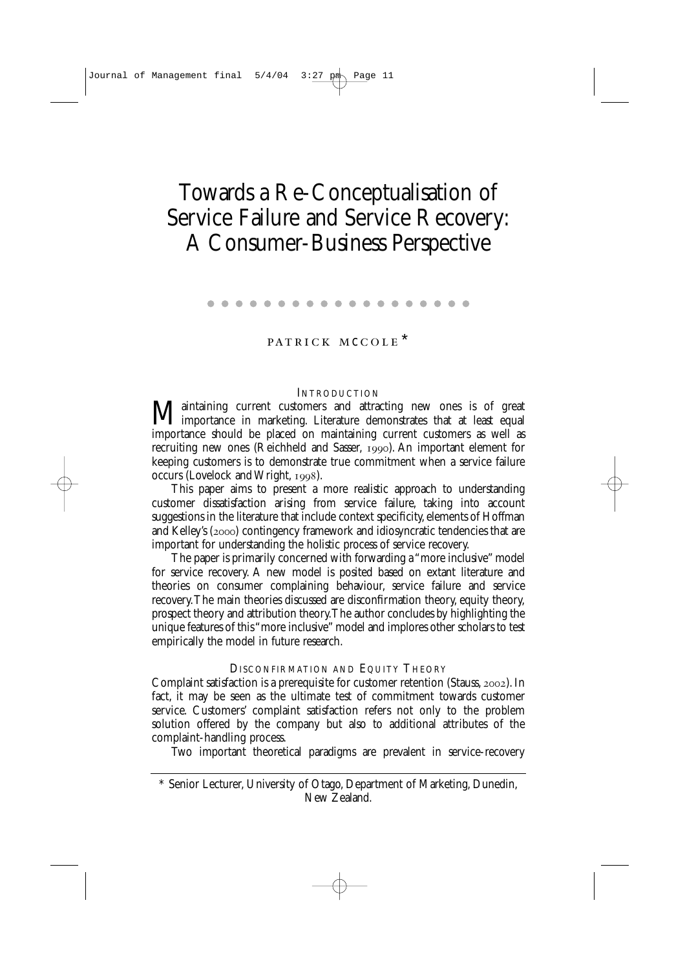# Towards a Re-Conceptualisation of Service Failure and Service Recovery: A Consumer-Business Perspective

#### . . . . . . . . . . . . . . . .

# PATRICK MCCOLE\*

#### INTRODUCTION

**Maintaining current customers and attracting new ones is of great**<br>importance in marketing. Literature demonstrates that at least equal<br>importance should be glassed in marketining commute outcomes as well as importance should be placed on maintaining current customers as well as recruiting new ones (Reichheld and Sasser, 1990). An important element for keeping customers is to demonstrate true commitment when a service failure occurs (Lovelock and Wright, 1998).

This paper aims to present a more realistic approach to understanding customer dissatisfaction arising from service failure, taking into account suggestions in the literature that include context specificity, elements of Hoffman and Kelley's (2000) contingency framework and idiosyncratic tendencies that are important for understanding the holistic process of service recovery.

The paper is primarily concerned with forwarding a "more inclusive" model for service recovery. A new model is posited based on extant literature and theories on consumer complaining behaviour, service failure and service recovery.The main theories discussed are disconfirmation theory, equity theory, prospect theory and attribution theory.The author concludes by highlighting the unique features of this "more inclusive"model and implores other scholars to test empirically the model in future research.

#### DISCONFIRMATION AND EQUITY THEORY

Complaint satisfaction is a prerequisite for customer retention (Stauss, 2002). In fact, it may be seen as the ultimate test of commitment towards customer service. Customers' complaint satisfaction refers not only to the problem solution offered by the company but also to additional attributes of the complaint-handling process.

Two important theoretical paradigms are prevalent in service-recovery

<sup>\*</sup> Senior Lecturer, University of Otago, Department of Marketing, Dunedin, New Zealand.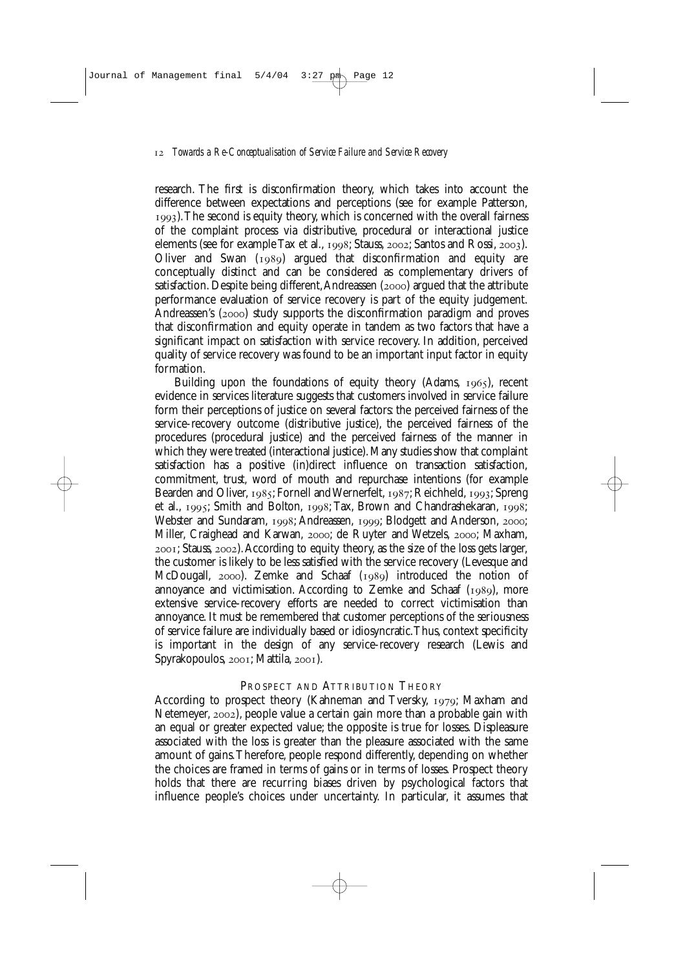research. The first is disconfirmation theory, which takes into account the difference between expectations and perceptions (see for example Patterson, ).The second is equity theory, which is concerned with the overall fairness of the complaint process via distributive, procedural or interactional justice elements (see for example Tax et al.,  $1998$ ; Stauss, 2002; Santos and Rossi, 2003). Oliver and Swan  $(1989)$  argued that disconfirmation and equity are conceptually distinct and can be considered as complementary drivers of satisfaction. Despite being different, Andreassen  $(2000)$  argued that the attribute performance evaluation of service recovery is part of the equity judgement. Andreassen's  $(2000)$  study supports the disconfirmation paradigm and proves that disconfirmation and equity operate in tandem as two factors that have a significant impact on satisfaction with service recovery. In addition, perceived quality of service recovery was found to be an important input factor in equity formation.

Building upon the foundations of equity theory (Adams,  $1965$ ), recent evidence in services literature suggests that customers involved in service failure form their perceptions of justice on several factors: the perceived fairness of the service-recovery outcome (distributive justice), the perceived fairness of the procedures (procedural justice) and the perceived fairness of the manner in which they were treated (interactional justice). Many studies show that complaint satisfaction has a positive (in)direct influence on transaction satisfaction, commitment, trust, word of mouth and repurchase intentions (for example Bearden and Oliver,  $1985$ ; Fornell and Wernerfelt,  $1987$ ; Reichheld,  $1993$ ; Spreng et al., 1995; Smith and Bolton, 1998; Tax, Brown and Chandrashekaran, 1998; Webster and Sundaram, 1998; Andreassen, 1999; Blodgett and Anderson, 2000; Miller, Craighead and Karwan, 2000; de Ruyter and Wetzels, 2000; Maxham,  $2001$ ; Stauss,  $2002$ ). According to equity theory, as the size of the loss gets larger, the customer is likely to be less satisfied with the service recovery (Levesque and McDougall, 2000). Zemke and Schaaf (1989) introduced the notion of annoyance and victimisation. According to Zemke and Schaaf  $(1989)$ , more extensive service-recovery efforts are needed to correct victimisation than annoyance. It must be remembered that customer perceptions of the seriousness of service failure are individually based or idiosyncratic.Thus, context specificity is important in the design of any service-recovery research (Lewis and Spyrakopoulos, 2001; Mattila, 2001).

#### PROSPECT AND ATTRIBUTION THEORY

According to prospect theory (Kahneman and Tversky,  $1979$ ; Maxham and Netemeyer, 2002), people value a certain gain more than a probable gain with an equal or greater expected value; the opposite is true for losses. Displeasure associated with the loss is greater than the pleasure associated with the same amount of gains.Therefore, people respond differently, depending on whether the choices are framed in terms of gains or in terms of losses. Prospect theory holds that there are recurring biases driven by psychological factors that influence people's choices under uncertainty. In particular, it assumes that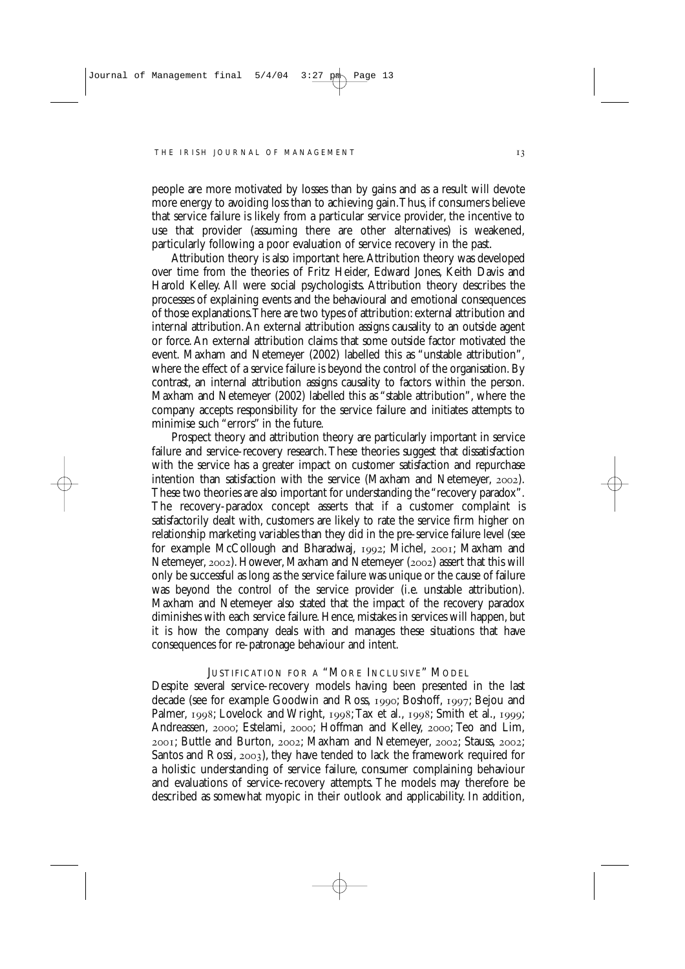people are more motivated by losses than by gains and as a result will devote more energy to avoiding loss than to achieving gain.Thus, if consumers believe that service failure is likely from a particular service provider, the incentive to use that provider (assuming there are other alternatives) is weakened, particularly following a poor evaluation of service recovery in the past.

Attribution theory is also important here.Attribution theory was developed over time from the theories of Fritz Heider, Edward Jones, Keith Davis and Harold Kelley. All were social psychologists. Attribution theory describes the processes of explaining events and the behavioural and emotional consequences of those explanations.There are two types of attribution: external attribution and internal attribution.An external attribution assigns causality to an outside agent or force. An external attribution claims that some outside factor motivated the event. Maxham and Netemeyer (2002) labelled this as "unstable attribution", where the effect of a service failure is beyond the control of the organisation. By contrast, an internal attribution assigns causality to factors within the person. Maxham and Netemeyer (2002) labelled this as "stable attribution", where the company accepts responsibility for the service failure and initiates attempts to minimise such "errors" in the future.

Prospect theory and attribution theory are particularly important in service failure and service-recovery research.These theories suggest that dissatisfaction with the service has a greater impact on customer satisfaction and repurchase intention than satisfaction with the service (Maxham and Netemeyer, 2002). These two theories are also important for understanding the "recovery paradox". The recovery-paradox concept asserts that if a customer complaint is satisfactorily dealt with, customers are likely to rate the service firm higher on relationship marketing variables than they did in the pre-service failure level (see for example McCollough and Bharadwaj, 1992; Michel, 2001; Maxham and Netemeyer, 2002). However, Maxham and Netemeyer (2002) assert that this will only be successful as long as the service failure was unique or the cause of failure was beyond the control of the service provider (i.e. unstable attribution). Maxham and Netemeyer also stated that the impact of the recovery paradox diminishes with each service failure. Hence, mistakes in services will happen, but it is how the company deals with and manages these situations that have consequences for re-patronage behaviour and intent.

#### JUSTIFICATION FOR A "MORE INCLUSIVE" MODEL

Despite several service-recovery models having been presented in the last decade (see for example Goodwin and Ross, 1990; Boshoff, 1997; Bejou and Palmer, 1998; Lovelock and Wright, 1998; Tax et al., 1998; Smith et al., 1999; Andreassen, 2000; Estelami, 2000; Hoffman and Kelley, 2000; Teo and Lim, 2001; Buttle and Burton, 2002; Maxham and Netemeyer, 2002; Stauss, 2002; Santos and Rossi,  $2003$ ), they have tended to lack the framework required for a holistic understanding of service failure, consumer complaining behaviour and evaluations of service-recovery attempts. The models may therefore be described as somewhat myopic in their outlook and applicability. In addition,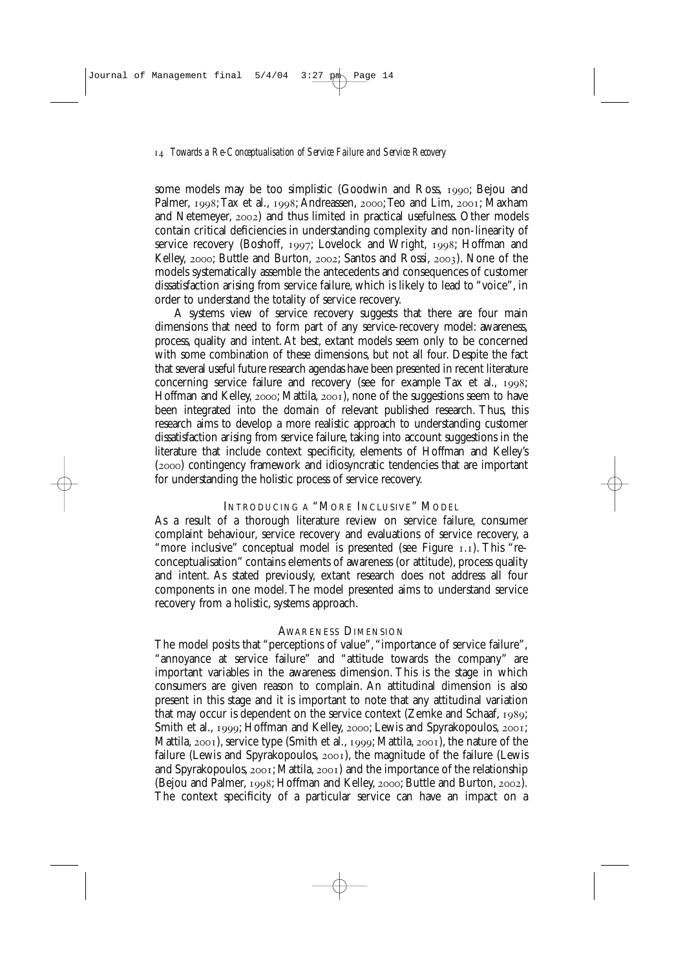some models may be too simplistic (Goodwin and Ross, 1990; Bejou and Palmer, 1998; Tax et al., 1998; Andreassen, 2000; Teo and Lim, 2001; Maxham and Netemeyer, 2002) and thus limited in practical usefulness. Other models contain critical deficiencies in understanding complexity and non-linearity of service recovery (Boshoff, 1997; Lovelock and Wright, 1998; Hoffman and Kelley, 2000; Buttle and Burton, 2002; Santos and Rossi, 2003). None of the models systematically assemble the antecedents and consequences of customer dissatisfaction arising from service failure, which is likely to lead to "voice", in order to understand the totality of service recovery.

A systems view of service recovery suggests that there are four main dimensions that need to form part of any service-recovery model: awareness, process, quality and intent. At best, extant models seem only to be concerned with some combination of these dimensions, but not all four. Despite the fact that several useful future research agendas have been presented in recent literature concerning service failure and recovery (see for example Tax et al., 1998; Hoffman and Kelley,  $2000$ ; Mattila,  $2001$ , none of the suggestions seem to have been integrated into the domain of relevant published research. Thus, this research aims to develop a more realistic approach to understanding customer dissatisfaction arising from service failure, taking into account suggestions in the literature that include context specificity, elements of Hoffman and Kelley's (2000) contingency framework and idiosyncratic tendencies that are important for understanding the holistic process of service recovery.

# INTRODUCING A "MORE INCLUSIVE" MODEL

As a result of a thorough literature review on service failure, consumer complaint behaviour, service recovery and evaluations of service recovery, a "more inclusive" conceptual model is presented (see Figure  $I.I.J.$  This "reconceptualisation" contains elements of awareness (or attitude), process quality and intent. As stated previously, extant research does not address all four components in one model. The model presented aims to understand service recovery from a holistic, systems approach.

#### AWARENESS DIMENSION

The model posits that "perceptions of value", "importance of service failure", "annoyance at service failure" and "attitude towards the company" are important variables in the awareness dimension. This is the stage in which consumers are given reason to complain. An attitudinal dimension is also present in this stage and it is important to note that any attitudinal variation that may occur is dependent on the service context (Zemke and Schaaf, ; Smith et al., 1999; Hoffman and Kelley, 2000; Lewis and Spyrakopoulos, 2001; Mattila,  $2001$ , service type (Smith et al., 1999; Mattila,  $2001$ ), the nature of the failure (Lewis and Spyrakopoulos,  $2001$ ), the magnitude of the failure (Lewis and Spyrakopoulos,  $200I$ ; Mattila,  $200I$ ) and the importance of the relationship (Bejou and Palmer,  $1998$ ; Hoffman and Kelley, 2000; Buttle and Burton, 2002). The context specificity of a particular service can have an impact on a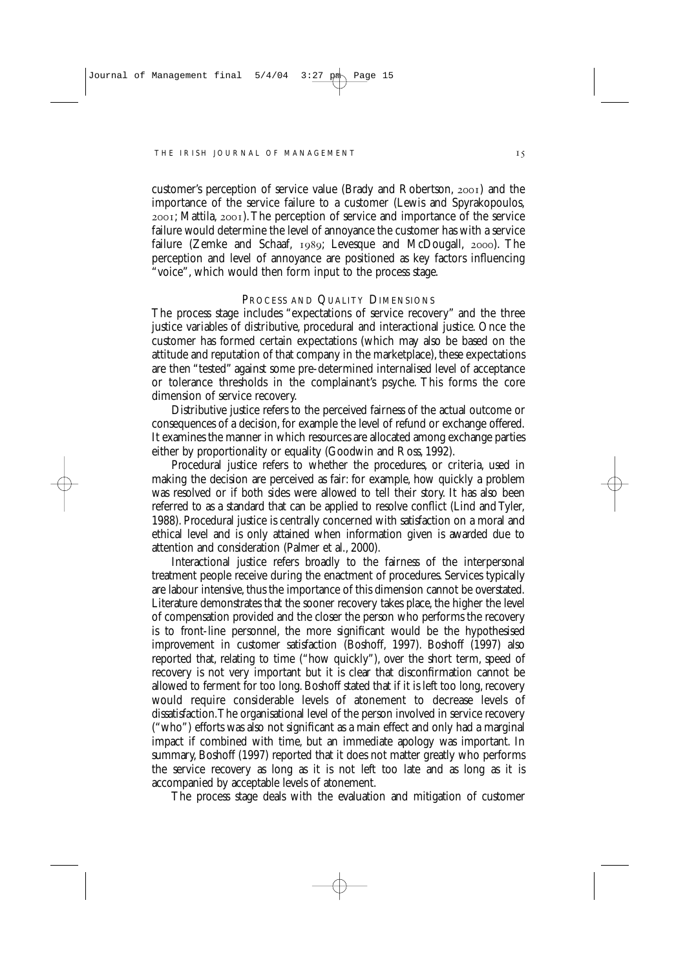customer's perception of service value (Brady and Robertson,  $2001$ ) and the importance of the service failure to a customer (Lewis and Spyrakopoulos,  $2001$ ; Mattila,  $2001$ . The perception of service and importance of the service failure would determine the level of annoyance the customer has with a service failure (Zemke and Schaaf,  $1989$ ; Levesque and McDougall,  $2000$ ). The perception and level of annoyance are positioned as key factors influencing "voice", which would then form input to the process stage.

#### PROCESS AND QUALITY DIMENSIONS

The process stage includes "expectations of service recovery" and the three justice variables of distributive, procedural and interactional justice. Once the customer has formed certain expectations (which may also be based on the attitude and reputation of that company in the marketplace), these expectations are then "tested" against some pre-determined internalised level of acceptance or tolerance thresholds in the complainant's psyche. This forms the core dimension of service recovery.

Distributive justice refers to the perceived fairness of the actual outcome or consequences of a decision, for example the level of refund or exchange offered. It examines the manner in which resources are allocated among exchange parties either by proportionality or equality (Goodwin and Ross, 1992).

Procedural justice refers to whether the procedures, or criteria, used in making the decision are perceived as fair: for example, how quickly a problem was resolved or if both sides were allowed to tell their story. It has also been referred to as a standard that can be applied to resolve conflict (Lind and Tyler, 1988). Procedural justice is centrally concerned with satisfaction on a moral and ethical level and is only attained when information given is awarded due to attention and consideration (Palmer et al., 2000).

Interactional justice refers broadly to the fairness of the interpersonal treatment people receive during the enactment of procedures. Services typically are labour intensive, thus the importance of this dimension cannot be overstated. Literature demonstrates that the sooner recovery takes place, the higher the level of compensation provided and the closer the person who performs the recovery is to front-line personnel, the more significant would be the hypothesised improvement in customer satisfaction (Boshoff, 1997). Boshoff (1997) also reported that, relating to time ("how quickly"), over the short term, speed of recovery is not very important but it is clear that disconfirmation cannot be allowed to ferment for too long. Boshoff stated that if it is left too long, recovery would require considerable levels of atonement to decrease levels of dissatisfaction.The organisational level of the person involved in service recovery ("who") efforts was also not significant as a main effect and only had a marginal impact if combined with time, but an immediate apology was important. In summary, Boshoff (1997) reported that it does not matter greatly who performs the service recovery as long as it is not left too late and as long as it is accompanied by acceptable levels of atonement.

The process stage deals with the evaluation and mitigation of customer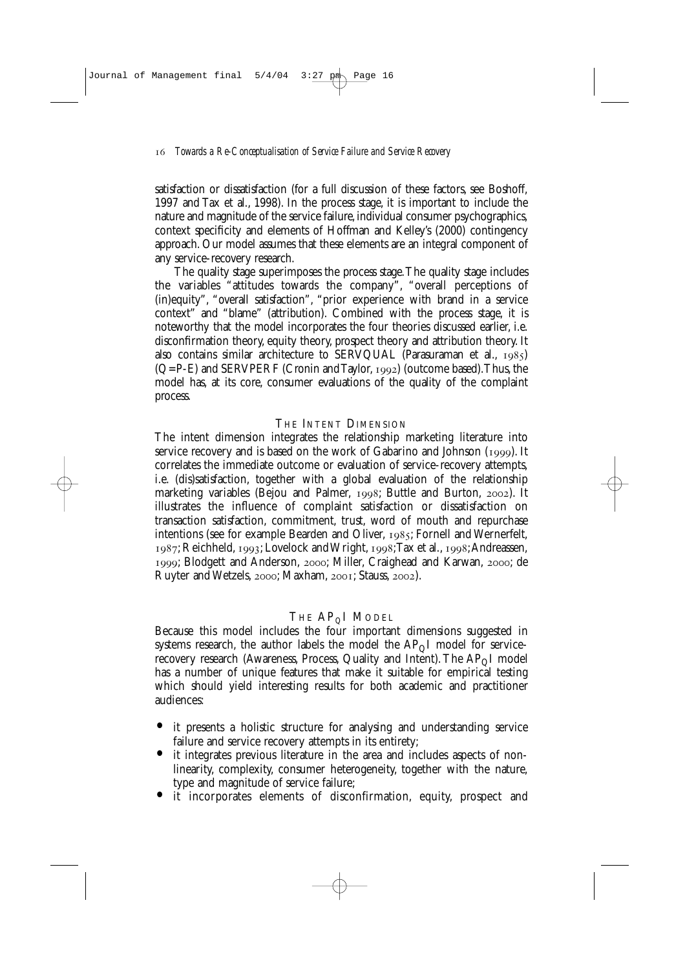satisfaction or dissatisfaction (for a full discussion of these factors, see Boshoff, 1997 and Tax et al., 1998). In the process stage, it is important to include the nature and magnitude of the service failure, individual consumer psychographics, context specificity and elements of Hoffman and Kelley's (2000) contingency approach. Our model assumes that these elements are an integral component of any service-recovery research.

The quality stage superimposes the process stage.The quality stage includes the variables "attitudes towards the company", "overall perceptions of (in)equity", "overall satisfaction", "prior experience with brand in a service context" and "blame" (attribution). Combined with the process stage, it is noteworthy that the model incorporates the four theories discussed earlier, i.e. disconfirmation theory, equity theory, prospect theory and attribution theory. It also contains similar architecture to SERVQUAL (Parasuraman et al.,  $1985$ )  $(Q=Pe)$  and SERVPERF (Cronin and Taylor, 1992) (outcome based). Thus, the model has, at its core, consumer evaluations of the quality of the complaint process.

## THE INTENT DIMENSION

The intent dimension integrates the relationship marketing literature into service recovery and is based on the work of Gabarino and Johnson  $(1999)$ . It correlates the immediate outcome or evaluation of service-recovery attempts, i.e. (dis)satisfaction, together with a global evaluation of the relationship marketing variables (Bejou and Palmer,  $1998$ ; Buttle and Burton,  $2002$ ). It illustrates the influence of complaint satisfaction or dissatisfaction on transaction satisfaction, commitment, trust, word of mouth and repurchase intentions (see for example Bearden and Oliver,  $1985$ ; Fornell and Wernerfelt,  $1987$ ; Reichheld,  $1993$ ; Lovelock and Wright,  $1998$ ; Tax et al.,  $1998$ ; Andreassen, 1999; Blodgett and Anderson, 2000; Miller, Craighead and Karwan, 2000; de Ruyter and Wetzels, 2000; Maxham, 2001; Stauss, 2002).

# THE  $AP<sub>Q</sub>I$  Model

Because this model includes the four important dimensions suggested in systems research, the author labels the model the  $AP<sub>Q</sub>I$  model for servicerecovery research (Awareness, Process, Quality and Intent). The  $AP<sub>Q</sub>I$  model has a number of unique features that make it suitable for empirical testing which should yield interesting results for both academic and practitioner audiences:

- **•** it presents a holistic structure for analysing and understanding service failure and service recovery attempts in its entirety;
- it integrates previous literature in the area and includes aspects of nonlinearity, complexity, consumer heterogeneity, together with the nature, type and magnitude of service failure;
- **•** it incorporates elements of disconfirmation, equity, prospect and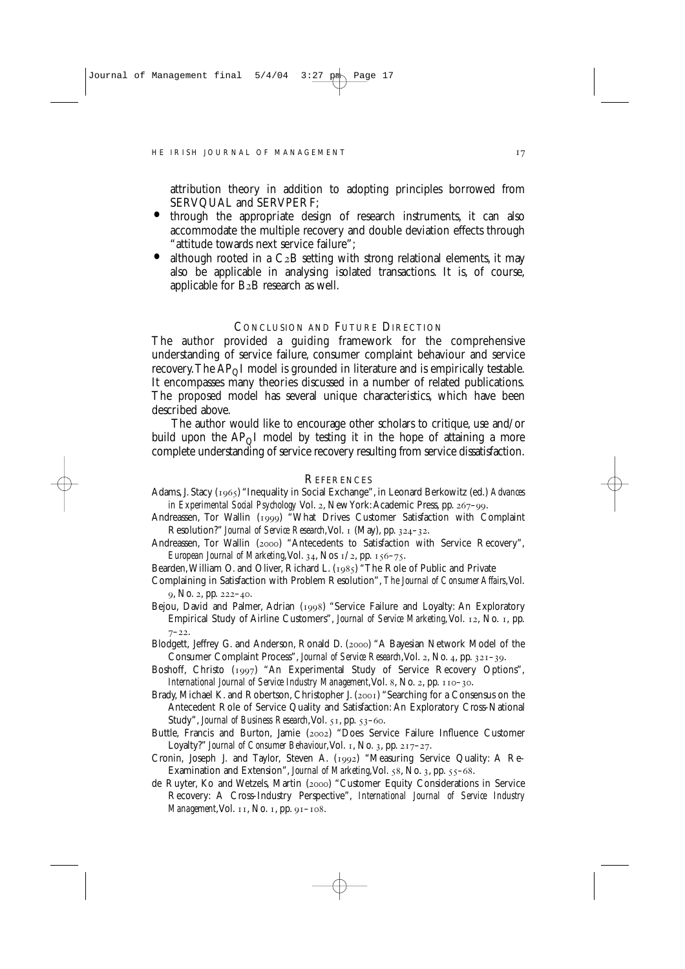attribution theory in addition to adopting principles borrowed from SERVQUAL and SERVPERF;

- **•** through the appropriate design of research instruments, it can also accommodate the multiple recovery and double deviation effects through "attitude towards next service failure";
- although rooted in a  $C_2B$  setting with strong relational elements, it may also be applicable in analysing isolated transactions. It is, of course, applicable for  $B_2B$  research as well.

#### CONCLUSION AND FUTURE DIRECTION

The author provided a guiding framework for the comprehensive understanding of service failure, consumer complaint behaviour and service recovery. The  $AP<sub>Q</sub>I$  model is grounded in literature and is empirically testable. It encompasses many theories discussed in a number of related publications. The proposed model has several unique characteristics, which have been described above.

The author would like to encourage other scholars to critique, use and/or build upon the AP<sub>Q</sub>I model by testing it in the hope of attaining a more complete understanding of service recovery resulting from service dissatisfaction.

#### **REFERENCES**

- Adams, J. Stacy () "Inequality in Social Exchange", in Leonard Berkowitz (ed.) *Advances in Experimental Social Psychology Vol. 2, New York: Academic Press, pp. 267–99.*
- Andreassen, Tor Wallin (1999) "What Drives Customer Satisfaction with Complaint Resolution?" *Journal of Service Research*, Vol. 1 (May), pp. 324-32.
- Andreassen, Tor Wallin (2000) "Antecedents to Satisfaction with Service Recovery", *European Journal of Marketing*, Vol. 34, Nos  $\frac{1}{2}$ , pp.  $\frac{1}{56}$ –75.
- Bearden, William O. and Oliver, Richard L.  $(1985)$  "The Role of Public and Private
- Complaining in Satisfaction with Problem Resolution", *The Journal of Consumer Affairs*,Vol.  $9, No. 2, pp. 222 - 40.$
- Bejou, David and Palmer, Adrian (1998) "Service Failure and Loyalty: An Exploratory Empirical Study of Airline Customers", *Journal of Service Marketing*, Vol. 12, No. 1, pp.  $7 - 22.$
- Blodgett, Jeffrey G. and Anderson, Ronald D. (2000) "A Bayesian Network Model of the Consumer Complaint Process", *Journal of Service Research*, Vol. 2, No. 4, pp. 321-39.
- Boshoff, Christo (1997) "An Experimental Study of Service Recovery Options", *International Journal of Service Industry Management*, Vol. 8, No. 2, pp.  $110-30$ .
- Brady, Michael K. and Robertson, Christopher J.  $(2001)$  "Searching for a Consensus on the Antecedent Role of Service Quality and Satisfaction: An Exploratory Cross-National Study", *Journal of Business Research*, Vol. 51, pp. 53-60.
- Buttle, Francis and Burton, Jamie (2002) "Does Service Failure Influence Customer Loyalty?" *Journal of Consumer Behaviour*, Vol. 1, No. 3, pp. 217-27.
- Cronin, Joseph J. and Taylor, Steven A. (1992) "Measuring Service Quality: A Re-Examination and Extension", *Journal of Marketing*, Vol. 58, No. 3, pp. 55-68.
- de Ruyter, Ko and Wetzels, Martin (2000) "Customer Equity Considerations in Service Recovery: A Cross-Industry Perspective", *International Journal of Service Industry Management*, Vol. 11, No. 1, pp. 91-108.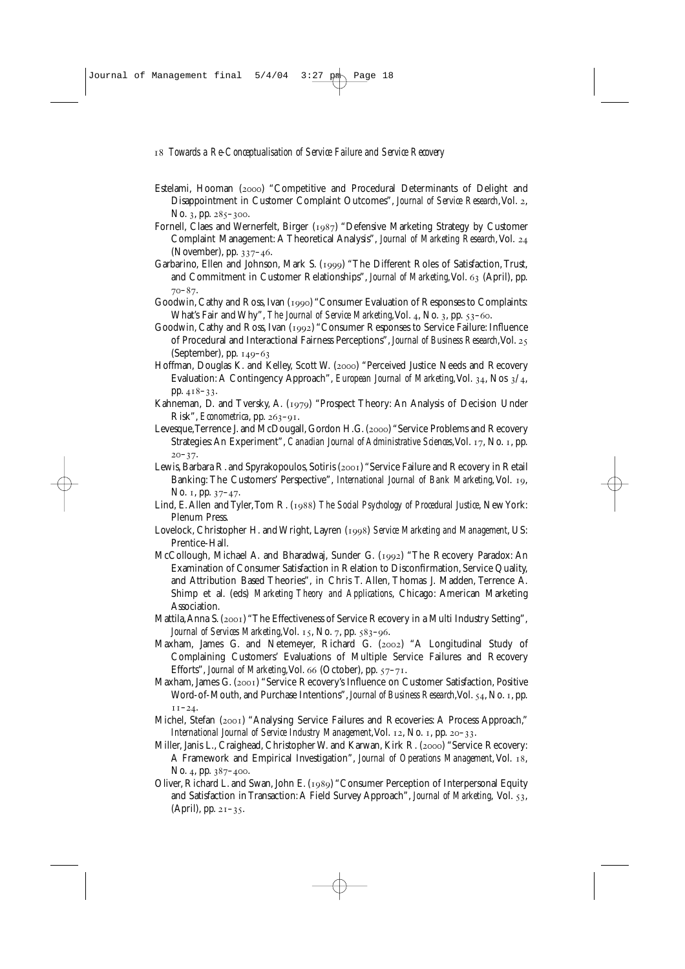- Estelami, Hooman (2000) "Competitive and Procedural Determinants of Delight and Disappointment in Customer Complaint Outcomes", *Journal of Service Research*, Vol. 2,  $No.$  3, pp.  $285 - 300$ .
- Fornell, Claes and Wernerfelt, Birger (1987) "Defensive Marketing Strategy by Customer Complaint Management: A Theoretical Analysis", *Journal of Marketing Research*, Vol. 24 (November), pp.  $337-46$ .
- Garbarino, Ellen and Johnson, Mark S. (1999) "The Different Roles of Satisfaction, Trust, and Commitment in Customer Relationships", *Journal of Marketing*, Vol. 63 (April), pp.  $70 - 87.$
- Goodwin, Cathy and Ross, Ivan  $(1990)$  "Consumer Evaluation of Responses to Complaints: What's Fair and Why", *The Journal of Service Marketing*, Vol. 4, No. 3, pp. 53–60.
- Goodwin, Cathy and Ross, Ivan (1992) "Consumer Responses to Service Failure: Influence of Procedural and Interactional Fairness Perceptions", *Journal of Business Research*,Vol. (September), pp.  $149-63$
- Hoffman, Douglas K. and Kelley, Scott W. (2000) "Perceived Justice Needs and Recovery Evaluation: A Contingency Approach", *European Journal of Marketing*, Vol. 34, Nos 3/4, pp.  $418 - 33$ .
- Kahneman, D. and Tversky, A. (1979) "Prospect Theory: An Analysis of Decision Under  $Risk$ ", *Econometrica*, pp.  $263 - 91$ .
- Levesque, Terrence J. and McDougall, Gordon H.G. (2000) "Service Problems and Recovery Strategies: An Experiment", *Canadian Journal of Administrative Sciences*, Vol. 17, No. 1, pp.  $20 - 37.$
- Lewis, Barbara R. and Spyrakopoulos, Sotiris (2001) "Service Failure and Recovery in Retail Banking: The Customers' Perspective", *International Journal of Bank Marketing*, Vol. 19, No.  $I$ , pp.  $37-47$ .
- Lind, E. Allen and Tyler, Tom R. (1988) The Social Psychology of Procedural Justice, New York: Plenum Press.
- Lovelock, Christopher H. and Wright, Layren (1998) Service Marketing and Management, US: Prentice-Hall.
- McCollough, Michael A. and Bharadwaj, Sunder G. (1992) "The Recovery Paradox: An Examination of Consumer Satisfaction in Relation to Disconfirmation, Service Quality, and Attribution Based Theories", in Chris T. Allen, Thomas J. Madden, Terrence A. Shimp et al. (eds) *Marketing Theory and Applications*, Chicago: American Marketing Association.
- Mattila, Anna S. ( $2001$ ) "The Effectiveness of Service Recovery in a Multi Industry Setting", *Journal of Services Marketing*, Vol. 15, No. 7, pp. 583-96.
- Maxham, James G. and Netemeyer, Richard G. (2002) "A Longitudinal Study of Complaining Customers' Evaluations of Multiple Service Failures and Recovery Efforts", *Journal of Marketing*, Vol. 66 (October), pp. 57-71.
- Maxham, James G. (2001) "Service Recovery's Influence on Customer Satisfaction, Positive Word-of-Mouth, and Purchase Intentions", *Journal of Business Research*, Vol. 54, No. 1, pp.  $T1-24$ .
- Michel, Stefan (2001) "Analysing Service Failures and Recoveries: A Process Approach," *International Journal of Service Industry Management*, Vol. 12, No. 1, pp. 20-33.
- Miller, Janis L., Craighead, Christopher W. and Karwan, Kirk R. (2000) "Service Recovery: A Framework and Empirical Investigation", *Journal of Operations Management*, Vol. 18, No. 4, pp. 387-400.
- Oliver, Richard L. and Swan, John E. (1989) "Consumer Perception of Interpersonal Equity and Satisfaction in Transaction:A Field Survey Approach", *Journal of Marketing*, Vol. ,  $(April)$ , pp.  $21-35$ .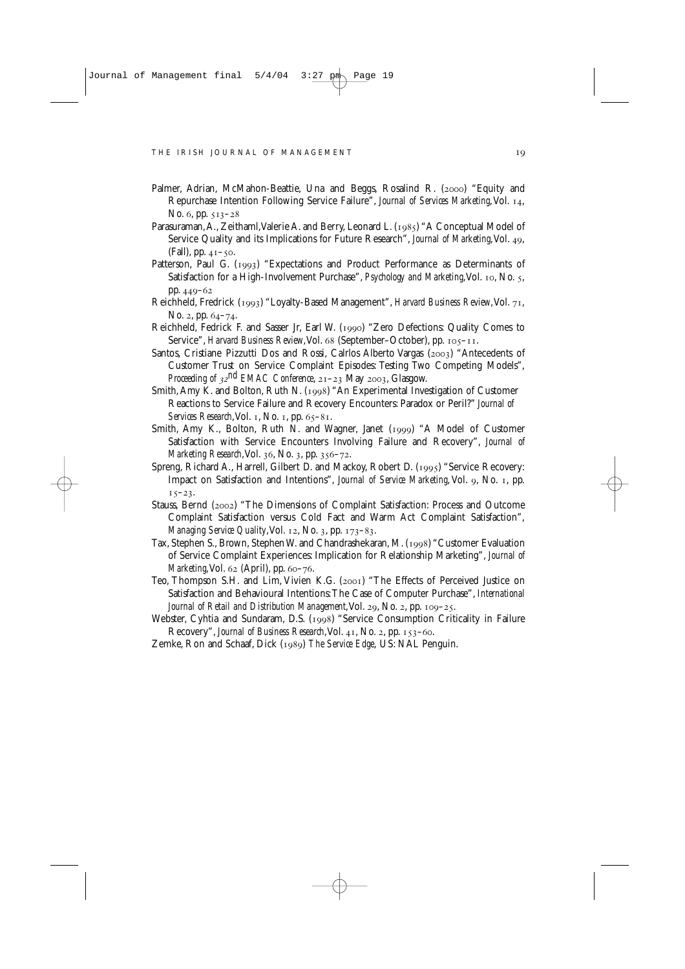- Palmer, Adrian, McMahon-Beattie, Una and Beggs, Rosalind R. (2000) "Equity and Repurchase Intention Following Service Failure", *Journal of Services Marketing*, Vol. 14, No. 6, pp.  $513 - 28$
- Parasuraman, A., Zeithaml, Valerie A. and Berry, Leonard L. (1985) "A Conceptual Model of Service Quality and its Implications for Future Research", *Journal of Marketing*, Vol. 49, (Fall), pp.  $41 - 50$ .
- Patterson, Paul G. (1993) "Expectations and Product Performance as Determinants of Satisfaction for a High-Involvement Purchase", *Psychology and Marketing*, Vol. 10, No. 5, pp. 449-62
- Reichheld, Fredrick (1993) "Loyalty-Based Management", *Harvard Business Review*, Vol. 71,  $No. 2.$  pp.  $64-74.$
- Reichheld, Fedrick F. and Sasser Jr, Earl W. (1990) "Zero Defections: Quality Comes to Service", *Harvard Business Review*, Vol. 68 (September–October), pp. 105-11.
- Santos, Cristiane Pizzutti Dos and Rossi, Calrlos Alberto Vargas (2003) "Antecedents of Customer Trust on Service Complaint Episodes: Testing Two Competing Models", *Proceeding of*  $32$ <sup>nd</sup> *EMAC Conference*,  $21 - 23$  May 2003, Glasgow.
- Smith, Amy K. and Bolton, Ruth N. (1998) "An Experimental Investigation of Customer Reactions to Service Failure and Recovery Encounters: Paradox or Peril?" *Journal of Services Research*, Vol. 1, No. 1, pp. 65-81.
- Smith, Amy K., Bolton, Ruth N. and Wagner, Janet (1999) "A Model of Customer Satisfaction with Service Encounters Involving Failure and Recovery", *Journal of Marketing Research*, Vol. 36, No. 3, pp. 356-72.
- Spreng, Richard A., Harrell, Gilbert D. and Mackov, Robert D. (1995) "Service Recovery: Impact on Satisfaction and Intentions", *Journal of Service Marketing*, Vol. 9, No. 1, pp.  $15-23$ .
- Stauss, Bernd (2002) "The Dimensions of Complaint Satisfaction: Process and Outcome Complaint Satisfaction versus Cold Fact and Warm Act Complaint Satisfaction", *Managing Service Quality*, Vol. 12, No. 3, pp. 173-83.
- Tax, Stephen S., Brown, Stephen W. and Chandrashekaran, M. (1998) "Customer Evaluation of Service Complaint Experiences: Implication for Relationship Marketing", *Journal of Marketing*, Vol. 62 (April), pp. 60-76.
- Teo, Thompson S.H. and Lim, Vivien K.G. (2001) "The Effects of Perceived Justice on Satisfaction and Behavioural Intentions:The Case of Computer Purchase", *International Journal of Retail and Distribution Management*, Vol. 29, No. 2, pp. 109–25.
- Webster, Cyhtia and Sundaram, D.S. (1998) "Service Consumption Criticality in Failure Recovery", *Journal of Business Research*, Vol. 41, No. 2, pp. 153-60.
- Zemke, Ron and Schaaf, Dick (1989) The Service Edge, US: NAL Penguin.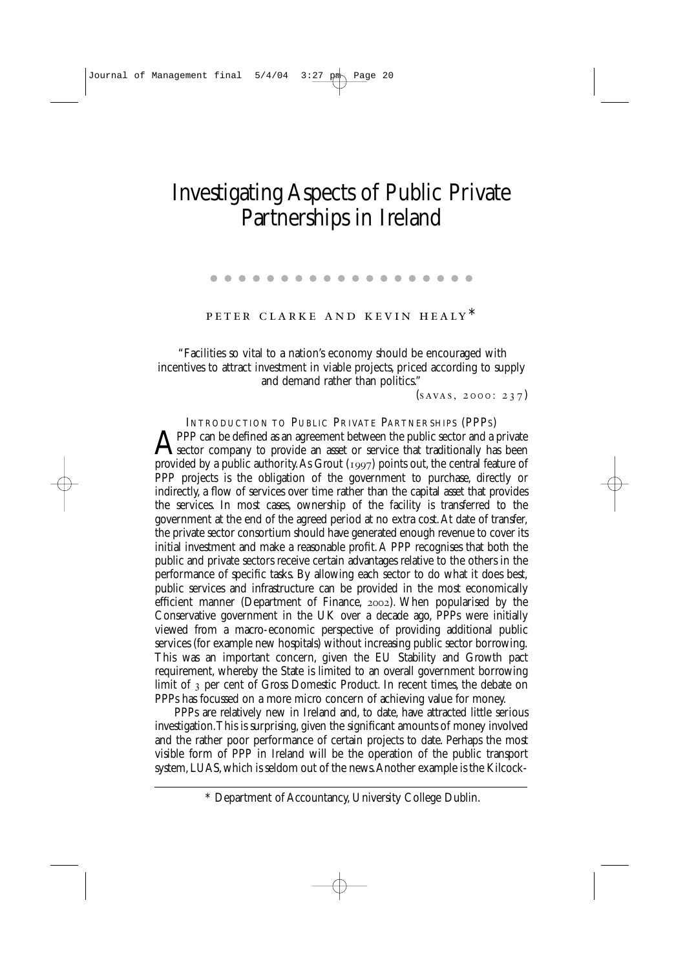# Investigating Aspects of Public Private Partnerships in Ireland

. . . . . . . . . .

# PETER CLARKE AND KEVIN HEALY\*

"Facilities so vital to a nation's economy should be encouraged with incentives to attract investment in viable projects, priced according to supply and demand rather than politics."

 $(s_{AVAS}, 2000: 237)$ 

INTRODUCTION TO PUBLIC PRIVATE PARTNERSHIPS (PPPS)  $\bigwedge$ PPP can be defined as an agreement between the public sector and a private<br>sector company to provide an asset or service that traditionally has been<br>maximal between the property of the property of the property of th provided by a public authority. As Grout (1997) points out, the central feature of PPP projects is the obligation of the government to purchase, directly or indirectly, a flow of services over time rather than the capital asset that provides the services. In most cases, ownership of the facility is transferred to the government at the end of the agreed period at no extra cost.At date of transfer, the private sector consortium should have generated enough revenue to cover its initial investment and make a reasonable profit.A PPP recognises that both the public and private sectors receive certain advantages relative to the others in the performance of specific tasks. By allowing each sector to do what it does best, public services and infrastructure can be provided in the most economically efficient manner (Department of Finance,  $2002$ ). When popularised by the Conservative government in the UK over a decade ago, PPPs were initially viewed from a macro-economic perspective of providing additional public services (for example new hospitals) without increasing public sector borrowing. This was an important concern, given the EU Stability and Growth pact requirement, whereby the State is limited to an overall government borrowing limit of  $\alpha$  per cent of Gross Domestic Product. In recent times, the debate on PPPs has focussed on a more micro concern of achieving value for money.

PPPs are relatively new in Ireland and, to date, have attracted little serious investigation.This is surprising, given the significant amounts of money involved and the rather poor performance of certain projects to date. Perhaps the most visible form of PPP in Ireland will be the operation of the public transport system, LUAS, which is seldom out of the news. Another example is the Kilcock-

<sup>\*</sup> Department of Accountancy, University College Dublin.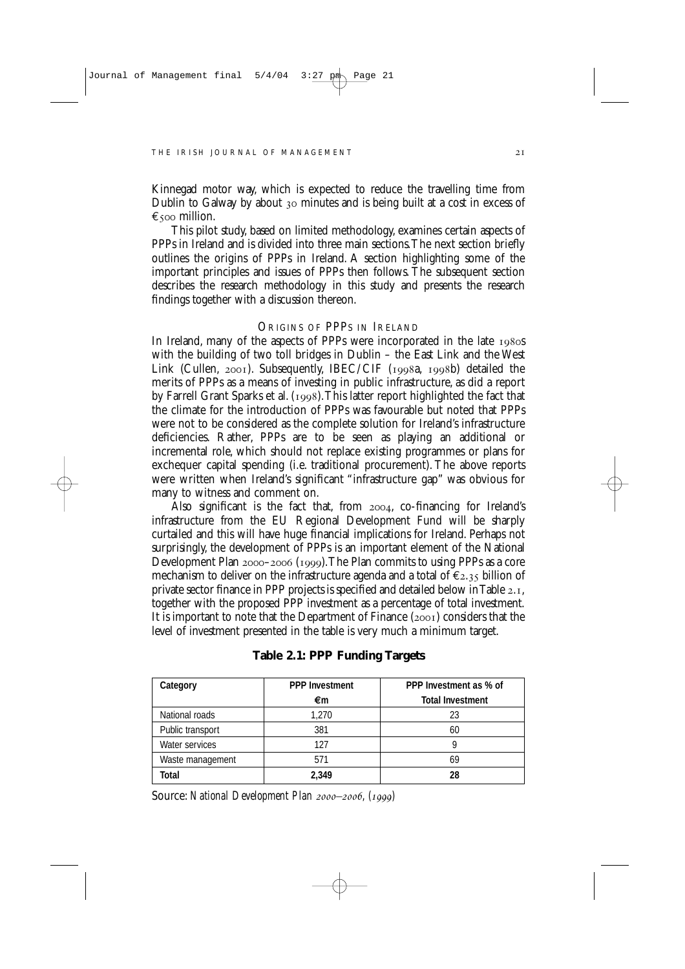Kinnegad motor way, which is expected to reduce the travelling time from Dublin to Galway by about 30 minutes and is being built at a cost in excess of  $\epsilon$  soo million.

This pilot study, based on limited methodology, examines certain aspects of PPPs in Ireland and is divided into three main sections.The next section briefly outlines the origins of PPPs in Ireland. A section highlighting some of the important principles and issues of PPPs then follows. The subsequent section describes the research methodology in this study and presents the research findings together with a discussion thereon.

#### ORIGINS OF PPPS IN IRELAND

In Ireland, many of the aspects of PPPs were incorporated in the late  $1980s$ with the building of two toll bridges in Dublin – the East Link and the West Link (Cullen,  $2001$ ). Subsequently, IBEC/CIF (1998a, 1998b) detailed the merits of PPPs as a means of investing in public infrastructure, as did a report by Farrell Grant Sparks et al.  $(1998)$ . This latter report highlighted the fact that the climate for the introduction of PPPs was favourable but noted that PPPs were not to be considered as the complete solution for Ireland's infrastructure deficiencies. Rather, PPPs are to be seen as playing an additional or incremental role, which should not replace existing programmes or plans for exchequer capital spending (i.e. traditional procurement). The above reports were written when Ireland's significant "infrastructure gap" was obvious for many to witness and comment on.

Also significant is the fact that, from  $2004$ , co-financing for Ireland's infrastructure from the EU Regional Development Fund will be sharply curtailed and this will have huge financial implications for Ireland. Perhaps not surprisingly, the development of PPPs is an important element of the National Development Plan  $2000-2006$  ( $1999$ ). The Plan commits to using PPPs as a core mechanism to deliver on the infrastructure agenda and a total of  $\epsilon_{2,35}$  billion of private sector finance in PPP projects is specified and detailed below in Table 2.1, together with the proposed PPP investment as a percentage of total investment. It is important to note that the Department of Finance  $(2001)$  considers that the level of investment presented in the table is very much a minimum target.

| Category         | <b>PPP Investment</b> | PPP Investment as % of  |  |
|------------------|-----------------------|-------------------------|--|
|                  | €m                    | <b>Total Investment</b> |  |
| National roads   | 1.270                 | 23                      |  |
| Public transport | 381                   | 60                      |  |
| Water services   | 127                   | q                       |  |
| Waste management | 571                   | 69                      |  |
| Total            | 2,349                 | 28                      |  |

**Table 2.1: PPP Funding Targets**

Source: *National Development Plan 2000–2006*, (1999)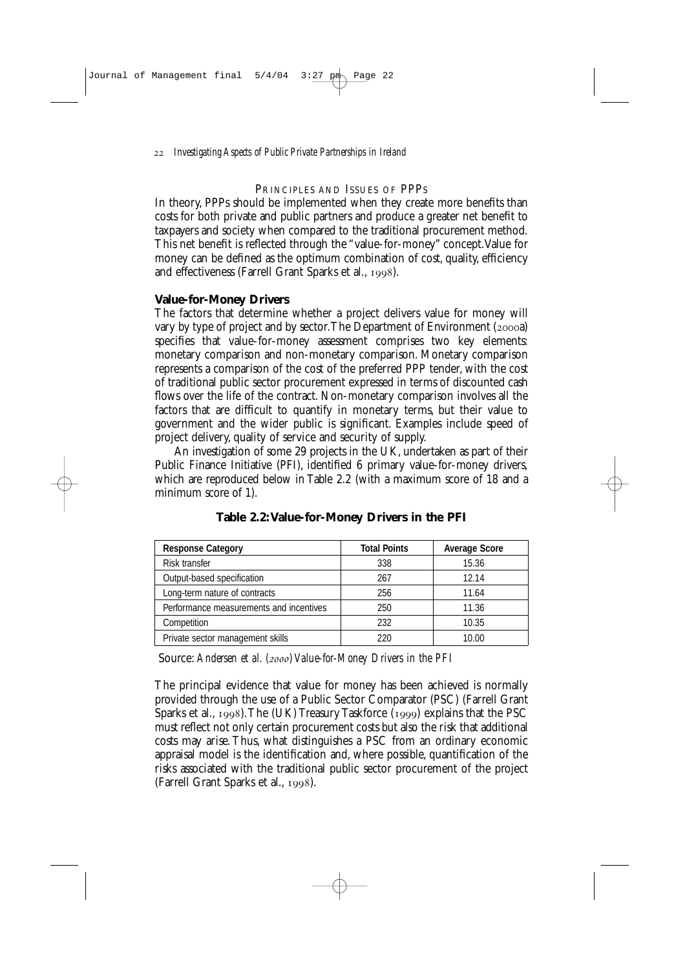# PRINCIPLES AND ISSUES OF PPPS

In theory, PPPs should be implemented when they create more benefits than costs for both private and public partners and produce a greater net benefit to taxpayers and society when compared to the traditional procurement method. This net benefit is reflected through the "value-for-money" concept.Value for money can be defined as the optimum combination of cost, quality, efficiency and effectiveness (Farrell Grant Sparks et al., 1998).

# **Value-for-Money Drivers**

The factors that determine whether a project delivers value for money will vary by type of project and by sector. The Department of Environment (2000a) specifies that value-for-money assessment comprises two key elements: monetary comparison and non-monetary comparison. Monetary comparison represents a comparison of the cost of the preferred PPP tender, with the cost of traditional public sector procurement expressed in terms of discounted cash flows over the life of the contract. Non-monetary comparison involves all the factors that are difficult to quantify in monetary terms, but their value to government and the wider public is significant. Examples include speed of project delivery, quality of service and security of supply.

An investigation of some 29 projects in the UK, undertaken as part of their Public Finance Initiative (PFI), identified 6 primary value-for-money drivers, which are reproduced below in Table 2.2 (with a maximum score of 18 and a minimum score of 1).

| <b>Response Category</b>                | <b>Total Points</b> | <b>Average Score</b> |
|-----------------------------------------|---------------------|----------------------|
| Risk transfer                           | 338                 | 15.36                |
| Output-based specification              | 267                 | 12.14                |
| Long-term nature of contracts           | 256                 | 11.64                |
| Performance measurements and incentives | 250                 | 11.36                |
| Competition                             | 232                 | 10.35                |
| Private sector management skills        | 220                 | 10.00                |

**Table 2.2:Value-for-Money Drivers in the PFI**

Source: Andersen et al. (*2000*) Value-for-Money Drivers in the PFI

The principal evidence that value for money has been achieved is normally provided through the use of a Public Sector Comparator (PSC) (Farrell Grant Sparks et al.,  $1998$ ). The (UK) Treasury Taskforce ( $1999$ ) explains that the PSC must reflect not only certain procurement costs but also the risk that additional costs may arise. Thus, what distinguishes a PSC from an ordinary economic appraisal model is the identification and, where possible, quantification of the risks associated with the traditional public sector procurement of the project (Farrell Grant Sparks et al., 1998).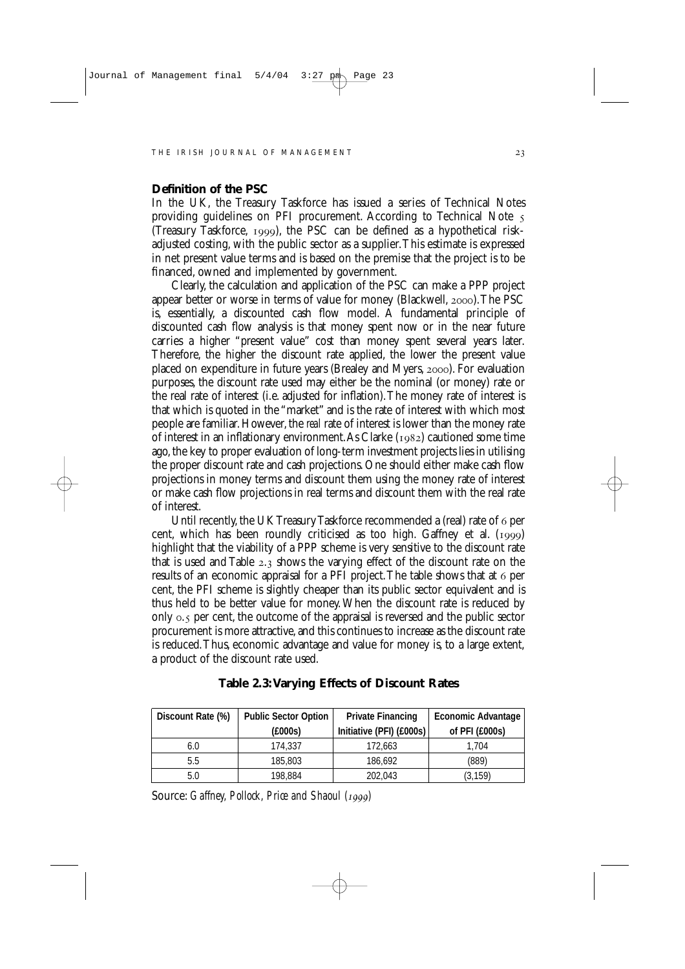#### **Definition of the PSC**

In the UK, the Treasury Taskforce has issued a series of Technical Notes providing guidelines on PFI procurement. According to Technical Note (Treasury Taskforce,  $1999$ ), the PSC can be defined as a hypothetical riskadjusted costing, with the public sector as a supplier.This estimate is expressed in net present value terms and is based on the premise that the project is to be financed, owned and implemented by government.

Clearly, the calculation and application of the PSC can make a PPP project appear better or worse in terms of value for money (Blackwell, 2000). The PSC is, essentially, a discounted cash flow model. A fundamental principle of discounted cash flow analysis is that money spent now or in the near future carries a higher "present value" cost than money spent several years later. Therefore, the higher the discount rate applied, the lower the present value placed on expenditure in future years (Brealey and Myers, 2000). For evaluation purposes, the discount rate used may either be the nominal (or money) rate or the real rate of interest (i.e. adjusted for inflation).The money rate of interest is that which is quoted in the "market" and is the rate of interest with which most people are familiar. However, the *real* rate of interest is lower than the money rate of interest in an inflationary environment. As Clarke  $(1982)$  cautioned some time ago,the key to proper evaluation of long-term investment projects lies in utilising the proper discount rate and cash projections. One should either make cash flow projections in money terms and discount them using the money rate of interest or make cash flow projections in real terms and discount them with the real rate of interest.

Until recently, the UK Treasury Taskforce recommended a (real) rate of 6 per cent, which has been roundly criticised as too high. Gaffney et al.  $(1999)$ highlight that the viability of a PPP scheme is very sensitive to the discount rate that is used and Table  $2.3$  shows the varying effect of the discount rate on the results of an economic appraisal for a PFI project. The table shows that at 6 per cent, the PFI scheme is slightly cheaper than its public sector equivalent and is thus held to be better value for money.When the discount rate is reduced by only  $\circ$ ,  $\circ$  per cent, the outcome of the appraisal is reversed and the public sector procurement is more attractive, and this continues to increase as the discount rate is reduced.Thus, economic advantage and value for money is, to a large extent, a product of the discount rate used.

| Discount Rate (%) | <b>Public Sector Option</b> | <b>Private Financing</b> | <b>Economic Advantage</b> |
|-------------------|-----------------------------|--------------------------|---------------------------|
|                   | (£000s)                     | Initiative (PFI) (£000s) | of PFI (£000s)            |
| 6.0               | 174.337                     | 172,663                  | 1,704                     |
| 5.5               | 185,803                     | 186.692                  | (889)                     |
| 5.0               | 198,884                     | 202.043                  | (3, 159)                  |

#### **Table 2.3:Varying Effects of Discount Rates**

Source: *Gaffney, Pollock, Price and Shaoul ()*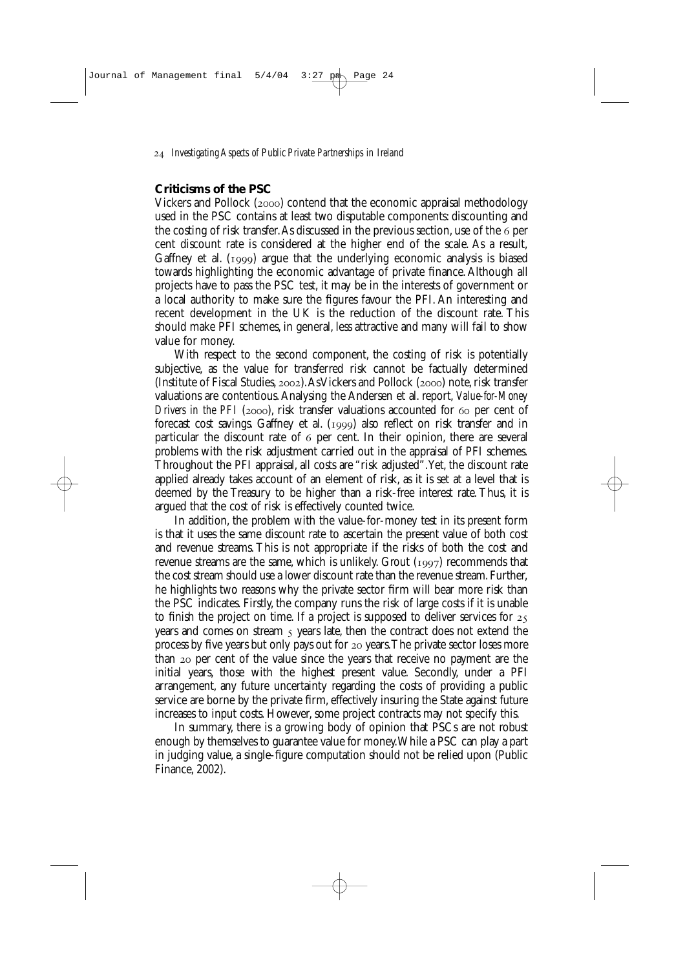## **Criticisms of the PSC**

Vickers and Pollock (2000) contend that the economic appraisal methodology used in the PSC contains at least two disputable components: discounting and the costing of risk transfer. As discussed in the previous section, use of the  $6$  per cent discount rate is considered at the higher end of the scale. As a result, Gaffney et al.  $(1999)$  argue that the underlying economic analysis is biased towards highlighting the economic advantage of private finance. Although all projects have to pass the PSC test, it may be in the interests of government or a local authority to make sure the figures favour the PFI. An interesting and recent development in the UK is the reduction of the discount rate. This should make PFI schemes, in general, less attractive and many will fail to show value for money.

With respect to the second component, the costing of risk is potentially subjective, as the value for transferred risk cannot be factually determined (Institute of Fiscal Studies,  $2002$ ). As Vickers and Pollock ( $2000$ ) note, risk transfer valuations are contentious.Analysing the Andersen et al. report, *Value-for-Money Drivers in the PFI* (2000), risk transfer valuations accounted for 60 per cent of forecast cost savings. Gaffney et al. (1999) also reflect on risk transfer and in particular the discount rate of  $6$  per cent. In their opinion, there are several problems with the risk adjustment carried out in the appraisal of PFI schemes. Throughout the PFI appraisal, all costs are "risk adjusted".Yet, the discount rate applied already takes account of an element of risk, as it is set at a level that is deemed by the Treasury to be higher than a risk-free interest rate. Thus, it is argued that the cost of risk is effectively counted twice.

In addition, the problem with the value-for-money test in its present form is that it uses the same discount rate to ascertain the present value of both cost and revenue streams. This is not appropriate if the risks of both the cost and revenue streams are the same, which is unlikely. Grout  $(1997)$  recommends that the cost stream should use a lower discount rate than the revenue stream.Further, he highlights two reasons why the private sector firm will bear more risk than the PSC indicates. Firstly, the company runs the risk of large costs if it is unable to finish the project on time. If a project is supposed to deliver services for  $25$ years and comes on stream 5 years late, then the contract does not extend the process by five years but only pays out for 20 years. The private sector loses more than 20 per cent of the value since the years that receive no payment are the initial years, those with the highest present value. Secondly, under a PFI arrangement, any future uncertainty regarding the costs of providing a public service are borne by the private firm, effectively insuring the State against future increases to input costs. However, some project contracts may not specify this.

In summary, there is a growing body of opinion that PSCs are not robust enough by themselves to guarantee value for money.While a PSC can play a part in judging value, a single-figure computation should not be relied upon (Public Finance, 2002).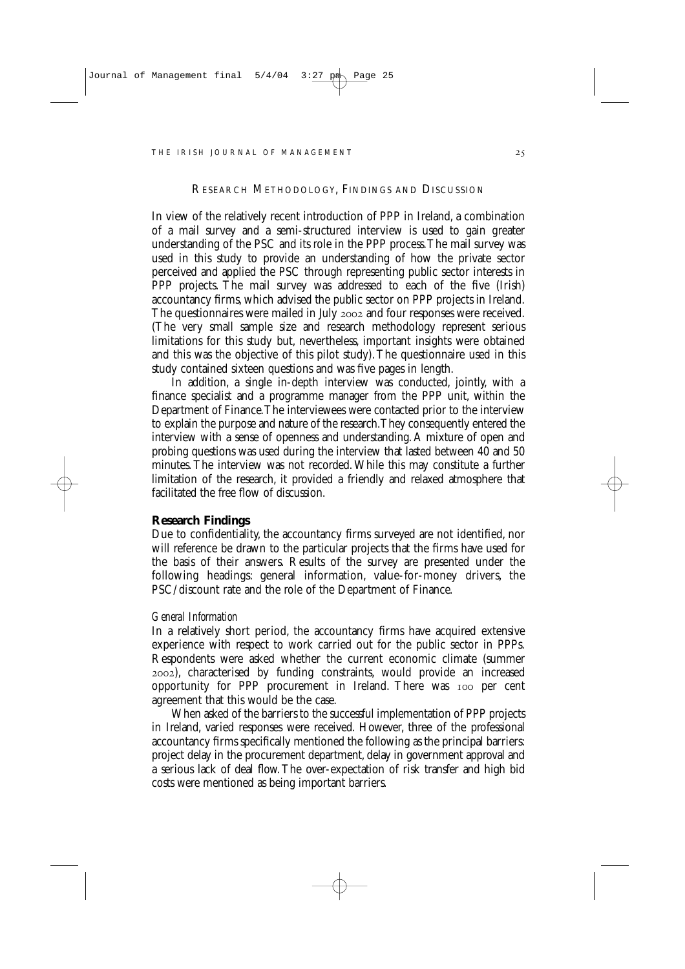#### RESEARCH METHODOLOGY, FINDINGS AND DISCUSSION

In view of the relatively recent introduction of PPP in Ireland, a combination of a mail survey and a semi-structured interview is used to gain greater understanding of the PSC and its role in the PPP process.The mail survey was used in this study to provide an understanding of how the private sector perceived and applied the PSC through representing public sector interests in PPP projects. The mail survey was addressed to each of the five (Irish) accountancy firms, which advised the public sector on PPP projects in Ireland. The questionnaires were mailed in July 2002 and four responses were received. (The very small sample size and research methodology represent serious limitations for this study but, nevertheless, important insights were obtained and this was the objective of this pilot study).The questionnaire used in this study contained sixteen questions and was five pages in length.

In addition, a single in-depth interview was conducted, jointly, with a finance specialist and a programme manager from the PPP unit, within the Department of Finance.The interviewees were contacted prior to the interview to explain the purpose and nature of the research.They consequently entered the interview with a sense of openness and understanding. A mixture of open and probing questions was used during the interview that lasted between 40 and 50 minutes. The interview was not recorded. While this may constitute a further limitation of the research, it provided a friendly and relaxed atmosphere that facilitated the free flow of discussion.

#### **Research Findings**

Due to confidentiality, the accountancy firms surveyed are not identified, nor will reference be drawn to the particular projects that the firms have used for the basis of their answers. Results of the survey are presented under the following headings: general information, value-for-money drivers, the PSC/discount rate and the role of the Department of Finance.

#### *General Information*

In a relatively short period, the accountancy firms have acquired extensive experience with respect to work carried out for the public sector in PPPs. Respondents were asked whether the current economic climate (summer ), characterised by funding constraints, would provide an increased opportunity for PPP procurement in Ireland. There was 100 per cent agreement that this would be the case.

When asked of the barriers to the successful implementation of PPP projects in Ireland, varied responses were received. However, three of the professional accountancy firms specifically mentioned the following as the principal barriers: project delay in the procurement department, delay in government approval and a serious lack of deal flow. The over-expectation of risk transfer and high bid costs were mentioned as being important barriers.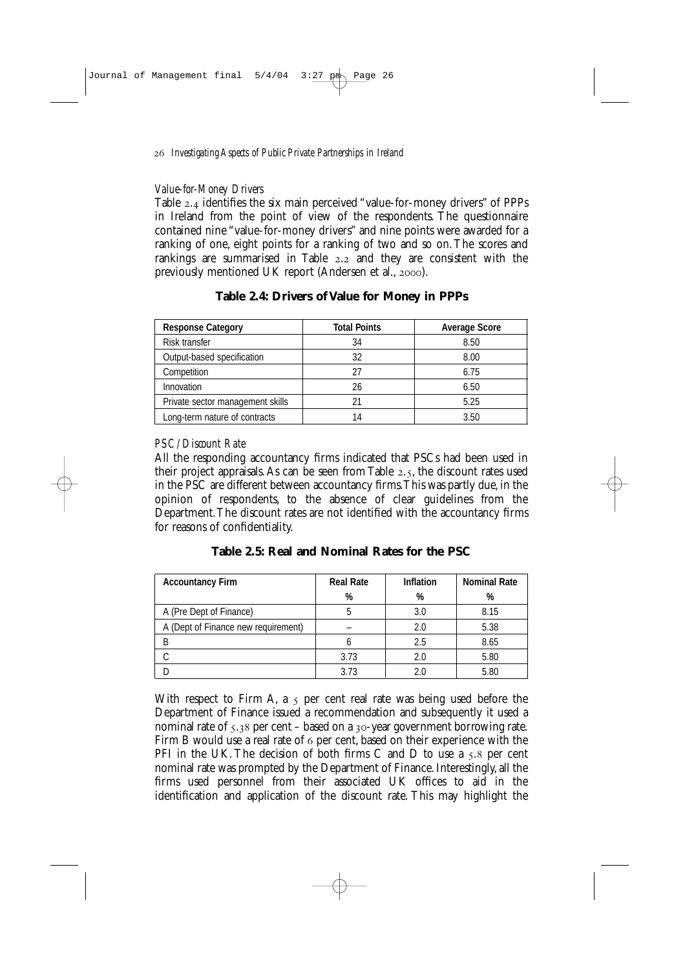# *Value-for-Money Drivers*

Table 2.4 identifies the six main perceived "value-for-money drivers" of PPPs in Ireland from the point of view of the respondents. The questionnaire contained nine "value-for-money drivers" and nine points were awarded for a ranking of one, eight points for a ranking of two and so on. The scores and rankings are summarised in Table  $2.2$  and they are consistent with the previously mentioned UK report (Andersen et al., 2000).

| <b>Response Category</b>         | <b>Total Points</b> | <b>Average Score</b> |
|----------------------------------|---------------------|----------------------|
| Risk transfer                    | 34                  | 8.50                 |
| Output-based specification       | 32                  | 8.00                 |
| Competition                      | 27                  | 6.75                 |
| Innovation                       | 26                  | 6.50                 |
| Private sector management skills | 21                  | 5.25                 |
| Long-term nature of contracts    | 14                  | 3.50                 |

# **Table 2.4: Drivers of Value for Money in PPPs**

# *PSC/Discount Rate*

All the responding accountancy firms indicated that PSCs had been used in their project appraisals. As can be seen from Table  $2.5$ , the discount rates used in the PSC are different between accountancy firms.This was partly due, in the opinion of respondents, to the absence of clear guidelines from the Department.The discount rates are not identified with the accountancy firms for reasons of confidentiality.

|  |  |  |  | Table 2.5: Real and Nominal Rates for the PSC |  |  |  |  |
|--|--|--|--|-----------------------------------------------|--|--|--|--|
|--|--|--|--|-----------------------------------------------|--|--|--|--|

| <b>Accountancy Firm</b>             | <b>Real Rate</b> | <b>Inflation</b> | <b>Nominal Rate</b> |
|-------------------------------------|------------------|------------------|---------------------|
|                                     | %                | %                | %                   |
| A (Pre Dept of Finance)             |                  | 3.0              | 8.15                |
| A (Dept of Finance new requirement) |                  | 2.0              | 5.38                |
| B                                   |                  | 2.5              | 8.65                |
|                                     | 3.73             | 2.0              | 5.80                |
|                                     | 3.73             |                  | 5.80                |

With respect to Firm A, a  $\varsigma$  per cent real rate was being used before the Department of Finance issued a recommendation and subsequently it used a nominal rate of  $5.38$  per cent – based on a  $30$ -year government borrowing rate. Firm B would use a real rate of 6 per cent, based on their experience with the PFI in the UK. The decision of both firms C and D to use a  $\zeta$ . per cent nominal rate was prompted by the Department of Finance. Interestingly, all the firms used personnel from their associated UK offices to aid in the identification and application of the discount rate. This may highlight the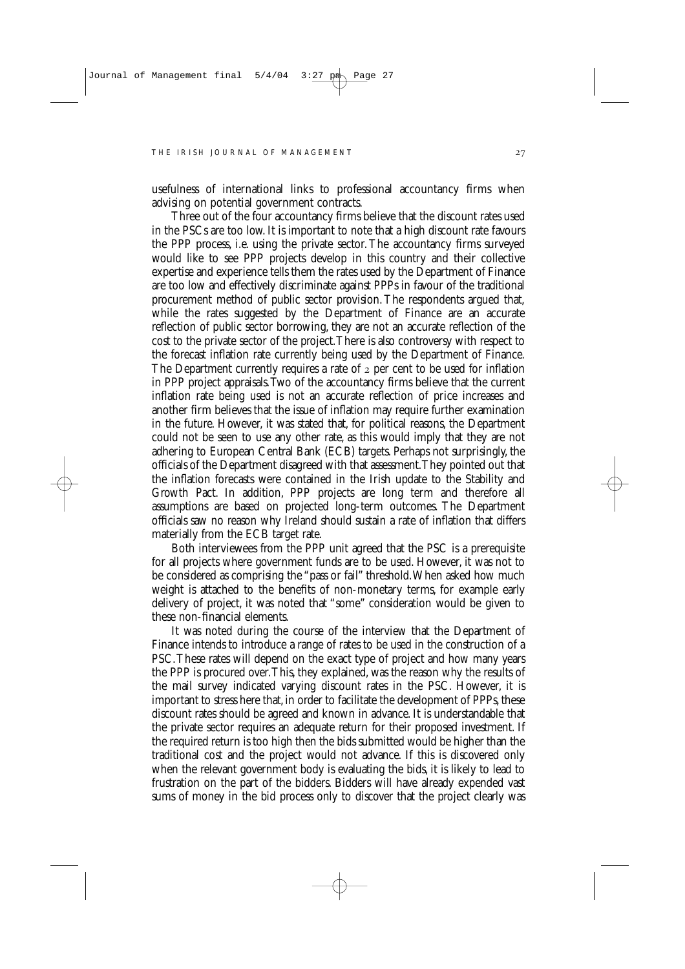usefulness of international links to professional accountancy firms when advising on potential government contracts.

Three out of the four accountancy firms believe that the discount rates used in the PSCs are too low. It is important to note that a high discount rate favours the PPP process, i.e. using the private sector. The accountancy firms surveyed would like to see PPP projects develop in this country and their collective expertise and experience tells them the rates used by the Department of Finance are too low and effectively discriminate against PPPs in favour of the traditional procurement method of public sector provision. The respondents argued that, while the rates suggested by the Department of Finance are an accurate reflection of public sector borrowing, they are not an accurate reflection of the cost to the private sector of the project.There is also controversy with respect to the forecast inflation rate currently being used by the Department of Finance. The Department currently requires a rate of  $2$  per cent to be used for inflation in PPP project appraisals.Two of the accountancy firms believe that the current inflation rate being used is not an accurate reflection of price increases and another firm believes that the issue of inflation may require further examination in the future. However, it was stated that, for political reasons, the Department could not be seen to use any other rate, as this would imply that they are not adhering to European Central Bank (ECB) targets. Perhaps not surprisingly, the officials of the Department disagreed with that assessment.They pointed out that the inflation forecasts were contained in the Irish update to the Stability and Growth Pact. In addition, PPP projects are long term and therefore all assumptions are based on projected long-term outcomes. The Department officials saw no reason why Ireland should sustain a rate of inflation that differs materially from the ECB target rate.

Both interviewees from the PPP unit agreed that the PSC is a prerequisite for all projects where government funds are to be used. However, it was not to be considered as comprising the "pass or fail" threshold.When asked how much weight is attached to the benefits of non-monetary terms, for example early delivery of project, it was noted that "some" consideration would be given to these non-financial elements.

It was noted during the course of the interview that the Department of Finance intends to introduce a range of rates to be used in the construction of a PSC.These rates will depend on the exact type of project and how many years the PPP is procured over.This, they explained, was the reason why the results of the mail survey indicated varying discount rates in the PSC. However, it is important to stress here that, in order to facilitate the development of PPPs, these discount rates should be agreed and known in advance. It is understandable that the private sector requires an adequate return for their proposed investment. If the required return is too high then the bids submitted would be higher than the traditional cost and the project would not advance. If this is discovered only when the relevant government body is evaluating the bids, it is likely to lead to frustration on the part of the bidders. Bidders will have already expended vast sums of money in the bid process only to discover that the project clearly was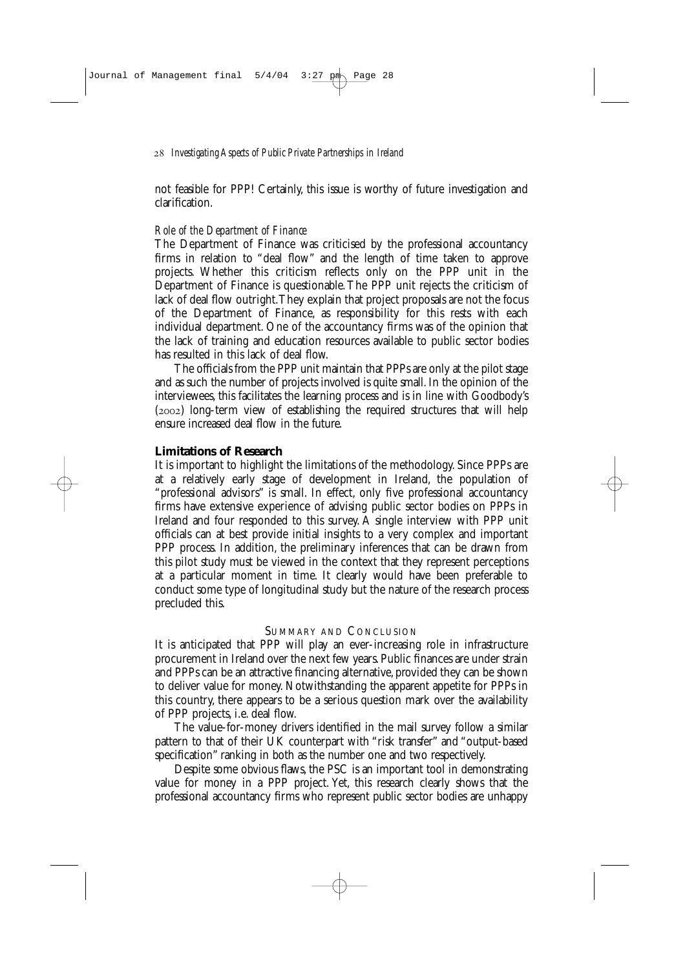not feasible for PPP! Certainly, this issue is worthy of future investigation and clarification.

## *Role of the Department of Finance*

The Department of Finance was criticised by the professional accountancy firms in relation to "deal flow" and the length of time taken to approve projects. Whether this criticism reflects only on the PPP unit in the Department of Finance is questionable.The PPP unit rejects the criticism of lack of deal flow outright.They explain that project proposals are not the focus of the Department of Finance, as responsibility for this rests with each individual department. One of the accountancy firms was of the opinion that the lack of training and education resources available to public sector bodies has resulted in this lack of deal flow.

The officials from the PPP unit maintain that PPPs are only at the pilot stage and as such the number of projects involved is quite small. In the opinion of the interviewees, this facilitates the learning process and is in line with Goodbody's (2002) long-term view of establishing the required structures that will help ensure increased deal flow in the future.

# **Limitations of Research**

It is important to highlight the limitations of the methodology. Since PPPs are at a relatively early stage of development in Ireland, the population of "professional advisors" is small. In effect, only five professional accountancy firms have extensive experience of advising public sector bodies on PPPs in Ireland and four responded to this survey. A single interview with PPP unit officials can at best provide initial insights to a very complex and important PPP process. In addition, the preliminary inferences that can be drawn from this pilot study must be viewed in the context that they represent perceptions at a particular moment in time. It clearly would have been preferable to conduct some type of longitudinal study but the nature of the research process precluded this.

#### SUMMARY AND CONCLUSION

It is anticipated that PPP will play an ever-increasing role in infrastructure procurement in Ireland over the next few years. Public finances are under strain and PPPs can be an attractive financing alternative, provided they can be shown to deliver value for money. Notwithstanding the apparent appetite for PPPs in this country, there appears to be a serious question mark over the availability of PPP projects, i.e. deal flow.

The value-for-money drivers identified in the mail survey follow a similar pattern to that of their UK counterpart with "risk transfer" and "output-based specification" ranking in both as the number one and two respectively.

Despite some obvious flaws, the PSC is an important tool in demonstrating value for money in a PPP project. Yet, this research clearly shows that the professional accountancy firms who represent public sector bodies are unhappy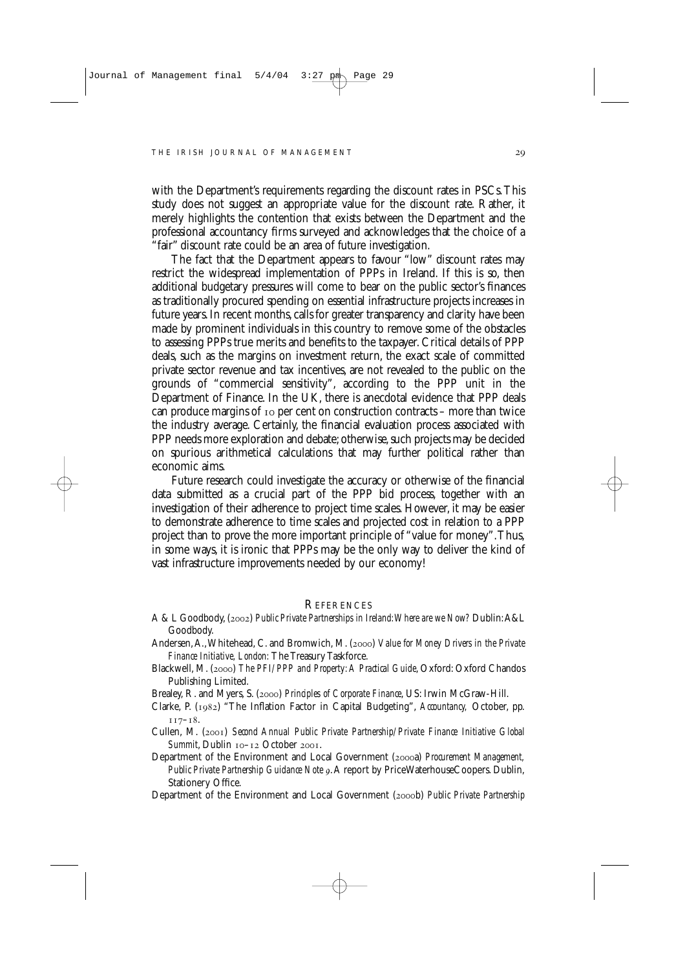with the Department's requirements regarding the discount rates in PSCs.This study does not suggest an appropriate value for the discount rate. Rather, it merely highlights the contention that exists between the Department and the professional accountancy firms surveyed and acknowledges that the choice of a "fair" discount rate could be an area of future investigation.

The fact that the Department appears to favour "low" discount rates may restrict the widespread implementation of PPPs in Ireland. If this is so, then additional budgetary pressures will come to bear on the public sector's finances as traditionally procured spending on essential infrastructure projects increases in future years. In recent months, calls for greater transparency and clarity have been made by prominent individuals in this country to remove some of the obstacles to assessing PPPs true merits and benefits to the taxpayer. Critical details of PPP deals, such as the margins on investment return, the exact scale of committed private sector revenue and tax incentives, are not revealed to the public on the grounds of "commercial sensitivity", according to the PPP unit in the Department of Finance. In the UK, there is anecdotal evidence that PPP deals can produce margins of  $I \circ p$  per cent on construction contracts – more than twice the industry average. Certainly, the financial evaluation process associated with PPP needs more exploration and debate; otherwise, such projects may be decided on spurious arithmetical calculations that may further political rather than economic aims.

Future research could investigate the accuracy or otherwise of the financial data submitted as a crucial part of the PPP bid process, together with an investigation of their adherence to project time scales. However, it may be easier to demonstrate adherence to time scales and projected cost in relation to a PPP project than to prove the more important principle of "value for money".Thus, in some ways, it is ironic that PPPs may be the only way to deliver the kind of vast infrastructure improvements needed by our economy!

### **REFERENCES**

- A & L Goodbody, () *Public Private Partnerships in Ireland:Where are we Now?* Dublin:A&L Goodbody.
- Andersen, A., Whitehead, C. and Bromwich, M. (2000) Value for Money Drivers in the Private *Finance Initiative, London:* The Treasury Taskforce.
- Blackwell, M. () *The PFI/PPP and Property:A Practical Guide*, Oxford: Oxford Chandos Publishing Limited.
- Brealey, R. and Myers, S. (2000) *Principles of Corporate Finance*, US: Irwin McGraw-Hill.
- Clarke, P. (1982) "The Inflation Factor in Capital Budgeting", *Accountancy*, October, pp.  $117 - 18$ .
- Cullen, M. () *Second Annual Public Private Partnership/Private Finance Initiative Global* Summit, Dublin 10-12 October 2001.
- Department of the Environment and Local Government (a) *Procurement Management, Public Private Partnership Guidance Note* .A report by PriceWaterhouseCoopers. Dublin, Stationery Office.
- Department of the Environment and Local Government (2000b) *Public Private Partnership*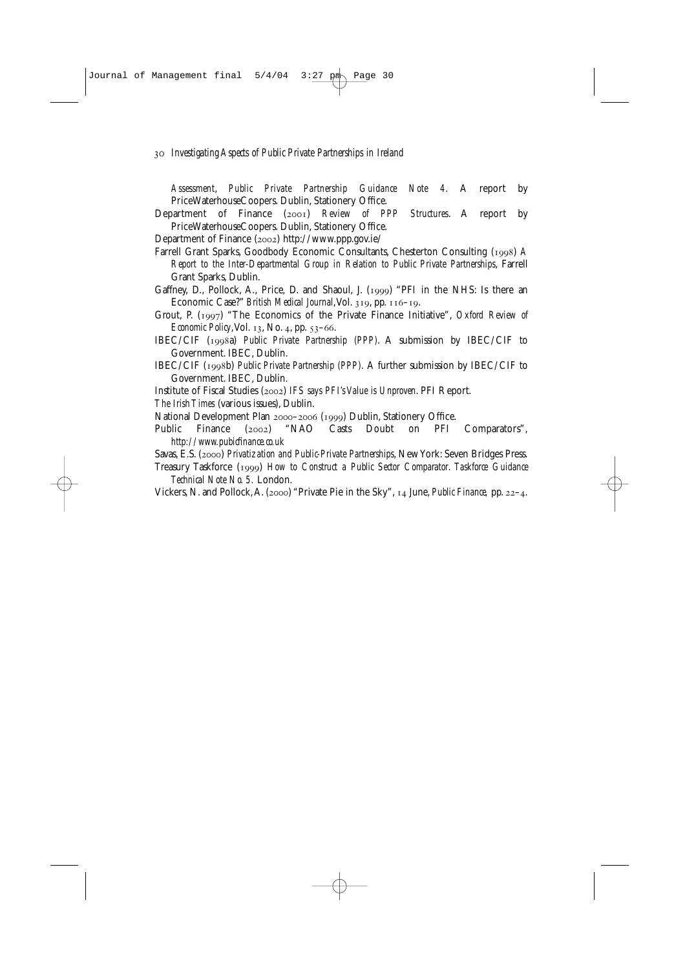*Assessment*, *Public Private Partnership Guidance Note 4.* A report by PriceWaterhouseCoopers. Dublin, Stationery Office.

- Department of Finance (2001) *Review of PPP Structures*. A report by PriceWaterhouseCoopers. Dublin, Stationery Office.
- Department of Finance (2002) http://www.ppp.gov.ie/
- Farrell Grant Sparks, Goodbody Economic Consultants, Chesterton Consulting (1998) A *Report to the Inter-Departmental Group in Relation to Public Private Partnerships*, Farrell Grant Sparks, Dublin.
- Gaffney, D., Pollock, A., Price, D. and Shaoul, J. (1999) "PFI in the NHS: Is there an Economic Case?" British Medical Journal, Vol. 319, pp. 116-19.
- Grout, P. () "The Economics of the Private Finance Initiative", *Oxford Review of Economic Policy*, Vol. 13, No. 4, pp. 53-66.
- IBEC/CIF (1998a) Public Private Partnership (PPP). A submission by IBEC/CIF to Government. IBEC, Dublin.
- IBEC/CIF (b) *Public Private Partnership (PPP)*. A further submission by IBEC/CIF to Government. IBEC, Dublin.
- Institute of Fiscal Studies (2002) IFS says PFI's Value is Unproven. PFI Report.
- *The Irish Times* (various issues), Dublin.
- National Development Plan 2000-2006 (1999) Dublin, Stationery Office.
- Public Finance (2002) "NAO Casts Doubt on PFI Comparators", *http://www.pubicfinance.co.uk*

Savas, E.S. (2000) *Privatization and Public-Private Partnerships*, New York: Seven Bridges Press.

- Treasury Taskforce () *How to Construct a Public Sector Comparator*. *Taskforce Guidance Technical Note No. 5.* London.
- Vickers, N. and Pollock, A. (2000) "Private Pie in the Sky",  $I_4$  June, *Public Finance*, pp. 22–4.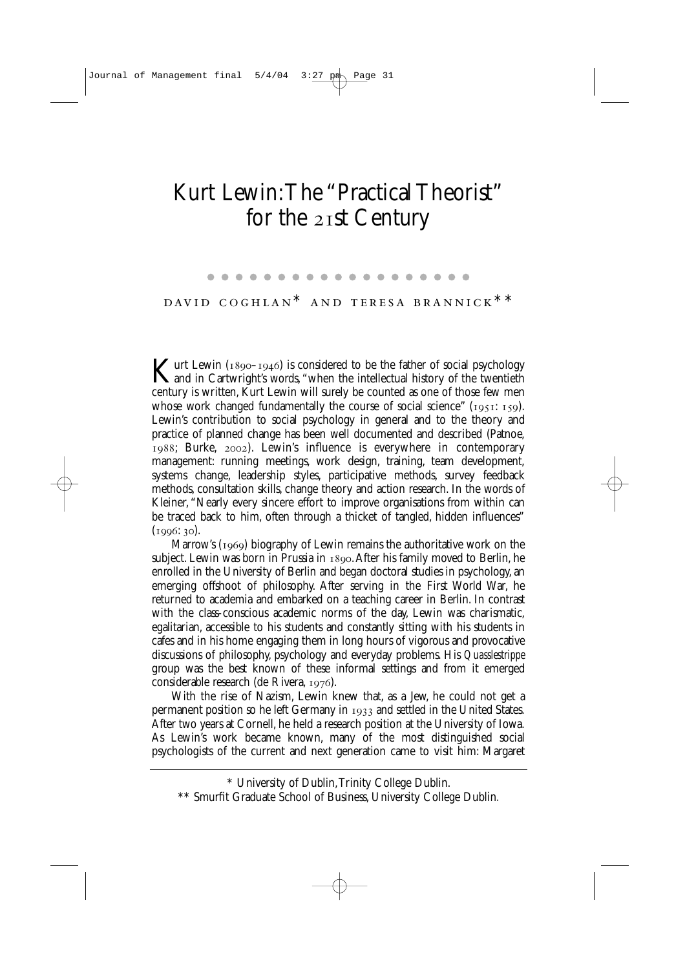# Kurt Lewin:The "Practical Theorist" for the  $2Ist$  Century

. . . . . . . . . . . . . . . . . . .

DAVID COGHLAN<sup>\*</sup> AND TERESA BRANNICK<sup>\*\*</sup>

 $K$ urt Lewin (1890–1946) is considered to be the father of social psychology<br>and in Cartwright's words, "when the intellectual history of the twentieth<br>we have the twentieth with the two states of the twentieth century is written, Kurt Lewin will surely be counted as one of those few men whose work changed fundamentally the course of social science"  $(1951:159)$ . Lewin's contribution to social psychology in general and to the theory and practice of planned change has been well documented and described (Patnoe, 1988; Burke, 2002). Lewin's influence is everywhere in contemporary management: running meetings, work design, training, team development, systems change, leadership styles, participative methods, survey feedback methods, consultation skills, change theory and action research. In the words of Kleiner, "Nearly every sincere effort to improve organisations from within can be traced back to him, often through a thicket of tangled, hidden influences"  $(1996: 30).$ 

Marrow's  $(1969)$  biography of Lewin remains the authoritative work on the subject. Lewin was born in Prussia in  $1890$ . After his family moved to Berlin, he enrolled in the University of Berlin and began doctoral studies in psychology, an emerging offshoot of philosophy. After serving in the First World War, he returned to academia and embarked on a teaching career in Berlin. In contrast with the class-conscious academic norms of the day, Lewin was charismatic, egalitarian, accessible to his students and constantly sitting with his students in cafes and in his home engaging them in long hours of vigorous and provocative discussions of philosophy, psychology and everyday problems. His *Quasslestrippe* group was the best known of these informal settings and from it emerged considerable research (de Rivera, 1976).

With the rise of Nazism, Lewin knew that, as a Jew, he could not get a permanent position so he left Germany in  $1933$  and settled in the United States. After two years at Cornell, he held a research position at the University of Iowa. As Lewin's work became known, many of the most distinguished social psychologists of the current and next generation came to visit him: Margaret

<sup>\*</sup> University of Dublin,Trinity College Dublin.

<sup>\*\*</sup> Smurfit Graduate School of Business, University College Dublin.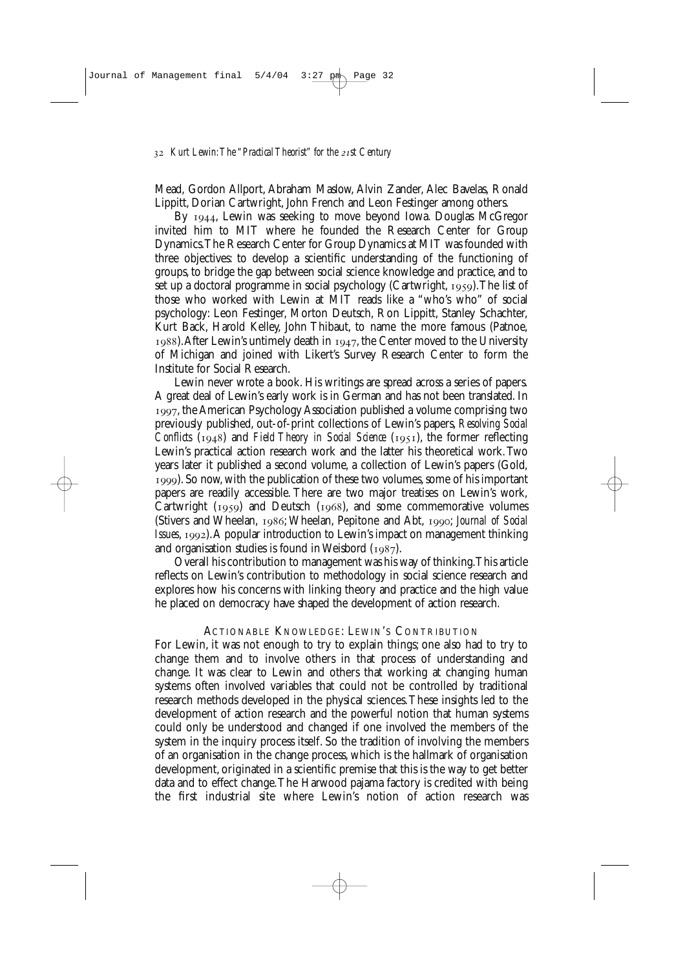Mead, Gordon Allport, Abraham Maslow, Alvin Zander, Alec Bavelas, Ronald Lippitt, Dorian Cartwright, John French and Leon Festinger among others.

By 1944, Lewin was seeking to move beyond Iowa. Douglas McGregor invited him to MIT where he founded the Research Center for Group Dynamics.The Research Center for Group Dynamics at MIT was founded with three objectives: to develop a scientific understanding of the functioning of groups, to bridge the gap between social science knowledge and practice, and to set up a doctoral programme in social psychology (Cartwright,  $1959$ ). The list of those who worked with Lewin at MIT reads like a "who's who" of social psychology: Leon Festinger, Morton Deutsch, Ron Lippitt, Stanley Schachter, Kurt Back, Harold Kelley, John Thibaut, to name the more famous (Patnoe,  $1988$ ). After Lewin's untimely death in  $1947$ , the Center moved to the University of Michigan and joined with Likert's Survey Research Center to form the Institute for Social Research.

Lewin never wrote a book. His writings are spread across a series of papers. A great deal of Lewin's early work is in German and has not been translated. In 1997, the American Psychology Association published a volume comprising two previously published, out-of-print collections of Lewin's papers, *Resolving Social Conflicts* (1948) and *Field Theory in Social Science* (1951), the former reflecting Lewin's practical action research work and the latter his theoretical work.Two years later it published a second volume, a collection of Lewin's papers (Gold, ). So now, with the publication of these two volumes, some of his important papers are readily accessible. There are two major treatises on Lewin's work, Cartwright  $(1959)$  and Deutsch  $(1968)$ , and some commemorative volumes (Stivers and Wheelan, 1986; Wheelan, Pepitone and Abt, 1990; Journal of Social *Issues*, 1992). A popular introduction to Lewin's impact on management thinking and organisation studies is found in Weisbord  $(1987)$ .

Overall his contribution to management was his way of thinking.This article reflects on Lewin's contribution to methodology in social science research and explores how his concerns with linking theory and practice and the high value he placed on democracy have shaped the development of action research.

### ACTIONABLE KNOWLEDGE: LEWIN'S CONTRIBUTION

For Lewin, it was not enough to try to explain things; one also had to try to change them and to involve others in that process of understanding and change. It was clear to Lewin and others that working at changing human systems often involved variables that could not be controlled by traditional research methods developed in the physical sciences.These insights led to the development of action research and the powerful notion that human systems could only be understood and changed if one involved the members of the system in the inquiry process itself. So the tradition of involving the members of an organisation in the change process, which is the hallmark of organisation development, originated in a scientific premise that this is the way to get better data and to effect change.The Harwood pajama factory is credited with being the first industrial site where Lewin's notion of action research was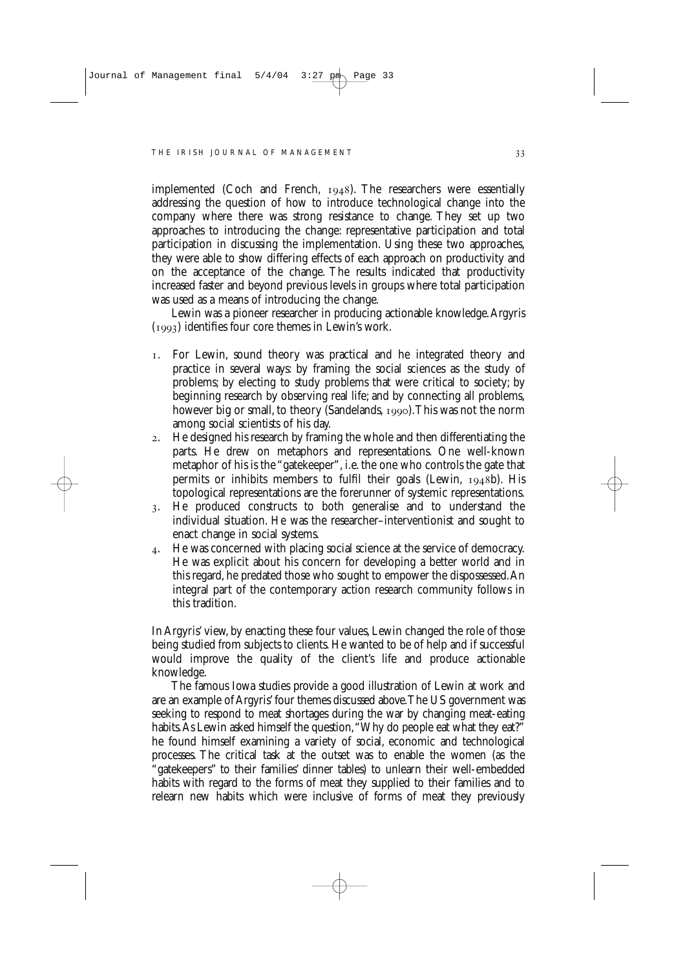implemented (Coch and French, 1948). The researchers were essentially addressing the question of how to introduce technological change into the company where there was strong resistance to change. They set up two approaches to introducing the change: representative participation and total participation in discussing the implementation. Using these two approaches, they were able to show differing effects of each approach on productivity and on the acceptance of the change. The results indicated that productivity increased faster and beyond previous levels in groups where total participation was used as a means of introducing the change.

Lewin was a pioneer researcher in producing actionable knowledge.Argyris  $(1993)$  identifies four core themes in Lewin's work.

- . For Lewin, sound theory was practical and he integrated theory and practice in several ways: by framing the social sciences as the study of problems; by electing to study problems that were critical to society; by beginning research by observing real life; and by connecting all problems, however big or small, to theory (Sandelands, 1990). This was not the norm among social scientists of his day.
- . He designed his research by framing the whole and then differentiating the parts. He drew on metaphors and representations. One well-known metaphor of his is the "gatekeeper", i.e. the one who controls the gate that permits or inhibits members to fulfil their goals (Lewin,  $1948b$ ). His topological representations are the forerunner of systemic representations.
- . He produced constructs to both generalise and to understand the individual situation. He was the researcher–interventionist and sought to enact change in social systems.
- . He was concerned with placing social science at the service of democracy. He was explicit about his concern for developing a better world and in this regard, he predated those who sought to empower the dispossessed.An integral part of the contemporary action research community follows in this tradition.

In Argyris' view, by enacting these four values, Lewin changed the role of those being studied from subjects to clients. He wanted to be of help and if successful would improve the quality of the client's life and produce actionable knowledge.

The famous Iowa studies provide a good illustration of Lewin at work and are an example of Argyris' four themes discussed above.The US government was seeking to respond to meat shortages during the war by changing meat-eating habits. As Lewin asked himself the question, "Why do people eat what they eat?" he found himself examining a variety of social, economic and technological processes. The critical task at the outset was to enable the women (as the "gatekeepers" to their families' dinner tables) to unlearn their well-embedded habits with regard to the forms of meat they supplied to their families and to relearn new habits which were inclusive of forms of meat they previously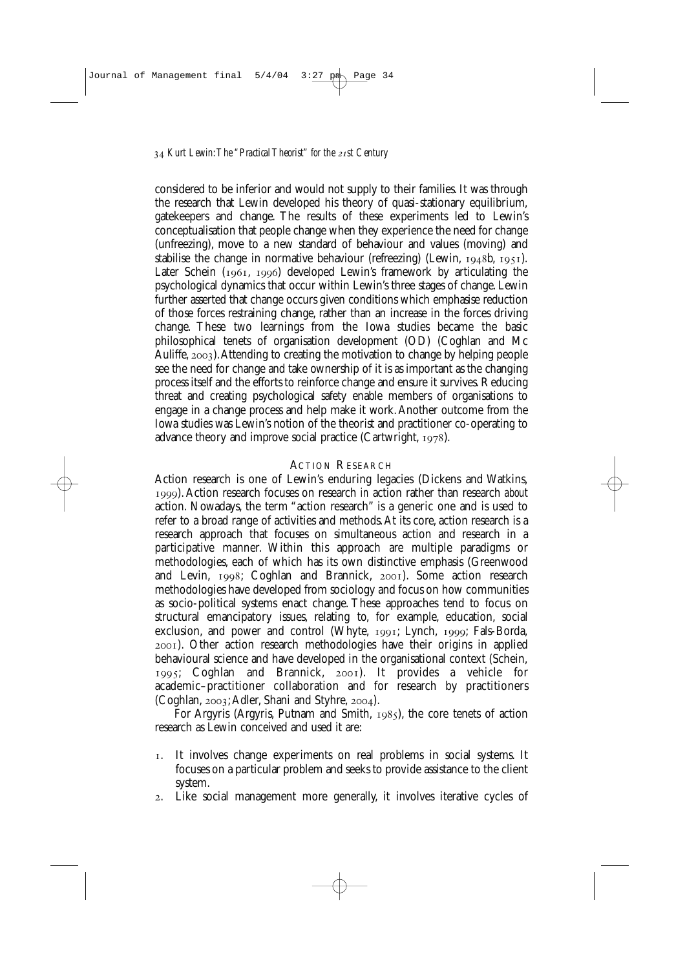considered to be inferior and would not supply to their families. It was through the research that Lewin developed his theory of quasi-stationary equilibrium, gatekeepers and change. The results of these experiments led to Lewin's conceptualisation that people change when they experience the need for change (unfreezing), move to a new standard of behaviour and values (moving) and stabilise the change in normative behaviour (refreezing) (Lewin,  $1948b$ ,  $1951$ ). Later Schein  $(1961, 1996)$  developed Lewin's framework by articulating the psychological dynamics that occur within Lewin's three stages of change. Lewin further asserted that change occurs given conditions which emphasise reduction of those forces restraining change, rather than an increase in the forces driving change. These two learnings from the Iowa studies became the basic philosophical tenets of organisation development (OD) (Coghlan and Mc Auliffe, 2003). Attending to creating the motivation to change by helping people see the need for change and take ownership of it is as important as the changing process itself and the efforts to reinforce change and ensure it survives. Reducing threat and creating psychological safety enable members of organisations to engage in a change process and help make it work.Another outcome from the Iowa studies was Lewin's notion of the theorist and practitioner co-operating to advance theory and improve social practice (Cartwright,  $1978$ ).

### ACTION RESEARCH

Action research is one of Lewin's enduring legacies (Dickens and Watkins, ). Action research focuses on research *in* action rather than research *about* action. Nowadays, the term "action research" is a generic one and is used to refer to a broad range of activities and methods.At its core, action research is a research approach that focuses on simultaneous action and research in a participative manner. Within this approach are multiple paradigms or methodologies, each of which has its own distinctive emphasis (Greenwood and Levin, 1998; Coghlan and Brannick, 2001). Some action research methodologies have developed from sociology and focus on how communities as socio-political systems enact change. These approaches tend to focus on structural emancipatory issues, relating to, for example, education, social exclusion, and power and control (Whyte, 1991; Lynch, 1999; Fals-Borda, ). Other action research methodologies have their origins in applied behavioural science and have developed in the organisational context (Schein, 1995; Coghlan and Brannick, 2001). It provides a vehicle for academic–practitioner collaboration and for research by practitioners (Coghlan, 2003; Adler, Shani and Styhre, 2004).

For Argyris (Argyris, Putnam and Smith,  $1985$ ), the core tenets of action research as Lewin conceived and used it are:

- . It involves change experiments on real problems in social systems. It focuses on a particular problem and seeks to provide assistance to the client system.
- . Like social management more generally, it involves iterative cycles of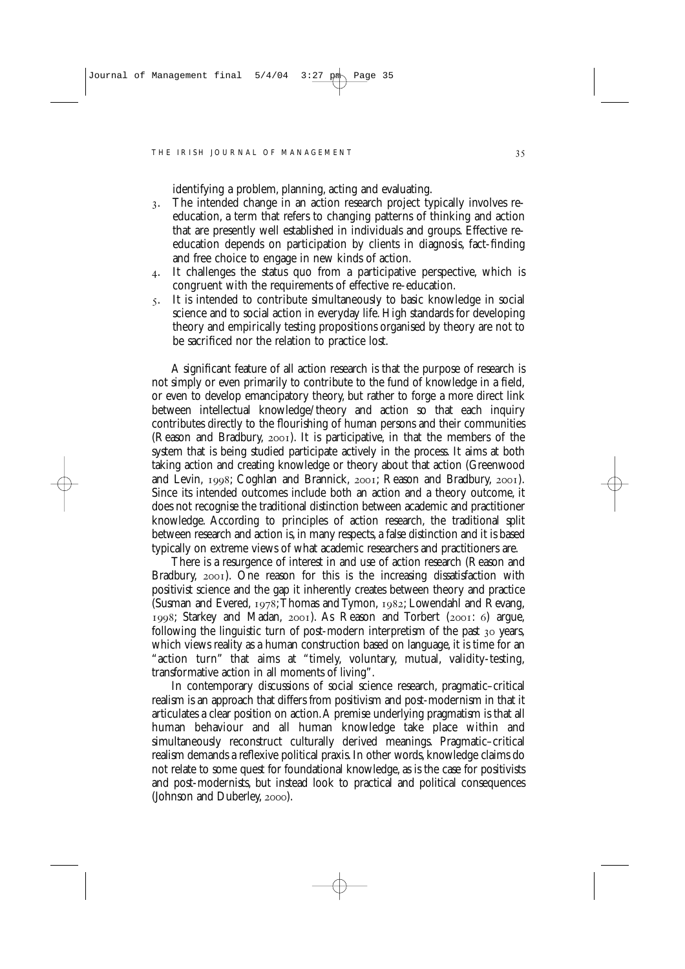identifying a problem, planning, acting and evaluating.

- . The intended change in an action research project typically involves reeducation, a term that refers to changing patterns of thinking and action that are presently well established in individuals and groups. Effective reeducation depends on participation by clients in diagnosis, fact-finding and free choice to engage in new kinds of action.
- . It challenges the status quo from a participative perspective, which is congruent with the requirements of effective re-education.
- . It is intended to contribute simultaneously to basic knowledge in social science and to social action in everyday life. High standards for developing theory and empirically testing propositions organised by theory are not to be sacrificed nor the relation to practice lost.

A significant feature of all action research is that the purpose of research is not simply or even primarily to contribute to the fund of knowledge in a field, or even to develop emancipatory theory, but rather to forge a more direct link between intellectual knowledge/theory and action so that each inquiry contributes directly to the flourishing of human persons and their communities (Reason and Bradbury,  $200I$ ). It is participative, in that the members of the system that is being studied participate actively in the process. It aims at both taking action and creating knowledge or theory about that action (Greenwood and Levin, 1998; Coghlan and Brannick, 2001; Reason and Bradbury, 2001). Since its intended outcomes include both an action and a theory outcome, it does not recognise the traditional distinction between academic and practitioner knowledge. According to principles of action research, the traditional split between research and action is, in many respects, a false distinction and it is based typically on extreme views of what academic researchers and practitioners are.

There is a resurgence of interest in and use of action research (Reason and Bradbury,  $2001$ ). One reason for this is the increasing dissatisfaction with positivist science and the gap it inherently creates between theory and practice (Susman and Evered,  $1978$ ; Thomas and Tymon,  $1982$ ; Lowendahl and Revang,  $1998$ ; Starkey and Madan,  $2001$ . As Reason and Torbert ( $2001$ : 6) argue, following the linguistic turn of post-modern interpretism of the past 30 years, which views reality as a human construction based on language, it is time for an "action turn" that aims at "timely, voluntary, mutual, validity-testing, transformative action in all moments of living".

In contemporary discussions of social science research, pragmatic–critical realism is an approach that differs from positivism and post-modernism in that it articulates a clear position on action.A premise underlying pragmatism is that all human behaviour and all human knowledge take place within and simultaneously reconstruct culturally derived meanings. Pragmatic–critical realism demands a reflexive political praxis. In other words, knowledge claims do not relate to some quest for foundational knowledge, as is the case for positivists and post-modernists, but instead look to practical and political consequences (Johnson and Duberley, 2000).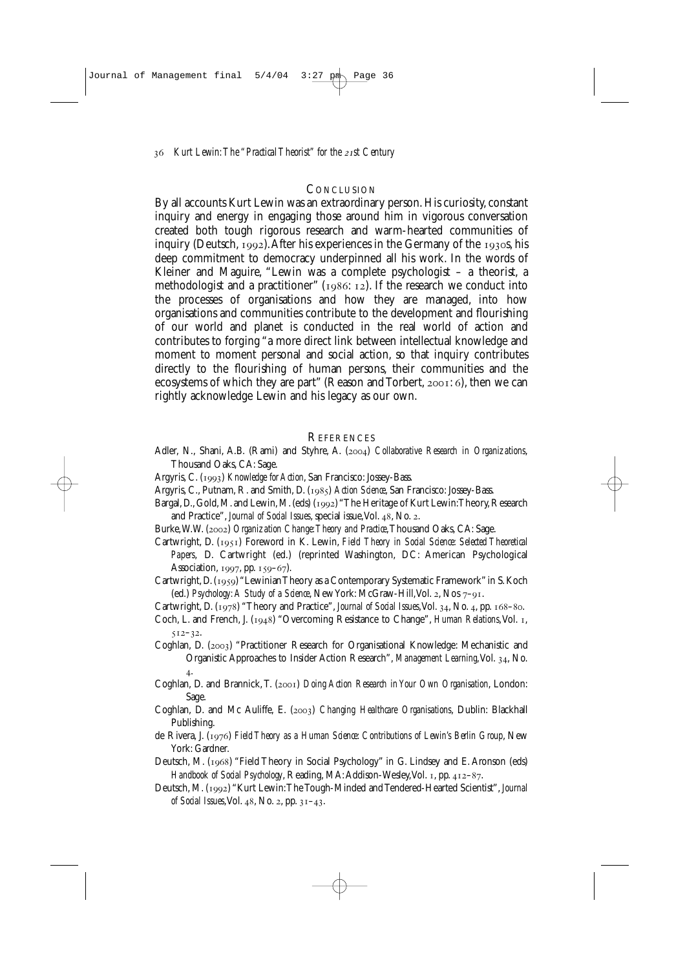### **CONCLUSION**

By all accounts Kurt Lewin was an extraordinary person. His curiosity, constant inquiry and energy in engaging those around him in vigorous conversation created both tough rigorous research and warm-hearted communities of inquiry (Deutsch,  $1992$ ). After his experiences in the Germany of the  $1930s$ , his deep commitment to democracy underpinned all his work. In the words of Kleiner and Maguire, "Lewin was a complete psychologist – a theorist, a methodologist and a practitioner"  $(1986: 12)$ . If the research we conduct into the processes of organisations and how they are managed, into how organisations and communities contribute to the development and flourishing of our world and planet is conducted in the real world of action and contributes to forging "a more direct link between intellectual knowledge and moment to moment personal and social action, so that inquiry contributes directly to the flourishing of human persons, their communities and the ecosystems of which they are part" (Reason and Torbert, 2001: 6), then we can rightly acknowledge Lewin and his legacy as our own.

### **REFERENCES**

- Adler, N., Shani, A.B. (Rami) and Styhre, A. (2004) *Collaborative Research in Organizations*, Thousand Oaks, CA: Sage.
- Argyris, C. (1993) *Knowledge for Action*, San Francisco: Jossey-Bass.
- Argyris, C., Putnam, R. and Smith, D. (1985) Action Science, San Francisco: Jossey-Bass.
- Bargal, D., Gold, M. and Lewin, M. (eds) (1992) "The Heritage of Kurt Lewin: Theory, Research and Practice", *Journal of Social Issues*, special issue, Vol. 48, No. 2.
- Burke, W.W. (2002) *Organization Change: Theory and Practice*, Thousand Oaks, CA: Sage.
- Cartwright, D. (1951) Foreword in K. Lewin, *Field Theory in Social Science: Selected Theoretical Papers*, D. Cartwright (ed.) (reprinted Washington, DC: American Psychological Association, 1997, pp. 159-67).
- Cartwright, D. (1959) "Lewinian Theory as a Contemporary Systematic Framework" in S. Koch (ed.) *Psychology: A Study of a Science*, New York: McGraw-Hill, Vol. 2, Nos  $7-91$ .
- Cartwright, D. (1978) "Theory and Practice", *Journal of Social Issues*, Vol. 34, No. 4, pp. 168-80.
- Coch, L. and French, J. (1948) "Overcoming Resistance to Change", *Human Relations*, Vol. 1,  $512 - 32.$
- Coghlan, D. (2003) "Practitioner Research for Organisational Knowledge: Mechanistic and Organistic Approaches to Insider Action Research", *Management Learning*, Vol. 34, No. .
- Coghlan, D. and Brannick, T. (2001) *Doing Action Research in Your Own Organisation*, London: Sage.
- Coghlan, D. and Mc Auliffe, E. (2003) *Changing Healthcare Organisations*, Dublin: Blackhall Publishing.
- de Rivera, J. (1976) Field Theory as a Human Science: Contributions of Lewin's Berlin Group, New York: Gardner.
- Deutsch, M. (1968) "Field Theory in Social Psychology" in G. Lindsey and E. Aronson (eds) Handbook of Social Psychology, Reading, MA: Addison-Wesley, Vol. 1, pp. 412-87.
- Deutsch, M. () "Kurt Lewin:The Tough-Minded and Tendered-Hearted Scientist", *Journal of Social Issues*, Vol. 48, No. 2, pp. 31-43.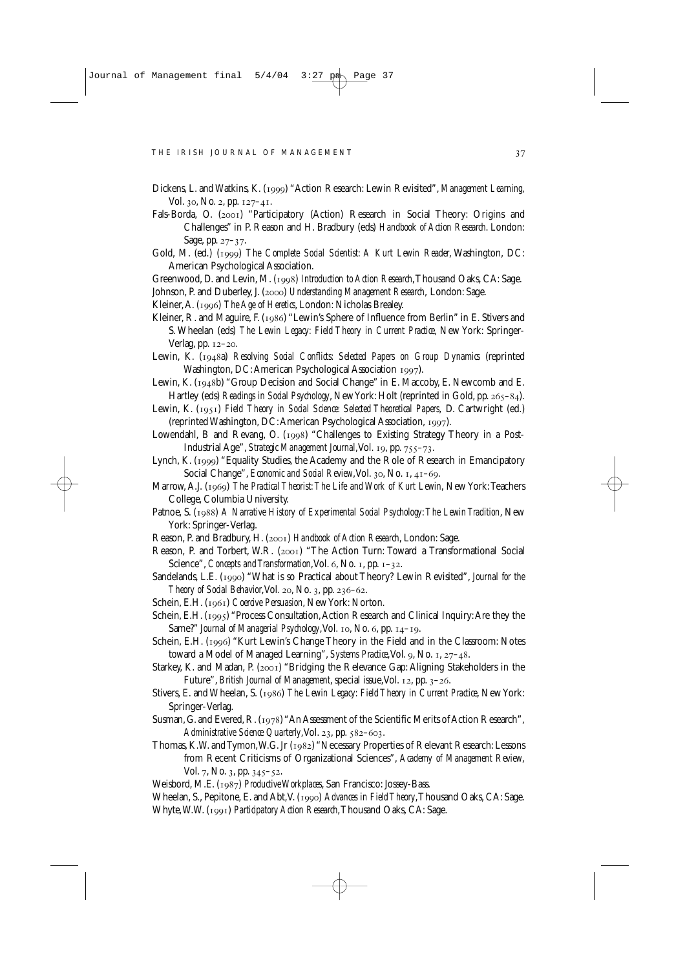- Dickens, L. and Watkins, K. (1999) "Action Research: Lewin Revisited", *Management Learning*, Vol. 30, No. 2, pp. 127-41.
- Fals-Borda, O. (2001) "Participatory (Action) Research in Social Theory: Origins and Challenges" in P. Reason and H. Bradbury (eds) *Handbook of Action Research*. London: Sage, pp.  $27 - 37$ .
- Gold, M. (ed.) (1999) The Complete Social Scientist: A Kurt Lewin Reader, Washington, DC: American Psychological Association.
- Greenwood, D. and Levin, M. (1998) Introduction to Action Research, Thousand Oaks, CA: Sage.
- Johnson, P. and Duberley, J. (2000) *Understanding Management Research*, London: Sage.

Kleiner, A. (1996) The Age of Heretics, London: Nicholas Brealey.

- Kleiner, R. and Maguire, F. ( $1986$ ) "Lewin's Sphere of Influence from Berlin" in E. Stivers and S. Wheelan (eds) *The Lewin Legacy: Field Theory in Current Practice*, New York: Springer-Verlag, pp. 12-20.
- Lewin, K. (1948a) Resolving Social Conflicts: Selected Papers on Group Dynamics (reprinted Washington, DC: American Psychological Association 1997).
- Lewin, K.  $(\text{1948b})$  "Group Decision and Social Change" in E. Maccoby, E. Newcomb and E. Hartley (eds) *Readings in Social Psychology*, New York: Holt (reprinted in Gold, pp. 265-84).
- Lewin, K. (1951) Field Theory in Social Science: Selected Theoretical Papers, D. Cartwright (ed.) (reprinted Washington, DC: American Psychological Association, 1997).
- Lowendahl, B and Revang, O. (1998) "Challenges to Existing Strategy Theory in a Post-Industrial Age", *Strategic Management Journal*, Vol. 19, pp. 755-73.
- Lynch, K. (1999) "Equality Studies, the Academy and the Role of Research in Emancipatory Social Change", *Economic and Social Review*, Vol. 30, No. 1, 41-69.
- Marrow, A.J. (1969) The Practical Theorist: The Life and Work of Kurt Lewin, New York: Teachers College, Columbia University.
- Patnoe, S. (1988) A Narrative History of Experimental Social Psychology: The Lewin Tradition, New York: Springer-Verlag.
- Reason, P. and Bradbury, H. (2001) Handbook of Action Research, London: Sage.
- Reason, P. and Torbert, W.R. (2001) "The Action Turn: Toward a Transformational Social Science", *Concepts and Transformation*, Vol. 6, No. 1, pp. 1-32.
- Sandelands, L.E. (1990) "What is so Practical about Theory? Lewin Revisited", *Journal for the Theory of Social Behavior*, Vol. 20, No. 3, pp. 236–62.
- Schein, E.H. (1961) *Coercive Persuasion*, New York: Norton.
- Schein, E.H.  $(\text{1995})$  "Process Consultation, Action Research and Clinical Inquiry: Are they the Same?" *Journal of Managerial Psychology*, Vol. 10, No. 6, pp. 14-19.
- Schein, E.H. (1996) "Kurt Lewin's Change Theory in the Field and in the Classroom: Notes toward a Model of Managed Learning", *Systems Practice*, Vol. 9, No. 1, 27-48.
- Starkey, K. and Madan, P. (2001) "Bridging the Relevance Gap: Aligning Stakeholders in the Future", *British Journal of Management*, special issue, Vol. 12, pp. 3-26.
- Stivers, E. and Wheelan, S. (1986) The Lewin Legacy: Field Theory in Current Practice, New York: Springer-Verlag.
- Susman, G. and Evered, R. (1978) "An Assessment of the Scientific Merits of Action Research", *Administrative Science Quarterly*, Vol. 23, pp. 582-603.
- Thomas, K.W. and Tymon, W.G. Jr (1982) "Necessary Properties of Relevant Research: Lessons from Recent Criticisms of Organizational Sciences", *Academy of Management Review*, Vol. 7, No. 3, pp.  $345 - 52$ .
- Weisbord, M.E. (1987) *Productive Workplaces*, San Francisco: Jossey-Bass.

Wheelan, S., Pepitone, E. and Abt, V. (1990) Advances in Field Theory, Thousand Oaks, CA: Sage. Whyte, W.W. (1991) *Participatory Action Research*, Thousand Oaks, CA: Sage.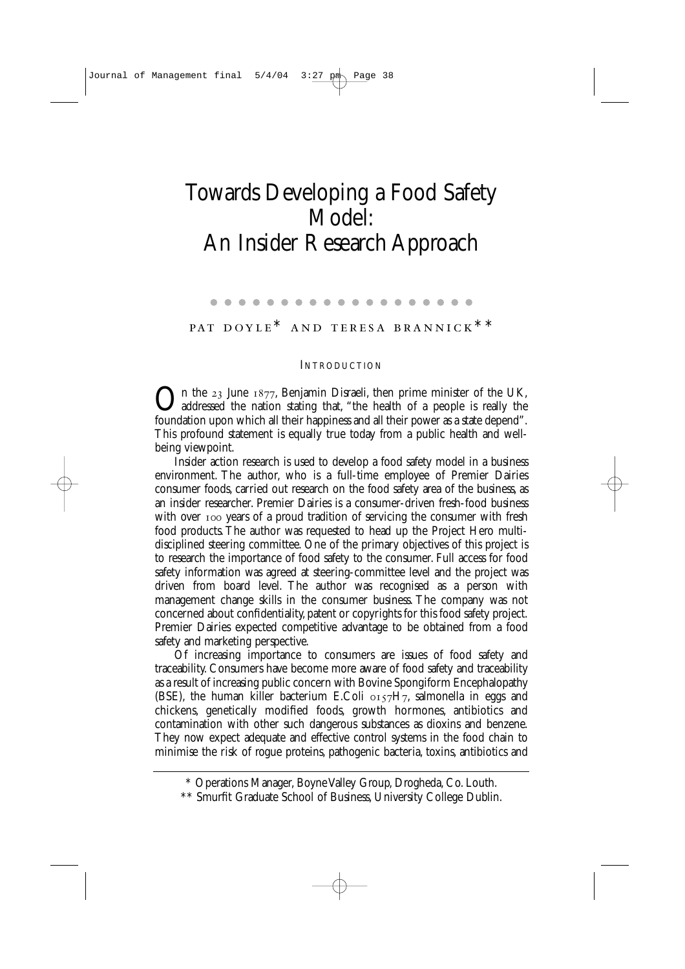# Towards Developing a Food Safety Model: An Insider Research Approach

# . . . . . . . . . . . . . . . . . . . PAT DOYLE\* AND TERESA BRANNICK\*\*

### INTRODUCTION

 $\sum_{\text{addressed}}$  the  $_{23}$  June  $_{1877}$ , Benjamin Disraeli, then prime minister of the UK, foundation upon which all their happiness and all their power as a state depend". This profound statement is equally true today from a public health and wellbeing viewpoint.

Insider action research is used to develop a food safety model in a business environment. The author, who is a full-time employee of Premier Dairies consumer foods, carried out research on the food safety area of the business, as an insider researcher. Premier Dairies is a consumer-driven fresh-food business with over  $\overline{100}$  years of a proud tradition of servicing the consumer with fresh food products. The author was requested to head up the Project Hero multidisciplined steering committee. One of the primary objectives of this project is to research the importance of food safety to the consumer. Full access for food safety information was agreed at steering-committee level and the project was driven from board level. The author was recognised as a person with management change skills in the consumer business. The company was not concerned about confidentiality, patent or copyrights for this food safety project. Premier Dairies expected competitive advantage to be obtained from a food safety and marketing perspective.

Of increasing importance to consumers are issues of food safety and traceability. Consumers have become more aware of food safety and traceability as a result of increasing public concern with Bovine Spongiform Encephalopathy (BSE), the human killer bacterium E.Coli  $0.675H$ , salmonella in eggs and chickens, genetically modified foods, growth hormones, antibiotics and contamination with other such dangerous substances as dioxins and benzene. They now expect adequate and effective control systems in the food chain to minimise the risk of rogue proteins, pathogenic bacteria, toxins, antibiotics and

<sup>\*</sup> Operations Manager, Boyne Valley Group, Drogheda, Co. Louth.

<sup>\*\*</sup> Smurfit Graduate School of Business, University College Dublin.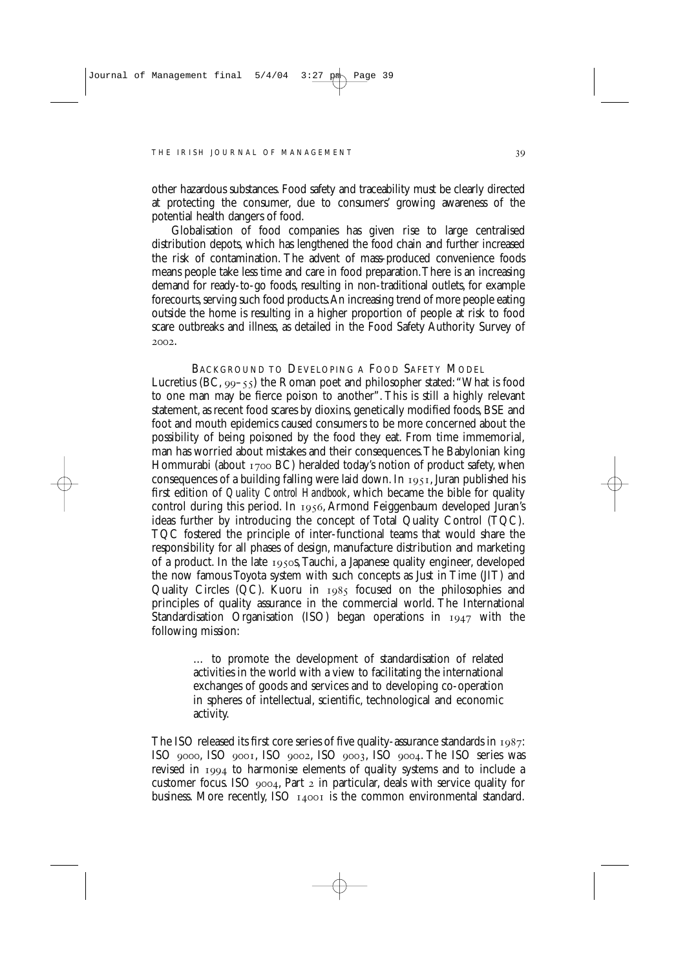other hazardous substances. Food safety and traceability must be clearly directed at protecting the consumer, due to consumers' growing awareness of the potential health dangers of food.

Globalisation of food companies has given rise to large centralised distribution depots, which has lengthened the food chain and further increased the risk of contamination. The advent of mass-produced convenience foods means people take less time and care in food preparation.There is an increasing demand for ready-to-go foods, resulting in non-traditional outlets, for example forecourts, serving such food products. An increasing trend of more people eating outside the home is resulting in a higher proportion of people at risk to food scare outbreaks and illness, as detailed in the Food Safety Authority Survey of 2002.

### BACKGROUND TO DEVELOPING A FOOD SAFETY MODEL

Lucretius (BC,  $99-55$ ) the Roman poet and philosopher stated: "What is food to one man may be fierce poison to another". This is still a highly relevant statement, as recent food scares by dioxins, genetically modified foods, BSE and foot and mouth epidemics caused consumers to be more concerned about the possibility of being poisoned by the food they eat. From time immemorial, man has worried about mistakes and their consequences.The Babylonian king Hommurabi (about  $1700$  BC) heralded today's notion of product safety, when consequences of a building falling were laid down. In  $1951$ , Juran published his first edition of *Quality Control Handbook*, which became the bible for quality control during this period. In  $1956$ , Armond Feiggenbaum developed Juran's ideas further by introducing the concept of Total Quality Control (TQC). TQC fostered the principle of inter-functional teams that would share the responsibility for all phases of design, manufacture distribution and marketing of a product. In the late  $_{1950}$ , Tauchi, a Japanese quality engineer, developed the now famous Toyota system with such concepts as Just in Time (JIT) and Quality Circles (QC). Kuoru in  $1985$  focused on the philosophies and principles of quality assurance in the commercial world. The International Standardisation Organisation (ISO) began operations in  $1947$  with the following mission:

> … to promote the development of standardisation of related activities in the world with a view to facilitating the international exchanges of goods and services and to developing co-operation in spheres of intellectual, scientific, technological and economic activity.

The ISO released its first core series of five quality-assurance standards in 1987: ISO 9000, ISO 9001, ISO 9002, ISO 9003, ISO 9004. The ISO series was revised in to harmonise elements of quality systems and to include a customer focus. ISO  $9004$ , Part  $2$  in particular, deals with service quality for business. More recently, ISO  $_{14001}$  is the common environmental standard.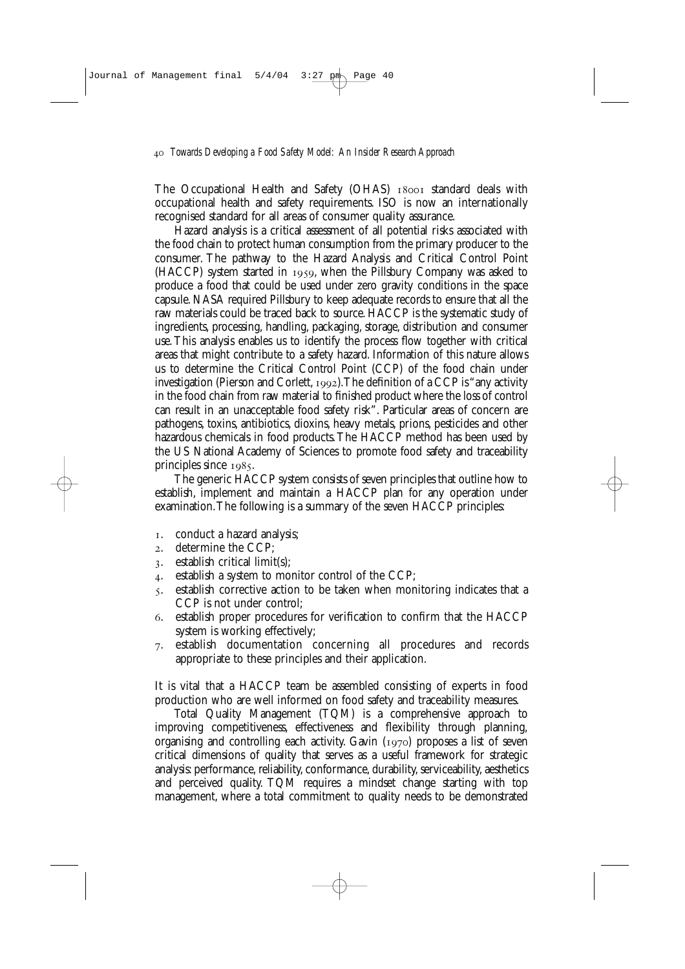The Occupational Health and Safety (OHAS) 18001 standard deals with occupational health and safety requirements. ISO is now an internationally recognised standard for all areas of consumer quality assurance.

Hazard analysis is a critical assessment of all potential risks associated with the food chain to protect human consumption from the primary producer to the consumer. The pathway to the Hazard Analysis and Critical Control Point (HACCP) system started in  $1959$ , when the Pillsbury Company was asked to produce a food that could be used under zero gravity conditions in the space capsule. NASA required Pillsbury to keep adequate records to ensure that all the raw materials could be traced back to source. HACCP is the systematic study of ingredients, processing, handling, packaging, storage, distribution and consumer use. This analysis enables us to identify the process flow together with critical areas that might contribute to a safety hazard. Information of this nature allows us to determine the Critical Control Point (CCP) of the food chain under investigation (Pierson and Corlett,  $1992$ ). The definition of a CCP is "any activity in the food chain from raw material to finished product where the loss of control can result in an unacceptable food safety risk". Particular areas of concern are pathogens, toxins, antibiotics, dioxins, heavy metals, prions, pesticides and other hazardous chemicals in food products.The HACCP method has been used by the US National Academy of Sciences to promote food safety and traceability principles since  $1985$ .

The generic HACCP system consists of seven principles that outline how to establish, implement and maintain a HACCP plan for any operation under examination.The following is a summary of the seven HACCP principles:

- . conduct a hazard analysis;
- . determine the CCP;
- . establish critical limit(s);
- . establish a system to monitor control of the CCP;
- . establish corrective action to be taken when monitoring indicates that a CCP is not under control;
- . establish proper procedures for verification to confirm that the HACCP system is working effectively;
- . establish documentation concerning all procedures and records appropriate to these principles and their application.

It is vital that a HACCP team be assembled consisting of experts in food production who are well informed on food safety and traceability measures.

Total Quality Management (TQM) is a comprehensive approach to improving competitiveness, effectiveness and flexibility through planning, organising and controlling each activity. Gavin  $(1970)$  proposes a list of seven critical dimensions of quality that serves as a useful framework for strategic analysis: performance, reliability, conformance, durability, serviceability, aesthetics and perceived quality. TQM requires a mindset change starting with top management, where a total commitment to quality needs to be demonstrated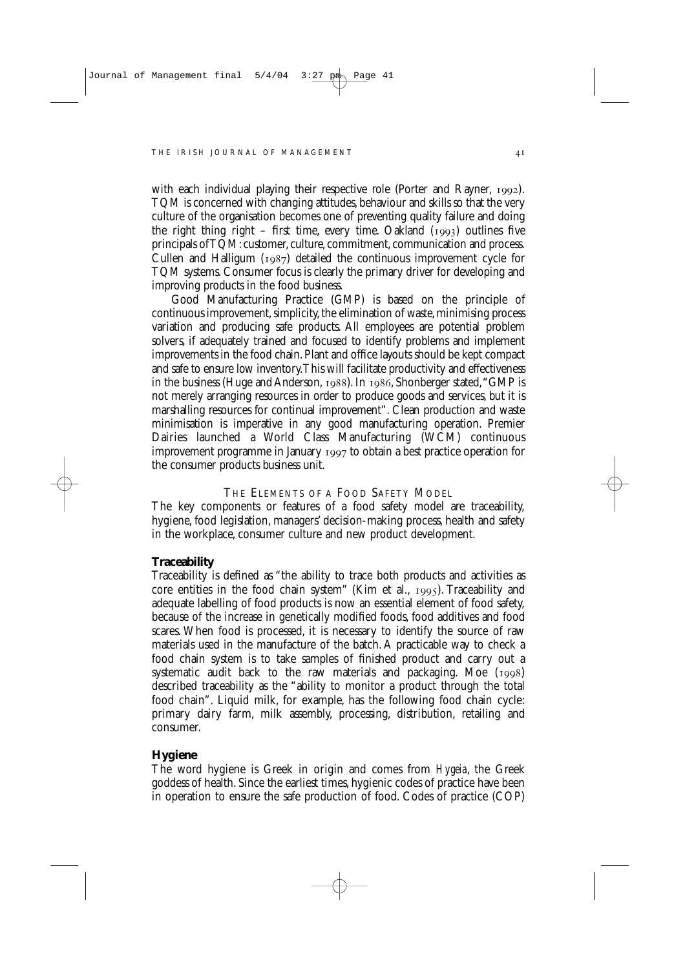with each individual playing their respective role (Porter and Rayner,  $1992$ ). TQM is concerned with changing attitudes, behaviour and skills so that the very culture of the organisation becomes one of preventing quality failure and doing the right thing right – first time, every time. Oakland  $(i993)$  outlines five principals of TQM: customer, culture, commitment, communication and process. Cullen and Halligum  $(1987)$  detailed the continuous improvement cycle for TQM systems. Consumer focus is clearly the primary driver for developing and improving products in the food business.

Good Manufacturing Practice (GMP) is based on the principle of continuous improvement, simplicity, the elimination of waste, minimising process variation and producing safe products. All employees are potential problem solvers, if adequately trained and focused to identify problems and implement improvements in the food chain. Plant and office layouts should be kept compact and safe to ensure low inventory.This will facilitate productivity and effectiveness in the business (Huge and Anderson,  $1988$ ). In  $1986$ , Shonberger stated, "GMP is not merely arranging resources in order to produce goods and services, but it is marshalling resources for continual improvement". Clean production and waste minimisation is imperative in any good manufacturing operation. Premier Dairies launched a World Class Manufacturing (WCM) continuous improvement programme in January to obtain a best practice operation for the consumer products business unit.

### THE ELEMENTS OF A FOOD SAFETY MODEL

The key components or features of a food safety model are traceability, hygiene, food legislation, managers' decision-making process, health and safety in the workplace, consumer culture and new product development.

### **Traceability**

Traceability is defined as "the ability to trace both products and activities as core entities in the food chain system" (Kim et al., 1995). Traceability and adequate labelling of food products is now an essential element of food safety, because of the increase in genetically modified foods, food additives and food scares. When food is processed, it is necessary to identify the source of raw materials used in the manufacture of the batch. A practicable way to check a food chain system is to take samples of finished product and carry out a systematic audit back to the raw materials and packaging. Moe (1998) described traceability as the "ability to monitor a product through the total food chain". Liquid milk, for example, has the following food chain cycle: primary dairy farm, milk assembly, processing, distribution, retailing and consumer.

### **Hygiene**

The word hygiene is Greek in origin and comes from *Hygeia*, the Greek goddess of health. Since the earliest times, hygienic codes of practice have been in operation to ensure the safe production of food. Codes of practice (COP)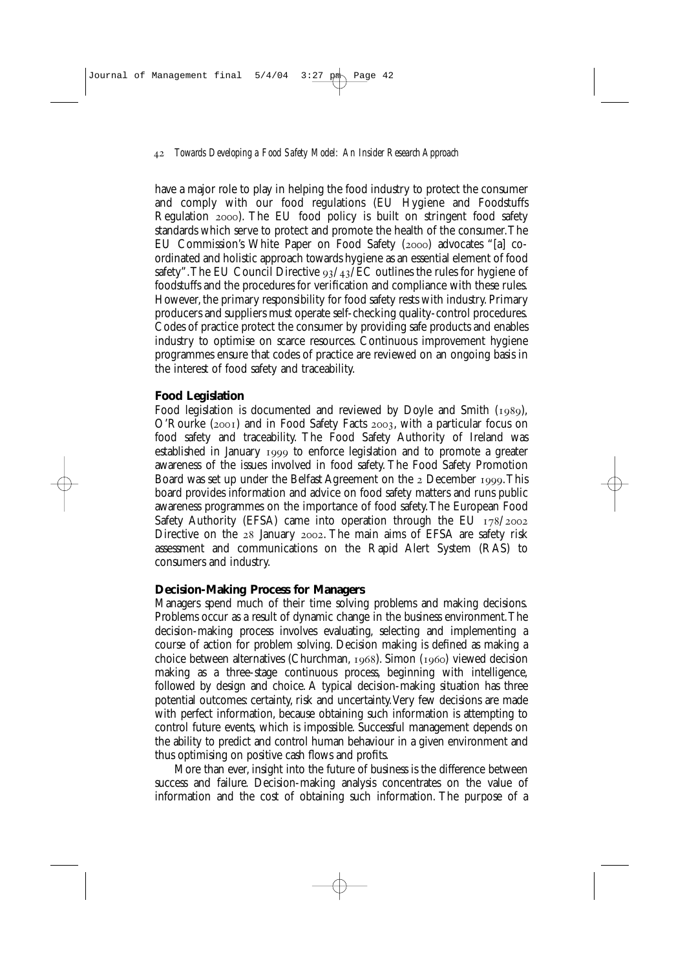have a major role to play in helping the food industry to protect the consumer and comply with our food regulations (EU Hygiene and Foodstuffs Regulation 2000). The EU food policy is built on stringent food safety standards which serve to protect and promote the health of the consumer.The EU Commission's White Paper on Food Safety (2000) advocates "[a] coordinated and holistic approach towards hygiene as an essential element of food safety". The EU Council Directive  $93/43/EC$  outlines the rules for hygiene of foodstuffs and the procedures for verification and compliance with these rules. However, the primary responsibility for food safety rests with industry. Primary producers and suppliers must operate self-checking quality-control procedures. Codes of practice protect the consumer by providing safe products and enables industry to optimise on scarce resources. Continuous improvement hygiene programmes ensure that codes of practice are reviewed on an ongoing basis in the interest of food safety and traceability.

# **Food Legislation**

Food legislation is documented and reviewed by Doyle and Smith  $(1989)$ , O'Rourke ( $2001$ ) and in Food Safety Facts  $2003$ , with a particular focus on food safety and traceability. The Food Safety Authority of Ireland was established in January to enforce legislation and to promote a greater awareness of the issues involved in food safety. The Food Safety Promotion Board was set up under the Belfast Agreement on the 2 December 1999. This board provides information and advice on food safety matters and runs public awareness programmes on the importance of food safety.The European Food Safety Authority (EFSA) came into operation through the EU  $178/2002$ Directive on the  $28$  January  $2002$ . The main aims of EFSA are safety risk assessment and communications on the Rapid Alert System (RAS) to consumers and industry.

# **Decision-Making Process for Managers**

Managers spend much of their time solving problems and making decisions. Problems occur as a result of dynamic change in the business environment.The decision-making process involves evaluating, selecting and implementing a course of action for problem solving. Decision making is defined as making a choice between alternatives (Churchman,  $1968$ ). Simon ( $1960$ ) viewed decision making as a three-stage continuous process, beginning with intelligence, followed by design and choice. A typical decision-making situation has three potential outcomes: certainty, risk and uncertainty.Very few decisions are made with perfect information, because obtaining such information is attempting to control future events, which is impossible. Successful management depends on the ability to predict and control human behaviour in a given environment and thus optimising on positive cash flows and profits.

More than ever, insight into the future of business is the difference between success and failure. Decision-making analysis concentrates on the value of information and the cost of obtaining such information. The purpose of a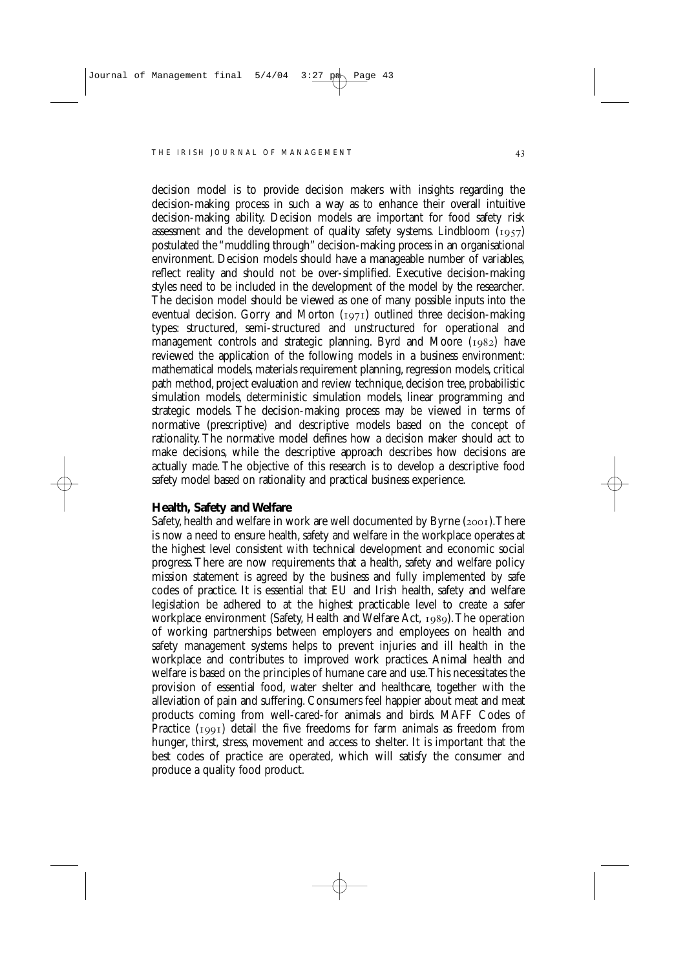decision model is to provide decision makers with insights regarding the decision-making process in such a way as to enhance their overall intuitive decision-making ability. Decision models are important for food safety risk assessment and the development of quality safety systems. Lindbloom  $(1957)$ postulated the "muddling through" decision-making process in an organisational environment. Decision models should have a manageable number of variables, reflect reality and should not be over-simplified. Executive decision-making styles need to be included in the development of the model by the researcher. The decision model should be viewed as one of many possible inputs into the eventual decision. Gorry and Morton  $(iq71)$  outlined three decision-making types: structured, semi-structured and unstructured for operational and management controls and strategic planning. Byrd and Moore  $(1982)$  have reviewed the application of the following models in a business environment: mathematical models, materials requirement planning, regression models, critical path method, project evaluation and review technique, decision tree, probabilistic simulation models, deterministic simulation models, linear programming and strategic models. The decision-making process may be viewed in terms of normative (prescriptive) and descriptive models based on the concept of rationality. The normative model defines how a decision maker should act to make decisions, while the descriptive approach describes how decisions are actually made. The objective of this research is to develop a descriptive food safety model based on rationality and practical business experience.

#### **Health, Safety and Welfare**

Safety, health and welfare in work are well documented by Byrne  $(2001)$ . There is now a need to ensure health, safety and welfare in the workplace operates at the highest level consistent with technical development and economic social progress.There are now requirements that a health, safety and welfare policy mission statement is agreed by the business and fully implemented by safe codes of practice. It is essential that EU and Irish health, safety and welfare legislation be adhered to at the highest practicable level to create a safer workplace environment (Safety, Health and Welfare Act, 1989). The operation of working partnerships between employers and employees on health and safety management systems helps to prevent injuries and ill health in the workplace and contributes to improved work practices. Animal health and welfare is based on the principles of humane care and use.This necessitates the provision of essential food, water shelter and healthcare, together with the alleviation of pain and suffering. Consumers feel happier about meat and meat products coming from well-cared-for animals and birds. MAFF Codes of Practice  $(100I)$  detail the five freedoms for farm animals as freedom from hunger, thirst, stress, movement and access to shelter. It is important that the best codes of practice are operated, which will satisfy the consumer and produce a quality food product.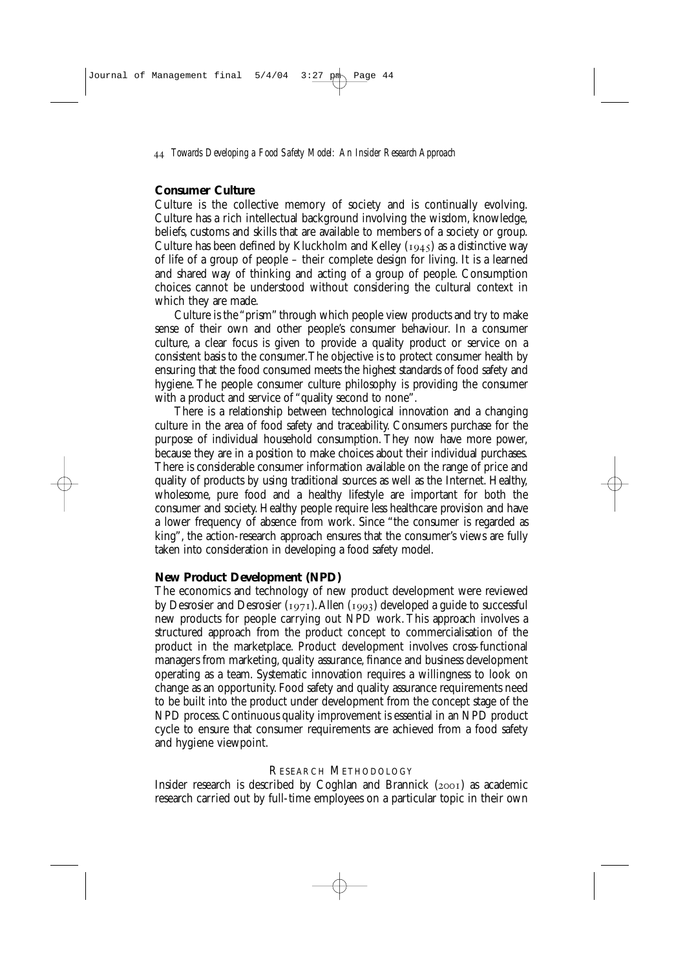# **Consumer Culture**

Culture is the collective memory of society and is continually evolving. Culture has a rich intellectual background involving the wisdom, knowledge, beliefs, customs and skills that are available to members of a society or group. Culture has been defined by Kluckholm and Kelley  $(1945)$  as a distinctive way of life of a group of people – their complete design for living. It is a learned and shared way of thinking and acting of a group of people. Consumption choices cannot be understood without considering the cultural context in which they are made.

Culture is the "prism" through which people view products and try to make sense of their own and other people's consumer behaviour. In a consumer culture, a clear focus is given to provide a quality product or service on a consistent basis to the consumer.The objective is to protect consumer health by ensuring that the food consumed meets the highest standards of food safety and hygiene. The people consumer culture philosophy is providing the consumer with a product and service of "quality second to none".

There is a relationship between technological innovation and a changing culture in the area of food safety and traceability. Consumers purchase for the purpose of individual household consumption. They now have more power, because they are in a position to make choices about their individual purchases. There is considerable consumer information available on the range of price and quality of products by using traditional sources as well as the Internet. Healthy, wholesome, pure food and a healthy lifestyle are important for both the consumer and society. Healthy people require less healthcare provision and have a lower frequency of absence from work. Since "the consumer is regarded as king", the action-research approach ensures that the consumer's views are fully taken into consideration in developing a food safety model.

# **New Product Development (NPD)**

The economics and technology of new product development were reviewed by Desrosier and Desrosier  $(iq71)$ . Allen  $(iq93)$  developed a guide to successful new products for people carrying out NPD work. This approach involves a structured approach from the product concept to commercialisation of the product in the marketplace. Product development involves cross-functional managers from marketing, quality assurance, finance and business development operating as a team. Systematic innovation requires a willingness to look on change as an opportunity. Food safety and quality assurance requirements need to be built into the product under development from the concept stage of the NPD process. Continuous quality improvement is essential in an NPD product cycle to ensure that consumer requirements are achieved from a food safety and hygiene viewpoint.

### RESEARCH METHODOLOGY

Insider research is described by Coghlan and Brannick ( $200I$ ) as academic research carried out by full-time employees on a particular topic in their own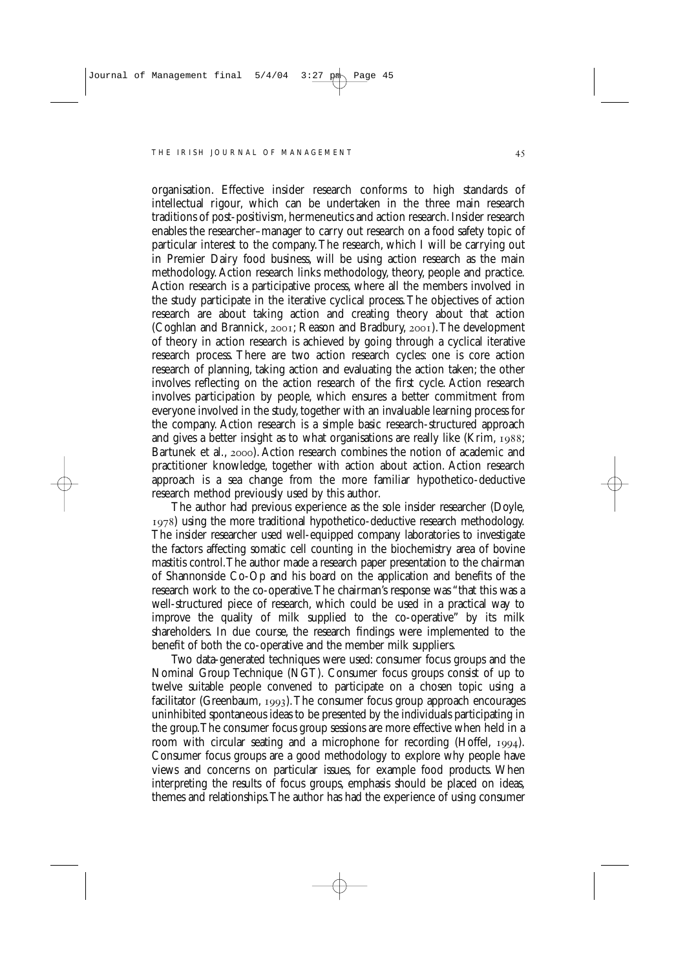organisation. Effective insider research conforms to high standards of intellectual rigour, which can be undertaken in the three main research traditions of post-positivism, hermeneutics and action research. Insider research enables the researcher–manager to carry out research on a food safety topic of particular interest to the company.The research, which I will be carrying out in Premier Dairy food business, will be using action research as the main methodology. Action research links methodology, theory, people and practice. Action research is a participative process, where all the members involved in the study participate in the iterative cyclical process.The objectives of action research are about taking action and creating theory about that action (Coghlan and Brannick,  $2001$ ; Reason and Bradbury,  $2001$ ). The development of theory in action research is achieved by going through a cyclical iterative research process. There are two action research cycles: one is core action research of planning, taking action and evaluating the action taken; the other involves reflecting on the action research of the first cycle. Action research involves participation by people, which ensures a better commitment from everyone involved in the study, together with an invaluable learning process for the company. Action research is a simple basic research-structured approach and gives a better insight as to what organisations are really like (Krim, 1988; Bartunek et al., 2000). Action research combines the notion of academic and practitioner knowledge, together with action about action. Action research approach is a sea change from the more familiar hypothetico-deductive research method previously used by this author.

The author had previous experience as the sole insider researcher (Doyle, ) using the more traditional hypothetico-deductive research methodology. The insider researcher used well-equipped company laboratories to investigate the factors affecting somatic cell counting in the biochemistry area of bovine mastitis control.The author made a research paper presentation to the chairman of Shannonside Co-Op and his board on the application and benefits of the research work to the co-operative.The chairman's response was "that this was a well-structured piece of research, which could be used in a practical way to improve the quality of milk supplied to the co-operative" by its milk shareholders. In due course, the research findings were implemented to the benefit of both the co-operative and the member milk suppliers.

Two data-generated techniques were used: consumer focus groups and the Nominal Group Technique (NGT). Consumer focus groups consist of up to twelve suitable people convened to participate on a chosen topic using a facilitator (Greenbaum, 1993). The consumer focus group approach encourages uninhibited spontaneous ideas to be presented by the individuals participating in the group.The consumer focus group sessions are more effective when held in a room with circular seating and a microphone for recording (Hoffel, 1994). Consumer focus groups are a good methodology to explore why people have views and concerns on particular issues, for example food products. When interpreting the results of focus groups, emphasis should be placed on ideas, themes and relationships.The author has had the experience of using consumer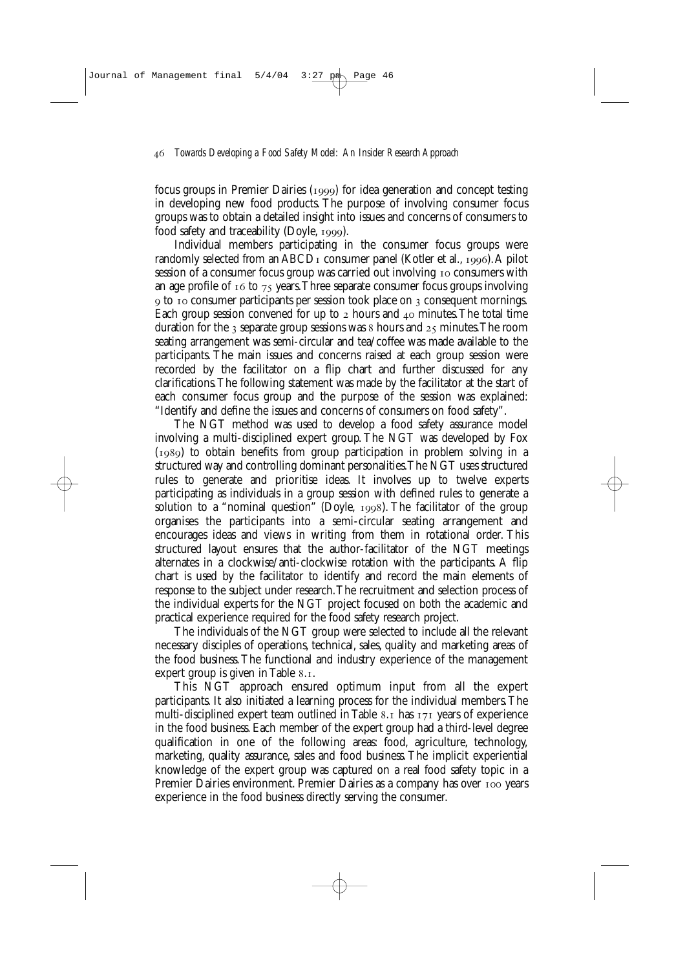focus groups in Premier Dairies (1999) for idea generation and concept testing in developing new food products. The purpose of involving consumer focus groups was to obtain a detailed insight into issues and concerns of consumers to food safety and traceability (Doyle, 1999).

Individual members participating in the consumer focus groups were randomly selected from an ABCD $I$  consumer panel (Kotler et al.,  $I$  1996). A pilot session of a consumer focus group was carried out involving 10 consumers with an age profile of  $\frac{1}{6}$  to  $\frac{7}{5}$  years. Three separate consumer focus groups involving to consumer participants per session took place on consequent mornings. Each group session convened for up to  $\alpha$  hours and  $\alpha$  minutes. The total time duration for the 3 separate group sessions was 8 hours and  $25$  minutes. The room seating arrangement was semi-circular and tea/coffee was made available to the participants. The main issues and concerns raised at each group session were recorded by the facilitator on a flip chart and further discussed for any clarifications.The following statement was made by the facilitator at the start of each consumer focus group and the purpose of the session was explained: "Identify and define the issues and concerns of consumers on food safety".

The NGT method was used to develop a food safety assurance model involving a multi-disciplined expert group. The NGT was developed by Fox  $(1989)$  to obtain benefits from group participation in problem solving in a structured way and controlling dominant personalities.The NGT uses structured rules to generate and prioritise ideas. It involves up to twelve experts participating as individuals in a group session with defined rules to generate a solution to a "nominal question" (Doyle,  $1998$ ). The facilitator of the group organises the participants into a semi-circular seating arrangement and encourages ideas and views in writing from them in rotational order. This structured layout ensures that the author-facilitator of the NGT meetings alternates in a clockwise/anti-clockwise rotation with the participants. A flip chart is used by the facilitator to identify and record the main elements of response to the subject under research.The recruitment and selection process of the individual experts for the NGT project focused on both the academic and practical experience required for the food safety research project.

The individuals of the NGT group were selected to include all the relevant necessary disciples of operations, technical, sales, quality and marketing areas of the food business.The functional and industry experience of the management expert group is given in Table  $8.1$ .

This NGT approach ensured optimum input from all the expert participants. It also initiated a learning process for the individual members.The multi-disciplined expert team outlined in Table  $8.1$  has  $171$  years of experience in the food business. Each member of the expert group had a third-level degree qualification in one of the following areas: food, agriculture, technology, marketing, quality assurance, sales and food business. The implicit experiential knowledge of the expert group was captured on a real food safety topic in a Premier Dairies environment. Premier Dairies as a company has over 100 years experience in the food business directly serving the consumer.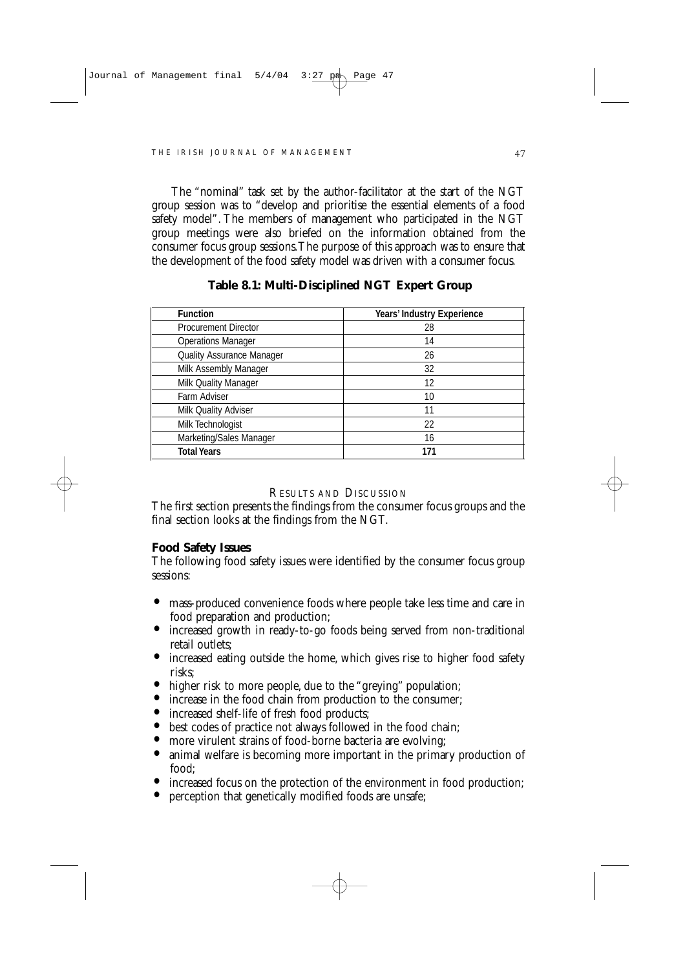The "nominal" task set by the author-facilitator at the start of the NGT group session was to "develop and prioritise the essential elements of a food safety model". The members of management who participated in the NGT group meetings were also briefed on the information obtained from the consumer focus group sessions.The purpose of this approach was to ensure that the development of the food safety model was driven with a consumer focus.

| <b>Function</b>                  | <b>Years' Industry Experience</b> |
|----------------------------------|-----------------------------------|
| <b>Procurement Director</b>      | 28                                |
| <b>Operations Manager</b>        | 14                                |
| <b>Quality Assurance Manager</b> | 26                                |
| Milk Assembly Manager            | 32                                |
| Milk Quality Manager             | 12                                |
| Farm Adviser                     | 10                                |
| Milk Quality Adviser             | 11                                |
| Milk Technologist                | 22                                |
| Marketing/Sales Manager          | 16                                |
| <b>Total Years</b>               |                                   |

### **Table 8.1: Multi-Disciplined NGT Expert Group**

### RESULTS AND DISCUSSION

The first section presents the findings from the consumer focus groups and the final section looks at the findings from the NGT.

# **Food Safety Issues**

The following food safety issues were identified by the consumer focus group sessions:

- **•** mass-produced convenience foods where people take less time and care in food preparation and production;
- **•** increased growth in ready-to-go foods being served from non-traditional retail outlets;
- increased eating outside the home, which gives rise to higher food safety risks;
- higher risk to more people, due to the "greying" population;
- **•** increase in the food chain from production to the consumer;
- increased shelf-life of fresh food products;
- **•** best codes of practice not always followed in the food chain;
- **•** more virulent strains of food-borne bacteria are evolving;
- **•** animal welfare is becoming more important in the primary production of food;
- **•** increased focus on the protection of the environment in food production;
- **•** perception that genetically modified foods are unsafe;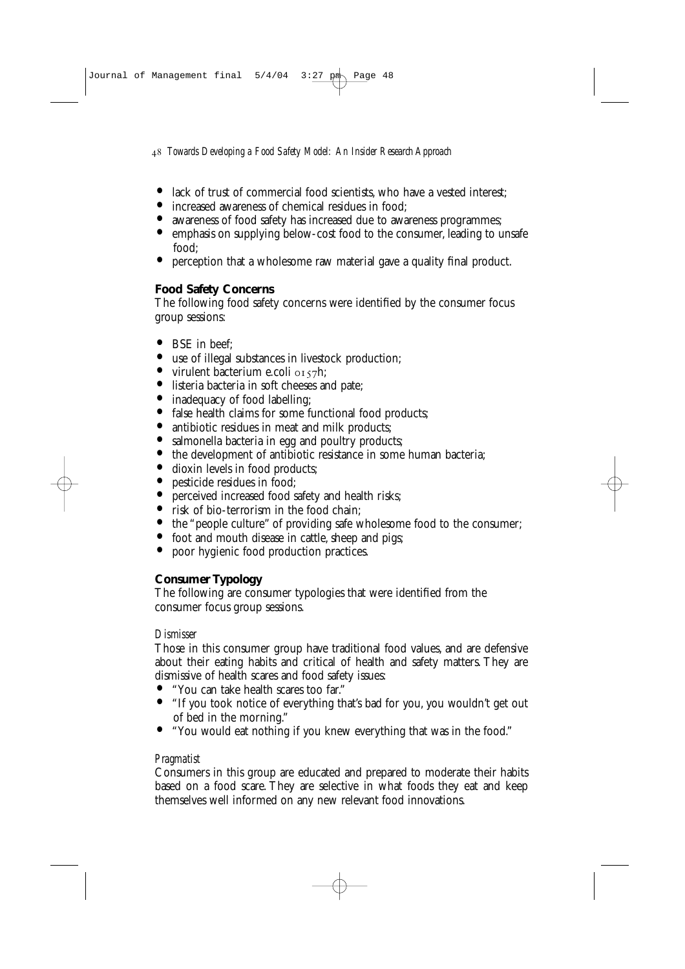- **•** lack of trust of commercial food scientists, who have a vested interest;
- **•** increased awareness of chemical residues in food;
- **•** awareness of food safety has increased due to awareness programmes;
- **•** emphasis on supplying below-cost food to the consumer, leading to unsafe food;
- **•** perception that a wholesome raw material gave a quality final product.

# **Food Safety Concerns**

The following food safety concerns were identified by the consumer focus group sessions:

- BSE in beef;<br>• use of illegal
- **•** use of illegal substances in livestock production;
- virulent bacterium e.coli 0157h;<br>• listeria hacteria in soft cheeses are
- listeria bacteria in soft cheeses and pate;<br>• inadequacy of food labelling:
- inadequacy of food labelling;<br>• false health claims for some fi
- false health claims for some functional food products;
- antibiotic residues in meat and milk products;<br>• salmonella bacteria in egg and noultry produc
- salmonella bacteria in egg and poultry products;<br>• the development of antibiotic resistance in some
- the development of antibiotic resistance in some human bacteria;<br>• dioxin levels in food products:
- dioxin levels in food products;<br>• nesticide residues in food:
- pesticide residues in food;<br>• nerceived increased food s
- perceived increased food safety and health risks;<br>• risk of bio-terrorism in the food chain:
- **•** risk of bio-terrorism in the food chain;
- the "people culture" of providing safe wholesome food to the consumer;
- **•** foot and mouth disease in cattle, sheep and pigs;
- poor hygienic food production practices.

# **Consumer Typology**

The following are consumer typologies that were identified from the consumer focus group sessions.

# *Dismisser*

Those in this consumer group have traditional food values, and are defensive about their eating habits and critical of health and safety matters. They are dismissive of health scares and food safety issues:

- **•** "You can take health scares too far."
- **•** "If you took notice of everything that's bad for you, you wouldn't get out of bed in the morning."
- **•** "You would eat nothing if you knew everything that was in the food."

# *Pragmatist*

Consumers in this group are educated and prepared to moderate their habits based on a food scare. They are selective in what foods they eat and keep themselves well informed on any new relevant food innovations.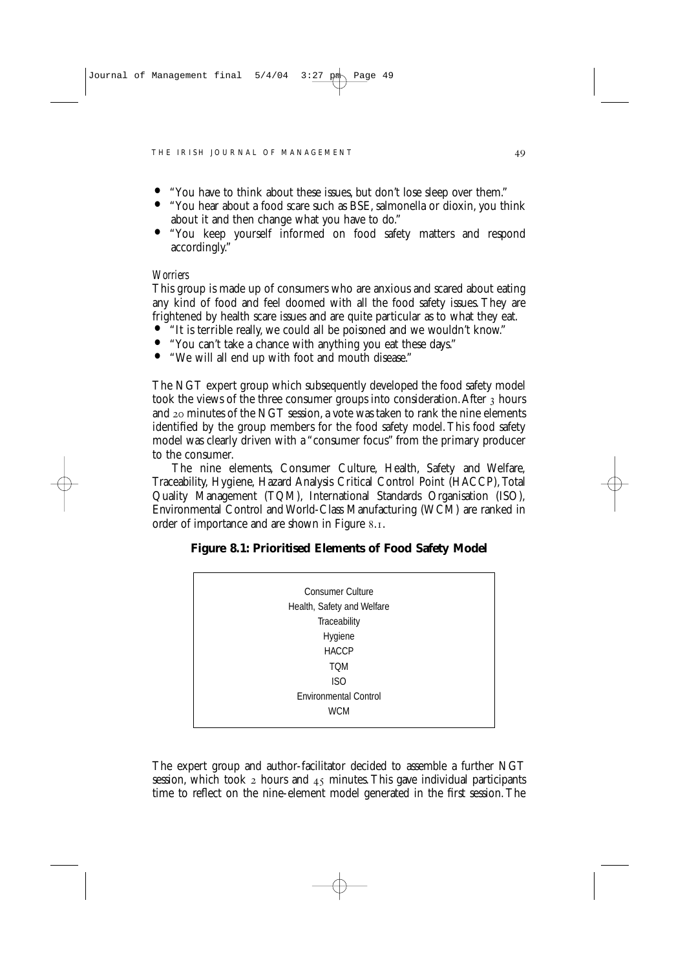- **•** "You have to think about these issues, but don't lose sleep over them."
- **•** "You hear about a food scare such as BSE, salmonella or dioxin, you think about it and then change what you have to do."
- **•** "You keep yourself informed on food safety matters and respond accordingly."

### *Worriers*

This group is made up of consumers who are anxious and scared about eating any kind of food and feel doomed with all the food safety issues. They are frightened by health scare issues and are quite particular as to what they eat.

- **•** "It is terrible really, we could all be poisoned and we wouldn't know."
- **•** "You can't take a chance with anything you eat these days."
- **•** "We will all end up with foot and mouth disease."

The NGT expert group which subsequently developed the food safety model took the views of the three consumer groups into consideration. After 3 hours and 20 minutes of the NGT session, a vote was taken to rank the nine elements identified by the group members for the food safety model.This food safety model was clearly driven with a "consumer focus" from the primary producer to the consumer.

The nine elements, Consumer Culture, Health, Safety and Welfare, Traceability, Hygiene, Hazard Analysis Critical Control Point (HACCP), Total Quality Management (TQM), International Standards Organisation (ISO), Environmental Control and World-Class Manufacturing (WCM) are ranked in order of importance and are shown in Figure  $8.1$ .

| Consumer Culture             |
|------------------------------|
| Health, Safety and Welfare   |
| Traceability                 |
| Hygiene                      |
| <b>HACCP</b>                 |
| <b>TOM</b>                   |
| ISO                          |
| <b>Environmental Control</b> |
| <b>WCM</b>                   |
|                              |

|  | Figure 8.1: Prioritised Elements of Food Safety Model |  |  |  |
|--|-------------------------------------------------------|--|--|--|
|  |                                                       |  |  |  |

The expert group and author-facilitator decided to assemble a further NGT session, which took  $2$  hours and  $45$  minutes. This gave individual participants time to reflect on the nine-element model generated in the first session. The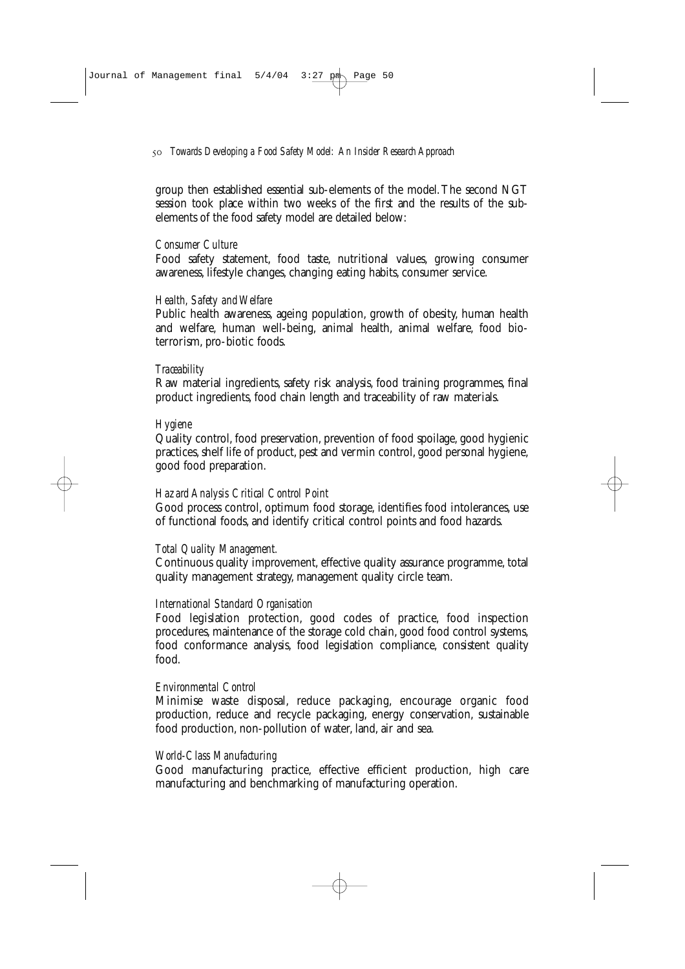group then established essential sub-elements of the model.The second NGT session took place within two weeks of the first and the results of the subelements of the food safety model are detailed below:

# *Consumer Culture*

Food safety statement, food taste, nutritional values, growing consumer awareness, lifestyle changes, changing eating habits, consumer service.

# *Health, Safety and Welfare*

Public health awareness, ageing population, growth of obesity, human health and welfare, human well-being, animal health, animal welfare, food bioterrorism, pro-biotic foods.

# *Traceability*

Raw material ingredients, safety risk analysis, food training programmes, final product ingredients, food chain length and traceability of raw materials.

# *Hygiene*

Quality control, food preservation, prevention of food spoilage, good hygienic practices, shelf life of product, pest and vermin control, good personal hygiene, good food preparation.

# *Hazard Analysis Critical Control Point*

Good process control, optimum food storage, identifies food intolerances, use of functional foods, and identify critical control points and food hazards.

# *Total Quality Management.*

Continuous quality improvement, effective quality assurance programme, total quality management strategy, management quality circle team.

# *International Standard Organisation*

Food legislation protection, good codes of practice, food inspection procedures, maintenance of the storage cold chain, good food control systems, food conformance analysis, food legislation compliance, consistent quality food.

# *Environmental Control*

Minimise waste disposal, reduce packaging, encourage organic food production, reduce and recycle packaging, energy conservation, sustainable food production, non-pollution of water, land, air and sea.

# *World-Class Manufacturing*

Good manufacturing practice, effective efficient production, high care manufacturing and benchmarking of manufacturing operation.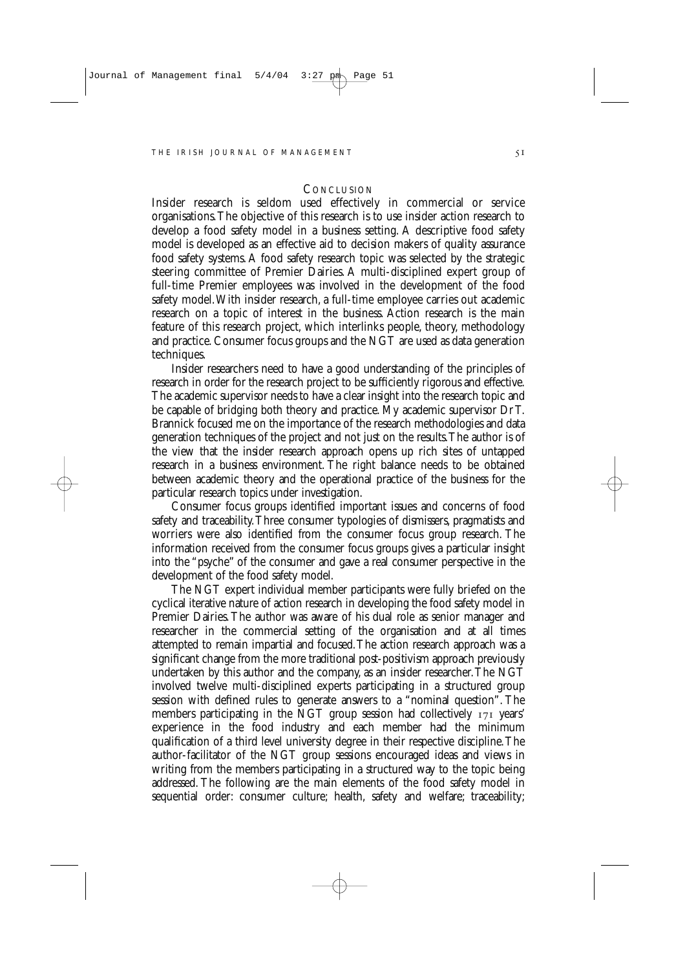### **CONCLUSION**

Insider research is seldom used effectively in commercial or service organisations.The objective of this research is to use insider action research to develop a food safety model in a business setting. A descriptive food safety model is developed as an effective aid to decision makers of quality assurance food safety systems. A food safety research topic was selected by the strategic steering committee of Premier Dairies. A multi-disciplined expert group of full-time Premier employees was involved in the development of the food safety model.With insider research, a full-time employee carries out academic research on a topic of interest in the business. Action research is the main feature of this research project, which interlinks people, theory, methodology and practice. Consumer focus groups and the NGT are used as data generation techniques.

Insider researchers need to have a good understanding of the principles of research in order for the research project to be sufficiently rigorous and effective. The academic supervisor needs to have a clear insight into the research topic and be capable of bridging both theory and practice. My academic supervisor Dr T. Brannick focused me on the importance of the research methodologies and data generation techniques of the project and not just on the results.The author is of the view that the insider research approach opens up rich sites of untapped research in a business environment. The right balance needs to be obtained between academic theory and the operational practice of the business for the particular research topics under investigation.

Consumer focus groups identified important issues and concerns of food safety and traceability.Three consumer typologies of dismissers, pragmatists and worriers were also identified from the consumer focus group research. The information received from the consumer focus groups gives a particular insight into the "psyche" of the consumer and gave a real consumer perspective in the development of the food safety model.

The NGT expert individual member participants were fully briefed on the cyclical iterative nature of action research in developing the food safety model in Premier Dairies.The author was aware of his dual role as senior manager and researcher in the commercial setting of the organisation and at all times attempted to remain impartial and focused.The action research approach was a significant change from the more traditional post-positivism approach previously undertaken by this author and the company, as an insider researcher.The NGT involved twelve multi-disciplined experts participating in a structured group session with defined rules to generate answers to a "nominal question". The members participating in the NGT group session had collectively  $_{171}$  years' experience in the food industry and each member had the minimum qualification of a third level university degree in their respective discipline.The author-facilitator of the NGT group sessions encouraged ideas and views in writing from the members participating in a structured way to the topic being addressed. The following are the main elements of the food safety model in sequential order: consumer culture; health, safety and welfare; traceability;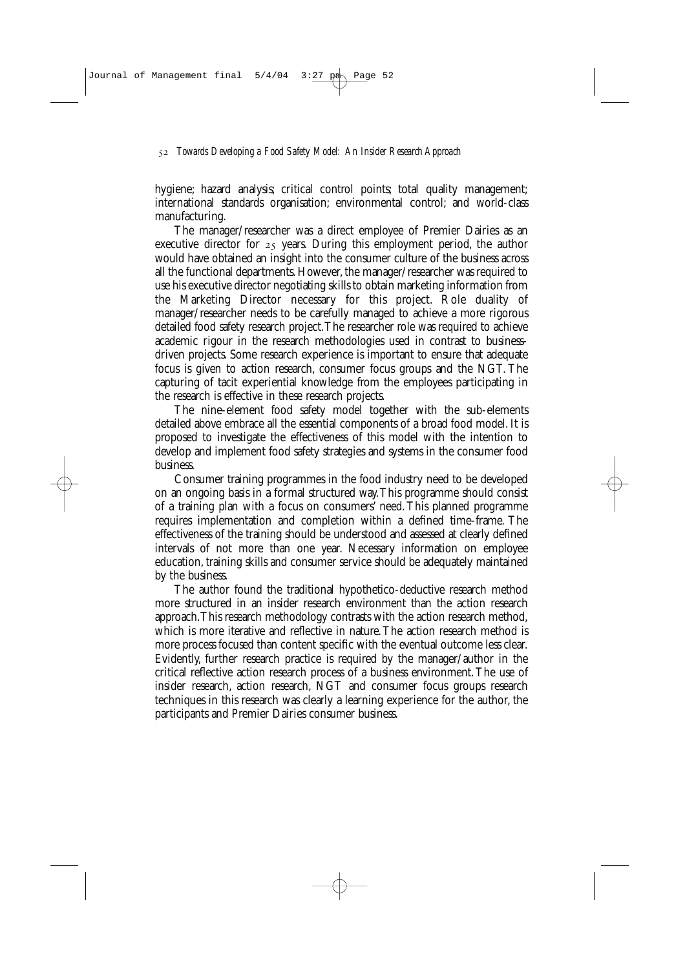hygiene; hazard analysis; critical control points; total quality management; international standards organisation; environmental control; and world-class manufacturing.

The manager/researcher was a direct employee of Premier Dairies as an executive director for  $25$  years. During this employment period, the author would have obtained an insight into the consumer culture of the business across all the functional departments. However, the manager/researcher was required to use his executive director negotiating skills to obtain marketing information from the Marketing Director necessary for this project. Role duality of manager/researcher needs to be carefully managed to achieve a more rigorous detailed food safety research project.The researcher role was required to achieve academic rigour in the research methodologies used in contrast to businessdriven projects. Some research experience is important to ensure that adequate focus is given to action research, consumer focus groups and the NGT. The capturing of tacit experiential knowledge from the employees participating in the research is effective in these research projects.

The nine-element food safety model together with the sub-elements detailed above embrace all the essential components of a broad food model. It is proposed to investigate the effectiveness of this model with the intention to develop and implement food safety strategies and systems in the consumer food business.

Consumer training programmes in the food industry need to be developed on an ongoing basis in a formal structured way.This programme should consist of a training plan with a focus on consumers' need. This planned programme requires implementation and completion within a defined time-frame. The effectiveness of the training should be understood and assessed at clearly defined intervals of not more than one year. Necessary information on employee education, training skills and consumer service should be adequately maintained by the business.

The author found the traditional hypothetico-deductive research method more structured in an insider research environment than the action research approach.This research methodology contrasts with the action research method, which is more iterative and reflective in nature.The action research method is more process focused than content specific with the eventual outcome less clear. Evidently, further research practice is required by the manager/author in the critical reflective action research process of a business environment.The use of insider research, action research, NGT and consumer focus groups research techniques in this research was clearly a learning experience for the author, the participants and Premier Dairies consumer business.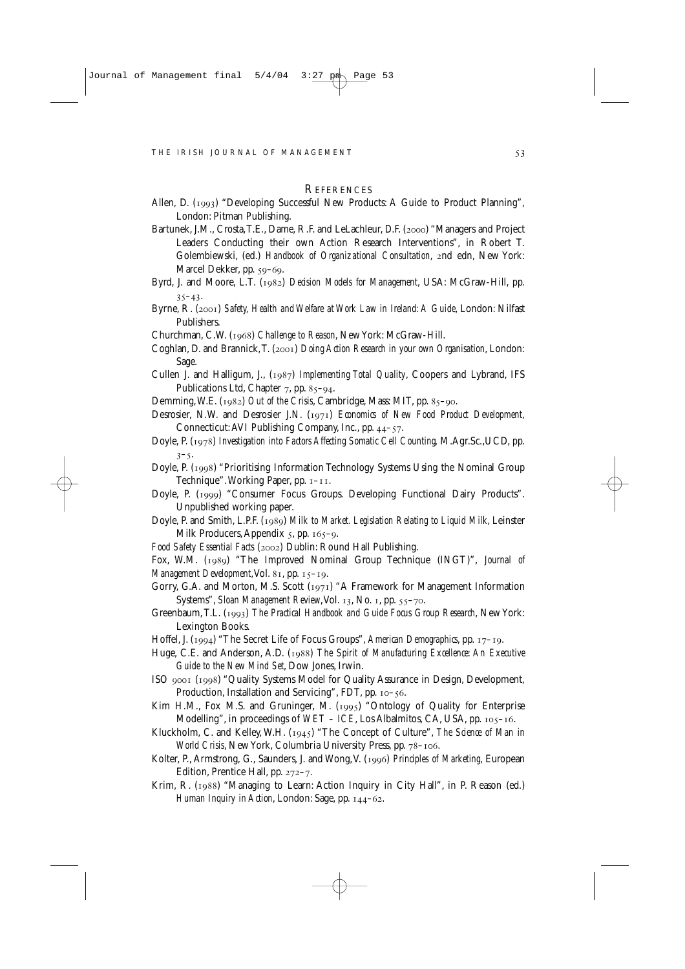#### **REFERENCES**

- Allen, D. (1993) "Developing Successful New Products: A Guide to Product Planning", London: Pitman Publishing.
- Bartunek, J.M., Crosta, T.E., Dame, R.F. and LeLachleur, D.F. (2000) "Managers and Project Leaders Conducting their own Action Research Interventions", in Robert T. Golembiewski, (ed.) *Handbook of Organizational Consultation*, 2nd edn, New York: Marcel Dekker, pp. 59-69.
- Byrd, J. and Moore, L.T. (1982) *Decision Models for Management*, USA: McGraw-Hill, pp.  $35 - 43$
- Byrne, R. () *Safety, Health and Welfare at Work Law in Ireland: A Guide*, London: Nilfast Publishers.
- Churchman, C.W. () *Challenge to Reason*, New York: McGraw-Hill.
- Coghlan, D. and Brannick, T. (2001) *Doing Action Research in your own Organisation*, London: Sage.
- Cullen J. and Halligum, J., (1987) *Implementing Total Quality*, Coopers and Lybrand, IFS Publications Ltd, Chapter  $7$ , pp.  $85-94$ .
- Demming, W.E. (1982) *Out of the Crisis*, Cambridge, Mass: MIT, pp. 85-90.
- Desrosier, N.W. and Desrosier J.N. (1971) *Economics of New Food Product Development*, Connecticut: AVI Publishing Company, Inc., pp.  $44-57$ .
- Doyle, P. () *Investigation into Factors Affecting Somatic Cell Counting,* M.Agr.Sc.,UCD, pp.  $3 - 5$ .
- Doyle, P. (1998) "Prioritising Information Technology Systems Using the Nominal Group Technique". Working Paper, pp.  $I-II$ .
- Doyle, P. (1999) "Consumer Focus Groups. Developing Functional Dairy Products". Unpublished working paper.
- Doyle, P. and Smith, L.P.F. (1989) Milk to Market. Legislation Relating to Liquid Milk, Leinster Milk Producers, Appendix  $\zeta$ , pp.  $16\zeta$ -9.
- *Food Safety Essential Facts* (2002) Dublin: Round Hall Publishing.

Fox, W.M. (1989) "The Improved Nominal Group Technique (INGT)", *Journal of Management Development*, Vol. 81, pp. 15-19.

- Gorry, G.A. and Morton, M.S. Scott  $(1971)$  "A Framework for Management Information Systems", *Sloan Management Review*, Vol. 13, No. 1, pp. 55-70.
- Greenbaum, T.L. (1993) The Practical Handbook and Guide Focus Group Research, New York: Lexington Books.
- Hoffel, J. (1994) "The Secret Life of Focus Groups", *American Demographics*, pp. 17-19.
- Huge, C.E. and Anderson, A.D. (1988) The Spirit of Manufacturing Excellence: An Executive *Guide to the New Mind Set*, Dow Jones, Irwin.
- ISO 9001 (1998) "Quality Systems Model for Quality Assurance in Design, Development, Production, Installation and Servicing", FDT, pp.  $10 - 56$ .
- Kim H.M., Fox M.S. and Gruninger, M.  $(1995)$  "Ontology of Quality for Enterprise Modelling", in proceedings of *WET – ICE*, Los Albalmitos, CA, USA, pp. 105-16.
- Kluckholm, C. and Kelley, W.H. (1945) "The Concept of Culture", *The Science of Man in World Crisis*, New York, Columbria University Press, pp. 78-106.
- Kolter, P., Armstrong, G., Saunders, J. and Wong, V. (1996) Principles of Marketing, European Edition, Prentice Hall, pp.  $272-7$ .
- Krim, R. (1988) "Managing to Learn: Action Inquiry in City Hall", in P. Reason (ed.) *Human Inquiry in Action*, London: Sage, pp.  $144-62$ .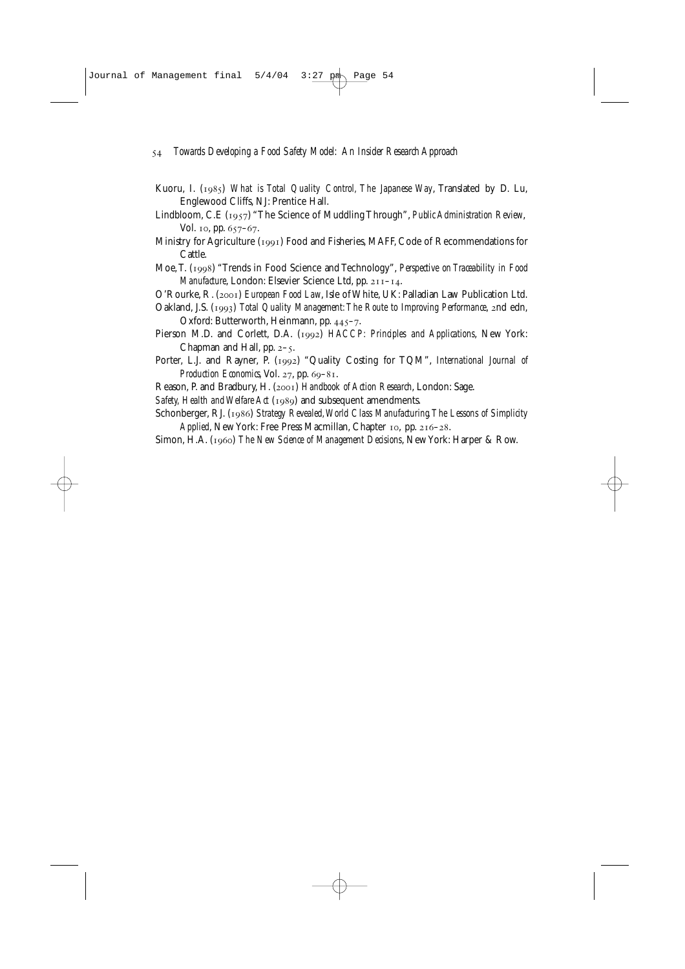- Kuoru, I. () *What is Total Quality Control, The Japanese Way*, Translated by D. Lu, Englewood Cliffs, NJ: Prentice Hall.
- Lindbloom, C.E (1957) "The Science of Muddling Through", *Public Administration Review*, Vol. 10, pp.  $657-67$ .
- Ministry for Agriculture (1991) Food and Fisheries, MAFF, Code of Recommendations for Cattle.
- Moe,T. () "Trends in Food Science and Technology", *Perspective on Traceability in Food Manufacture*, London: Elsevier Science Ltd, pp. 211-14.
- O'Rourke, R. (2001) *European Food Law*, Isle of White, UK: Palladian Law Publication Ltd.
- Oakland, J.S. (1993) *Total Quality Management: The Route to Improving Performance*, 2nd edn, Oxford: Butterworth, Heinmann, pp. 445-7.
- Pierson M.D. and Corlett, D.A. (1992) *HACCP: Principles and Applications*, New York: Chapman and Hall, pp.  $2-\xi$ .
- Porter, L.J. and Rayner, P. (1992) "Quality Costing for TQM", *International Journal of Production Economics, Vol. 27, pp. 69-81.*

Reason, P. and Bradbury, H. (2001) Handbook of Action Research, London: Sage.

*Safety, Health and Welfare Act* (1989) and subsequent amendments.

- Schonberger, RJ. (1986) *Strategy Revealed, World Class Manufacturing. The Lessons of Simplicity* Applied, New York: Free Press Macmillan, Chapter 10, pp. 216-28.
- Simon, H.A. (1960) The New Science of Management Decisions, New York: Harper & Row.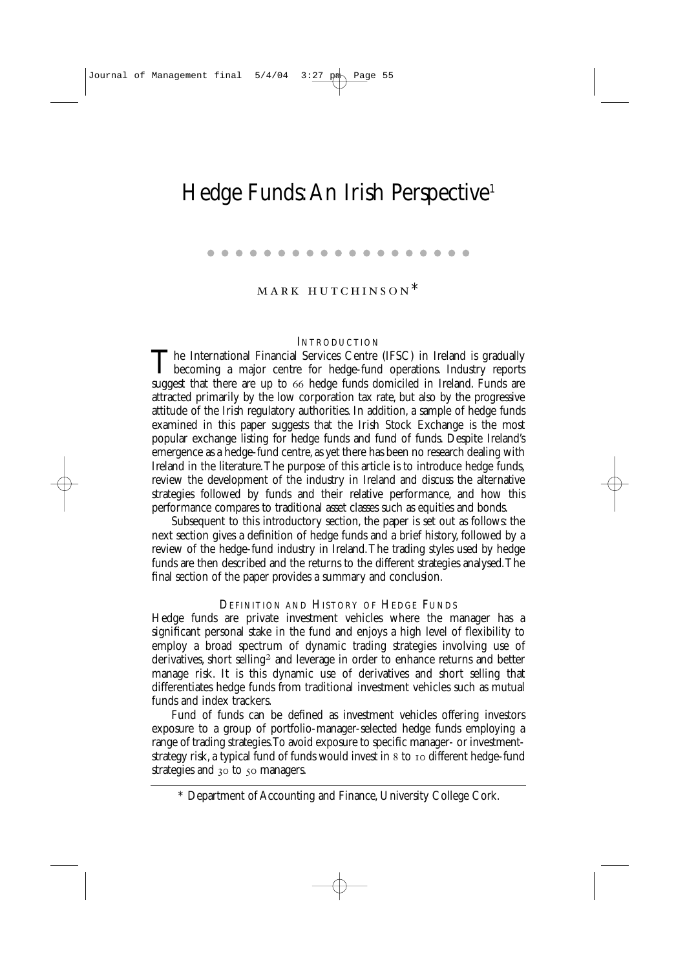# Hedge Funds: An Irish Perspective<sup>1</sup>

. . . . . . . . . .

# MARK HUTCHINSON<sup>\*</sup>

### INTRODUCTION

The International Financial Services Centre (IFSC) in Ireland is gradually becoming a major centre for hedge-fund operations. Industry reports suggest that there are up to 66 hedge funds domiciled in Ireland. Funds are attracted primarily by the low corporation tax rate, but also by the progressive attitude of the Irish regulatory authorities. In addition, a sample of hedge funds examined in this paper suggests that the Irish Stock Exchange is the most popular exchange listing for hedge funds and fund of funds. Despite Ireland's emergence as a hedge-fund centre, as yet there has been no research dealing with Ireland in the literature.The purpose of this article is to introduce hedge funds, review the development of the industry in Ireland and discuss the alternative strategies followed by funds and their relative performance, and how this performance compares to traditional asset classes such as equities and bonds.

Subsequent to this introductory section, the paper is set out as follows: the next section gives a definition of hedge funds and a brief history, followed by a review of the hedge-fund industry in Ireland.The trading styles used by hedge funds are then described and the returns to the different strategies analysed.The final section of the paper provides a summary and conclusion.

### DEFINITION AND HISTORY OF HEDGE FUNDS

Hedge funds are private investment vehicles where the manager has a significant personal stake in the fund and enjoys a high level of flexibility to employ a broad spectrum of dynamic trading strategies involving use of derivatives, short selling<sup>2</sup> and leverage in order to enhance returns and better manage risk. It is this dynamic use of derivatives and short selling that differentiates hedge funds from traditional investment vehicles such as mutual funds and index trackers.

Fund of funds can be defined as investment vehicles offering investors exposure to a group of portfolio-manager-selected hedge funds employing a range of trading strategies.To avoid exposure to specific manager- or investmentstrategy risk, a typical fund of funds would invest in  $8$  to  $I_0$  of different hedge-fund strategies and  $30$  to  $50$  managers.

<sup>\*</sup> Department of Accounting and Finance, University College Cork.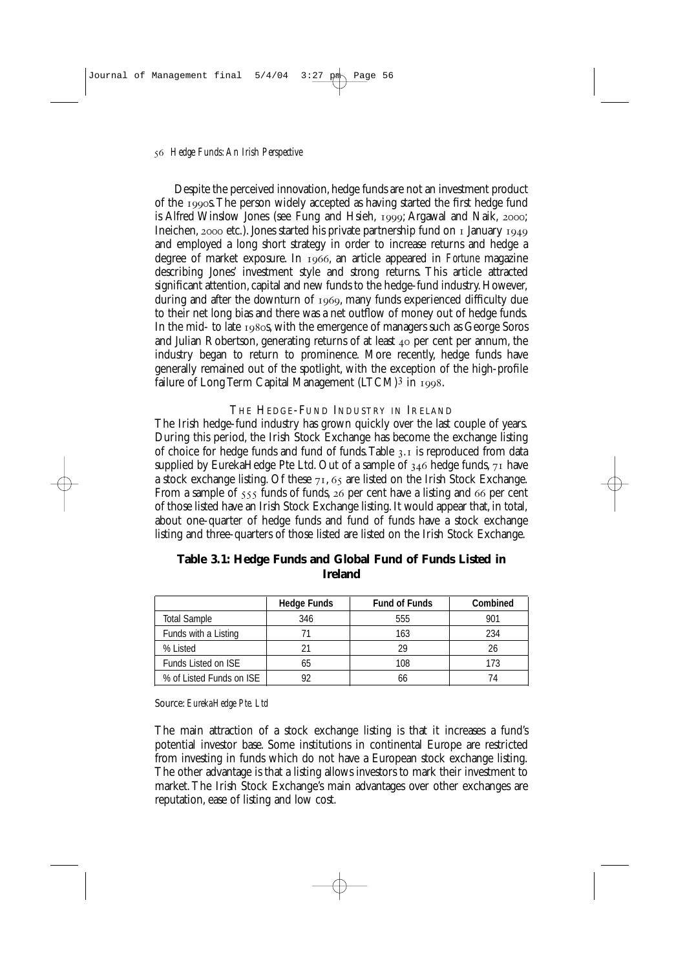Despite the perceived innovation, hedge funds are not an investment product of the 1990s. The person widely accepted as having started the first hedge fund is Alfred Winslow Jones (see Fung and Hsieh, 1999; Argawal and Naik, 2000; Ineichen, 2000 etc.). Jones started his private partnership fund on  $\scriptstyle\rm I$  January 1949 and employed a long short strategy in order to increase returns and hedge a degree of market exposure. In 1966, an article appeared in *Fortune* magazine describing Jones' investment style and strong returns. This article attracted significant attention, capital and new funds to the hedge-fund industry. However, during and after the downturn of  $1969$ , many funds experienced difficulty due to their net long bias and there was a net outflow of money out of hedge funds. In the mid- to late 1980s, with the emergence of managers such as George Soros and Julian Robertson, generating returns of at least  $40$  per cent per annum, the industry began to return to prominence. More recently, hedge funds have generally remained out of the spotlight, with the exception of the high-profile failure of Long Term Capital Management (LTCM)<sup>3</sup> in 1998.

# THE HEDGE-FUND INDUSTRY IN IRELAND

The Irish hedge-fund industry has grown quickly over the last couple of years. During this period, the Irish Stock Exchange has become the exchange listing of choice for hedge funds and fund of funds. Table  $3.1$  is reproduced from data supplied by EurekaHedge Pte Ltd. Out of a sample of  $346$  hedge funds,  $71$  have a stock exchange listing. Of these  $71, 65$  are listed on the Irish Stock Exchange. From a sample of  $\frac{1}{555}$  funds of funds,  $\frac{1}{26}$  per cent have a listing and  $\frac{1}{66}$  per cent of those listed have an Irish Stock Exchange listing.It would appear that,in total, about one-quarter of hedge funds and fund of funds have a stock exchange listing and three-quarters of those listed are listed on the Irish Stock Exchange.

|                          | <b>Hedge Funds</b> | <b>Fund of Funds</b> | Combined |
|--------------------------|--------------------|----------------------|----------|
| <b>Total Sample</b>      | 346                | 555                  | 901      |
| Funds with a Listing     | 71                 | 163                  | 234      |
| % Listed                 | 21                 | 29                   | 26       |
| Funds Listed on ISE      | 65                 | 108                  | 173      |
| % of Listed Funds on ISE | 92                 | 66                   |          |

**Table 3.1: Hedge Funds and Global Fund of Funds Listed in Ireland**

Source: *EurekaHedge Pte. Ltd*

The main attraction of a stock exchange listing is that it increases a fund's potential investor base. Some institutions in continental Europe are restricted from investing in funds which do not have a European stock exchange listing. The other advantage is that a listing allows investors to mark their investment to market.The Irish Stock Exchange's main advantages over other exchanges are reputation, ease of listing and low cost.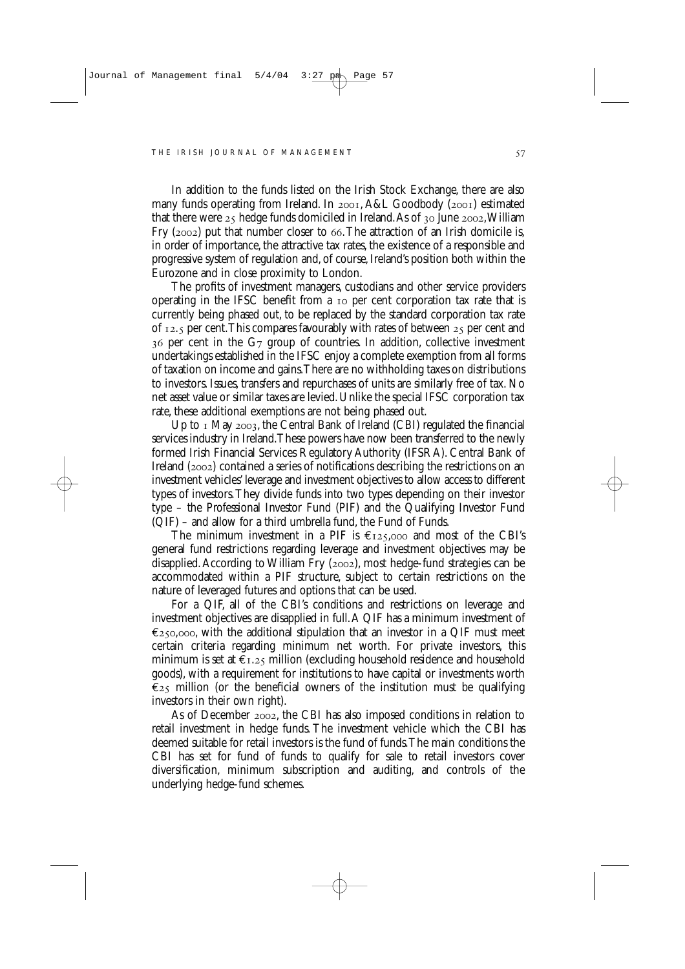In addition to the funds listed on the Irish Stock Exchange, there are also many funds operating from Ireland. In  $200I$ , A&L Goodbody ( $200I$ ) estimated that there were  $25$  hedge funds domiciled in Ireland. As of  $30$  June  $2002$ , William Fry  $(2002)$  put that number closer to 66. The attraction of an Irish domicile is, in order of importance, the attractive tax rates, the existence of a responsible and progressive system of regulation and, of course, Ireland's position both within the Eurozone and in close proximity to London.

The profits of investment managers, custodians and other service providers operating in the IFSC benefit from a 10 per cent corporation tax rate that is currently being phased out, to be replaced by the standard corporation tax rate of  $12.5$  per cent. This compares favourably with rates of between  $25$  per cent and  $36$  per cent in the  $G<sub>7</sub>$  group of countries. In addition, collective investment undertakings established in the IFSC enjoy a complete exemption from all forms of taxation on income and gains.There are no withholding taxes on distributions to investors. Issues, transfers and repurchases of units are similarly free of tax. No net asset value or similar taxes are levied.Unlike the special IFSC corporation tax rate, these additional exemptions are not being phased out.

Up to  $I$  May 2003, the Central Bank of Ireland (CBI) regulated the financial services industry in Ireland.These powers have now been transferred to the newly formed Irish Financial Services Regulatory Authority (IFSRA). Central Bank of Ireland  $(2002)$  contained a series of notifications describing the restrictions on an investment vehicles'leverage and investment objectives to allow access to different types of investors.They divide funds into two types depending on their investor type – the Professional Investor Fund (PIF) and the Qualifying Investor Fund (QIF) – and allow for a third umbrella fund, the Fund of Funds.

The minimum investment in a PIF is  $\epsilon_{125,000}$  and most of the CBI's general fund restrictions regarding leverage and investment objectives may be disapplied. According to William Fry (2002), most hedge-fund strategies can be accommodated within a PIF structure, subject to certain restrictions on the nature of leveraged futures and options that can be used.

For a QIF, all of the CBI's conditions and restrictions on leverage and investment objectives are disapplied in full.A QIF has a minimum investment of  $\epsilon$ 250,000, with the additional stipulation that an investor in a QIF must meet certain criteria regarding minimum net worth. For private investors, this minimum is set at  $\epsilon_{1,25}$  million (excluding household residence and household goods), with a requirement for institutions to have capital or investments worth  $\epsilon_{25}$  million (or the beneficial owners of the institution must be qualifying investors in their own right).

As of December 2002, the CBI has also imposed conditions in relation to retail investment in hedge funds. The investment vehicle which the CBI has deemed suitable for retail investors is the fund of funds.The main conditions the CBI has set for fund of funds to qualify for sale to retail investors cover diversification, minimum subscription and auditing, and controls of the underlying hedge-fund schemes.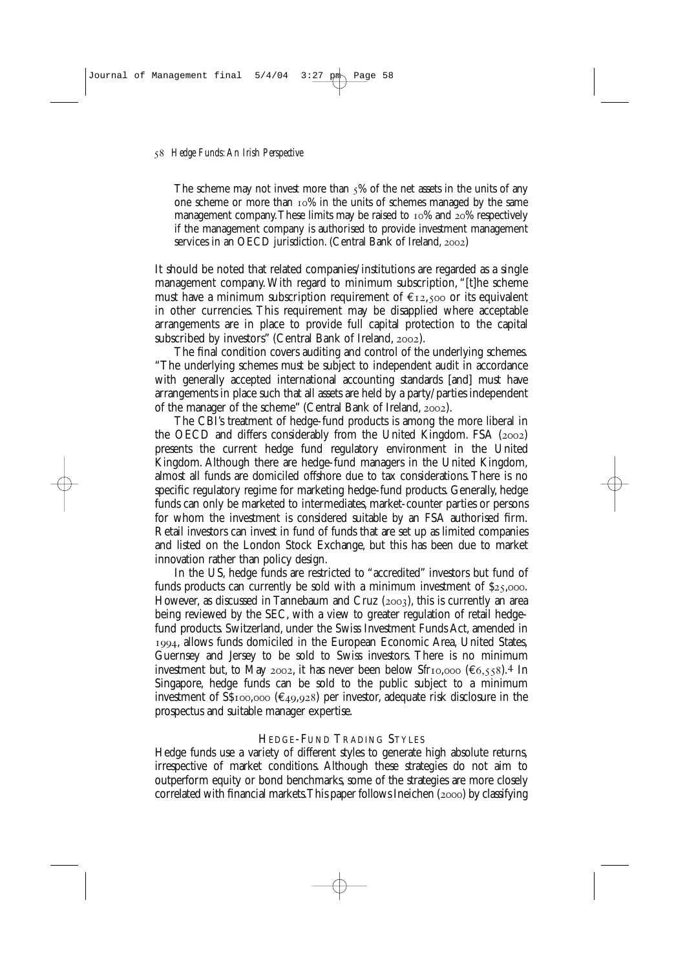The scheme may not invest more than  $\frac{1}{2}$  of the net assets in the units of any one scheme or more than  $10\%$  in the units of schemes managed by the same management company. These limits may be raised to  $10\%$  and  $20\%$  respectively if the management company is authorised to provide investment management services in an OECD jurisdiction. (Central Bank of Ireland, 2002)

It should be noted that related companies/institutions are regarded as a single management company. With regard to minimum subscription, "[t]he scheme must have a minimum subscription requirement of  $\epsilon_{12,500}$  or its equivalent in other currencies. This requirement may be disapplied where acceptable arrangements are in place to provide full capital protection to the capital subscribed by investors" (Central Bank of Ireland, 2002).

The final condition covers auditing and control of the underlying schemes. "The underlying schemes must be subject to independent audit in accordance with generally accepted international accounting standards [and] must have arrangements in place such that all assets are held by a party/parties independent of the manager of the scheme" (Central Bank of Ireland, 2002).

The CBI's treatment of hedge-fund products is among the more liberal in the OECD and differs considerably from the United Kingdom. FSA  $(2002)$ presents the current hedge fund regulatory environment in the United Kingdom. Although there are hedge-fund managers in the United Kingdom, almost all funds are domiciled offshore due to tax considerations. There is no specific regulatory regime for marketing hedge-fund products. Generally, hedge funds can only be marketed to intermediates, market-counter parties or persons for whom the investment is considered suitable by an FSA authorised firm. Retail investors can invest in fund of funds that are set up as limited companies and listed on the London Stock Exchange, but this has been due to market innovation rather than policy design.

In the US, hedge funds are restricted to "accredited" investors but fund of funds products can currently be sold with a minimum investment of  $\S_2$ 5,000. However, as discussed in Tannebaum and Cruz  $(2003)$ , this is currently an area being reviewed by the SEC, with a view to greater regulation of retail hedgefund products. Switzerland, under the Swiss Investment Funds Act, amended in , allows funds domiciled in the European Economic Area, United States, Guernsey and Jersey to be sold to Swiss investors. There is no minimum investment but, to May 2002, it has never been below  $Sf_{10,000}$  ( $\epsilon_{6,558}$ ). In Singapore, hedge funds can be sold to the public subject to a minimum investment of  $S\$ <sub>100</sub>,000 ( $\epsilon$ <sub>49</sub>,928) per investor, adequate risk disclosure in the prospectus and suitable manager expertise.

### HEDGE-FUND TRADING STYLES

Hedge funds use a variety of different styles to generate high absolute returns, irrespective of market conditions. Although these strategies do not aim to outperform equity or bond benchmarks, some of the strategies are more closely correlated with financial markets. This paper follows Ineichen (2000) by classifying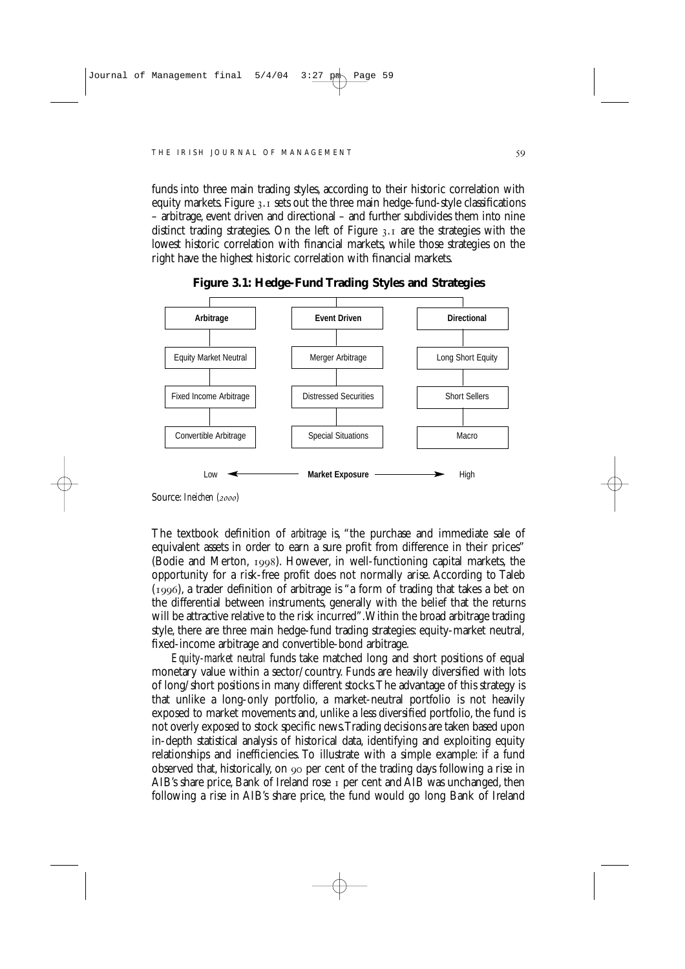funds into three main trading styles, according to their historic correlation with equity markets. Figure  $3.1$  sets out the three main hedge-fund-style classifications – arbitrage, event driven and directional – and further subdivides them into nine distinct trading strategies. On the left of Figure  $3.1$  are the strategies with the lowest historic correlation with financial markets, while those strategies on the right have the highest historic correlation with financial markets.



**Figure 3.1: Hedge-Fund Trading Styles and Strategies**

Source: *Ineichen* (*2000*)

The textbook definition of *arbitrage* is, "the purchase and immediate sale of equivalent assets in order to earn a sure profit from difference in their prices" (Bodie and Merton, 1998). However, in well-functioning capital markets, the opportunity for a risk-free profit does not normally arise. According to Taleb  $(1996)$ , a trader definition of arbitrage is "a form of trading that takes a bet on the differential between instruments, generally with the belief that the returns will be attractive relative to the risk incurred".Within the broad arbitrage trading style, there are three main hedge-fund trading strategies: equity-market neutral, fixed-income arbitrage and convertible-bond arbitrage.

*Equity-market neutral* funds take matched long and short positions of equal monetary value within a sector/country. Funds are heavily diversified with lots of long/short positions in many different stocks.The advantage of this strategy is that unlike a long-only portfolio, a market-neutral portfolio is not heavily exposed to market movements and, unlike a less diversified portfolio, the fund is not overly exposed to stock specific news.Trading decisions are taken based upon in-depth statistical analysis of historical data, identifying and exploiting equity relationships and inefficiencies. To illustrate with a simple example: if a fund observed that, historically, on 90 per cent of the trading days following a rise in AIB's share price, Bank of Ireland rose  $I$  per cent and AIB was unchanged, then following a rise in AIB's share price, the fund would go long Bank of Ireland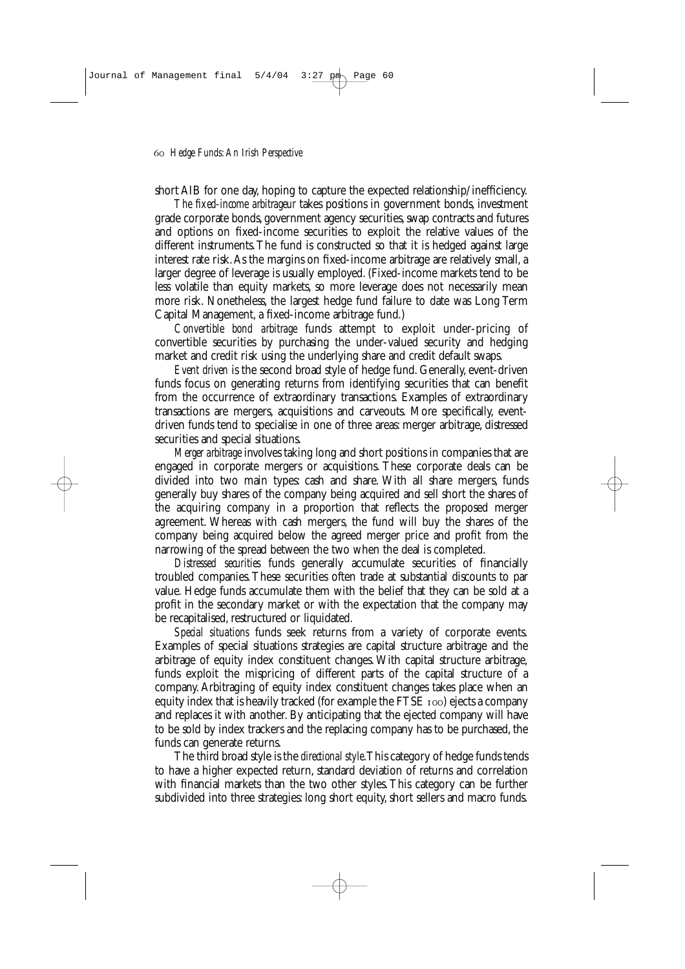short AIB for one day, hoping to capture the expected relationship/inefficiency.

*The fixed-income arbitrageur* takes positions in government bonds, investment grade corporate bonds, government agency securities, swap contracts and futures and options on fixed-income securities to exploit the relative values of the different instruments.The fund is constructed so that it is hedged against large interest rate risk.As the margins on fixed-income arbitrage are relatively small, a larger degree of leverage is usually employed. (Fixed-income markets tend to be less volatile than equity markets, so more leverage does not necessarily mean more risk. Nonetheless, the largest hedge fund failure to date was Long Term Capital Management, a fixed-income arbitrage fund.)

*Convertible bond arbitrage* funds attempt to exploit under-pricing of convertible securities by purchasing the under-valued security and hedging market and credit risk using the underlying share and credit default swaps.

*Event driven* is the second broad style of hedge fund. Generally, event-driven funds focus on generating returns from identifying securities that can benefit from the occurrence of extraordinary transactions. Examples of extraordinary transactions are mergers, acquisitions and carveouts. More specifically, eventdriven funds tend to specialise in one of three areas: merger arbitrage, distressed securities and special situations.

*Merger arbitrage* involves taking long and short positions in companies that are engaged in corporate mergers or acquisitions. These corporate deals can be divided into two main types: cash and share. With all share mergers, funds generally buy shares of the company being acquired and sell short the shares of the acquiring company in a proportion that reflects the proposed merger agreement. Whereas with cash mergers, the fund will buy the shares of the company being acquired below the agreed merger price and profit from the narrowing of the spread between the two when the deal is completed.

*Distressed securities* funds generally accumulate securities of financially troubled companies.These securities often trade at substantial discounts to par value. Hedge funds accumulate them with the belief that they can be sold at a profit in the secondary market or with the expectation that the company may be recapitalised, restructured or liquidated.

*Special situations* funds seek returns from a variety of corporate events. Examples of special situations strategies are capital structure arbitrage and the arbitrage of equity index constituent changes. With capital structure arbitrage, funds exploit the mispricing of different parts of the capital structure of a company. Arbitraging of equity index constituent changes takes place when an equity index that is heavily tracked (for example the FTSE  $_{100}$ ) ejects a company and replaces it with another. By anticipating that the ejected company will have to be sold by index trackers and the replacing company has to be purchased, the funds can generate returns.

The third broad style is the *directional style*.This category of hedge funds tends to have a higher expected return, standard deviation of returns and correlation with financial markets than the two other styles. This category can be further subdivided into three strategies: long short equity, short sellers and macro funds.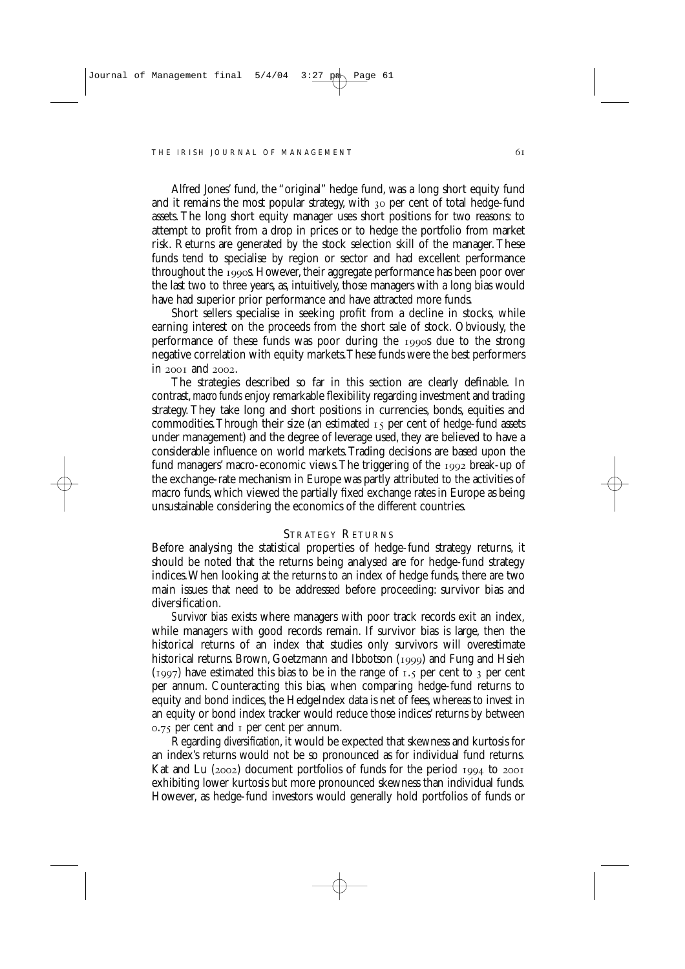Alfred Jones' fund, the "original" hedge fund, was a long short equity fund and it remains the most popular strategy, with  $30$  per cent of total hedge-fund assets. The long short equity manager uses short positions for two reasons: to attempt to profit from a drop in prices or to hedge the portfolio from market risk. Returns are generated by the stock selection skill of the manager. These funds tend to specialise by region or sector and had excellent performance throughout the 1990s. However, their aggregate performance has been poor over the last two to three years, as, intuitively, those managers with a long bias would have had superior prior performance and have attracted more funds.

Short sellers specialise in seeking profit from a decline in stocks, while earning interest on the proceeds from the short sale of stock. Obviously, the performance of these funds was poor during the  $19900$  due to the strong negative correlation with equity markets.These funds were the best performers in  $2001$  and  $2002$ .

The strategies described so far in this section are clearly definable. In contrast,*macro funds* enjoy remarkable flexibility regarding investment and trading strategy. They take long and short positions in currencies, bonds, equities and commodities. Through their size (an estimated  $I_5$  per cent of hedge-fund assets under management) and the degree of leverage used, they are believed to have a considerable influence on world markets.Trading decisions are based upon the fund managers' macro-economic views. The triggering of the  $1992$  break-up of the exchange-rate mechanism in Europe was partly attributed to the activities of macro funds, which viewed the partially fixed exchange rates in Europe as being unsustainable considering the economics of the different countries.

### STRATEGY RETURNS

Before analysing the statistical properties of hedge-fund strategy returns, it should be noted that the returns being analysed are for hedge-fund strategy indices.When looking at the returns to an index of hedge funds, there are two main issues that need to be addressed before proceeding: survivor bias and diversification.

*Survivor bias* exists where managers with poor track records exit an index, while managers with good records remain. If survivor bias is large, then the historical returns of an index that studies only survivors will overestimate historical returns. Brown, Goetzmann and Ibbotson  $(1999)$  and Fung and Hsieh ( $1997$ ) have estimated this bias to be in the range of  $1.5$  per cent to  $3$  per cent per annum. Counteracting this bias, when comparing hedge-fund returns to equity and bond indices, the HedgeIndex data is net of fees, whereas to invest in an equity or bond index tracker would reduce those indices'returns by between  $0.75$  per cent and  $\bar{1}$  per cent per annum.

Regarding *diversification*, it would be expected that skewness and kurtosis for an index's returns would not be so pronounced as for individual fund returns. Kat and Lu  $(2002)$  document portfolios of funds for the period  $1994$  to  $2001$ exhibiting lower kurtosis but more pronounced skewness than individual funds. However, as hedge-fund investors would generally hold portfolios of funds or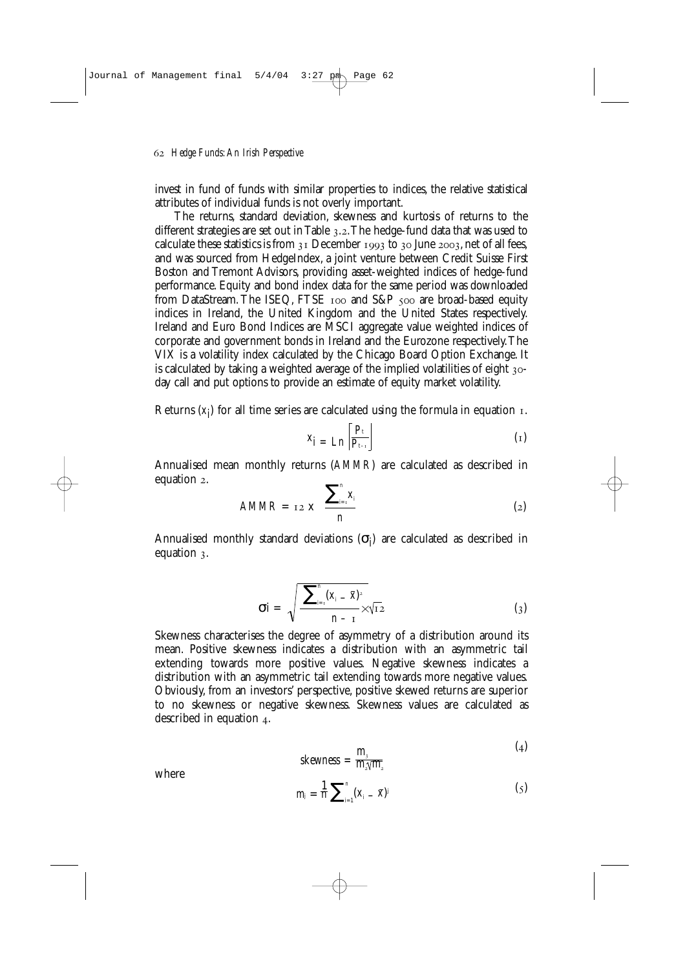invest in fund of funds with similar properties to indices, the relative statistical attributes of individual funds is not overly important.

The returns, standard deviation, skewness and kurtosis of returns to the different strategies are set out in Table  $3.2$ . The hedge-fund data that was used to calculate these statistics is from  $3I$  December  $1993$  to  $30$  June  $2003$ , net of all fees, and was sourced from HedgeIndex, a joint venture between Credit Suisse First Boston and Tremont Advisors, providing asset-weighted indices of hedge-fund performance. Equity and bond index data for the same period was downloaded from DataStream. The ISEQ, FTSE  $100$  and S&P  $500$  are broad-based equity indices in Ireland, the United Kingdom and the United States respectively. Ireland and Euro Bond Indices are MSCI aggregate value weighted indices of corporate and government bonds in Ireland and the Eurozone respectively.The VIX is a volatility index calculated by the Chicago Board Option Exchange. It is calculated by taking a weighted average of the implied volatilities of eight 30day call and put options to provide an estimate of equity market volatility.

Returns  $(x_j)$  for all time series are calculated using the formula in equation  $\tau$ .

$$
X_{\mathbf{i}} = Ln \left| \frac{P_t}{P_{t-1}} \right| \tag{1}
$$

Annualised mean monthly returns (*AMMR*) are calculated as described in equation 2.

$$
AMMR = 12 \times \frac{\sum_{i=1}^{n} X_i}{n}
$$
 (2)

Annualised monthly standard deviations  $(\sigma_j)$  are calculated as described in equation 3.

$$
\sigma i = \sqrt{\frac{\sum_{i=1}^{n} (X_i - \bar{X})^2}{n-1}} \times \sqrt{12}
$$
 (3)

Skewness characterises the degree of asymmetry of a distribution around its mean. Positive skewness indicates a distribution with an asymmetric tail extending towards more positive values. Negative skewness indicates a distribution with an asymmetric tail extending towards more negative values. Obviously, from an investors' perspective, positive skewed returns are superior to no skewness or negative skewness. Skewness values are calculated as described in equation 4.

$$
skewness = \frac{m_s}{m_s \sqrt{m_s}} \tag{4}
$$

 $\lambda$ 

where

$$
m_j = \frac{1}{n} \sum_{i=1}^n (x_i - \bar{x})^j
$$
 (5)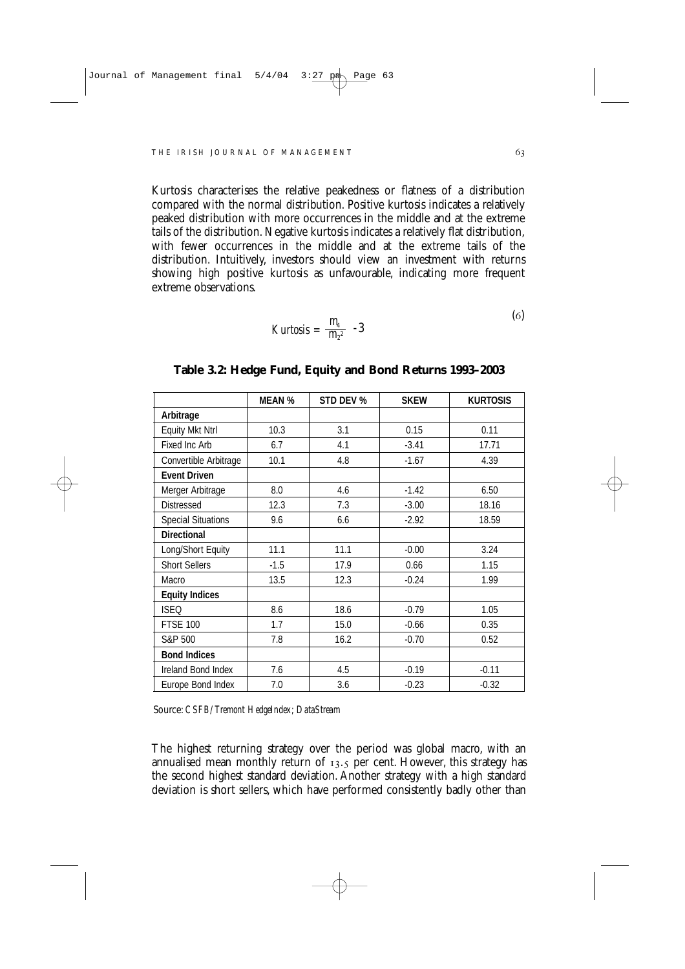Kurtosis characterises the relative peakedness or flatness of a distribution compared with the normal distribution. Positive kurtosis indicates a relatively peaked distribution with more occurrences in the middle and at the extreme tails of the distribution. Negative kurtosis indicates a relatively flat distribution, with fewer occurrences in the middle and at the extreme tails of the distribution. Intuitively, investors should view an investment with returns showing high positive kurtosis as unfavourable, indicating more frequent extreme observations.

Kurtosis = 
$$
\frac{m_1}{m_2^2}
$$
 -3

|                           | <b>MEAN %</b> | STD DEV % | <b>SKEW</b> | <b>KURTOSIS</b> |
|---------------------------|---------------|-----------|-------------|-----------------|
| Arbitrage                 |               |           |             |                 |
| <b>Equity Mkt Ntrl</b>    | 10.3          | 3.1       | 0.15        | 0.11            |
| Fixed Inc Arb             | 6.7           | 4.1       | $-3.41$     | 17.71           |
| Convertible Arbitrage     | 10.1          | 4.8       | $-1.67$     | 4.39            |
| <b>Event Driven</b>       |               |           |             |                 |
| Merger Arbitrage          | 8.0           | 4.6       | $-1.42$     | 6.50            |
| <b>Distressed</b>         | 12.3          | 7.3       | $-3.00$     | 18.16           |
| <b>Special Situations</b> | 9.6           | 6.6       | $-2.92$     | 18.59           |
| <b>Directional</b>        |               |           |             |                 |
| Long/Short Equity         | 11.1          | 11.1      | $-0.00$     | 3.24            |
| <b>Short Sellers</b>      | $-1.5$        | 17.9      | 0.66        | 1.15            |
| Macro                     | 13.5          | 12.3      | $-0.24$     | 1.99            |
| <b>Equity Indices</b>     |               |           |             |                 |
| <b>ISEQ</b>               | 8.6           | 18.6      | $-0.79$     | 1.05            |
| <b>FTSE 100</b>           | 1.7           | 15.0      | $-0.66$     | 0.35            |
| S&P 500                   | 7.8           | 16.2      | $-0.70$     | 0.52            |
| <b>Bond Indices</b>       |               |           |             |                 |
| Ireland Bond Index        | 7.6           | 4.5       | $-0.19$     | $-0.11$         |
| Europe Bond Index         | 7.0           | 3.6       | $-0.23$     | $-0.32$         |

**Table 3.2: Hedge Fund, Equity and Bond Returns 1993–2003**

Source: *CSFB/Tremont HedgeIndex; DataStream*

The highest returning strategy over the period was global macro, with an annualised mean monthly return of  $13.5$  per cent. However, this strategy has the second highest standard deviation. Another strategy with a high standard deviation is short sellers, which have performed consistently badly other than

 $\sqrt{)}$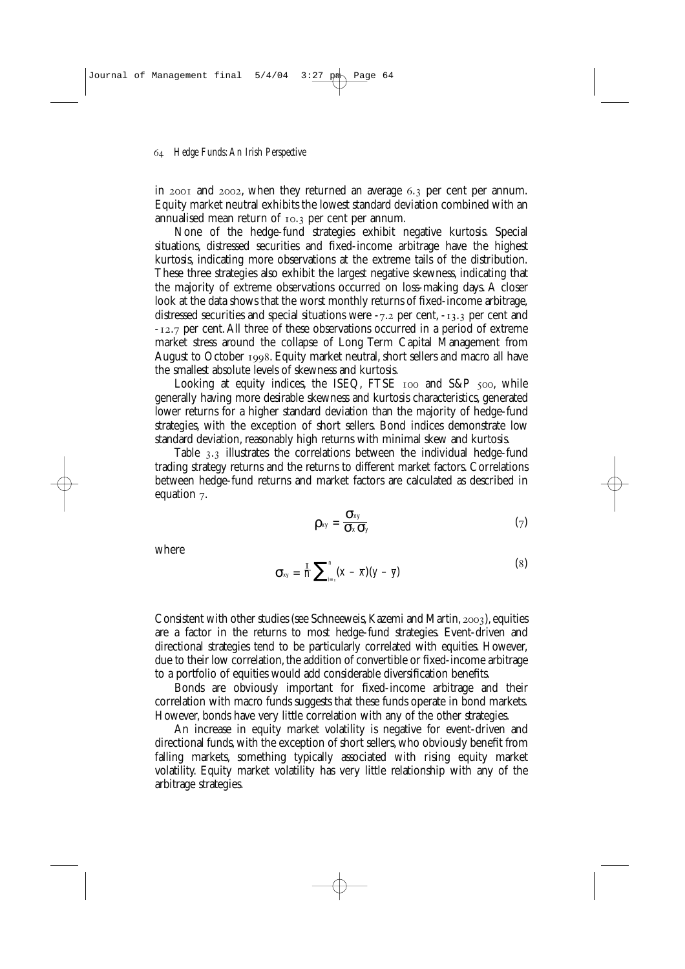in  $2001$  and  $2002$ , when they returned an average 6.3 per cent per annum. Equity market neutral exhibits the lowest standard deviation combined with an annualised mean return of  $10.3$  per cent per annum.

None of the hedge-fund strategies exhibit negative kurtosis. Special situations, distressed securities and fixed-income arbitrage have the highest kurtosis, indicating more observations at the extreme tails of the distribution. These three strategies also exhibit the largest negative skewness, indicating that the majority of extreme observations occurred on loss-making days. A closer look at the data shows that the worst monthly returns of fixed-income arbitrage, distressed securities and special situations were  $-7.2$  per cent,  $-13.3$  per cent and -. per cent. All three of these observations occurred in a period of extreme market stress around the collapse of Long Term Capital Management from August to October 1998. Equity market neutral, short sellers and macro all have the smallest absolute levels of skewness and kurtosis.

Looking at equity indices, the ISEQ,  $FTSE$  too and  $S\&P$  soo, while generally having more desirable skewness and kurtosis characteristics, generated lower returns for a higher standard deviation than the majority of hedge-fund strategies, with the exception of short sellers. Bond indices demonstrate low standard deviation, reasonably high returns with minimal skew and kurtosis.

Table  $3.3$  illustrates the correlations between the individual hedge-fund trading strategy returns and the returns to different market factors. Correlations between hedge-fund returns and market factors are calculated as described in equation 7.

$$
\rho_{xy} = \frac{\sigma_{xy}}{\sigma_x \sigma_y} \tag{7}
$$

where

$$
\sigma_{xy} = \frac{1}{\pi} \sum_{i=1}^{n} (x - \bar{x})(y - \bar{y})
$$
\n(8)

Consistent with other studies (see Schneeweis, Kazemi and Martin, 2003), equities are a factor in the returns to most hedge-fund strategies. Event-driven and directional strategies tend to be particularly correlated with equities. However, due to their low correlation, the addition of convertible or fixed-income arbitrage to a portfolio of equities would add considerable diversification benefits.

Bonds are obviously important for fixed-income arbitrage and their correlation with macro funds suggests that these funds operate in bond markets. However, bonds have very little correlation with any of the other strategies.

An increase in equity market volatility is negative for event-driven and directional funds, with the exception of short sellers, who obviously benefit from falling markets, something typically associated with rising equity market volatility. Equity market volatility has very little relationship with any of the arbitrage strategies.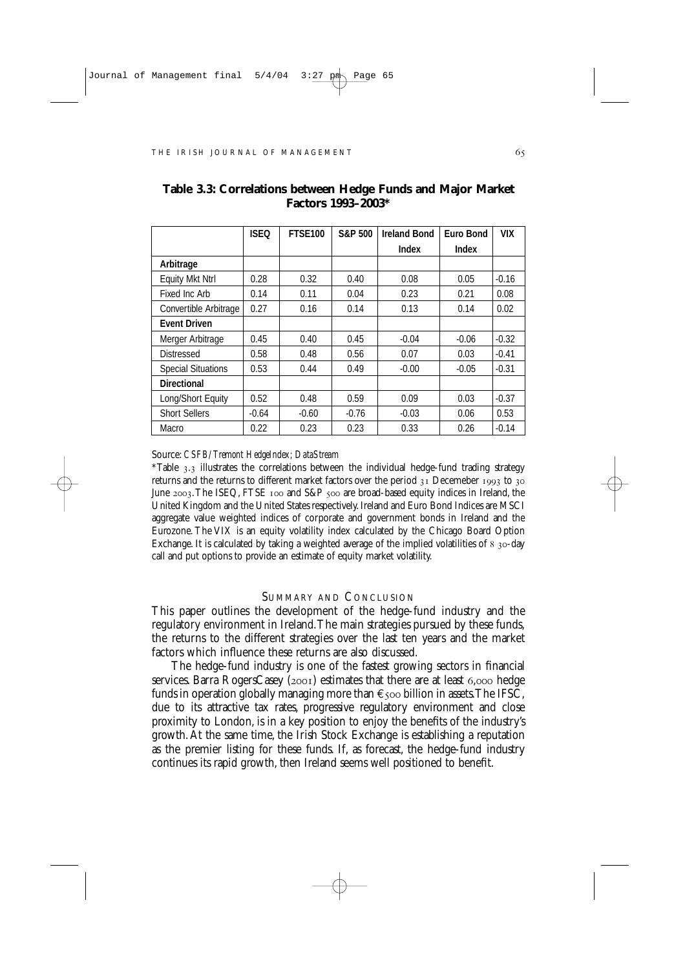|                           | <b>ISFO</b> | <b>FTSF100</b> | <b>S&amp;P 500</b> | <b>Ireland Bond</b> | <b>Euro Bond</b> | <b>VIX</b> |
|---------------------------|-------------|----------------|--------------------|---------------------|------------------|------------|
|                           |             |                |                    | <b>Index</b>        | <b>Index</b>     |            |
| Arbitrage                 |             |                |                    |                     |                  |            |
| <b>Equity Mkt Ntrl</b>    | 0.28        | 0.32           | 0.40               | 0.08                | 0.05             | $-0.16$    |
| Fixed Inc. Arb            | 0.14        | 0.11           | 0.04               | 0.23                | 0.21             | 0.08       |
| Convertible Arbitrage     | 0.27        | 0.16           | 0.14               | 0.13                | 0.14             | 0.02       |
| <b>Event Driven</b>       |             |                |                    |                     |                  |            |
| Merger Arbitrage          | 0.45        | 0.40           | 0.45               | $-0.04$             | $-0.06$          | $-0.32$    |
| <b>Distressed</b>         | 0.58        | 0.48           | 0.56               | 0.07                | 0.03             | $-0.41$    |
| <b>Special Situations</b> | 0.53        | 0.44           | 0.49               | $-0.00$             | $-0.05$          | $-0.31$    |
| <b>Directional</b>        |             |                |                    |                     |                  |            |
| Long/Short Equity         | 0.52        | 0.48           | 0.59               | 0.09                | 0.03             | $-0.37$    |
| <b>Short Sellers</b>      | $-0.64$     | $-0.60$        | $-0.76$            | $-0.03$             | 0.06             | 0.53       |
| Macro                     | 0.22        | 0.23           | 0.23               | 0.33                | 0.26             | $-0.14$    |

**Table 3.3: Correlations between Hedge Funds and Major Market Factors 1993–2003\***

Source: *CSFB/Tremont HedgeIndex; DataStream*

\*Table  $3.3$  illustrates the correlations between the individual hedge-fund trading strategy returns and the returns to different market factors over the period  $3I$  Decemeber 1993 to 30 June  $2003$ . The ISEQ, FTSE 100 and S&P  $500$  are broad-based equity indices in Ireland, the United Kingdom and the United States respectively. Ireland and Euro Bond Indices are MSCI aggregate value weighted indices of corporate and government bonds in Ireland and the Eurozone. The VIX is an equity volatility index calculated by the Chicago Board Option Exchange. It is calculated by taking a weighted average of the implied volatilities of 8 30-day call and put options to provide an estimate of equity market volatility.

# SUMMARY AND CONCLUSION

This paper outlines the development of the hedge-fund industry and the regulatory environment in Ireland.The main strategies pursued by these funds, the returns to the different strategies over the last ten years and the market factors which influence these returns are also discussed.

The hedge-fund industry is one of the fastest growing sectors in financial services. Barra RogersCasey  $(2001)$  estimates that there are at least  $6,000$  hedge funds in operation globally managing more than  $\epsilon$  soo billion in assets. The IFSC, due to its attractive tax rates, progressive regulatory environment and close proximity to London, is in a key position to enjoy the benefits of the industry's growth.At the same time, the Irish Stock Exchange is establishing a reputation as the premier listing for these funds. If, as forecast, the hedge-fund industry continues its rapid growth, then Ireland seems well positioned to benefit.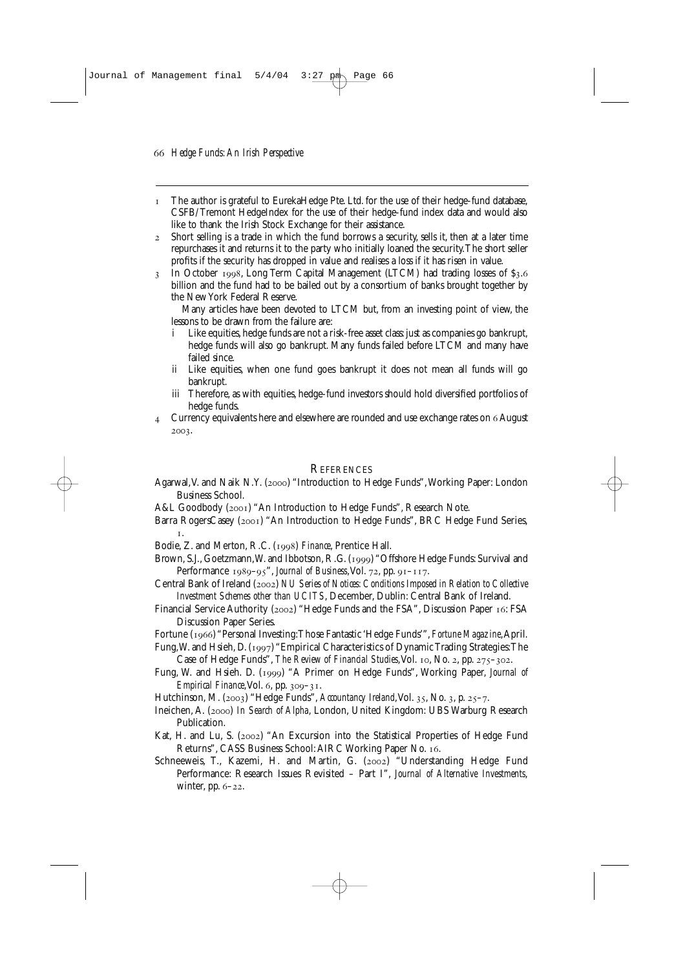- The author is grateful to EurekaHedge Pte. Ltd. for the use of their hedge-fund database, CSFB/Tremont HedgeIndex for the use of their hedge-fund index data and would also like to thank the Irish Stock Exchange for their assistance.
- Short selling is a trade in which the fund borrows a security, sells it, then at a later time repurchases it and returns it to the party who initially loaned the security.The short seller profits if the security has dropped in value and realises a loss if it has risen in value.
- 3 In October 1998, Long Term Capital Management (LTCM) had trading losses of \$3.6 billion and the fund had to be bailed out by a consortium of banks brought together by the New York Federal Reserve.

Many articles have been devoted to LTCM but, from an investing point of view, the lessons to be drawn from the failure are:

- Like equities, hedge funds are not a risk-free asset class: just as companies go bankrupt, hedge funds will also go bankrupt. Many funds failed before LTCM and many have failed since.
- ii Like equities, when one fund goes bankrupt it does not mean all funds will go bankrupt.
- iii Therefore, as with equities, hedge-fund investors should hold diversified portfolios of hedge funds.
- Currency equivalents here and elsewhere are rounded and use exchange rates on August 2003.

#### **REFERENCES**

- Agarwal, V. and Naik N.Y. (2000) "Introduction to Hedge Funds", Working Paper: London Business School.
- A&L Goodbody (2001) "An Introduction to Hedge Funds", Research Note.
- Barra RogersCasey (2001) "An Introduction to Hedge Funds", BRC Hedge Fund Series, .
- Bodie, Z. and Merton, R.C. (1998) Finance, Prentice Hall.
- Brown, S.J., Goetzmann, W. and Ibbotson, R.G. (1999) "Offshore Hedge Funds: Survival and Performance  $1989-95$ ", *Journal of Business*, Vol. 72, pp.  $91-117$ .
- Central Bank of Ireland (2002) *NU Series of Notices: Conditions Imposed in Relation to Collective Investment Schemes other than UCITS*, December, Dublin: Central Bank of Ireland.
- Financial Service Authority (2002) "Hedge Funds and the FSA", Discussion Paper 16: FSA Discussion Paper Series.
- Fortune () "Personal Investing:Those Fantastic 'Hedge Funds'",*Fortune Magazine*,April.
- Fung, W. and Hsieh, D.  $(1997)$  "Empirical Characteristics of Dynamic Trading Strategies: The Case of Hedge Funds", *The Review of Financial Studies*, Vol. 10, No. 2, pp. 275-302.
- Fung, W. and Hsieh. D. (1999) "A Primer on Hedge Funds", Working Paper, *Journal of Empirical Finance*, Vol. 6, pp. 309-31.
- Hutchinson, M. (2003) "Hedge Funds", *Accountancy Ireland*, Vol. 35, No. 3, p. 25-7.
- Ineichen, A. () *In Search of Alpha*, London, United Kingdom: UBS Warburg Research Publication.
- Kat, H. and Lu, S. (2002) "An Excursion into the Statistical Properties of Hedge Fund Returns", CASS Business School: AIRC Working Paper No. 16.
- Schneeweis, T., Kazemi, H. and Martin, G. (2002) "Understanding Hedge Fund Performance: Research Issues Revisited – Part I", *Journal of Alternative Investments*, winter, pp.  $6-22$ .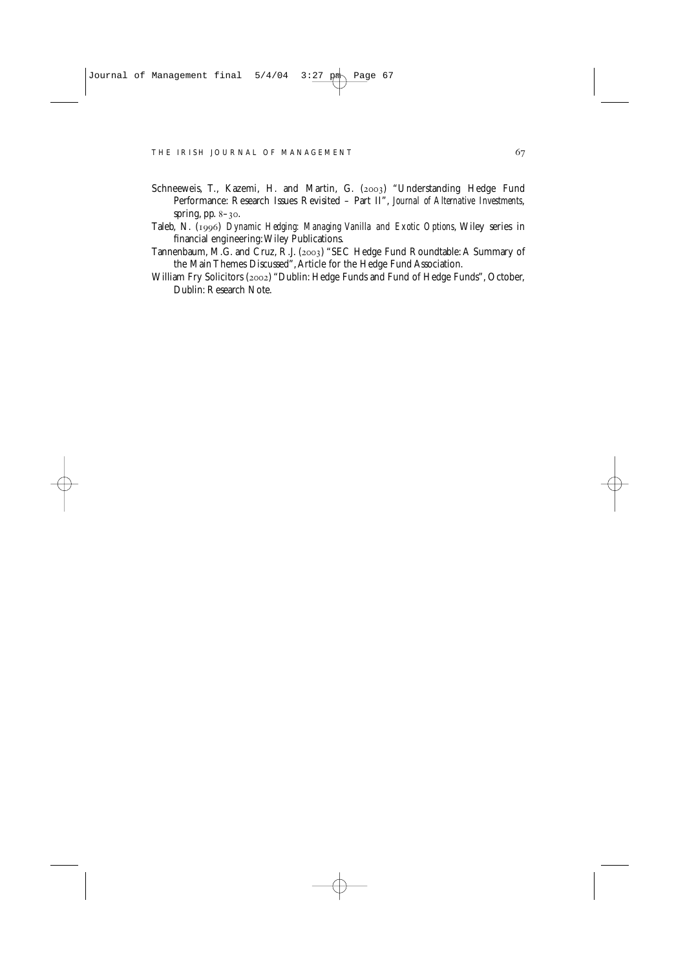- Schneeweis, T., Kazemi, H. and Martin, G. (2003) "Understanding Hedge Fund Performance: Research Issues Revisited – Part II", *Journal of Alternative Investments*, spring, pp.  $8-30$ .
- Taleb, N. (1996) *Dynamic Hedging: Managing Vanilla and Exotic Options*, Wiley series in financial engineering:Wiley Publications.
- Tannenbaum, M.G. and Cruz, R.J. (2003) "SEC Hedge Fund Roundtable: A Summary of the Main Themes Discussed",Article for the Hedge Fund Association.
- William Fry Solicitors (2002) "Dublin: Hedge Funds and Fund of Hedge Funds", October, Dublin: Research Note.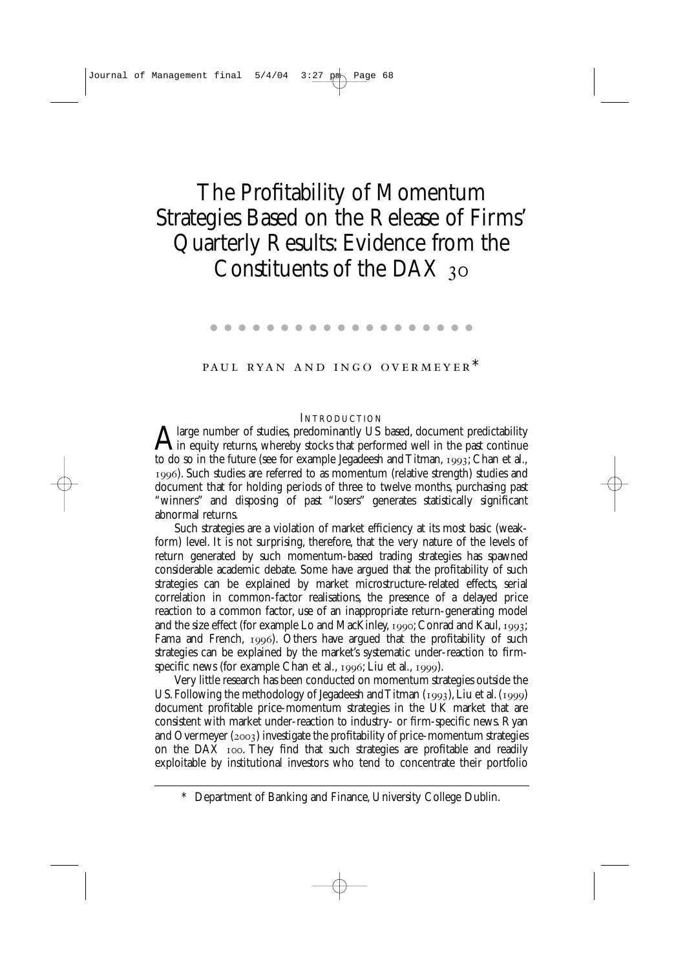# The Profitability of Momentum Strategies Based on the Release of Firms' Quarterly Results: Evidence from the Constituents of the DAX 30

. . . . . . . . . . . . . . . . . . .

PAUL RYAN AND INGO OVERMEYER\*

#### **INTRODUCTION**

A large number of studies, predominantly US based, document predictability<br>in equity returns, whereby stocks that performed well in the past continue to do so in the future (see for example Jegadeesh and Titman,  $1993$ ; Chan et al., ). Such studies are referred to as momentum (relative strength) studies and document that for holding periods of three to twelve months, purchasing past "winners" and disposing of past "losers" generates statistically significant abnormal returns.

Such strategies are a violation of market efficiency at its most basic (weakform) level. It is not surprising, therefore, that the very nature of the levels of return generated by such momentum-based trading strategies has spawned considerable academic debate. Some have argued that the profitability of such strategies can be explained by market microstructure-related effects, serial correlation in common-factor realisations, the presence of a delayed price reaction to a common factor, use of an inappropriate return-generating model and the size effect (for example Lo and MacKinley,  $1990$ ; Conrad and Kaul,  $1993$ ; Fama and French,  $1996$ ). Others have argued that the profitability of such strategies can be explained by the market's systematic under-reaction to firmspecific news (for example Chan et al.,  $1996$ ; Liu et al.,  $1999$ ).

Very little research has been conducted on momentum strategies outside the US. Following the methodology of Jegadeesh and Titman  $(1993)$ , Liu et al.  $(1999)$ document profitable price-momentum strategies in the UK market that are consistent with market under-reaction to industry- or firm-specific news. Ryan and Overmeyer  $(2003)$  investigate the profitability of price-momentum strategies on the DAX 100. They find that such strategies are profitable and readily exploitable by institutional investors who tend to concentrate their portfolio

<sup>\*</sup> Department of Banking and Finance, University College Dublin.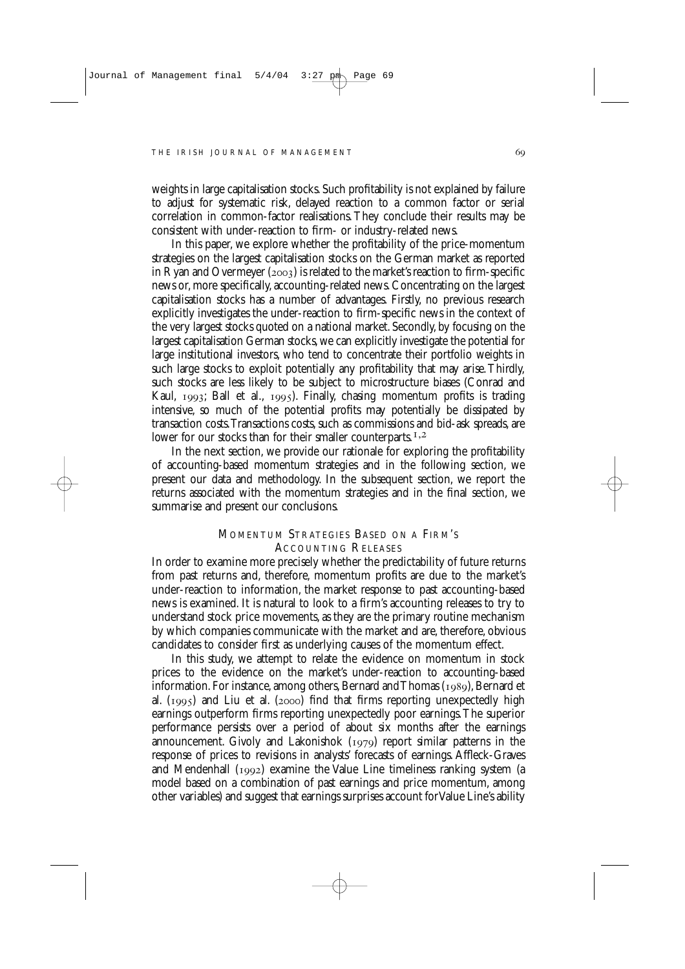weights in large capitalisation stocks. Such profitability is not explained by failure to adjust for systematic risk, delayed reaction to a common factor or serial correlation in common-factor realisations. They conclude their results may be consistent with under-reaction to firm- or industry-related news.

In this paper, we explore whether the profitability of the price-momentum strategies on the largest capitalisation stocks on the German market as reported in Ryan and Overmeyer  $(2003)$  is related to the market's reaction to firm-specific news or, more specifically, accounting-related news. Concentrating on the largest capitalisation stocks has a number of advantages. Firstly, no previous research explicitly investigates the under-reaction to firm-specific news in the context of the very largest stocks quoted on a national market. Secondly, by focusing on the largest capitalisation German stocks,we can explicitly investigate the potential for large institutional investors, who tend to concentrate their portfolio weights in such large stocks to exploit potentially any profitability that may arise.Thirdly, such stocks are less likely to be subject to microstructure biases (Conrad and Kaul,  $1993$ ; Ball et al.,  $1995$ ). Finally, chasing momentum profits is trading intensive, so much of the potential profits may potentially be dissipated by transaction costs.Transactions costs, such as commissions and bid-ask spreads, are lower for our stocks than for their smaller counterparts.<sup>1,2</sup>

In the next section, we provide our rationale for exploring the profitability of accounting-based momentum strategies and in the following section, we present our data and methodology. In the subsequent section, we report the returns associated with the momentum strategies and in the final section, we summarise and present our conclusions.

# MOMENTUM STRATEGIES BASED ON A FIRM'S ACCOUNTING RELEASES

In order to examine more precisely whether the predictability of future returns from past returns and, therefore, momentum profits are due to the market's under-reaction to information, the market response to past accounting-based news is examined. It is natural to look to a firm's accounting releases to try to understand stock price movements, as they are the primary routine mechanism by which companies communicate with the market and are, therefore, obvious candidates to consider first as underlying causes of the momentum effect.

In this study, we attempt to relate the evidence on momentum in stock prices to the evidence on the market's under-reaction to accounting-based information. For instance, among others, Bernard and Thomas (1989), Bernard et al.  $(1995)$  and Liu et al. (2000) find that firms reporting unexpectedly high earnings outperform firms reporting unexpectedly poor earnings.The superior performance persists over a period of about six months after the earnings announcement. Givoly and Lakonishok  $(1979)$  report similar patterns in the response of prices to revisions in analysts' forecasts of earnings. Affleck-Graves and Mendenhall  $(1992)$  examine the Value Line timeliness ranking system (a model based on a combination of past earnings and price momentum, among other variables) and suggest that earnings surprises account for Value Line's ability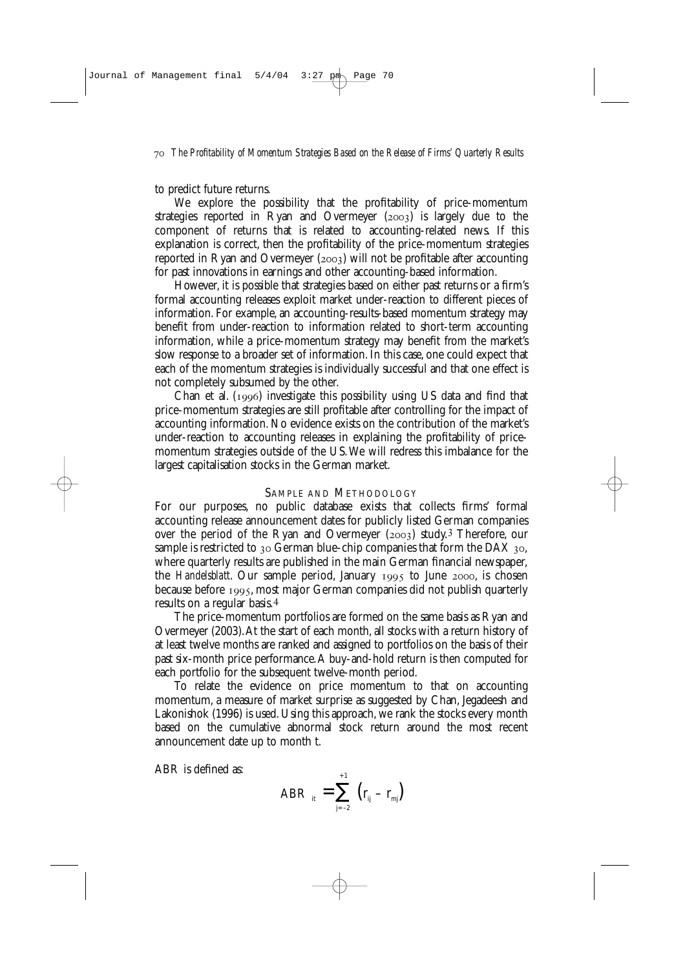to predict future returns.

We explore the possibility that the profitability of price-momentum strategies reported in Ryan and Overmeyer  $(2003)$  is largely due to the component of returns that is related to accounting-related news. If this explanation is correct, then the profitability of the price-momentum strategies reported in Ryan and Overmeyer  $(2003)$  will not be profitable after accounting for past innovations in earnings and other accounting-based information.

However, it is possible that strategies based on either past returns or a firm's formal accounting releases exploit market under-reaction to different pieces of information. For example, an accounting-results-based momentum strategy may benefit from under-reaction to information related to short-term accounting information, while a price-momentum strategy may benefit from the market's slow response to a broader set of information. In this case, one could expect that each of the momentum strategies is individually successful and that one effect is not completely subsumed by the other.

Chan et al.  $(1996)$  investigate this possibility using US data and find that price-momentum strategies are still profitable after controlling for the impact of accounting information. No evidence exists on the contribution of the market's under-reaction to accounting releases in explaining the profitability of pricemomentum strategies outside of the US.We will redress this imbalance for the largest capitalisation stocks in the German market.

# SAMPLE AND METHODOLOGY

For our purposes, no public database exists that collects firms' formal accounting release announcement dates for publicly listed German companies over the period of the Ryan and Overmeyer  $(2003)$  study.<sup>3</sup> Therefore, our sample is restricted to  $30$  German blue-chip companies that form the DAX  $30$ , where quarterly results are published in the main German financial newspaper, the *Handelsblatt*. Our sample period, January 1995 to June 2000, is chosen because before 1995, most major German companies did not publish quarterly results on a regular basis.

The price-momentum portfolios are formed on the same basis as Ryan and Overmeyer (2003).At the start of each month, all stocks with a return history of at least twelve months are ranked and assigned to portfolios on the basis of their past six-month price performance.A buy-and-hold return is then computed for each portfolio for the subsequent twelve-month period.

To relate the evidence on price momentum to that on accounting momentum, a measure of market surprise as suggested by Chan, Jegadeesh and Lakonishok (1996) is used. Using this approach, we rank the stocks every month based on the cumulative abnormal stock return around the most recent announcement date up to month t.

ABR is defined as:

$$
ABR_{it} = \sum_{j=-2}^{+1} (r_{ij} - r_{mj})
$$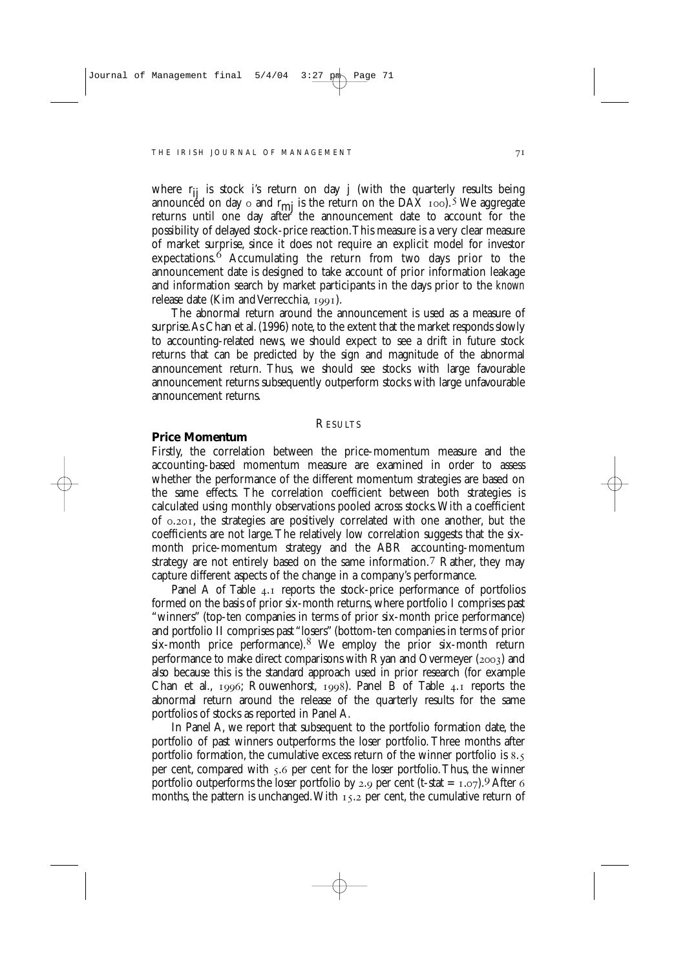where rij is stock i's return on day j (with the quarterly results being announced on day  $\circ$  and r<sub>mi</sub> is the return on the DAX 100).<sup>5</sup> We aggregate returns until one day after the announcement date to account for the possibility of delayed stock-price reaction.This measure is a very clear measure of market surprise, since it does not require an explicit model for investor expectations.<sup>6</sup> Accumulating the return from two days prior to the announcement date is designed to take account of prior information leakage and information search by market participants in the days prior to the *known* release date (Kim and Verrecchia,  $1991$ ).

The abnormal return around the announcement is used as a measure of surprise. As Chan et al. (1996) note, to the extent that the market responds slowly to accounting-related news, we should expect to see a drift in future stock returns that can be predicted by the sign and magnitude of the abnormal announcement return. Thus, we should see stocks with large favourable announcement returns subsequently outperform stocks with large unfavourable announcement returns.

#### **RESULTS**

# **Price Momentum**

Firstly, the correlation between the price-momentum measure and the accounting-based momentum measure are examined in order to assess whether the performance of the different momentum strategies are based on the same effects. The correlation coefficient between both strategies is calculated using monthly observations pooled across stocks.With a coefficient of  $0.201$ , the strategies are positively correlated with one another, but the coefficients are not large.The relatively low correlation suggests that the sixmonth price-momentum strategy and the ABR accounting-momentum strategy are not entirely based on the same information.  $\frac{7}{12}$  Rather, they may capture different aspects of the change in a company's performance.

Panel A of Table  $4.1$  reports the stock-price performance of portfolios formed on the basis of prior six-month returns, where portfolio I comprises past "winners" (top-ten companies in terms of prior six-month price performance) and portfolio II comprises past "losers" (bottom-ten companies in terms of prior six-month price performance). $8$  We employ the prior six-month return performance to make direct comparisons with Ryan and Overmeyer  $(2003)$  and also because this is the standard approach used in prior research (for example Chan et al., 1996; Rouwenhorst, 1998). Panel B of Table  $4.1$  reports the abnormal return around the release of the quarterly results for the same portfolios of stocks as reported in Panel A.

In Panel A, we report that subsequent to the portfolio formation date, the portfolio of past winners outperforms the loser portfolio. Three months after portfolio formation, the cumulative excess return of the winner portfolio is  $8.5$ per cent, compared with  $\zeta$ . per cent for the loser portfolio. Thus, the winner portfolio outperforms the loser portfolio by 2.9 per cent (t-stat =  $1.07$ ). After 6 months, the pattern is unchanged. With  $15.2$  per cent, the cumulative return of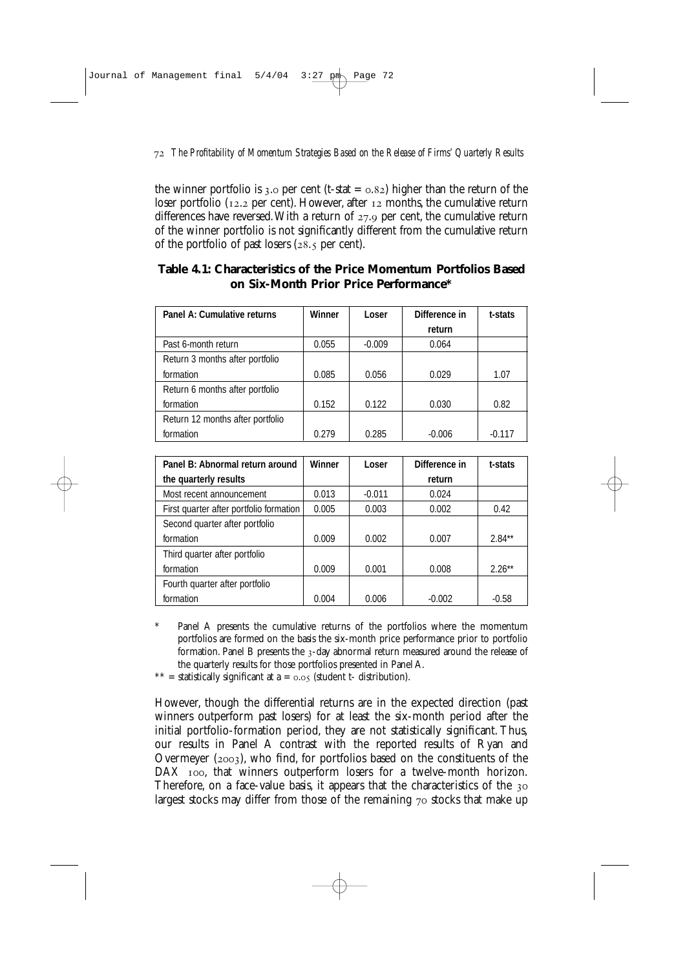the winner portfolio is 3.0 per cent (t-stat  $= 0.82$ ) higher than the return of the loser portfolio ( $12.2$  per cent). However, after  $12$  months, the cumulative return differences have reversed. With a return of  $27.9$  per cent, the cumulative return of the winner portfolio is not significantly different from the cumulative return of the portfolio of past losers  $(28.5$  per cent).

# **Table 4.1: Characteristics of the Price Momentum Portfolios Based on Six-Month Prior Price Performance\***

| Panel A: Cumulative returns      | <b>Winner</b> | Loser    | Difference in | t-stats  |
|----------------------------------|---------------|----------|---------------|----------|
|                                  |               |          | return        |          |
| Past 6-month return              | 0.055         | $-0.009$ | 0.064         |          |
| Return 3 months after portfolio  |               |          |               |          |
| formation                        | 0.085         | 0.056    | 0.029         | 1.07     |
| Return 6 months after portfolio  |               |          |               |          |
| formation                        | 0.152         | 0.122    | 0.030         | 0.82     |
| Return 12 months after portfolio |               |          |               |          |
| formation                        | 0.279         | 0.285    | $-0.006$      | $-0.117$ |

| Panel B: Abnormal return around         | Winner | Loser    | Difference in | t-stats  |
|-----------------------------------------|--------|----------|---------------|----------|
| the quarterly results                   |        |          | return        |          |
| Most recent announcement                | 0.013  | $-0.011$ | 0.024         |          |
| First quarter after portfolio formation | 0.005  | 0.003    | 0.002         | 0.42     |
| Second quarter after portfolio          |        |          |               |          |
| formation                               | 0.009  | 0.002    | 0.007         | $2.84**$ |
| Third quarter after portfolio           |        |          |               |          |
| formation                               | 0.009  | 0.001    | 0.008         | $2.26**$ |
| Fourth quarter after portfolio          |        |          |               |          |
| formation                               | 0.004  | 0.006    | $-0.002$      | $-0.58$  |

Panel A presents the cumulative returns of the portfolios where the momentum portfolios are formed on the basis the six-month price performance prior to portfolio formation. Panel B presents the  $3$ -day abnormal return measured around the release of the quarterly results for those portfolios presented in Panel A.

\*\* = statistically significant at  $a = 0.05$  (student t- distribution).

However, though the differential returns are in the expected direction (past winners outperform past losers) for at least the six-month period after the initial portfolio-formation period, they are not statistically significant. Thus, our results in Panel A contrast with the reported results of Ryan and Overmeyer  $(2003)$ , who find, for portfolios based on the constituents of the DAX 100, that winners outperform losers for a twelve-month horizon. Therefore, on a face-value basis, it appears that the characteristics of the 30 largest stocks may differ from those of the remaining  $\sigma$  stocks that make up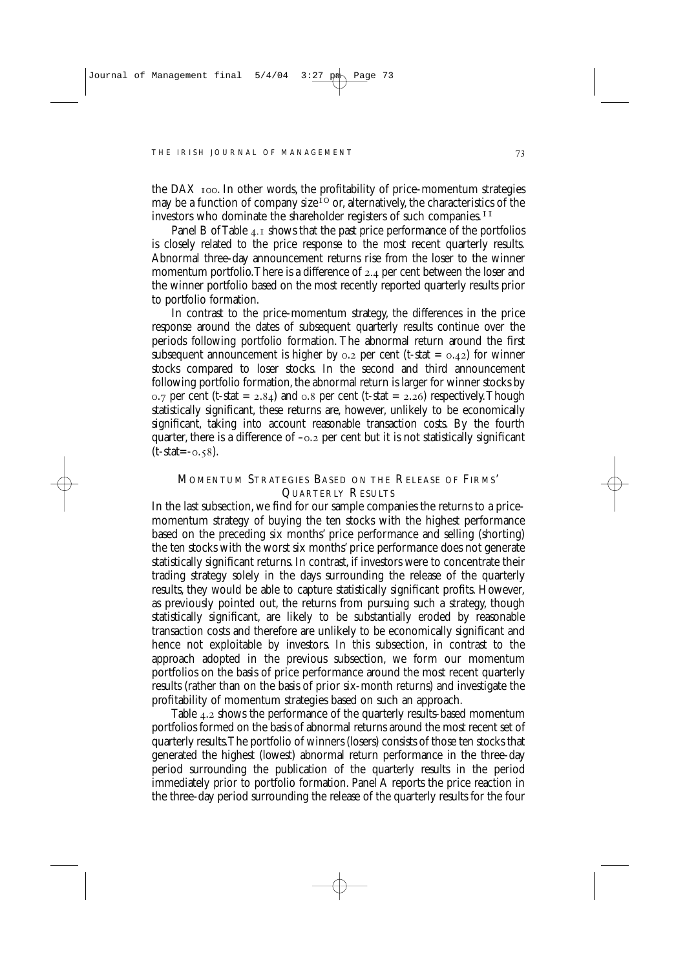the DAX 100. In other words, the profitability of price-momentum strategies may be a function of company size<sup>10</sup> or, alternatively, the characteristics of the investors who dominate the shareholder registers of such companies.

Panel B of Table  $4.1$  shows that the past price performance of the portfolios is closely related to the price response to the most recent quarterly results. Abnormal three-day announcement returns rise from the loser to the winner momentum portfolio. There is a difference of  $2.4$  per cent between the loser and the winner portfolio based on the most recently reported quarterly results prior to portfolio formation.

In contrast to the price-momentum strategy, the differences in the price response around the dates of subsequent quarterly results continue over the periods following portfolio formation. The abnormal return around the first subsequent announcement is higher by  $o.2$  per cent (t-stat =  $o.42$ ) for winner stocks compared to loser stocks. In the second and third announcement following portfolio formation, the abnormal return is larger for winner stocks by o.7 per cent (t-stat =  $2.84$ ) and  $0.8$  per cent (t-stat =  $2.26$ ) respectively. Though statistically significant, these returns are, however, unlikely to be economically significant, taking into account reasonable transaction costs. By the fourth quarter, there is a difference of  $-\infty$  per cent but it is not statistically significant  $(t-stat=-0.58)$ .

# MOMENTUM STRATEGIES BASED ON THE RELEASE OF FIRMS' QUARTERLY RESULTS

In the last subsection, we find for our sample companies the returns to a pricemomentum strategy of buying the ten stocks with the highest performance based on the preceding six months' price performance and selling (shorting) the ten stocks with the worst six months' price performance does not generate statistically significant returns. In contrast, if investors were to concentrate their trading strategy solely in the days surrounding the release of the quarterly results, they would be able to capture statistically significant profits. However, as previously pointed out, the returns from pursuing such a strategy, though statistically significant, are likely to be substantially eroded by reasonable transaction costs and therefore are unlikely to be economically significant and hence not exploitable by investors. In this subsection, in contrast to the approach adopted in the previous subsection, we form our momentum portfolios on the basis of price performance around the most recent quarterly results (rather than on the basis of prior six-month returns) and investigate the profitability of momentum strategies based on such an approach.

Table 4.2 shows the performance of the quarterly results-based momentum portfolios formed on the basis of abnormal returns around the most recent set of quarterly results.The portfolio of winners (losers) consists of those ten stocks that generated the highest (lowest) abnormal return performance in the three-day period surrounding the publication of the quarterly results in the period immediately prior to portfolio formation. Panel A reports the price reaction in the three-day period surrounding the release of the quarterly results for the four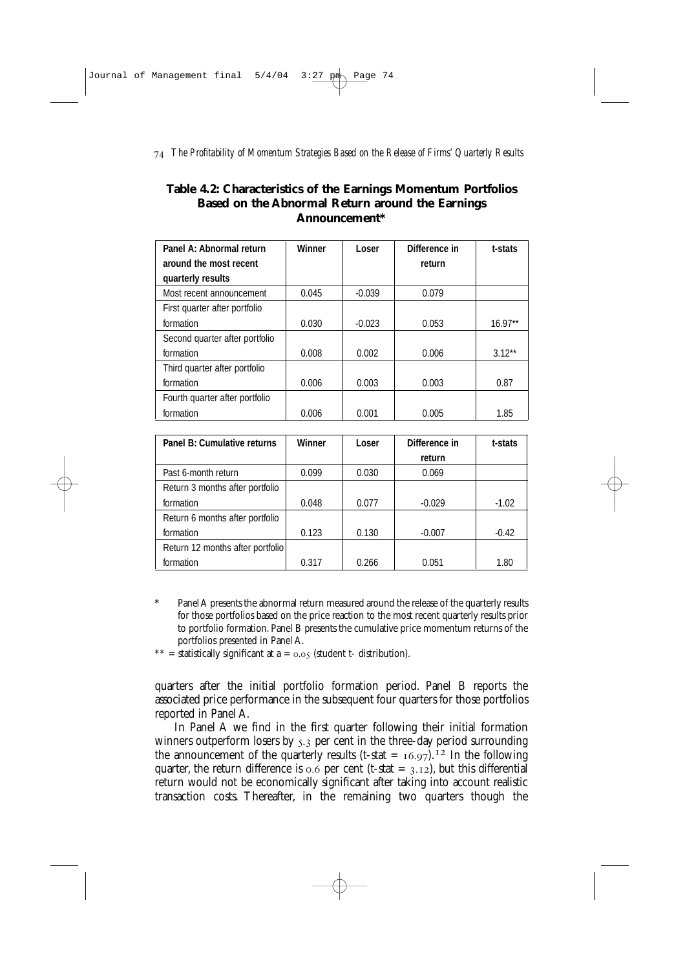# **Table 4.2: Characteristics of the Earnings Momentum Portfolios Based on the Abnormal Return around the Earnings Announcement\***

| Panel A: Abnormal return       | Winner | Loser    | Difference in | t-stats   |
|--------------------------------|--------|----------|---------------|-----------|
| around the most recent         |        |          | return        |           |
| quarterly results              |        |          |               |           |
| Most recent announcement       | 0.045  | $-0.039$ | 0.079         |           |
| First quarter after portfolio  |        |          |               |           |
| formation                      | 0.030  | $-0.023$ | 0.053         | $16.97**$ |
| Second quarter after portfolio |        |          |               |           |
| formation                      | 0.008  | 0.002    | 0.006         | $3.12**$  |
| Third quarter after portfolio  |        |          |               |           |
| formation                      | 0.006  | 0.003    | 0.003         | 0.87      |
| Fourth quarter after portfolio |        |          |               |           |
| formation                      | 0.006  | 0.001    | 0.005         | 1.85      |

| Panel B: Cumulative returns      | Winner | Loser | Difference in | t-stats |
|----------------------------------|--------|-------|---------------|---------|
|                                  |        |       | return        |         |
| Past 6-month return              | 0.099  | 0.030 | 0.069         |         |
| Return 3 months after portfolio  |        |       |               |         |
| formation                        | 0.048  | 0.077 | $-0.029$      | $-1.02$ |
| Return 6 months after portfolio  |        |       |               |         |
| formation                        | 0.123  | 0.130 | $-0.007$      | $-0.42$ |
| Return 12 months after portfolio |        |       |               |         |
| formation                        | 0.317  | 0.266 | 0.051         | 1.80    |

Panel A presents the abnormal return measured around the release of the quarterly results for those portfolios based on the price reaction to the most recent quarterly results prior to portfolio formation. Panel B presents the cumulative price momentum returns of the portfolios presented in Panel A.

\*\* = statistically significant at  $a = 0.05$  (student t- distribution).

quarters after the initial portfolio formation period. Panel B reports the associated price performance in the subsequent four quarters for those portfolios reported in Panel A.

In Panel A we find in the first quarter following their initial formation winners outperform losers by  $5.3$  per cent in the three-day period surrounding the announcement of the quarterly results (t-stat =  $_{16.97}$ ). <sup>12</sup> In the following quarter, the return difference is  $\overline{0.6}$  per cent (t-stat = 3.12), but this differential return would not be economically significant after taking into account realistic transaction costs. Thereafter, in the remaining two quarters though the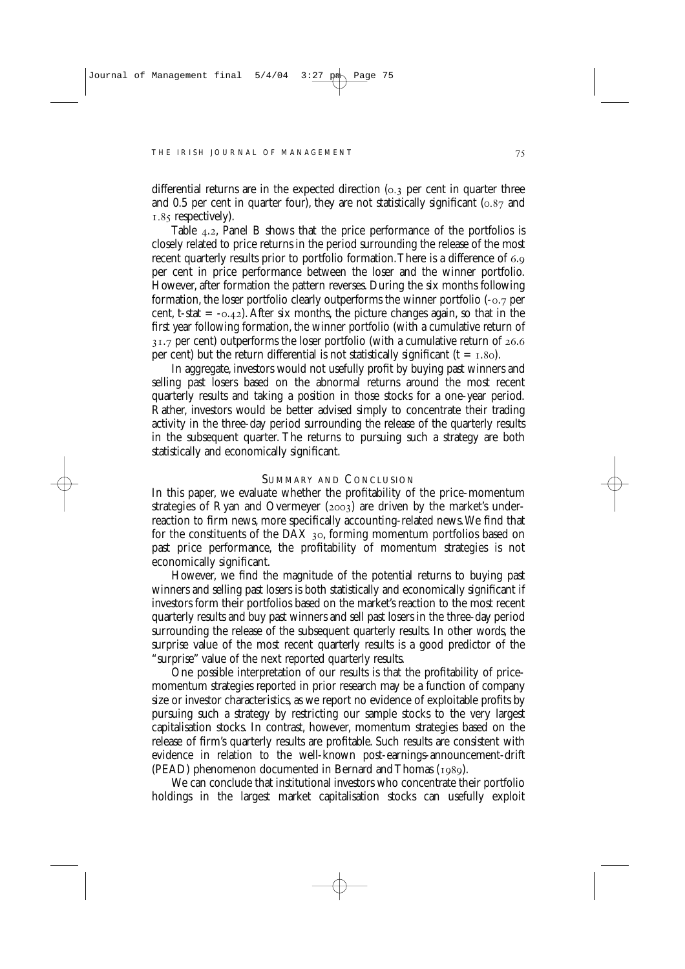differential returns are in the expected direction  $(0.3)$  per cent in quarter three and 0.5 per cent in quarter four), they are not statistically significant ( $0.87$  and  $1.85$  respectively).

Table 4.2, Panel B shows that the price performance of the portfolios is closely related to price returns in the period surrounding the release of the most recent quarterly results prior to portfolio formation. There is a difference of 6.9 per cent in price performance between the loser and the winner portfolio. However, after formation the pattern reverses. During the six months following formation, the loser portfolio clearly outperforms the winner portfolio  $(-0.7 \text{ per})$ cent, t-stat  $= -0.42$ ). After six months, the picture changes again, so that in the first year following formation, the winner portfolio (with a cumulative return of  $31.7$  per cent) outperforms the loser portfolio (with a cumulative return of  $26.6$ per cent) but the return differential is not statistically significant ( $t = 1.80$ ).

In aggregate, investors would not usefully profit by buying past winners and selling past losers based on the abnormal returns around the most recent quarterly results and taking a position in those stocks for a one-year period. Rather, investors would be better advised simply to concentrate their trading activity in the three-day period surrounding the release of the quarterly results in the subsequent quarter. The returns to pursuing such a strategy are both statistically and economically significant.

# SUMMARY AND CONCLUSION

In this paper, we evaluate whether the profitability of the price-momentum strategies of Ryan and Overmeyer (2003) are driven by the market's underreaction to firm news, more specifically accounting-related news.We find that for the constituents of the DAX 30, forming momentum portfolios based on past price performance, the profitability of momentum strategies is not economically significant.

However, we find the magnitude of the potential returns to buying past winners and selling past losers is both statistically and economically significant if investors form their portfolios based on the market's reaction to the most recent quarterly results and buy past winners and sell past losers in the three-day period surrounding the release of the subsequent quarterly results. In other words, the surprise value of the most recent quarterly results is a good predictor of the "surprise" value of the next reported quarterly results.

One possible interpretation of our results is that the profitability of pricemomentum strategies reported in prior research may be a function of company size or investor characteristics, as we report no evidence of exploitable profits by pursuing such a strategy by restricting our sample stocks to the very largest capitalisation stocks. In contrast, however, momentum strategies based on the release of firm's quarterly results are profitable. Such results are consistent with evidence in relation to the well-known post-earnings-announcement-drift (PEAD) phenomenon documented in Bernard and Thomas  $(1989)$ .

We can conclude that institutional investors who concentrate their portfolio holdings in the largest market capitalisation stocks can usefully exploit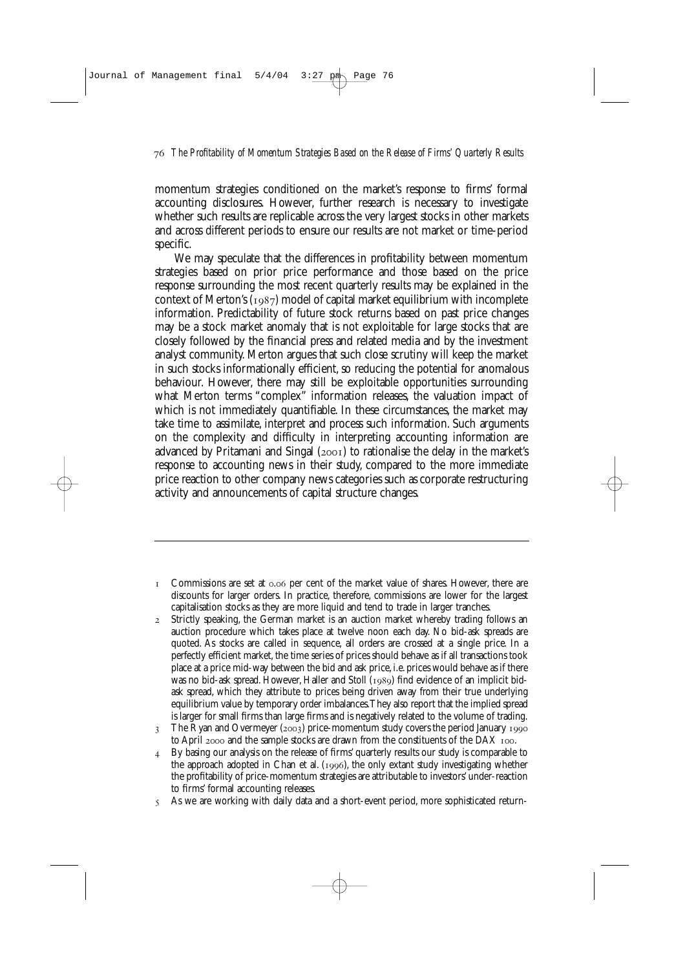momentum strategies conditioned on the market's response to firms' formal accounting disclosures. However, further research is necessary to investigate whether such results are replicable across the very largest stocks in other markets and across different periods to ensure our results are not market or time-period specific.

We may speculate that the differences in profitability between momentum strategies based on prior price performance and those based on the price response surrounding the most recent quarterly results may be explained in the context of Merton's  $(1987)$  model of capital market equilibrium with incomplete information. Predictability of future stock returns based on past price changes may be a stock market anomaly that is not exploitable for large stocks that are closely followed by the financial press and related media and by the investment analyst community. Merton argues that such close scrutiny will keep the market in such stocks informationally efficient, so reducing the potential for anomalous behaviour. However, there may still be exploitable opportunities surrounding what Merton terms "complex" information releases, the valuation impact of which is not immediately quantifiable. In these circumstances, the market may take time to assimilate, interpret and process such information. Such arguments on the complexity and difficulty in interpreting accounting information are advanced by Pritamani and Singal  $(2001)$  to rationalise the delay in the market's response to accounting news in their study, compared to the more immediate price reaction to other company news categories such as corporate restructuring activity and announcements of capital structure changes.

- Strictly speaking, the German market is an auction market whereby trading follows an auction procedure which takes place at twelve noon each day. No bid-ask spreads are quoted. As stocks are called in sequence, all orders are crossed at a single price. In a perfectly efficient market, the time series of prices should behave as if all transactions took place at a price mid-way between the bid and ask price, i.e. prices would behave as if there was no bid-ask spread. However, Haller and Stoll (1989) find evidence of an implicit bidask spread, which they attribute to prices being driven away from their true underlying equilibrium value by temporary order imbalances.They also report that the implied spread is larger for small firms than large firms and is negatively related to the volume of trading.
- $\frac{1}{3}$  The Ryan and Overmeyer (2003) price-momentum study covers the period January 1990 to April 2000 and the sample stocks are drawn from the constituents of the DAX 100.
- By basing our analysis on the release of firms' quarterly results our study is comparable to the approach adopted in Chan et al.  $(1996)$ , the only extant study investigating whether the profitability of price-momentum strategies are attributable to investors'under-reaction to firms' formal accounting releases.
- As we are working with daily data and a short-event period, more sophisticated return-

 $I$  Commissions are set at 0.06 per cent of the market value of shares. However, there are discounts for larger orders. In practice, therefore, commissions are lower for the largest capitalisation stocks as they are more liquid and tend to trade in larger tranches.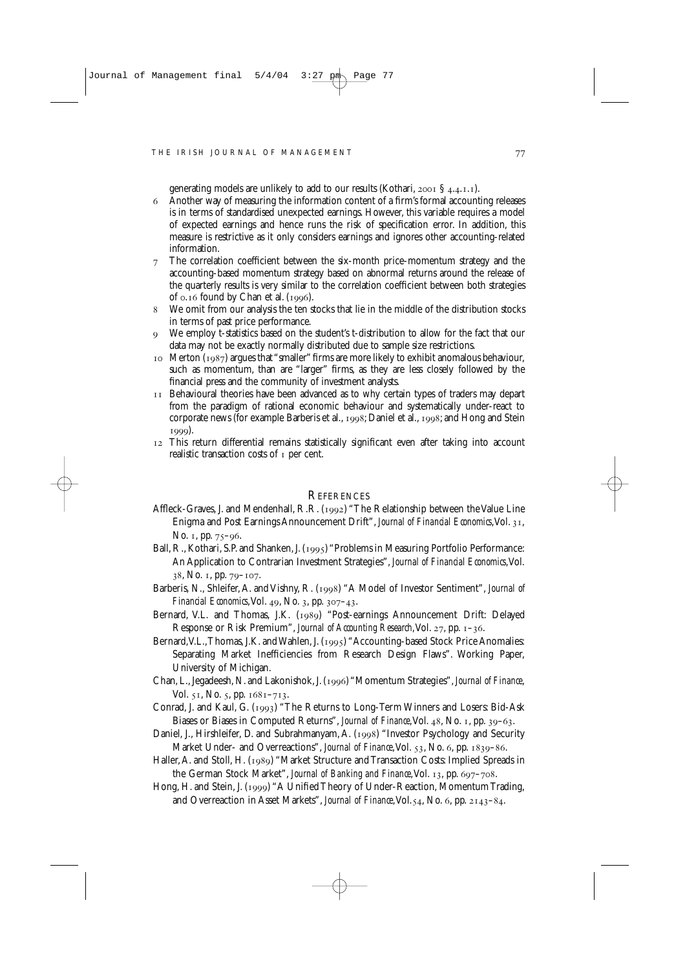generating models are unlikely to add to our results (Kothari,  $2001 \text{ S } 4.4.1.1$ ).

- Another way of measuring the information content of a firm's formal accounting releases is in terms of standardised unexpected earnings. However, this variable requires a model of expected earnings and hence runs the risk of specification error. In addition, this measure is restrictive as it only considers earnings and ignores other accounting-related information.
- The correlation coefficient between the six-month price-momentum strategy and the accounting-based momentum strategy based on abnormal returns around the release of the quarterly results is very similar to the correlation coefficient between both strategies of  $0.16$  found by Chan et al. ( $1996$ ).
- We omit from our analysis the ten stocks that lie in the middle of the distribution stocks in terms of past price performance.
- We employ t-statistics based on the student's t-distribution to allow for the fact that our data may not be exactly normally distributed due to sample size restrictions.
- $\overline{D}$  Merton ( $\overline{1987}$ ) argues that "smaller" firms are more likely to exhibit anomalous behaviour, such as momentum, than are "larger" firms, as they are less closely followed by the financial press and the community of investment analysts.
- Behavioural theories have been advanced as to why certain types of traders may depart from the paradigm of rational economic behaviour and systematically under-react to corporate news (for example Barberis et al., 1998; Daniel et al., 1998; and Hong and Stein 1999).
- This return differential remains statistically significant even after taking into account realistic transaction costs of  $I$  per cent.

#### **REFERENCES**

- Affleck-Graves, J. and Mendenhall, R.R. (1992) "The Relationship between the Value Line Enigma and Post Earnings Announcement Drift", *Journal of Financial Economics*,Vol. , No. 1, pp. 75-96.
- Ball, R., Kothari, S.P. and Shanken, J. (1995) "Problems in Measuring Portfolio Performance: An Application to Contrarian Investment Strategies", *Journal of Financial Economics*,Vol. 38, No. 1, pp. 79-107.
- Barberis, N., Shleifer, A. and Vishny, R. (1998) "A Model of Investor Sentiment", *Journal of Financial Economics*, Vol. 49, No. 3, pp. 307-43.
- Bernard, V.L. and Thomas, J.K. (1989) "Post-earnings Announcement Drift: Delayed Response or Risk Premium", *Journal of Accounting Research*, Vol. 27, pp. 1-36.
- Bernard, V.L., Thomas, J.K. and Wahlen, J. (1995) "Accounting-based Stock Price Anomalies: Separating Market Inefficiencies from Research Design Flaws". Working Paper, University of Michigan.
- Chan, L., Jegadeesh, N. and Lakonishok, J. (1996) "Momentum Strategies", *Journal of Finance*, Vol.  $51$ , No.  $5$ , pp.  $1681 - 713$ .
- Conrad, J. and Kaul, G. (1993) "The Returns to Long-Term Winners and Losers: Bid-Ask Biases or Biases in Computed Returns", *Journal of Finance*, Vol. 48, No. 1, pp. 39–63.
- Daniel, J., Hirshleifer, D. and Subrahmanyam, A. (1998) "Investor Psychology and Security Market Under- and Overreactions", *Journal of Finance*, Vol. 53, No. 6, pp. 1839-86.
- Haller, A. and Stoll, H. (1989) "Market Structure and Transaction Costs: Implied Spreads in the German Stock Market", *Journal of Banking and Finance*, Vol. 13, pp. 697-708.
- Hong, H. and Stein, J. (1999) "A Unified Theory of Under-Reaction, Momentum Trading, and Overreaction in Asset Markets", *Journal of Finance*, Vol. 54, No. 6, pp. 2143-84.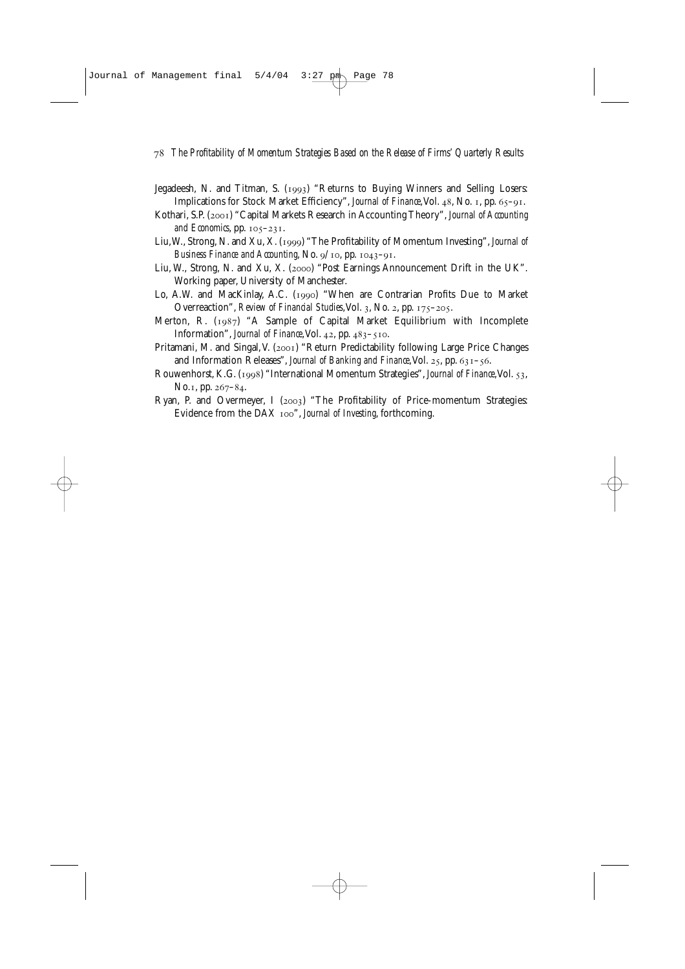- Jegadeesh, N. and Titman, S. (1993) "Returns to Buying Winners and Selling Losers: Implications for Stock Market Efficiency", *Journal of Finance*, Vol. 48, No. 1, pp. 65-91.
- Kothari, S.P. (2001) "Capital Markets Research in Accounting Theory", *Journal of Accounting* and *Economics*, pp.  $105 - 231$ .
- Liu, W., Strong, N. and Xu, X. (1999) "The Profitability of Momentum Investing", *Journal of Business Finance and Accounting*, No.  $9/10$ , pp.  $1043 - 91$ .
- Liu, W., Strong, N. and Xu, X. (2000) "Post Earnings Announcement Drift in the UK". Working paper, University of Manchester.
- Lo, A.W. and MacKinlay, A.C. (1990) "When are Contrarian Profits Due to Market Overreaction", *Review of Financial Studies*, Vol. 3, No. 2, pp. 175-205.
- Merton, R. (1987) "A Sample of Capital Market Equilibrium with Incomplete Information", *Journal of Finance*, Vol. 42, pp. 483-510.
- Pritamani, M. and Singal, V. (2001) "Return Predictability following Large Price Changes and Information Releases", *Journal of Banking and Finance*, Vol.  $25$ , pp.  $631 - 56$ .
- Rouwenhorst, K.G. (1998) "International Momentum Strategies", *Journal of Finance*, Vol. 53, No.<sub>1</sub>, pp.  $267 - 84$ .
- Ryan, P. and Overmeyer, I (2003) "The Profitability of Price-momentum Strategies: Evidence from the DAX 100", *Journal of Investing*, forthcoming.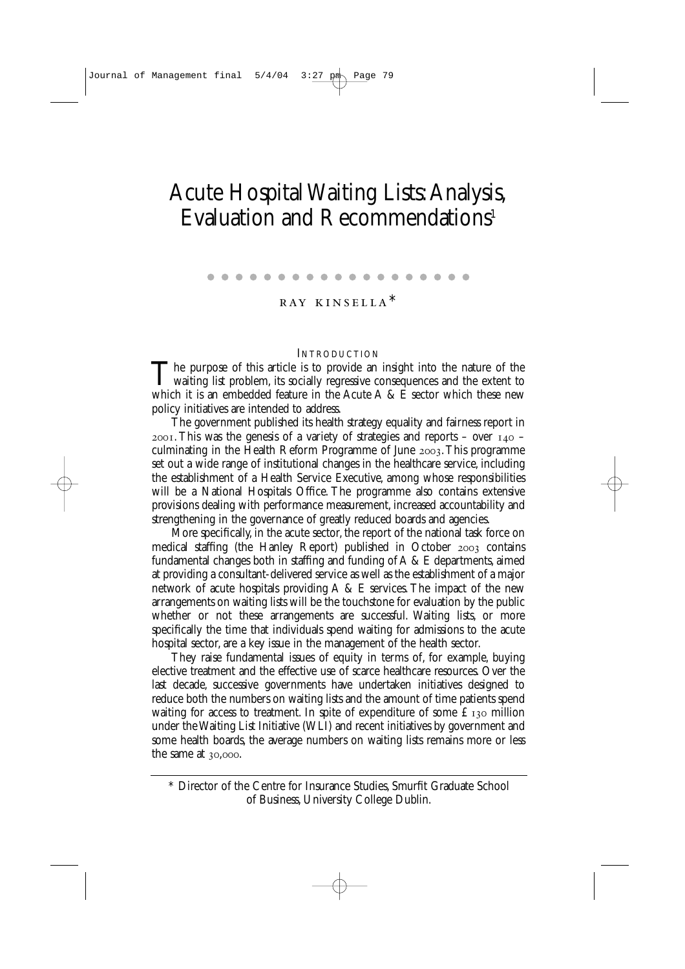# Acute Hospital Waiting Lists: Analysis, Evaluation and Recommendations<sup>1</sup>

. . . . . . . . . . . . . . . . . . .

# RAY KINSELLA<sup>\*</sup>

#### **INTRODUCTION**

The purpose of this article is to provide an insight into the nature of the waiting list problem, its socially regressive consequences and the extent to which it is an embedded feature in the Acute A & E sector which these new policy initiatives are intended to address.

The government published its health strategy equality and fairness report in  $2001$ . This was the genesis of a variety of strategies and reports – over  $140$ culminating in the Health Reform Programme of June  $2003$ . This programme set out a wide range of institutional changes in the healthcare service, including the establishment of a Health Service Executive, among whose responsibilities will be a National Hospitals Office. The programme also contains extensive provisions dealing with performance measurement, increased accountability and strengthening in the governance of greatly reduced boards and agencies.

More specifically, in the acute sector, the report of the national task force on medical staffing (the Hanley Report) published in October  $2003$  contains fundamental changes both in staffing and funding of A & E departments, aimed at providing a consultant-delivered service as well as the establishment of a major network of acute hospitals providing A & E services. The impact of the new arrangements on waiting lists will be the touchstone for evaluation by the public whether or not these arrangements are successful. Waiting lists, or more specifically the time that individuals spend waiting for admissions to the acute hospital sector, are a key issue in the management of the health sector.

They raise fundamental issues of equity in terms of, for example, buying elective treatment and the effective use of scarce healthcare resources. Over the last decade, successive governments have undertaken initiatives designed to reduce both the numbers on waiting lists and the amount of time patients spend waiting for access to treatment. In spite of expenditure of some  $\mathcal{L}_{13}$  million under the Waiting List Initiative (WLI) and recent initiatives by government and some health boards, the average numbers on waiting lists remains more or less the same at  $30,000$ .

<sup>\*</sup> Director of the Centre for Insurance Studies, Smurfit Graduate School of Business, University College Dublin.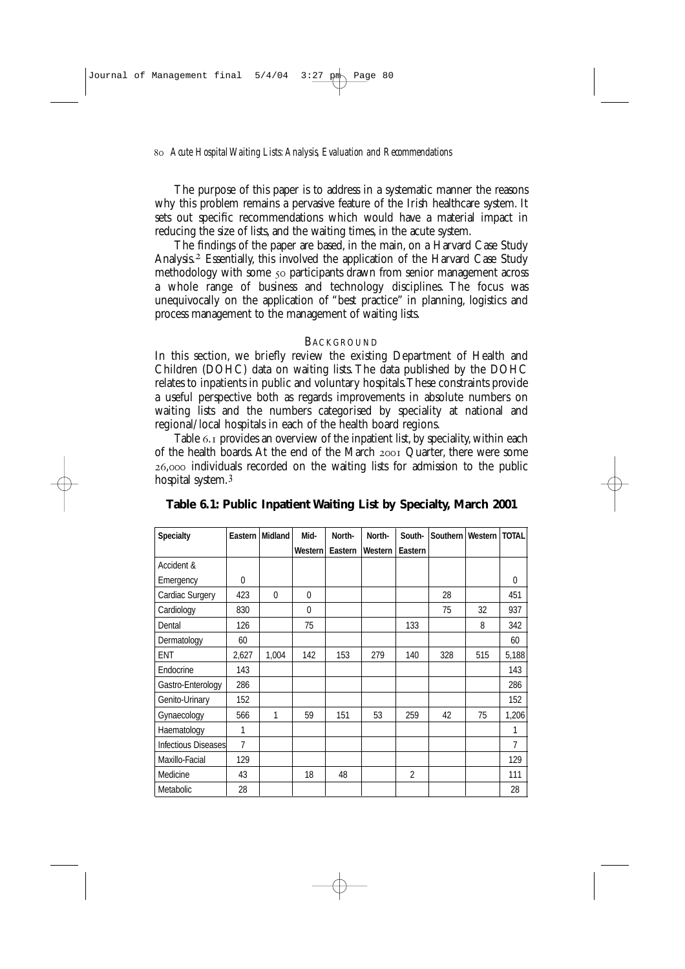The purpose of this paper is to address in a systematic manner the reasons why this problem remains a pervasive feature of the Irish healthcare system. It sets out specific recommendations which would have a material impact in reducing the size of lists, and the waiting times, in the acute system.

The findings of the paper are based, in the main, on a Harvard Case Study Analysis.<sup>2</sup> Essentially, this involved the application of the Harvard Case Study methodology with some 50 participants drawn from senior management across a whole range of business and technology disciplines. The focus was unequivocally on the application of "best practice" in planning, logistics and process management to the management of waiting lists.

#### BACKGROUND

In this section, we briefly review the existing Department of Health and Children (DOHC) data on waiting lists. The data published by the DOHC relates to inpatients in public and voluntary hospitals.These constraints provide a useful perspective both as regards improvements in absolute numbers on waiting lists and the numbers categorised by speciality at national and regional/local hospitals in each of the health board regions.

Table  $6.1$  provides an overview of the inpatient list, by speciality, within each of the health boards. At the end of the March 2001 Quarter, there were some , individuals recorded on the waiting lists for admission to the public hospital system.<sup>3</sup>

| <b>Specialty</b>    | Eastern        | <b>Midland</b> | Mid-         | North-  | North-  | South-         | Southern | Western | <b>TOTAL</b>   |
|---------------------|----------------|----------------|--------------|---------|---------|----------------|----------|---------|----------------|
|                     |                |                | Western      | Eastern | Western | Eastern        |          |         |                |
| Accident &          |                |                |              |         |         |                |          |         |                |
| Emergency           | 0              |                |              |         |         |                |          |         | 0              |
| Cardiac Surgery     | 423            | $\mathbf{0}$   | $\mathbf{0}$ |         |         |                | 28       |         | 451            |
| Cardiology          | 830            |                | $\mathbf{0}$ |         |         |                | 75       | 32      | 937            |
| Dental              | 126            |                | 75           |         |         | 133            |          | 8       | 342            |
| Dermatology         | 60             |                |              |         |         |                |          |         | 60             |
| ENT                 | 2,627          | 1.004          | 142          | 153     | 279     | 140            | 328      | 515     | 5,188          |
| Endocrine           | 143            |                |              |         |         |                |          |         | 143            |
| Gastro-Enterology   | 286            |                |              |         |         |                |          |         | 286            |
| Genito-Urinary      | 152            |                |              |         |         |                |          |         | 152            |
| Gynaecology         | 566            | 1              | 59           | 151     | 53      | 259            | 42       | 75      | 1,206          |
| Haematology         | 1              |                |              |         |         |                |          |         | 1              |
| Infectious Diseases | $\overline{7}$ |                |              |         |         |                |          |         | $\overline{7}$ |
| Maxillo-Facial      | 129            |                |              |         |         |                |          |         | 129            |
| Medicine            | 43             |                | 18           | 48      |         | $\overline{2}$ |          |         | 111            |
| Metabolic           | 28             |                |              |         |         |                |          |         | 28             |

**Table 6.1: Public Inpatient Waiting List by Specialty, March 2001**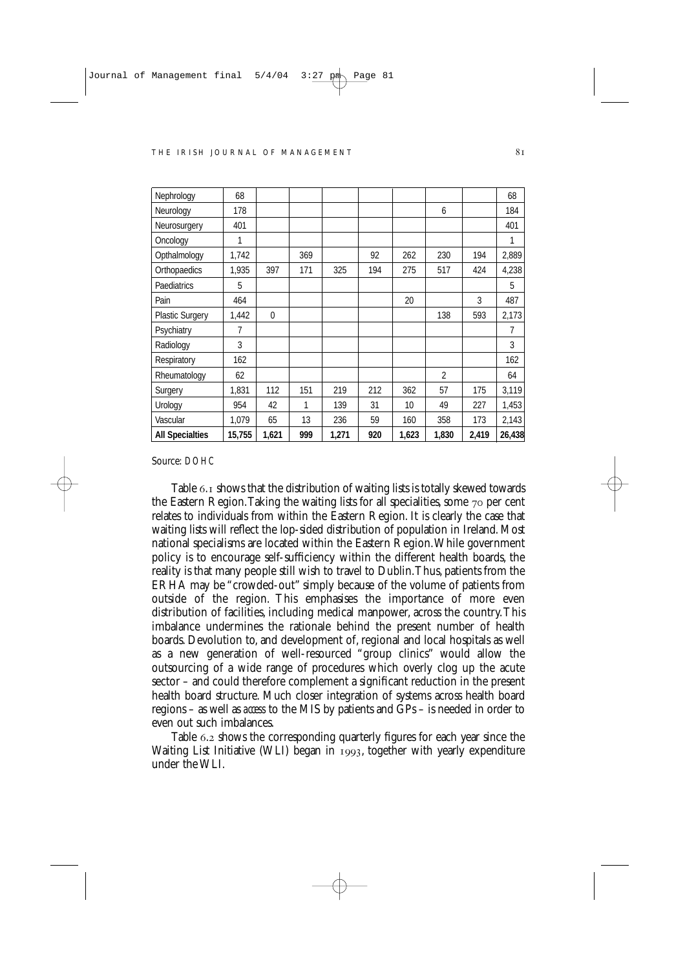| Nephrology             | 68     |             |     |       |     |       |                |       | 68     |
|------------------------|--------|-------------|-----|-------|-----|-------|----------------|-------|--------|
| Neurology              | 178    |             |     |       |     |       | 6              |       | 184    |
| Neurosurgery           | 401    |             |     |       |     |       |                |       | 401    |
| Oncology               | 1      |             |     |       |     |       |                |       | 1      |
| Opthalmology           | 1,742  |             | 369 |       | 92  | 262   | 230            | 194   | 2,889  |
| Orthopaedics           | 1,935  | 397         | 171 | 325   | 194 | 275   | 517            | 424   | 4,238  |
| Paediatrics            | 5      |             |     |       |     |       |                |       | 5      |
| Pain                   | 464    |             |     |       |     | 20    |                | 3     | 487    |
| <b>Plastic Surgery</b> | 1,442  | $\mathbf 0$ |     |       |     |       | 138            | 593   | 2,173  |
| Psychiatry             | 7      |             |     |       |     |       |                |       | 7      |
| Radiology              | 3      |             |     |       |     |       |                |       | 3      |
| Respiratory            | 162    |             |     |       |     |       |                |       | 162    |
| Rheumatology           | 62     |             |     |       |     |       | $\overline{2}$ |       | 64     |
| Surgery                | 1,831  | 112         | 151 | 219   | 212 | 362   | 57             | 175   | 3,119  |
| Urology                | 954    | 42          | 1   | 139   | 31  | 10    | 49             | 227   | 1,453  |
| Vascular               | 1,079  | 65          | 13  | 236   | 59  | 160   | 358            | 173   | 2,143  |
| <b>All Specialties</b> | 15,755 | 1,621       | 999 | 1,271 | 920 | 1,623 | 1,830          | 2,419 | 26,438 |

#### Source: *DOHC*

Table 6.1 shows that the distribution of waiting lists is totally skewed towards the Eastern Region. Taking the waiting lists for all specialities, some  $\tau$  per cent relates to individuals from within the Eastern Region. It is clearly the case that waiting lists will reflect the lop-sided distribution of population in Ireland. Most national specialisms are located within the Eastern Region.While government policy is to encourage self-sufficiency within the different health boards, the reality is that many people still wish to travel to Dublin.Thus, patients from the ERHA may be "crowded-out" simply because of the volume of patients from outside of the region. This emphasises the importance of more even distribution of facilities, including medical manpower, across the country.This imbalance undermines the rationale behind the present number of health boards. Devolution to, and development of, regional and local hospitals as well as a new generation of well-resourced "group clinics" would allow the outsourcing of a wide range of procedures which overly clog up the acute sector – and could therefore complement a significant reduction in the present health board structure. Much closer integration of systems across health board regions – as well as *access* to the MIS by patients and GPs – is needed in order to even out such imbalances.

Table 6.2 shows the corresponding quarterly figures for each year since the Waiting List Initiative (WLI) began in 1993, together with yearly expenditure under the WLI.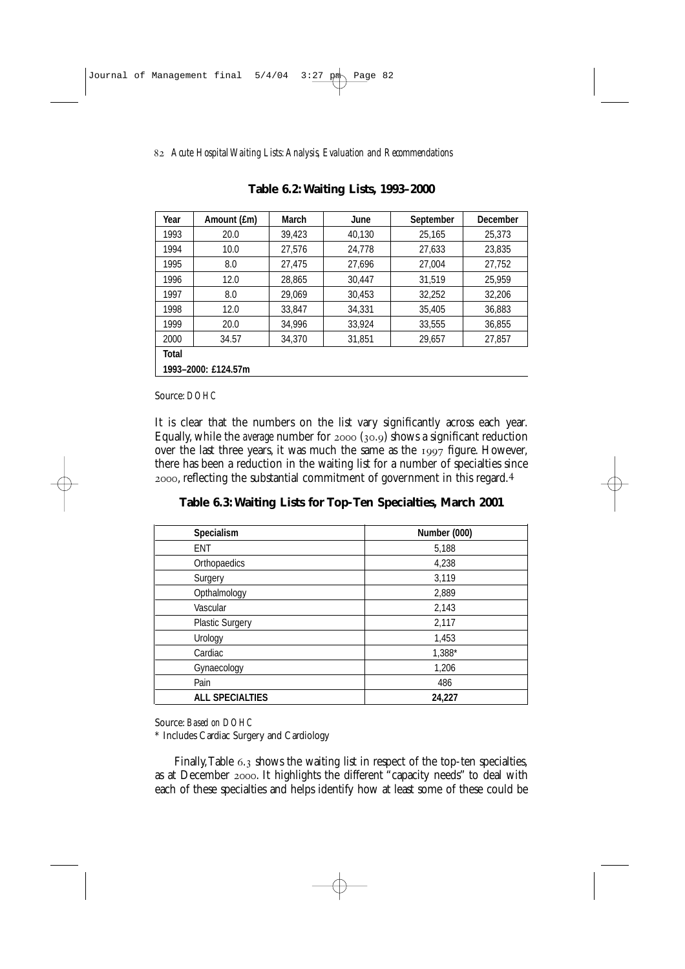| Year                | Amount (£m) | March  | June   | September | <b>December</b> |  |
|---------------------|-------------|--------|--------|-----------|-----------------|--|
| 1993                | 20.0        | 39.423 | 40,130 | 25,165    | 25,373          |  |
| 1994                | 10.0        | 27,576 | 24,778 | 27,633    | 23,835          |  |
| 1995                | 8.0         | 27,475 | 27,696 | 27.004    | 27,752          |  |
| 1996                | 12.0        | 28,865 | 30,447 | 31.519    | 25.959          |  |
| 1997                | 8.0         | 29,069 | 30,453 | 32,252    | 32,206          |  |
| 1998                | 12.0        | 33,847 | 34.331 | 35,405    | 36,883          |  |
| 1999                | 20.0        | 34.996 | 33.924 | 33,555    | 36.855          |  |
| 2000                | 34.57       | 34,370 | 31,851 | 29,657    | 27,857          |  |
| Total               |             |        |        |           |                 |  |
| 1993-2000: £124.57m |             |        |        |           |                 |  |

**Table 6.2:Waiting Lists, 1993–2000**

#### Source: *DOHC*

It is clear that the numbers on the list vary significantly across each year. Equally, while the *average* number for 2000 (30.9) shows a significant reduction over the last three years, it was much the same as the  $1997$  figure. However, there has been a reduction in the waiting list for a number of specialties since 2000, reflecting the substantial commitment of government in this regard.<sup>4</sup>

**Table 6.3:Waiting Lists for Top-Ten Specialties, March 2001**

| Specialism             | Number (000) |
|------------------------|--------------|
| <b>ENT</b>             | 5,188        |
| Orthopaedics           | 4,238        |
| Surgery                | 3,119        |
| Opthalmology           | 2,889        |
| Vascular               | 2,143        |
| <b>Plastic Surgery</b> | 2,117        |
| Urology                | 1,453        |
| Cardiac                | 1,388*       |
| Gynaecology            | 1,206        |
| Pain                   | 486          |
| <b>ALL SPECIALTIES</b> | 24,227       |

Source: *Based on DOHC*

\* Includes Cardiac Surgery and Cardiology

Finally, Table  $6.3$  shows the waiting list in respect of the top-ten specialties, as at December 2000. It highlights the different "capacity needs" to deal with each of these specialties and helps identify how at least some of these could be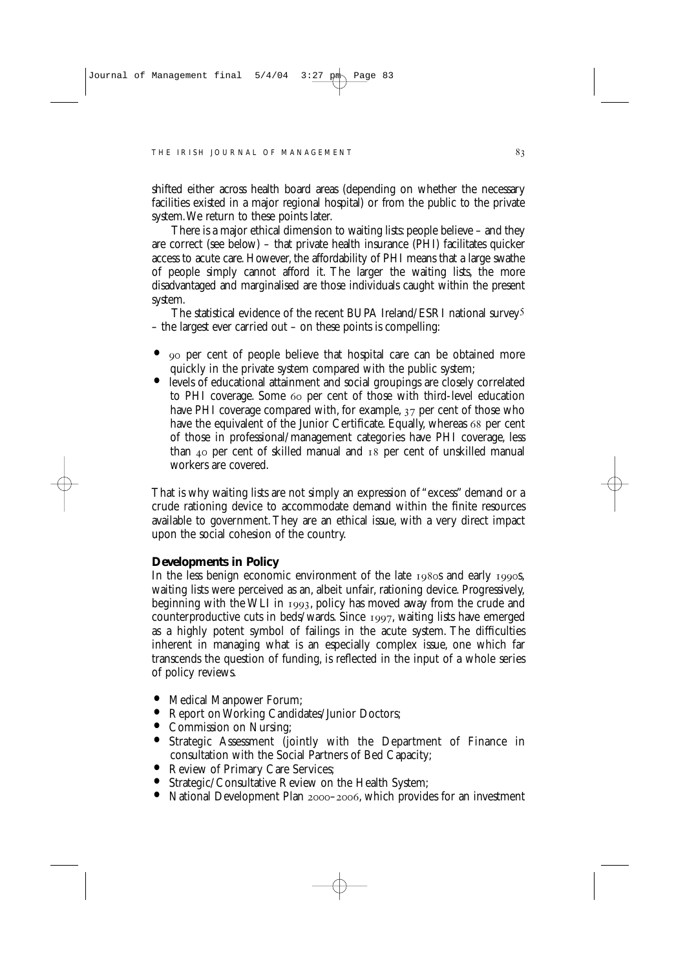shifted either across health board areas (depending on whether the necessary facilities existed in a major regional hospital) or from the public to the private system.We return to these points later.

There is a major ethical dimension to waiting lists: people believe – and they are correct (see below) – that private health insurance (PHI) facilitates quicker access to acute care. However, the affordability of PHI means that a large swathe of people simply cannot afford it. The larger the waiting lists, the more disadvantaged and marginalised are those individuals caught within the present system.

The statistical evidence of the recent BUPA Ireland/ESRI national survey<sup>5</sup> – the largest ever carried out – on these points is compelling:

- **•** per cent of people believe that hospital care can be obtained more quickly in the private system compared with the public system;
- **•** levels of educational attainment and social groupings are closely correlated to PHI coverage. Some  $\epsilon_0$  per cent of those with third-level education have PHI coverage compared with, for example,  $37$  per cent of those who have the equivalent of the Junior Certificate. Equally, whereas 68 per cent of those in professional/management categories have PHI coverage, less than  $40$  per cent of skilled manual and  $18$  per cent of unskilled manual workers are covered.

That is why waiting lists are not simply an expression of "excess" demand or a crude rationing device to accommodate demand within the finite resources available to government. They are an ethical issue, with a very direct impact upon the social cohesion of the country.

# **Developments in Policy**

In the less benign economic environment of the late  $1980s$  and early  $1990s$ , waiting lists were perceived as an, albeit unfair, rationing device. Progressively, beginning with the WLI in 1993, policy has moved away from the crude and counterproductive cuts in beds/wards. Since  $1997$ , waiting lists have emerged as a highly potent symbol of failings in the acute system. The difficulties inherent in managing what is an especially complex issue, one which far transcends the question of funding, is reflected in the input of a whole series of policy reviews.

- **•** Medical Manpower Forum;
- **•** Report on Working Candidates/Junior Doctors;
- **•** Commission on Nursing;
- **•** Strategic Assessment (jointly with the Department of Finance in consultation with the Social Partners of Bed Capacity;
- **•** Review of Primary Care Services;
- **•** Strategic/Consultative Review on the Health System;
- National Development Plan 2000-2006, which provides for an investment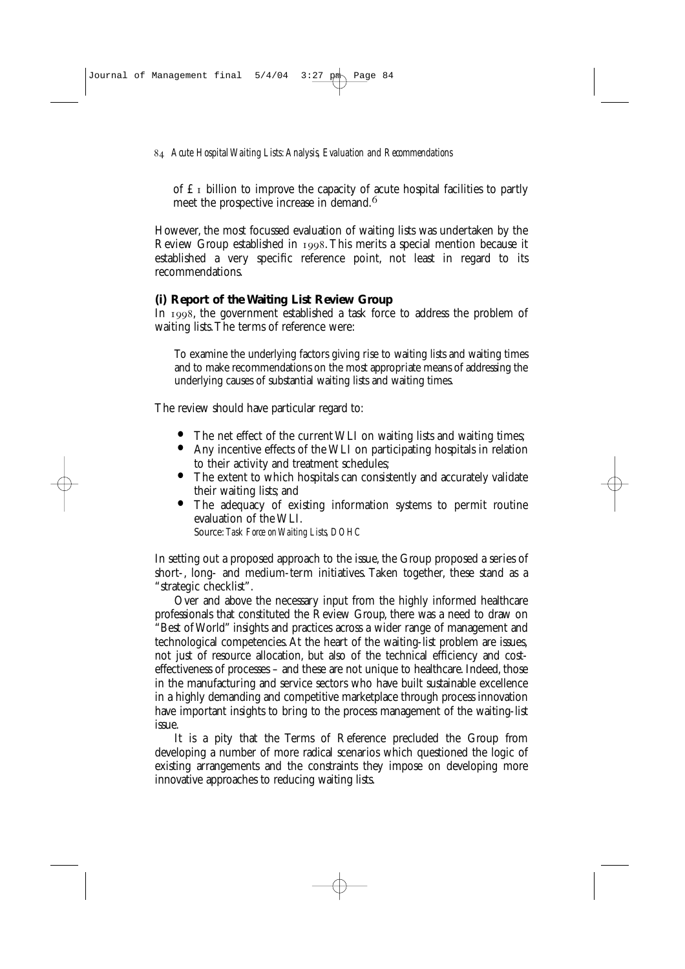of  $\mathcal{L}_I$  billion to improve the capacity of acute hospital facilities to partly meet the prospective increase in demand.<sup>6</sup>

However, the most focussed evaluation of waiting lists was undertaken by the Review Group established in 1998. This merits a special mention because it established a very specific reference point, not least in regard to its recommendations.

# **(i) Report of the Waiting List Review Group**

In 1998, the government established a task force to address the problem of waiting lists.The terms of reference were:

To examine the underlying factors giving rise to waiting lists and waiting times and to make recommendations on the most appropriate means of addressing the underlying causes of substantial waiting lists and waiting times.

The review should have particular regard to:

- The net effect of the current WLI on waiting lists and waiting times;
- **•** Any incentive effects of the WLI on participating hospitals in relation to their activity and treatment schedules;
- **•** The extent to which hospitals can consistently and accurately validate their waiting lists; and
- **•** The adequacy of existing information systems to permit routine evaluation of the WLI. Source: *Task Force on Waiting Lists, DOHC*

In setting out a proposed approach to the issue, the Group proposed a series of short-, long- and medium-term initiatives. Taken together, these stand as a "strategic checklist".

Over and above the necessary input from the highly informed healthcare professionals that constituted the Review Group, there was a need to draw on "Best of World" insights and practices across a wider range of management and technological competencies. At the heart of the waiting-list problem are issues, not just of resource allocation, but also of the technical efficiency and costeffectiveness of processes – and these are not unique to healthcare. Indeed, those in the manufacturing and service sectors who have built sustainable excellence in a highly demanding and competitive marketplace through process innovation have important insights to bring to the process management of the waiting-list issue.

It is a pity that the Terms of Reference precluded the Group from developing a number of more radical scenarios which questioned the logic of existing arrangements and the constraints they impose on developing more innovative approaches to reducing waiting lists.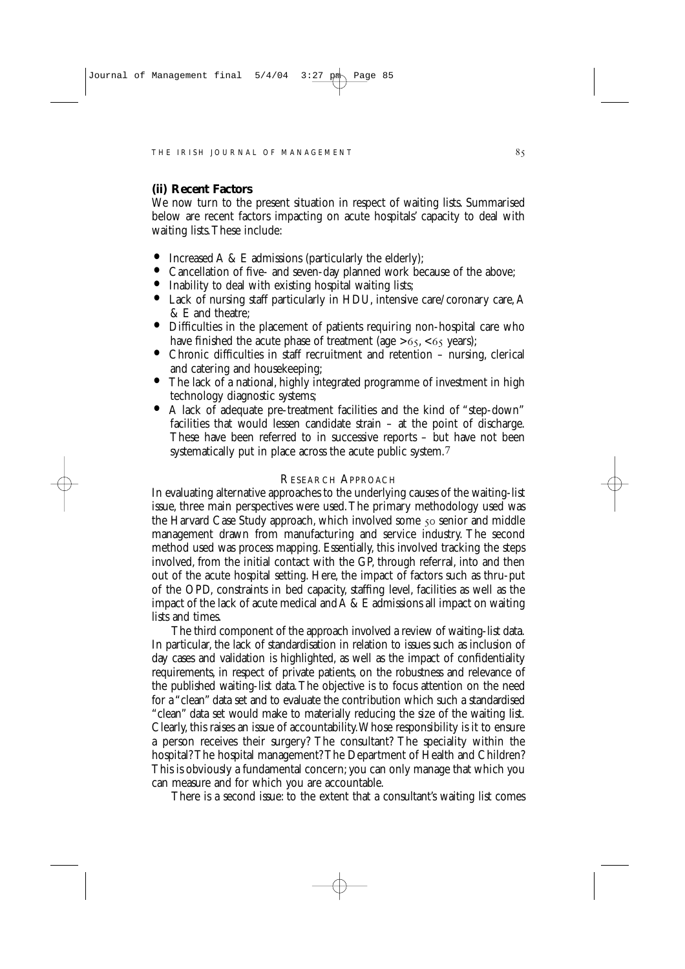#### **(ii) Recent Factors**

We now turn to the present situation in respect of waiting lists. Summarised below are recent factors impacting on acute hospitals' capacity to deal with waiting lists.These include:

- Increased A & E admissions (particularly the elderly);
- **•** Cancellation of five- and seven-day planned work because of the above;
- **•** Inability to deal with existing hospital waiting lists;
- **•** Lack of nursing staff particularly in HDU, intensive care/coronary care, A & E and theatre;
- **•** Difficulties in the placement of patients requiring non-hospital care who have finished the acute phase of treatment (age  $>65$ ,  $<65$  years);
- **•** Chronic difficulties in staff recruitment and retention nursing, clerical and catering and housekeeping;
- **•** The lack of a national, highly integrated programme of investment in high technology diagnostic systems;
- **•** A lack of adequate pre-treatment facilities and the kind of "step-down" facilities that would lessen candidate strain – at the point of discharge. These have been referred to in successive reports – but have not been systematically put in place across the acute public system.<sup>7</sup>

# RESEARCH APPROACH

In evaluating alternative approaches to the underlying causes of the waiting-list issue, three main perspectives were used.The primary methodology used was the Harvard Case Study approach, which involved some 50 senior and middle management drawn from manufacturing and service industry. The second method used was process mapping. Essentially, this involved tracking the steps involved, from the initial contact with the GP, through referral, into and then out of the acute hospital setting. Here, the impact of factors such as thru-put of the OPD, constraints in bed capacity, staffing level, facilities as well as the impact of the lack of acute medical and A & E admissions all impact on waiting lists and times.

The third component of the approach involved a review of waiting-list data. In particular, the lack of standardisation in relation to issues such as inclusion of day cases and validation is highlighted, as well as the impact of confidentiality requirements, in respect of private patients, on the robustness and relevance of the published waiting-list data.The objective is to focus attention on the need for a "clean" data set and to evaluate the contribution which such a standardised "clean" data set would make to materially reducing the size of the waiting list. Clearly, this raises an issue of accountability.Whose responsibility is it to ensure a person receives their surgery? The consultant? The speciality within the hospital? The hospital management? The Department of Health and Children? This is obviously a fundamental concern; you can only manage that which you can measure and for which you are accountable.

There is a second issue: to the extent that a consultant's waiting list comes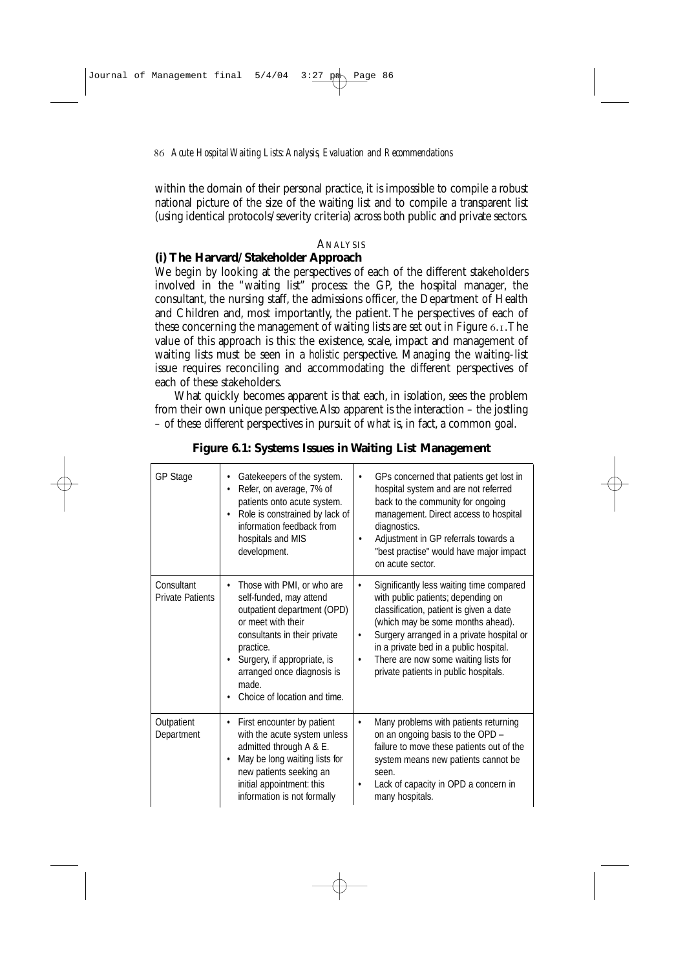within the domain of their personal practice, it is impossible to compile a robust national picture of the size of the waiting list and to compile a transparent list (using identical protocols/severity criteria) across both public and private sectors.

## ANALYSIS

# **(i) The Harvard/Stakeholder Approach**

We begin by looking at the perspectives of each of the different stakeholders involved in the "waiting list" process: the GP, the hospital manager, the consultant, the nursing staff, the admissions officer, the Department of Health and Children and, most importantly, the patient. The perspectives of each of these concerning the management of waiting lists are set out in Figure  $6.1$ . The value of this approach is this: the existence, scale, impact and management of waiting lists must be seen in a *holistic* perspective. Managing the waiting-list issue requires reconciling and accommodating the different perspectives of each of these stakeholders.

What quickly becomes apparent is that each, in isolation, sees the problem from their own unique perspective.Also apparent is the interaction – the jostling – of these different perspectives in pursuit of what is, in fact, a common goal.

| GP Stage                              | Gatekeepers of the system.<br>٠<br>Refer, on average, 7% of<br>٠<br>patients onto acute system.<br>Role is constrained by lack of<br>$\bullet$<br>information feedback from<br>hospitals and MIS<br>development.                                                                     | GPs concerned that patients get lost in<br>hospital system and are not referred<br>back to the community for ongoing<br>management. Direct access to hospital<br>diagnostics.<br>Adjustment in GP referrals towards a<br>"best practise" would have major impact<br>on acute sector.                                                             |
|---------------------------------------|--------------------------------------------------------------------------------------------------------------------------------------------------------------------------------------------------------------------------------------------------------------------------------------|--------------------------------------------------------------------------------------------------------------------------------------------------------------------------------------------------------------------------------------------------------------------------------------------------------------------------------------------------|
| Consultant<br><b>Private Patients</b> | Those with PMI, or who are<br>٠<br>self-funded, may attend<br>outpatient department (OPD)<br>or meet with their<br>consultants in their private<br>practice.<br>Surgery, if appropriate, is<br>$\bullet$<br>arranged once diagnosis is<br>made.<br>Choice of location and time.<br>٠ | Significantly less waiting time compared<br>۰<br>with public patients; depending on<br>classification, patient is given a date<br>(which may be some months ahead).<br>Surgery arranged in a private hospital or<br>in a private bed in a public hospital.<br>There are now some waiting lists for<br>٠<br>private patients in public hospitals. |
| Outpatient<br>Department              | First encounter by patient<br>٠<br>with the acute system unless<br>admitted through A & E.<br>May be long waiting lists for<br>٠<br>new patients seeking an<br>initial appointment: this<br>information is not formally                                                              | Many problems with patients returning<br>۰<br>on an ongoing basis to the OPD -<br>failure to move these patients out of the<br>system means new patients cannot be<br>seen.<br>Lack of capacity in OPD a concern in<br>many hospitals.                                                                                                           |

**Figure 6.1: Systems Issues in Waiting List Management**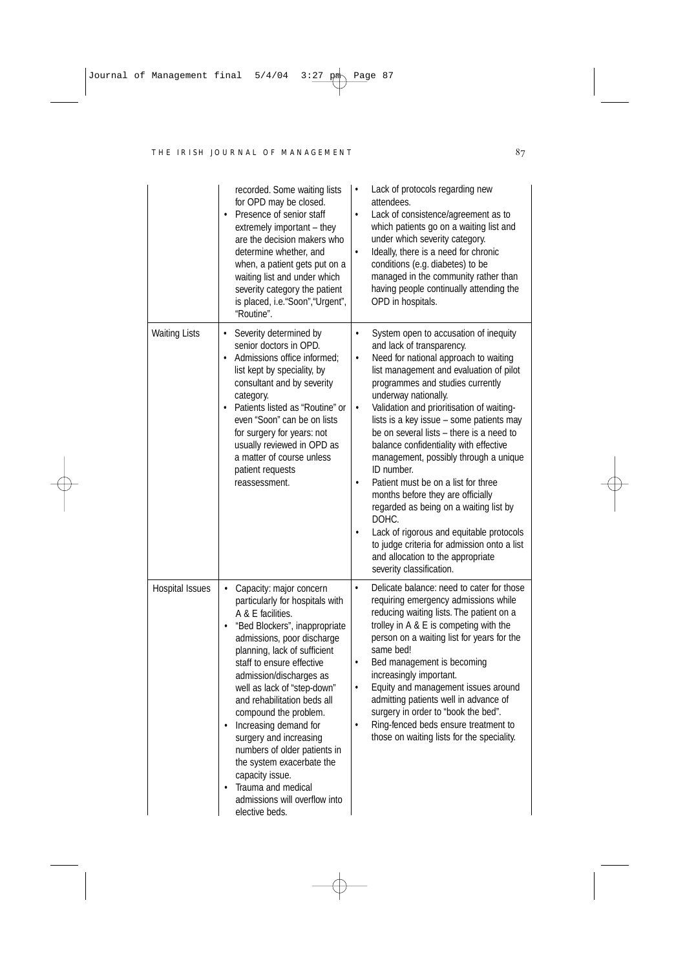|                        | recorded. Some waiting lists<br>for OPD may be closed.<br>Presence of senior staff<br>$\bullet$<br>extremely important - they<br>are the decision makers who<br>determine whether, and<br>when, a patient gets put on a<br>waiting list and under which<br>severity category the patient<br>is placed, i.e. "Soon", "Urgent",<br>"Routine".                                                                                                                                                                                                 | Lack of protocols regarding new<br>attendees.<br>Lack of consistence/agreement as to<br>$\bullet$<br>which patients go on a waiting list and<br>under which severity category.<br>Ideally, there is a need for chronic<br>conditions (e.g. diabetes) to be<br>managed in the community rather than<br>having people continually attending the<br>OPD in hospitals.                                                                                                                                                                                                                                                                                                                                                                                                                         |
|------------------------|---------------------------------------------------------------------------------------------------------------------------------------------------------------------------------------------------------------------------------------------------------------------------------------------------------------------------------------------------------------------------------------------------------------------------------------------------------------------------------------------------------------------------------------------|--------------------------------------------------------------------------------------------------------------------------------------------------------------------------------------------------------------------------------------------------------------------------------------------------------------------------------------------------------------------------------------------------------------------------------------------------------------------------------------------------------------------------------------------------------------------------------------------------------------------------------------------------------------------------------------------------------------------------------------------------------------------------------------------|
| <b>Waiting Lists</b>   | Severity determined by<br>٠<br>senior doctors in OPD.<br>Admissions office informed;<br>$\bullet$<br>list kept by speciality, by<br>consultant and by severity<br>category.<br>Patients listed as "Routine" or<br>$\bullet$<br>even "Soon" can be on lists<br>for surgery for years: not<br>usually reviewed in OPD as<br>a matter of course unless<br>patient requests<br>reassessment.                                                                                                                                                    | System open to accusation of inequity<br>and lack of transparency.<br>Need for national approach to waiting<br>$\bullet$<br>list management and evaluation of pilot<br>programmes and studies currently<br>underway nationally.<br>Validation and prioritisation of waiting-<br>lists is a key issue - some patients may<br>be on several lists - there is a need to<br>balance confidentiality with effective<br>management, possibly through a unique<br>ID number.<br>Patient must be on a list for three<br>$\bullet$<br>months before they are officially<br>regarded as being on a waiting list by<br>DOHC.<br>Lack of rigorous and equitable protocols<br>$\bullet$<br>to judge criteria for admission onto a list<br>and allocation to the appropriate<br>severity classification. |
| <b>Hospital Issues</b> | Capacity: major concern<br>particularly for hospitals with<br>A & E facilities.<br>"Bed Blockers", inappropriate<br>admissions, poor discharge<br>planning, lack of sufficient<br>staff to ensure effective<br>admission/discharges as<br>well as lack of "step-down"<br>and rehabilitation beds all<br>compound the problem.<br>Increasing demand for<br>surgery and increasing<br>numbers of older patients in<br>the system exacerbate the<br>capacity issue.<br>• Trauma and medical<br>admissions will overflow into<br>elective beds. | Delicate balance: need to cater for those<br>$\bullet$<br>requiring emergency admissions while<br>reducing waiting lists. The patient on a<br>trolley in A & E is competing with the<br>person on a waiting list for years for the<br>same bed!<br>Bed management is becoming<br>$\bullet$<br>increasingly important.<br>Equity and management issues around<br>admitting patients well in advance of<br>surgery in order to "book the bed".<br>Ring-fenced beds ensure treatment to<br>$\bullet$<br>those on waiting lists for the speciality.                                                                                                                                                                                                                                            |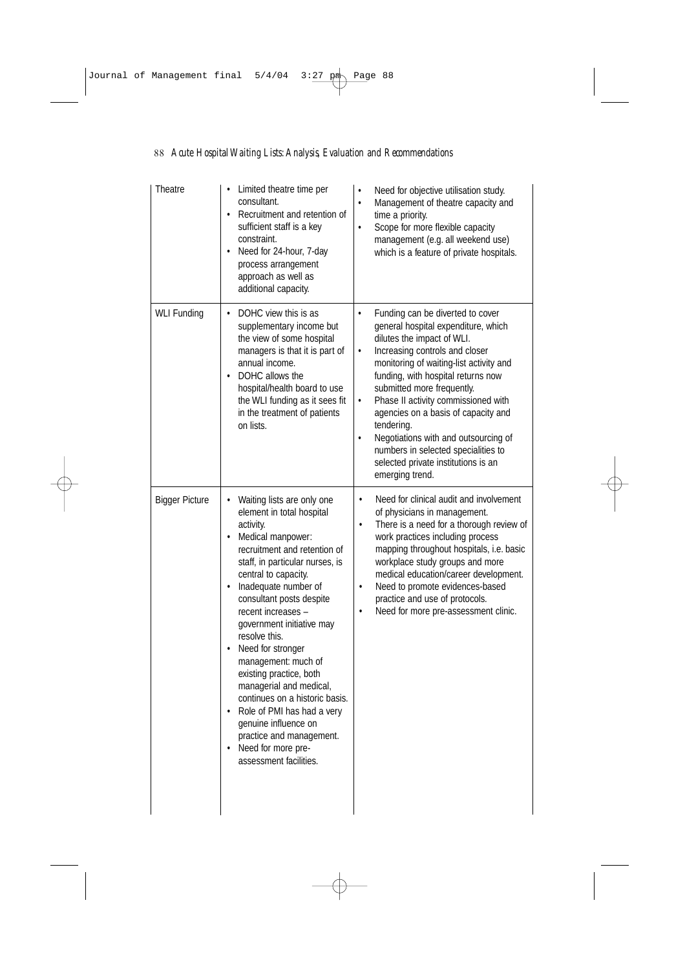| Theatre               | Limited theatre time per<br>consultant.<br>Recruitment and retention of<br>$\bullet$<br>sufficient staff is a key<br>constraint.<br>Need for 24-hour, 7-day<br>$\bullet$<br>process arrangement<br>approach as well as<br>additional capacity.                                                                                                                                                                                                                                                                                                                                                                                         | Need for objective utilisation study.<br>Management of theatre capacity and<br>$\bullet$<br>time a priority.<br>Scope for more flexible capacity<br>management (e.g. all weekend use)<br>which is a feature of private hospitals.                                                                                                                                                                                                                                                                                                               |
|-----------------------|----------------------------------------------------------------------------------------------------------------------------------------------------------------------------------------------------------------------------------------------------------------------------------------------------------------------------------------------------------------------------------------------------------------------------------------------------------------------------------------------------------------------------------------------------------------------------------------------------------------------------------------|-------------------------------------------------------------------------------------------------------------------------------------------------------------------------------------------------------------------------------------------------------------------------------------------------------------------------------------------------------------------------------------------------------------------------------------------------------------------------------------------------------------------------------------------------|
| <b>WLI Funding</b>    | DOHC view this is as<br>supplementary income but<br>the view of some hospital<br>managers is that it is part of<br>annual income.<br>DOHC allows the<br>۰<br>hospital/health board to use<br>the WLI funding as it sees fit<br>in the treatment of patients<br>on lists.                                                                                                                                                                                                                                                                                                                                                               | Funding can be diverted to cover<br>$\bullet$<br>general hospital expenditure, which<br>dilutes the impact of WLI.<br>Increasing controls and closer<br>$\bullet$<br>monitoring of waiting-list activity and<br>funding, with hospital returns now<br>submitted more frequently.<br>Phase II activity commissioned with<br>$\bullet$<br>agencies on a basis of capacity and<br>tendering.<br>Negotiations with and outsourcing of<br>$\bullet$<br>numbers in selected specialities to<br>selected private institutions is an<br>emerging trend. |
| <b>Bigger Picture</b> | Waiting lists are only one<br>element in total hospital<br>activity.<br>Medical manpower:<br>$\bullet$<br>recruitment and retention of<br>staff, in particular nurses, is<br>central to capacity.<br>Inadequate number of<br>$\bullet$<br>consultant posts despite<br>recent increases -<br>government initiative may<br>resolve this.<br>Need for stronger<br>$\bullet$<br>management: much of<br>existing practice, both<br>managerial and medical,<br>continues on a historic basis.<br>Role of PMI has had a very<br>genuine influence on<br>practice and management.<br>Need for more pre-<br>$\bullet$<br>assessment facilities. | Need for clinical audit and involvement<br>of physicians in management.<br>There is a need for a thorough review of<br>work practices including process<br>mapping throughout hospitals, i.e. basic<br>workplace study groups and more<br>medical education/career development.<br>Need to promote evidences-based<br>practice and use of protocols.<br>Need for more pre-assessment clinic.                                                                                                                                                    |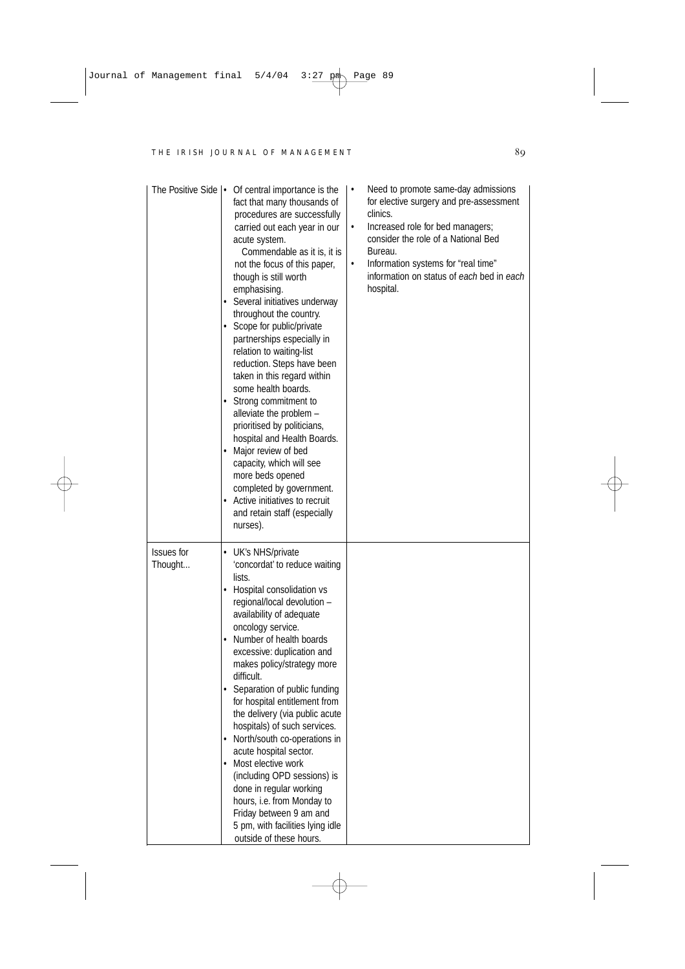|                              | The Positive Side $ \cdot\>$ Of central importance is the<br>fact that many thousands of<br>procedures are successfully<br>carried out each year in our<br>acute system.<br>Commendable as it is, it is<br>not the focus of this paper,<br>though is still worth<br>emphasising.<br>Several initiatives underway<br>throughout the country.<br>Scope for public/private<br>partnerships especially in<br>relation to waiting-list<br>reduction. Steps have been<br>taken in this regard within<br>some health boards.<br>Strong commitment to<br>alleviate the problem -<br>prioritised by politicians,<br>hospital and Health Boards.<br>Major review of bed<br>capacity, which will see<br>more beds opened<br>completed by government.<br>Active initiatives to recruit<br>and retain staff (especially<br>nurses). | Need to promote same-day admissions<br>for elective surgery and pre-assessment<br>clinics.<br>Increased role for bed managers;<br>$\bullet$<br>consider the role of a National Bed<br>Bureau.<br>Information systems for "real time"<br>information on status of each bed in each<br>hospital. |
|------------------------------|------------------------------------------------------------------------------------------------------------------------------------------------------------------------------------------------------------------------------------------------------------------------------------------------------------------------------------------------------------------------------------------------------------------------------------------------------------------------------------------------------------------------------------------------------------------------------------------------------------------------------------------------------------------------------------------------------------------------------------------------------------------------------------------------------------------------|------------------------------------------------------------------------------------------------------------------------------------------------------------------------------------------------------------------------------------------------------------------------------------------------|
| <b>Issues for</b><br>Thought | UK's NHS/private<br>'concordat' to reduce waiting<br>lists.<br>Hospital consolidation vs<br>regional/local devolution -<br>availability of adequate<br>oncology service.<br>Number of health boards<br>excessive: duplication and<br>makes policy/strategy more<br>difficult.<br>Separation of public funding<br>for hospital entitlement from<br>the delivery (via public acute<br>hospitals) of such services.<br>North/south co-operations in<br>acute hospital sector.<br>Most elective work<br>(including OPD sessions) is<br>done in regular working<br>hours, i.e. from Monday to<br>Friday between 9 am and<br>5 pm, with facilities lying idle<br>outside of these hours.                                                                                                                                     |                                                                                                                                                                                                                                                                                                |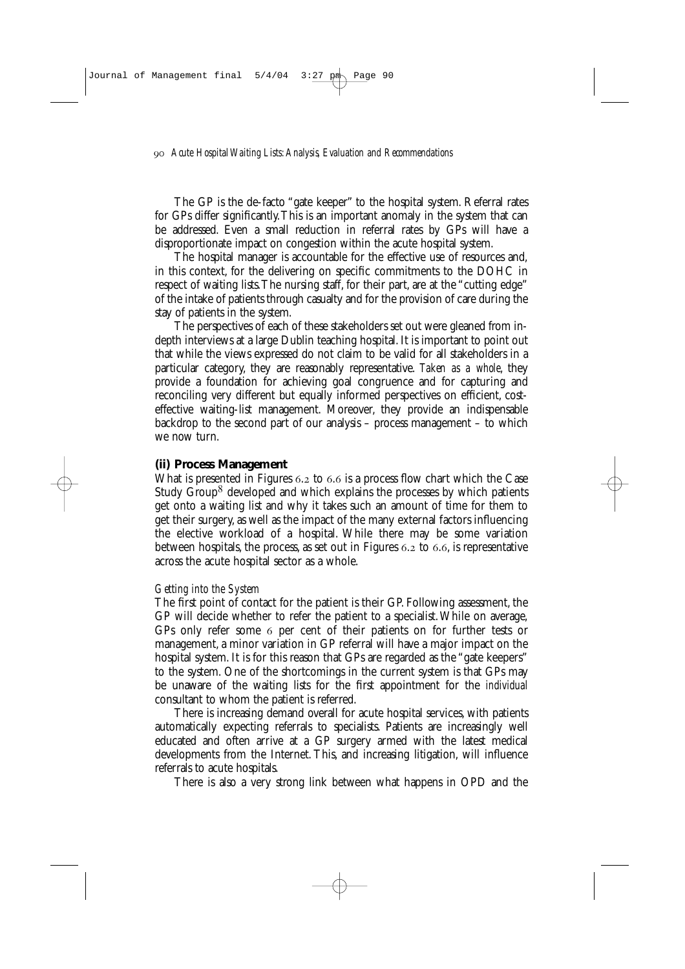The GP is the de-facto "gate keeper" to the hospital system. Referral rates for GPs differ significantly.This is an important anomaly in the system that can be addressed. Even a small reduction in referral rates by GPs will have a disproportionate impact on congestion within the acute hospital system.

The hospital manager is accountable for the effective use of resources and, in this context, for the delivering on specific commitments to the DOHC in respect of waiting lists.The nursing staff, for their part, are at the "cutting edge" of the intake of patients through casualty and for the provision of care during the stay of patients in the system.

The perspectives of each of these stakeholders set out were gleaned from indepth interviews at a large Dublin teaching hospital. It is important to point out that while the views expressed do not claim to be valid for all stakeholders in a particular category, they are reasonably representative. *Taken as a whole*, they provide a foundation for achieving goal congruence and for capturing and reconciling very different but equally informed perspectives on efficient, costeffective waiting-list management. Moreover, they provide an indispensable backdrop to the second part of our analysis – process management – to which we now turn.

# **(ii) Process Management**

What is presented in Figures  $6.2$  to  $6.6$  is a process flow chart which the Case Study  $Group<sup>8</sup>$  developed and which explains the processes by which patients get onto a waiting list and why it takes such an amount of time for them to get their surgery, as well as the impact of the many external factors influencing the elective workload of a hospital. While there may be some variation between hospitals, the process, as set out in Figures  $6.2$  to  $6.6$ , is representative across the acute hospital sector as a whole.

# *Getting into the System*

The first point of contact for the patient is their GP. Following assessment, the GP will decide whether to refer the patient to a specialist.While on average, GPs only refer some 6 per cent of their patients on for further tests or management, a minor variation in GP referral will have a major impact on the hospital system. It is for this reason that GPs are regarded as the "gate keepers" to the system. One of the shortcomings in the current system is that GPs may be unaware of the waiting lists for the first appointment for the *individual* consultant to whom the patient is referred.

There is increasing demand overall for acute hospital services, with patients automatically expecting referrals to specialists. Patients are increasingly well educated and often arrive at a GP surgery armed with the latest medical developments from the Internet. This, and increasing litigation, will influence referrals to acute hospitals.

There is also a very strong link between what happens in OPD and the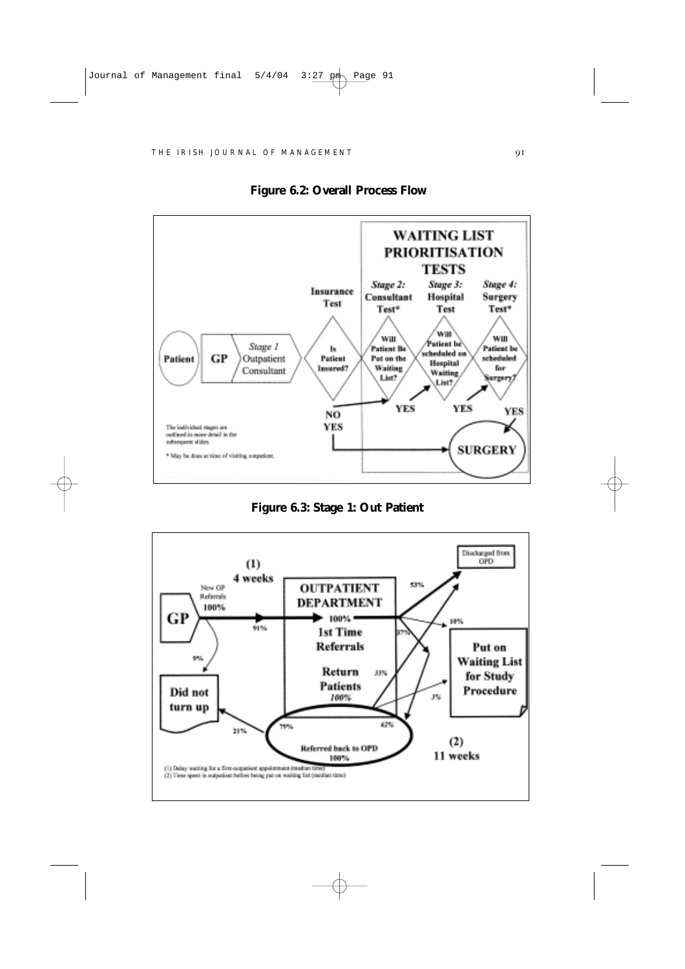

**Figure 6.2: Overall Process Flow**



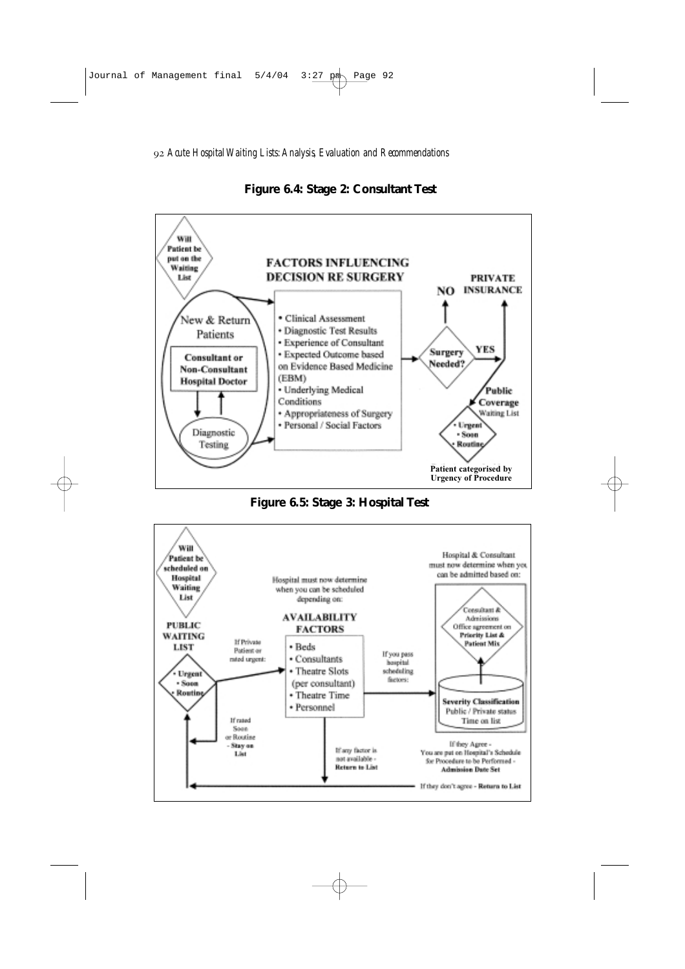

**Figure 6.4: Stage 2: Consultant Test**

**Figure 6.5: Stage 3: Hospital Test**

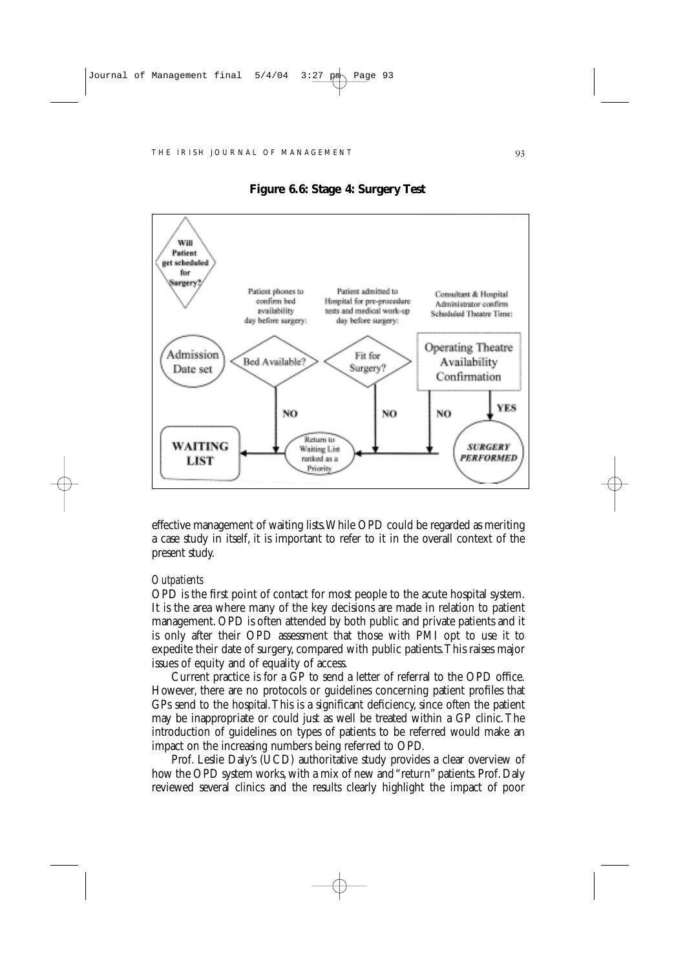

**Figure 6.6: Stage 4: Surgery Test**

effective management of waiting lists.While OPD could be regarded as meriting a case study in itself, it is important to refer to it in the overall context of the present study.

#### *Outpatients*

OPD is the first point of contact for most people to the acute hospital system. It is the area where many of the key decisions are made in relation to patient management. OPD is often attended by both public and private patients and it is only after their OPD assessment that those with PMI opt to use it to expedite their date of surgery, compared with public patients.This raises major issues of equity and of equality of access.

Current practice is for a GP to send a letter of referral to the OPD office. However, there are no protocols or guidelines concerning patient profiles that GPs send to the hospital.This is a significant deficiency, since often the patient may be inappropriate or could just as well be treated within a GP clinic.The introduction of guidelines on types of patients to be referred would make an impact on the increasing numbers being referred to OPD.

Prof. Leslie Daly's (UCD) authoritative study provides a clear overview of how the OPD system works, with a mix of new and "return" patients. Prof. Daly reviewed several clinics and the results clearly highlight the impact of poor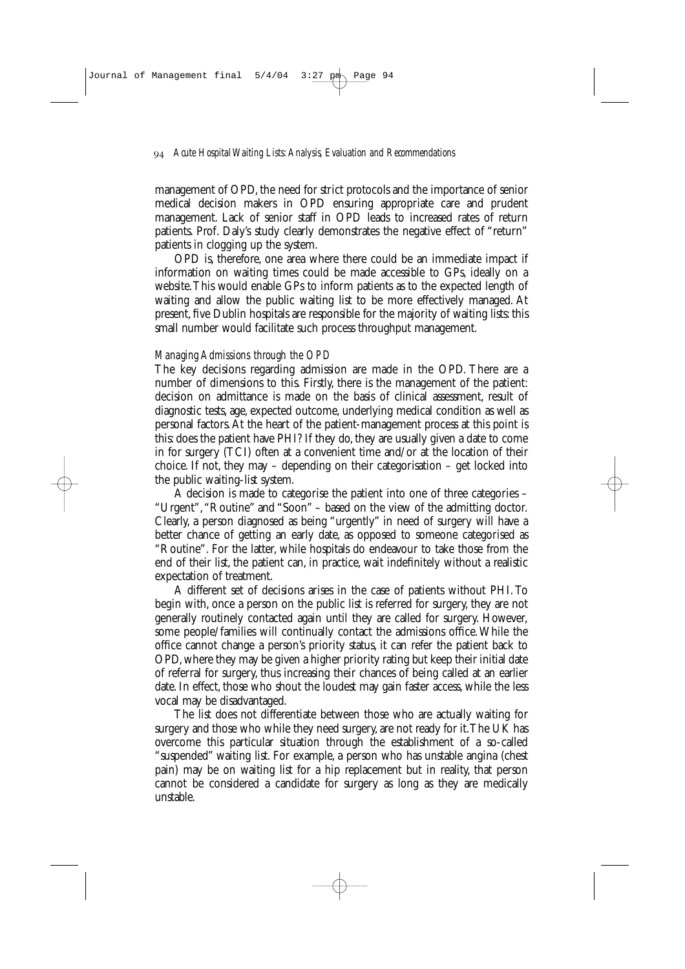management of OPD, the need for strict protocols and the importance of senior medical decision makers in OPD ensuring appropriate care and prudent management. Lack of senior staff in OPD leads to increased rates of return patients. Prof. Daly's study clearly demonstrates the negative effect of "return" patients in clogging up the system.

OPD is, therefore, one area where there could be an immediate impact if information on waiting times could be made accessible to GPs, ideally on a website.This would enable GPs to inform patients as to the expected length of waiting and allow the public waiting list to be more effectively managed. At present, five Dublin hospitals are responsible for the majority of waiting lists: this small number would facilitate such process throughput management.

# *Managing Admissions through the OPD*

The key decisions regarding admission are made in the OPD. There are a number of dimensions to this. Firstly, there is the management of the patient: decision on admittance is made on the basis of clinical assessment, result of diagnostic tests, age, expected outcome, underlying medical condition as well as personal factors.At the heart of the patient-management process at this point is this: does the patient have PHI? If they do, they are usually given a date to come in for surgery (TCI) often at a convenient time and/or at the location of their choice. If not, they may – depending on their categorisation – get locked into the public waiting-list system.

A decision is made to categorise the patient into one of three categories – "Urgent","Routine" and "Soon" – based on the view of the admitting doctor. Clearly, a person diagnosed as being "urgently" in need of surgery will have a better chance of getting an early date, as opposed to someone categorised as "Routine". For the latter, while hospitals do endeavour to take those from the end of their list, the patient can, in practice, wait indefinitely without a realistic expectation of treatment.

A different set of decisions arises in the case of patients without PHI. To begin with, once a person on the public list is referred for surgery, they are not generally routinely contacted again until they are called for surgery. However, some people/families will continually contact the admissions office.While the office cannot change a person's priority status, it can refer the patient back to OPD,where they may be given a higher priority rating but keep their initial date of referral for surgery, thus increasing their chances of being called at an earlier date. In effect, those who shout the loudest may gain faster access, while the less vocal may be disadvantaged.

The list does not differentiate between those who are actually waiting for surgery and those who while they need surgery, are not ready for it.The UK has overcome this particular situation through the establishment of a so-called "suspended" waiting list. For example, a person who has unstable angina (chest pain) may be on waiting list for a hip replacement but in reality, that person cannot be considered a candidate for surgery as long as they are medically unstable.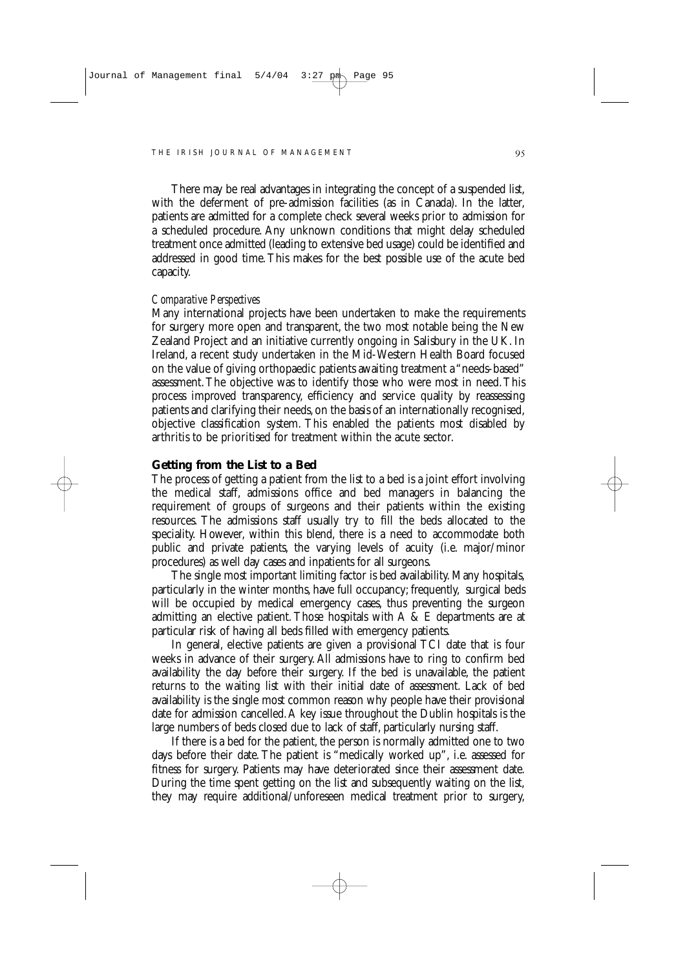There may be real advantages in integrating the concept of a suspended list, with the deferment of pre-admission facilities (as in Canada). In the latter, patients are admitted for a complete check several weeks prior to admission for a scheduled procedure. Any unknown conditions that might delay scheduled treatment once admitted (leading to extensive bed usage) could be identified and addressed in good time. This makes for the best possible use of the acute bed capacity.

#### *Comparative Perspectives*

Many international projects have been undertaken to make the requirements for surgery more open and transparent, the two most notable being the New Zealand Project and an initiative currently ongoing in Salisbury in the UK. In Ireland, a recent study undertaken in the Mid-Western Health Board focused on the value of giving orthopaedic patients awaiting treatment a "needs-based" assessment.The objective was to identify those who were most in need.This process improved transparency, efficiency and service quality by reassessing patients and clarifying their needs, on the basis of an internationally recognised, objective classification system. This enabled the patients most disabled by arthritis to be prioritised for treatment within the acute sector.

#### **Getting from the List to a Bed**

The process of getting a patient from the list to a bed is a joint effort involving the medical staff, admissions office and bed managers in balancing the requirement of groups of surgeons and their patients within the existing resources. The admissions staff usually try to fill the beds allocated to the speciality. However, within this blend, there is a need to accommodate both public and private patients, the varying levels of acuity (i.e. major/minor procedures) as well day cases and inpatients for all surgeons.

The single most important limiting factor is bed availability. Many hospitals, particularly in the winter months, have full occupancy; frequently, surgical beds will be occupied by medical emergency cases, thus preventing the surgeon admitting an elective patient. Those hospitals with  $A \& E$  departments are at particular risk of having all beds filled with emergency patients.

In general, elective patients are given a provisional TCI date that is four weeks in advance of their surgery. All admissions have to ring to confirm bed availability the day before their surgery. If the bed is unavailable, the patient returns to the waiting list with their initial date of assessment. Lack of bed availability is the single most common reason why people have their provisional date for admission cancelled.A key issue throughout the Dublin hospitals is the large numbers of beds closed due to lack of staff, particularly nursing staff.

If there is a bed for the patient, the person is normally admitted one to two days before their date. The patient is "medically worked up", i.e. assessed for fitness for surgery. Patients may have deteriorated since their assessment date. During the time spent getting on the list and subsequently waiting on the list, they may require additional/unforeseen medical treatment prior to surgery,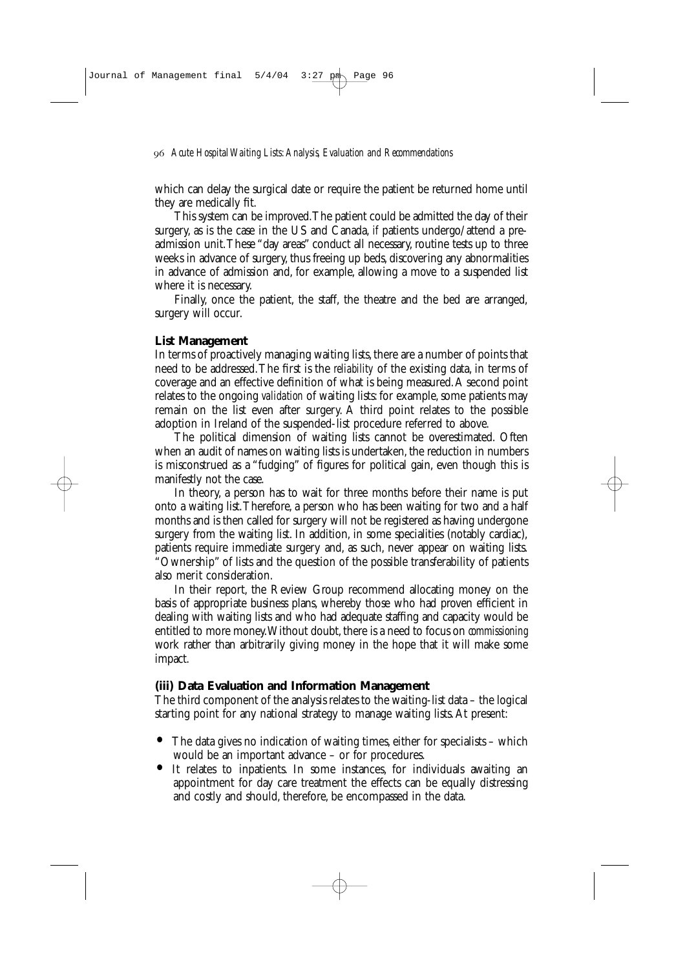which can delay the surgical date or require the patient be returned home until they are medically fit.

This system can be improved.The patient could be admitted the day of their surgery, as is the case in the US and Canada, *if* patients undergo/attend a preadmission unit.These "day areas" conduct all necessary, routine tests up to three weeks in advance of surgery, thus freeing up beds, discovering any abnormalities in advance of admission and, for example, allowing a move to a suspended list where it is necessary.

Finally, once the patient, the staff, the theatre and the bed are arranged, surgery will occur.

# **List Management**

In terms of proactively managing waiting lists, there are a number of points that need to be addressed.The first is the *reliability* of the existing data, in terms of coverage and an effective definition of what is being measured.A second point relates to the ongoing *validation* of waiting lists: for example, some patients may remain on the list even after surgery. A third point relates to the possible adoption in Ireland of the suspended-list procedure referred to above.

The political dimension of waiting lists cannot be overestimated. Often when an audit of names on waiting lists is undertaken, the reduction in numbers is misconstrued as a "fudging" of figures for political gain, even though this is manifestly not the case.

In theory, a person has to wait for three months before their name is put onto a waiting list.Therefore, a person who has been waiting for two and a half months and is then called for surgery will not be registered as having undergone surgery from the waiting list. In addition, in some specialities (notably cardiac), patients require immediate surgery and, as such, never appear on waiting lists. "Ownership" of lists and the question of the possible transferability of patients also merit consideration.

In their report, the Review Group recommend allocating money on the basis of appropriate business plans, whereby those who had proven efficient in dealing with waiting lists and who had adequate staffing and capacity would be entitled to more money.Without doubt, there is a need to focus on *commissioning* work rather than arbitrarily giving money in the hope that it will make some impact.

# **(iii) Data Evaluation and Information Management**

The third component of the analysis relates to the waiting-list data – the logical starting point for any national strategy to manage waiting lists.At present:

- **•** The data gives no indication of waiting times, either for specialists which would be an important advance – or for procedures.
- **•** It relates to inpatients. In some instances, for individuals awaiting an appointment for day care treatment the effects can be equally distressing and costly and should, therefore, be encompassed in the data.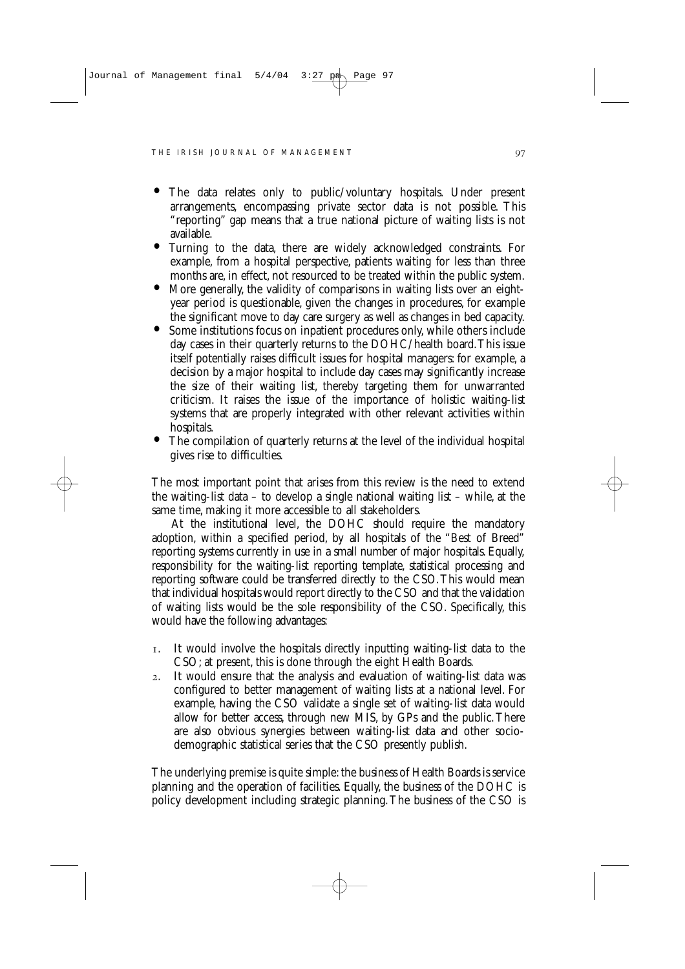- **•** The data relates only to public/voluntary hospitals. Under present arrangements, encompassing private sector data is not possible. This "reporting" gap means that a true national picture of waiting lists is not available.
- **•** Turning to the data, there are widely acknowledged constraints. For example, from a hospital perspective, patients waiting for less than three months are, in effect, not resourced to be treated within the public system.
- **•** More generally, the validity of comparisons in waiting lists over an eightyear period is questionable, given the changes in procedures, for example the significant move to day care surgery as well as changes in bed capacity.
- **•** Some institutions focus on inpatient procedures only, while others include day cases in their quarterly returns to the DOHC/health board.This issue itself potentially raises difficult issues for hospital managers: for example, a decision by a major hospital to include day cases may significantly increase the size of their waiting list, thereby targeting them for unwarranted criticism. It raises the issue of the importance of holistic waiting-list systems that are properly integrated with other relevant activities within hospitals.
- **•** The compilation of quarterly returns at the level of the individual hospital gives rise to difficulties.

The most important point that arises from this review is the need to extend the waiting-list data – to develop a single national waiting list – while, at the same time, making it more accessible to all stakeholders.

At the institutional level, the DOHC should require the mandatory adoption, within a specified period, by all hospitals of the "Best of Breed" reporting systems currently in use in a small number of major hospitals. Equally, responsibility for the waiting-list reporting template, statistical processing and reporting software could be transferred directly to the CSO.This would mean that individual hospitals would report directly to the CSO and that the validation of waiting lists would be the sole responsibility of the CSO. Specifically, this would have the following advantages:

- . It would involve the hospitals directly inputting waiting-list data to the CSO; at present, this is done through the eight Health Boards.
- . It would ensure that the analysis and evaluation of waiting-list data was configured to better management of waiting lists at a national level. For example, having the CSO validate a single set of waiting-list data would allow for better access, through new MIS, by GPs and the public.There are also obvious synergies between waiting-list data and other sociodemographic statistical series that the CSO presently publish.

The underlying premise is quite simple: the business of Health Boards is service planning and the operation of facilities. Equally, the business of the DOHC is policy development including strategic planning.The business of the CSO is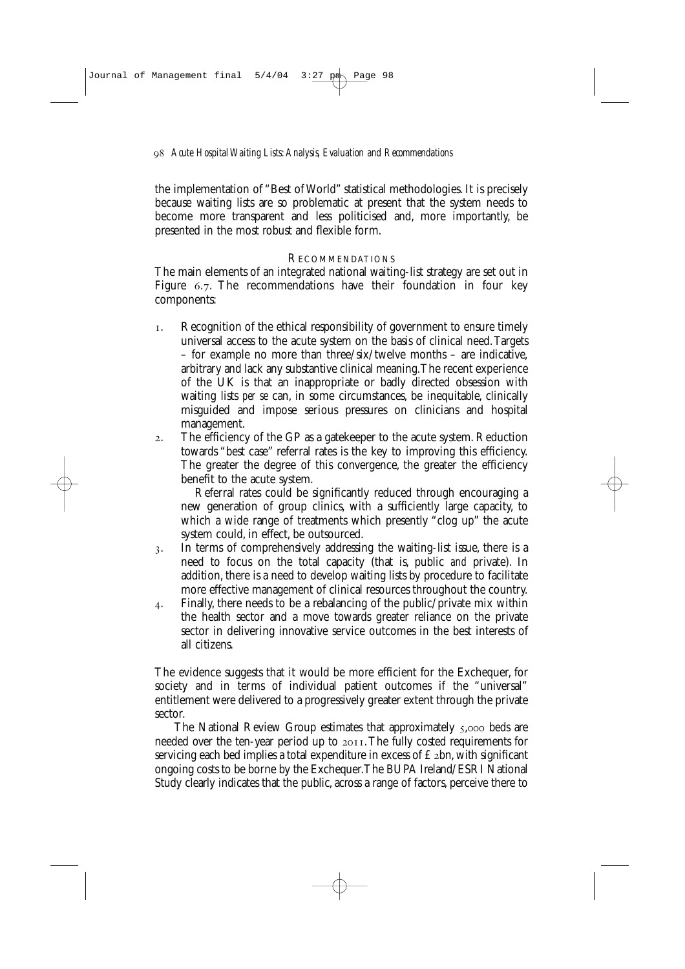the implementation of "Best of World" statistical methodologies. It is precisely because waiting lists are so problematic at present that the system needs to become more transparent and less politicised and, more importantly, be presented in the most robust and flexible form.

# RECOMMENDATIONS

The main elements of an integrated national waiting-list strategy are set out in Figure 6.7. The recommendations have their foundation in four key components:

- . Recognition of the ethical responsibility of government to ensure timely universal access to the acute system on the basis of clinical need.Targets – for example no more than three/six/twelve months – are indicative, arbitrary and lack any substantive clinical meaning.The recent experience of the UK is that an inappropriate or badly directed obsession with waiting lists *per se* can, in some circumstances, be inequitable, clinically misguided and impose serious pressures on clinicians and hospital management.
- . The efficiency of the GP as a gatekeeper to the acute system. Reduction towards "best case" referral rates is the key to improving this efficiency. The greater the degree of this convergence, the greater the efficiency benefit to the acute system.

Referral rates could be significantly reduced through encouraging a new generation of group clinics, with a sufficiently large capacity, to which a wide range of treatments which presently "clog up" the acute system could, in effect, be outsourced.

- . In terms of comprehensively addressing the waiting-list issue, there is a need to focus on the total capacity (that is, public *and* private). In addition, there is a need to develop waiting lists by procedure to facilitate more effective management of clinical resources throughout the country.
- . Finally, there needs to be a rebalancing of the public/private mix within the health sector and a move towards greater reliance on the private sector in delivering innovative service outcomes in the best interests of all citizens.

The evidence suggests that it would be more efficient for the Exchequer, for society and in terms of individual patient outcomes if the "universal" entitlement were delivered to a progressively greater extent through the private sector.

The National Review Group estimates that approximately  $\zeta$ ,000 beds are needed over the ten-year period up to  $20I$  . The fully costed requirements for servicing each bed implies a total expenditure in excess of  $\epsilon_2$ bn, with significant ongoing costs to be borne by the Exchequer.The BUPA Ireland/ESRI National Study clearly indicates that the public, across a range of factors, perceive there to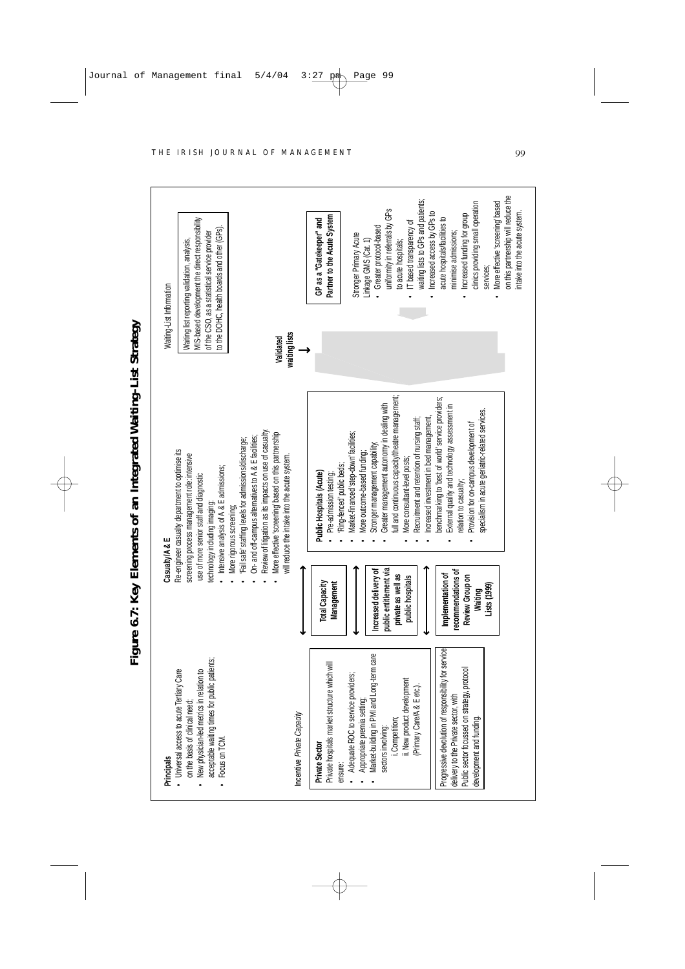**Figure 6.7: Key Elements of an Integrated Waiting-List Strategy** Figure 6.7: Key Elements of an Integrated Waiting-List Strategy

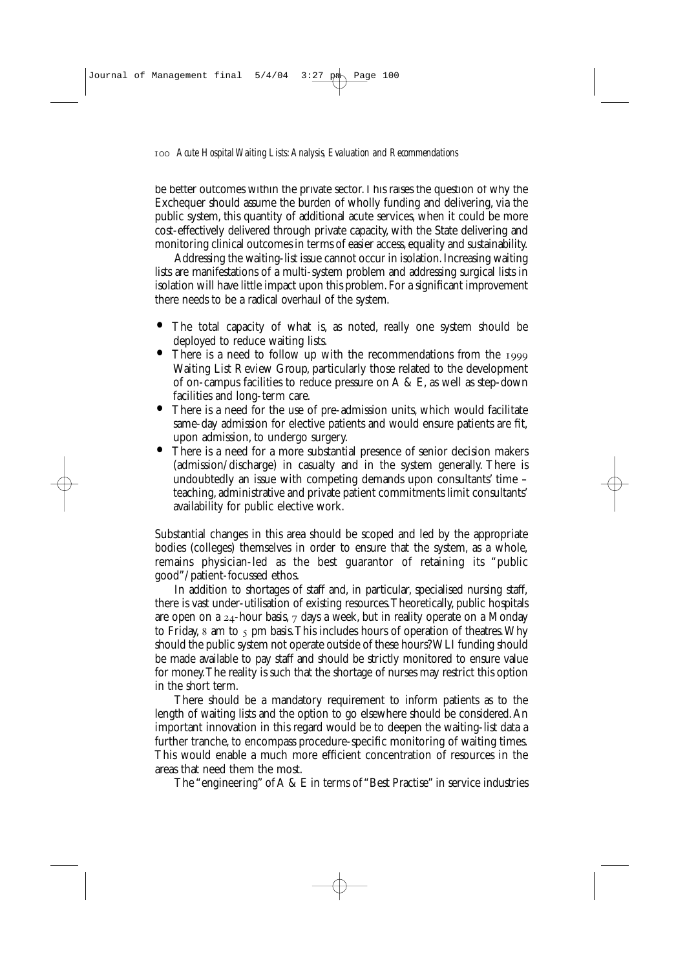be better outcomes within the private sector.This raises the question of why the Exchequer should assume the burden of wholly funding and delivering, via the public system, this quantity of additional acute services, when it could be more cost-effectively delivered through private capacity, with the State delivering and monitoring clinical outcomes in terms of easier access,equality and sustainability.

Addressing the waiting-list issue cannot occur in isolation.Increasing waiting lists are manifestations of a multi-system problem and addressing surgical lists in isolation will have little impact upon this problem.For a significant improvement there needs to be a radical overhaul of the system.

- **•** The total capacity of what is, as noted, really one system should be deployed to reduce waiting lists.
- There is a need to follow up with the recommendations from the 1999 Waiting List Review Group, particularly those related to the development of on-campus facilities to reduce pressure on A & E, as well as step-down facilities and long-term care.
- **•** There is a need for the use of pre-admission units, which would facilitate same-day admission for elective patients and would ensure patients are fit, upon admission, to undergo surgery.
- **•** There is a need for a more substantial presence of senior decision makers (admission/discharge) in casualty and in the system generally. There is undoubtedly an issue with competing demands upon consultants' time – teaching, administrative and private patient commitments limit consultants' availability for public elective work.

Substantial changes in this area should be scoped and led by the appropriate bodies (colleges) themselves in order to ensure that the system, as a whole, remains physician-led as the best guarantor of retaining its "public good"/patient-focussed ethos.

In addition to shortages of staff and, in particular, specialised nursing staff, there is vast under-utilisation of existing resources.Theoretically, public hospitals are open on a  $24$ -hour basis,  $7$  days a week, but in reality operate on a Monday to Friday,  $8 \text{ am to } 5 \text{ pm }$  basis. This includes hours of operation of theatres. Why should the public system not operate outside of these hours? WLI funding should be made available to pay staff and should be strictly monitored to ensure value for money.The reality is such that the shortage of nurses may restrict this option in the short term.

There should be a mandatory requirement to inform patients as to the length of waiting lists and the option to go elsewhere should be considered.An important innovation in this regard would be to deepen the waiting-list data a further tranche, to encompass procedure-specific monitoring of waiting times. This would enable a much more efficient concentration of resources in the areas that need them the most.

The "engineering" of A & E in terms of "Best Practise" in service industries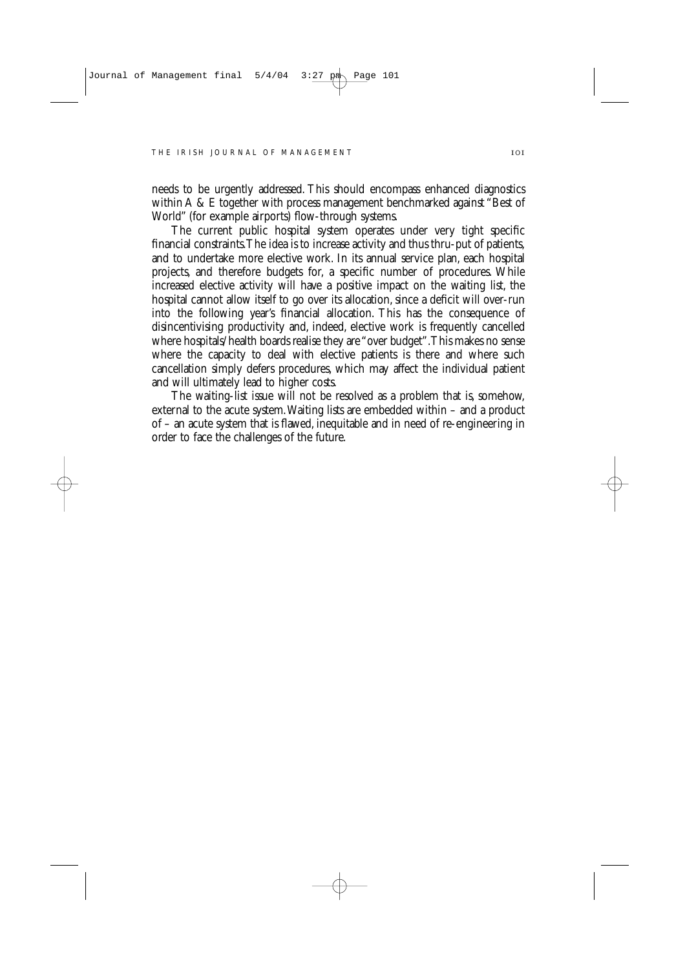needs to be urgently addressed. This should encompass enhanced diagnostics within A & E together with process management benchmarked against "Best of World" (for example airports) flow-through systems.

The current public hospital system operates under very tight specific financial constraints.The idea is to increase activity and thus thru-put of patients, and to undertake more elective work. In its annual service plan, each hospital projects, and therefore budgets for, a specific number of procedures. While increased elective activity will have a positive impact on the waiting list, the hospital cannot allow itself to go over its allocation, since a deficit will over-run into the following year's financial allocation. This has the consequence of disincentivising productivity and, indeed, elective work is frequently cancelled where hospitals/health boards realise they are "over budget".This makes no sense where the capacity to deal with elective patients is there and where such cancellation simply defers procedures, which may affect the individual patient and will ultimately lead to higher costs.

The waiting-list issue will not be resolved as a problem that is, somehow, external to the acute system.Waiting lists are embedded within – and a product of – an acute system that is flawed, inequitable and in need of re-engineering in order to face the challenges of the future.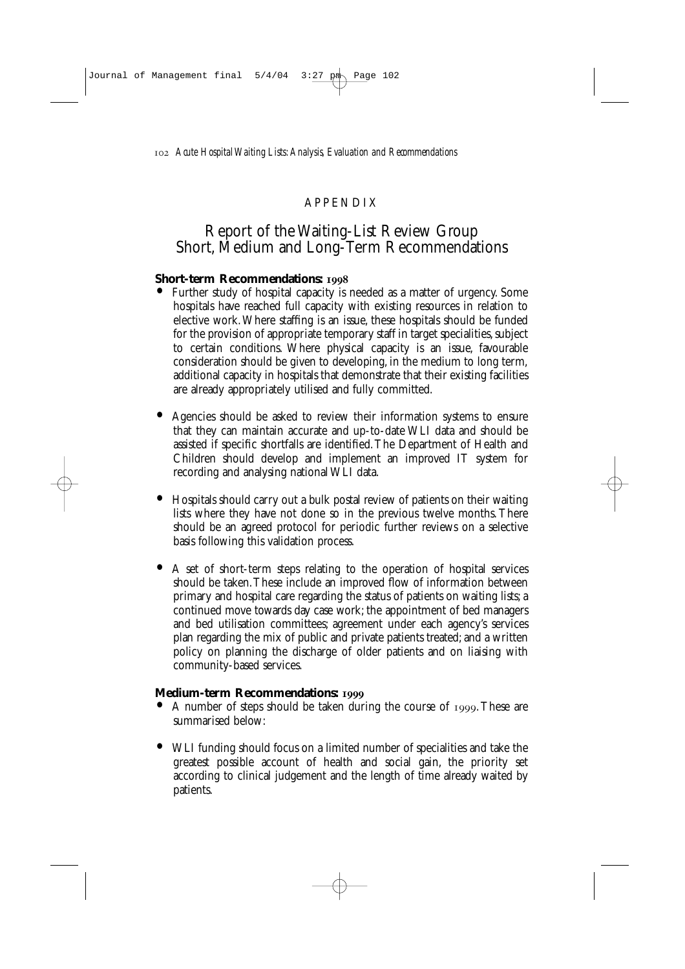# APPENDIX

# Report of the Waiting-List Review Group Short, Medium and Long-Term Recommendations

# **Short-term Recommendations:**

- **•** Further study of hospital capacity is needed as a matter of urgency. Some hospitals have reached full capacity with existing resources in relation to elective work.Where staffing is an issue, these hospitals should be funded for the provision of appropriate temporary staff in target specialities, subject to certain conditions. Where physical capacity is an issue, favourable consideration should be given to developing, in the medium to long term, additional capacity in hospitals that demonstrate that their existing facilities are already appropriately utilised and fully committed.
- **•** Agencies should be asked to review their information systems to ensure that they can maintain accurate and up-to-date WLI data and should be assisted if specific shortfalls are identified.The Department of Health and Children should develop and implement an improved IT system for recording and analysing national WLI data.
- **•** Hospitals should carry out a bulk postal review of patients on their waiting lists where they have not done so in the previous twelve months. There should be an agreed protocol for periodic further reviews on a selective basis following this validation process.
- **•** A set of short-term steps relating to the operation of hospital services should be taken.These include an improved flow of information between primary and hospital care regarding the status of patients on waiting lists; a continued move towards day case work; the appointment of bed managers and bed utilisation committees; agreement under each agency's services plan regarding the mix of public and private patients treated; and a written policy on planning the discharge of older patients and on liaising with community-based services.

## **Medium-term Recommendations:**

- A number of steps should be taken during the course of 1999. These are summarised below:
- **•** WLI funding should focus on a limited number of specialities and take the greatest possible account of health and social gain, the priority set according to clinical judgement and the length of time already waited by patients.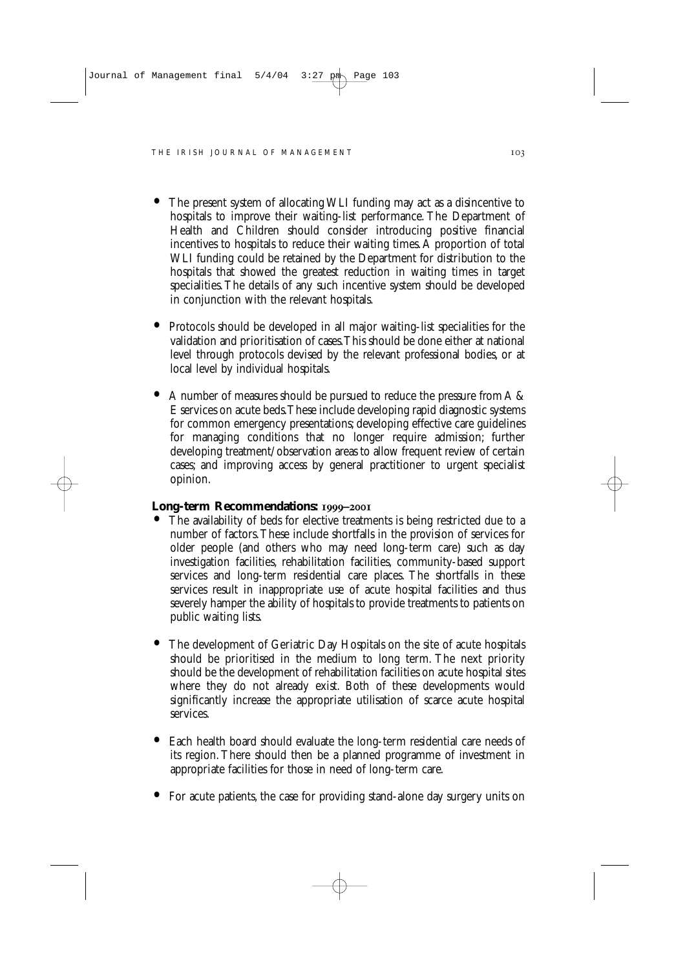- **•** The present system of allocating WLI funding may act as a disincentive to hospitals to improve their waiting-list performance. The Department of Health and Children should consider introducing positive financial incentives to hospitals to reduce their waiting times.A proportion of total WLI funding could be retained by the Department for distribution to the hospitals that showed the greatest reduction in waiting times in target specialities.The details of any such incentive system should be developed in conjunction with the relevant hospitals.
- **•** Protocols should be developed in all major waiting-list specialities for the validation and prioritisation of cases.This should be done either at national level through protocols devised by the relevant professional bodies, or at local level by individual hospitals.
- **•** A number of measures should be pursued to reduce the pressure from A & E services on acute beds.These include developing rapid diagnostic systems for common emergency presentations; developing effective care guidelines for managing conditions that no longer require admission; further developing treatment/observation areas to allow frequent review of certain cases; and improving access by general practitioner to urgent specialist opinion.

## **Long-term Recommendations:**  $1999 - 2001$

- The availability of beds for elective treatments is being restricted due to a number of factors.These include shortfalls in the provision of services for older people (and others who may need long-term care) such as day investigation facilities, rehabilitation facilities, community-based support services and long-term residential care places. The shortfalls in these services result in inappropriate use of acute hospital facilities and thus severely hamper the ability of hospitals to provide treatments to patients on public waiting lists.
- **•** The development of Geriatric Day Hospitals on the site of acute hospitals should be prioritised in the medium to long term. The next priority should be the development of rehabilitation facilities on acute hospital sites where they do not already exist. Both of these developments would significantly increase the appropriate utilisation of scarce acute hospital services.
- **•** Each health board should evaluate the long-term residential care needs of its region. There should then be a planned programme of investment in appropriate facilities for those in need of long-term care.
- **•** For acute patients, the case for providing stand-alone day surgery units on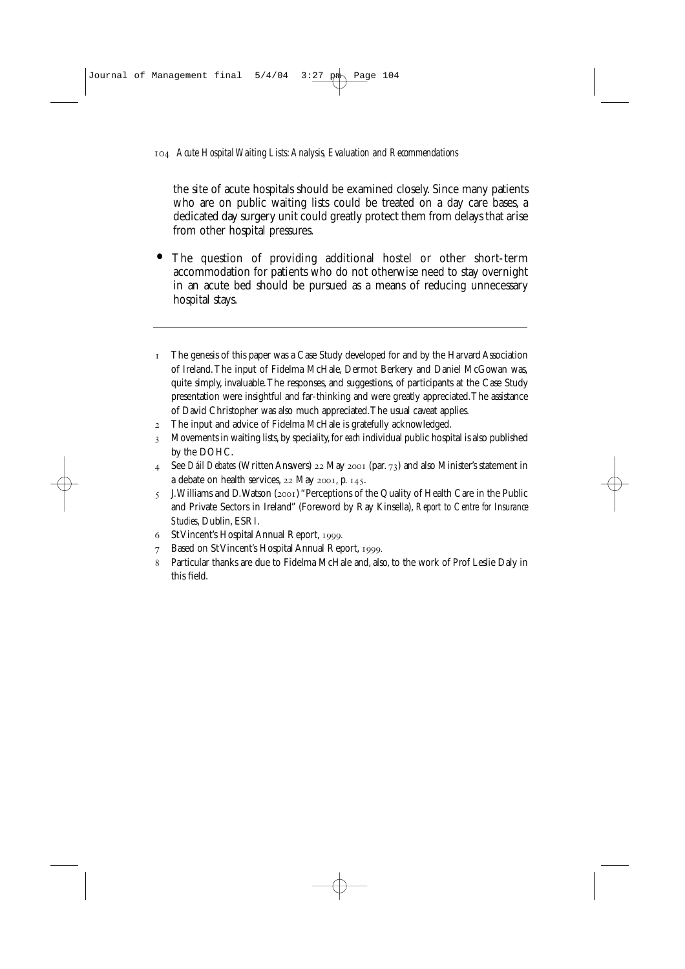the site of acute hospitals should be examined closely. Since many patients who are on public waiting lists could be treated on a day care bases, a dedicated day surgery unit could greatly protect them from delays that arise from other hospital pressures.

- **•** The question of providing additional hostel or other short-term accommodation for patients who do not otherwise need to stay overnight in an acute bed should be pursued as a means of reducing unnecessary hospital stays.
- The genesis of this paper was a Case Study developed for and by the Harvard Association of Ireland.The input of Fidelma McHale, Dermot Berkery and Daniel McGowan was, quite simply, invaluable.The responses, and suggestions, of participants at the Case Study presentation were insightful and far-thinking and were greatly appreciated.The assistance of David Christopher was also much appreciated.The usual caveat applies.
- The input and advice of Fidelma McHale is gratefully acknowledged.
- Movements in waiting lists,by speciality,for *each* individual public hospital is also published by the DOHC.
- 4 See *Dáil Debates* (Written Answers)  $22$  May  $2001$  (par. 73) and also Minister's statement in a debate on health services,  $22$  May  $2001$ , p.  $145$ .
- 5 J. Williams and D. Watson (2001) "Perceptions of the Quality of Health Care in the Public and Private Sectors in Ireland" (Foreword by Ray Kinsella), *Report to Centre for Insurance Studies*, Dublin, ESRI.
- 6 St Vincent's Hospital Annual Report, 1999.
- 7 Based on St Vincent's Hospital Annual Report, 1999.
- Particular thanks are due to Fidelma McHale and, also, to the work of Prof Leslie Daly in this field.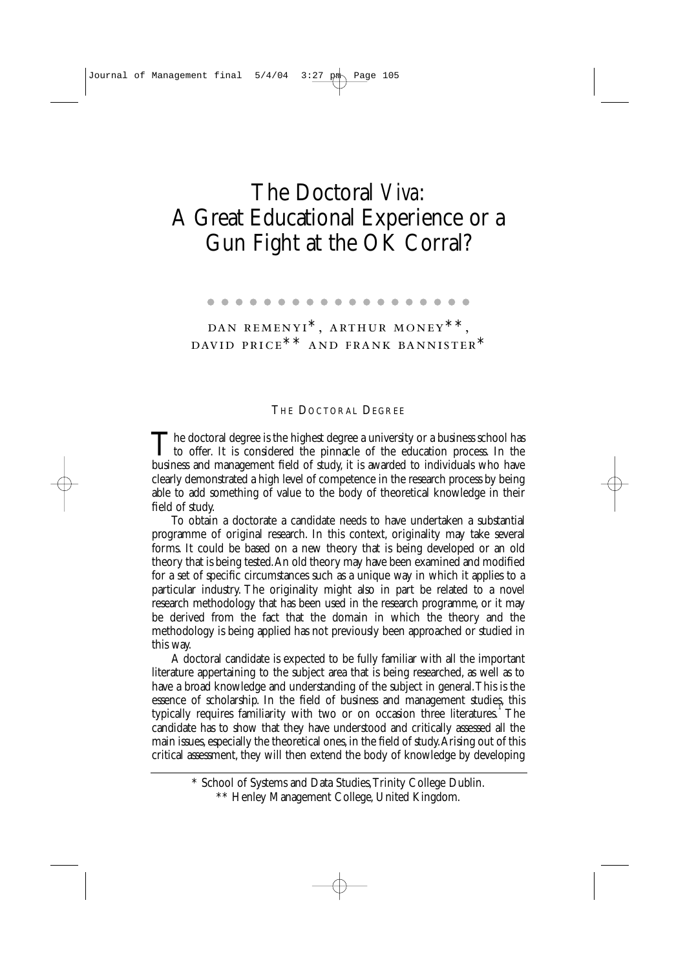# The Doctoral *Viva*: A Great Educational Experience or a Gun Fight at the OK Corral?

# . . . . . . . . . . . . . . . . . . .

DAN REMENYI<sup>\*</sup>, ARTHUR MONEY<sup>\*\*</sup>, DAVID PRICE<sup>\*\*</sup> AND FRANK BANNISTER<sup>\*</sup>

## THE DOCTORAL DEGREE

The doctoral degree is the highest degree a university or a business school has<br>to offer. It is considered the pinnacle of the education process. In the business and management field of study, it is awarded to individuals who have clearly demonstrated a high level of competence in the research process by being able to add something of value to the body of theoretical knowledge in their field of study.

To obtain a doctorate a candidate needs to have undertaken a substantial programme of original research. In this context, originality may take several forms. It could be based on a new theory that is being developed or an old theory that is being tested.An old theory may have been examined and modified for a set of specific circumstances such as a unique way in which it applies to a particular industry. The originality might also in part be related to a novel research methodology that has been used in the research programme, or it may be derived from the fact that the domain in which the theory and the methodology is being applied has not previously been approached or studied in this way.

A doctoral candidate is expected to be fully familiar with all the important literature appertaining to the subject area that is being researched, as well as to have a broad knowledge and understanding of the subject in general.This is the essence of scholarship. In the field of business and management studies, this typically requires familiarity with two or on occasion three literatures.<sup>1</sup> The candidate has to show that they have understood and critically assessed all the main issues, especially the theoretical ones, in the field of study. Arising out of this critical assessment, they will then extend the body of knowledge by developing

<sup>\*</sup> School of Systems and Data Studies,Trinity College Dublin.

<sup>\*\*</sup> Henley Management College, United Kingdom.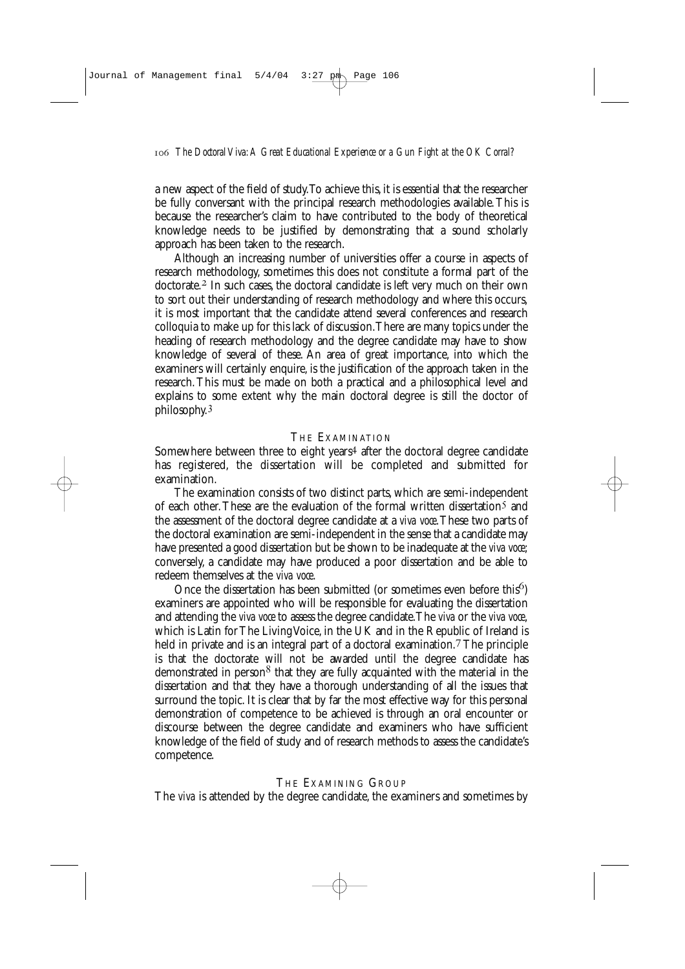a new aspect of the field of study.To achieve this, it is essential that the researcher be fully conversant with the principal research methodologies available.This is because the researcher's claim to have contributed to the body of theoretical knowledge needs to be justified by demonstrating that a sound scholarly approach has been taken to the research.

Although an increasing number of universities offer a course in aspects of research methodology, sometimes this does not constitute a formal part of the  $dot{c}$  In such cases, the doctoral candidate is left very much on their own to sort out their understanding of research methodology and where this occurs, it is most important that the candidate attend several conferences and research colloquia to make up for this lack of discussion.There are many topics under the heading of research methodology and the degree candidate may have to show knowledge of several of these. An area of great importance, into which the examiners will certainly enquire, is the justification of the approach taken in the research.This must be made on both a practical and a philosophical level and explains to some extent why the main doctoral degree is still the doctor of philosophy.

## THE EXAMINATION

Somewhere between three to eight years<sup>4</sup> after the doctoral degree candidate has registered, the dissertation will be completed and submitted for examination.

The examination consists of two distinct parts, which are semi-independent of each other. These are the evaluation of the formal written dissertation  $5$  and the assessment of the doctoral degree candidate at a *viva voce*.These two parts of the doctoral examination are semi-independent in the sense that a candidate may have presented a good dissertation but be shown to be inadequate at the *viva voce*; conversely, a candidate may have produced a poor dissertation and be able to redeem themselves at the *viva voce*.

Once the dissertation has been submitted (or sometimes even before this<sup>6</sup>) examiners are appointed who will be responsible for evaluating the dissertation and attending the *viva voce* to assess the degree candidate.The *viva* or the *viva voce*, which is Latin for The Living Voice, in the UK and in the Republic of Ireland is held in private and is an integral part of a doctoral examination.<sup>7</sup> The principle is that the doctorate will not be awarded until the degree candidate has demonstrated in person $8$  that they are fully acquainted with the material in the dissertation and that they have a thorough understanding of all the issues that surround the topic. It is clear that by far the most effective way for this personal demonstration of competence to be achieved is through an oral encounter or discourse between the degree candidate and examiners who have sufficient knowledge of the field of study and of research methods to assess the candidate's competence.

### THE EXAMINING GROUP

The *viva* is attended by the degree candidate, the examiners and sometimes by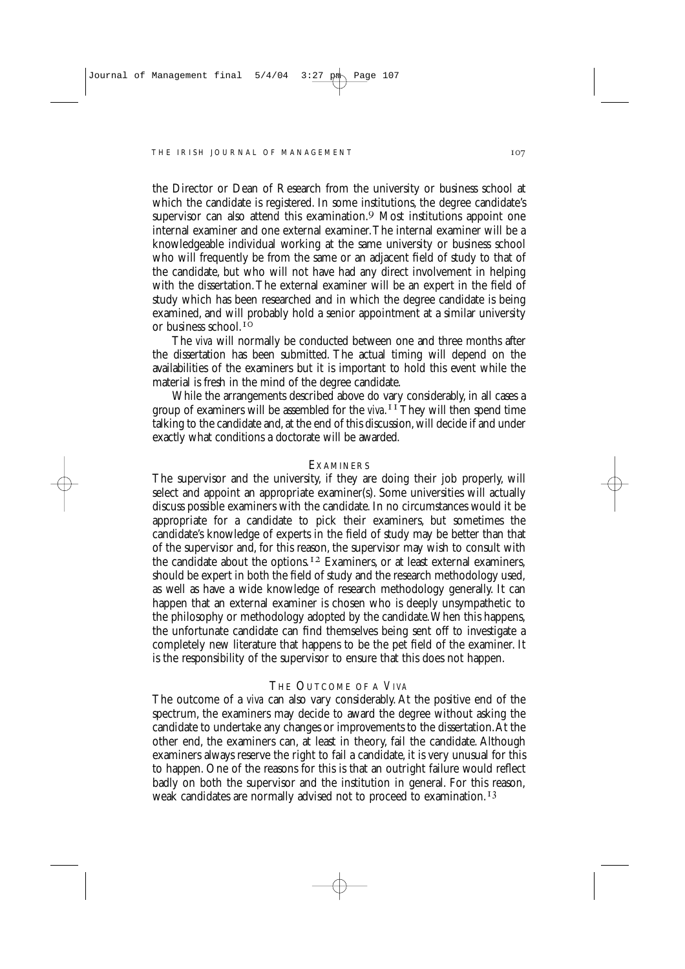the Director or Dean of Research from the university or business school at which the candidate is registered. In some institutions, the degree candidate's supervisor can also attend this examination.<sup>9</sup> Most institutions appoint one internal examiner and one external examiner.The internal examiner will be a knowledgeable individual working at the same university or business school who will frequently be from the same or an adjacent field of study to that of the candidate, but who will not have had any direct involvement in helping with the dissertation.The external examiner will be an expert in the field of study which has been researched and in which the degree candidate is being examined, and will probably hold a senior appointment at a similar university or business school.

The *viva* will normally be conducted between one and three months after the dissertation has been submitted. The actual timing will depend on the availabilities of the examiners but it is important to hold this event while the material is fresh in the mind of the degree candidate.

While the arrangements described above do vary considerably, in all cases a group of examiners will be assembled for the *viva*.<sup>11</sup> They will then spend time talking to the candidate and, at the end of this discussion, will decide if and under exactly what conditions a doctorate will be awarded.

#### **EXAMINERS**

The supervisor and the university, if they are doing their job properly, will select and appoint an appropriate examiner(s). Some universities will actually discuss possible examiners with the candidate. In no circumstances would it be appropriate for a candidate to pick their examiners, but sometimes the candidate's knowledge of experts in the field of study may be better than that of the supervisor and, for this reason, the supervisor may wish to consult with the candidate about the options.<sup>12</sup> Examiners, or at least external examiners, should be expert in both the field of study and the research methodology used, as well as have a wide knowledge of research methodology generally. It can happen that an external examiner is chosen who is deeply unsympathetic to the philosophy or methodology adopted by the candidate.When this happens, the unfortunate candidate can find themselves being sent off to investigate a completely new literature that happens to be the pet field of the examiner. It is the responsibility of the supervisor to ensure that this does not happen.

## THE OUTCOME OF A *VIVA*

The outcome of a *viva* can also vary considerably. At the positive end of the spectrum, the examiners may decide to award the degree without asking the candidate to undertake any changes or improvements to the dissertation.At the other end, the examiners can, at least in theory, fail the candidate. Although examiners always reserve the right to fail a candidate, it is very unusual for this to happen. One of the reasons for this is that an outright failure would reflect badly on both the supervisor and the institution in general. For this reason, weak candidates are normally advised not to proceed to examination.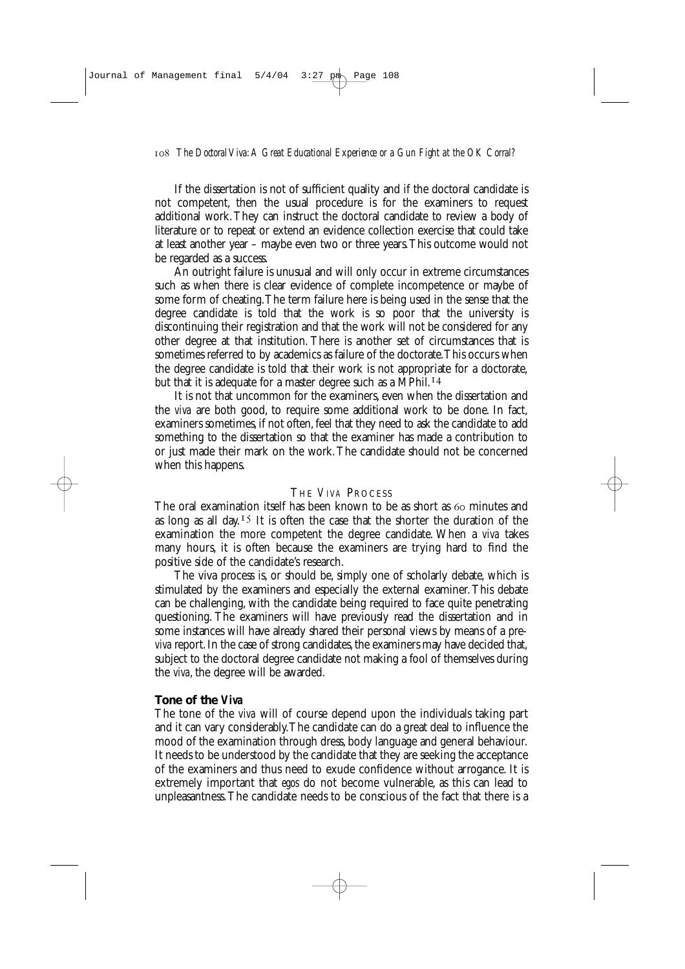If the dissertation is not of sufficient quality and if the doctoral candidate is not competent, then the usual procedure is for the examiners to request additional work.They can instruct the doctoral candidate to review a body of literature or to repeat or extend an evidence collection exercise that could take at least another year – maybe even two or three years.This outcome would not be regarded as a success.

An outright failure is unusual and will only occur in extreme circumstances such as when there is clear evidence of complete incompetence or maybe of some form of cheating.The term failure here is being used in the sense that the degree candidate is told that the work is so poor that the university is discontinuing their registration and that the work will not be considered for any other degree at that institution. There is another set of circumstances that is sometimes referred to by academics as failure of the doctorate.This occurs when the degree candidate is told that their work is not appropriate for a doctorate, but that it is adequate for a master degree such as a MPhil.<sup>14</sup>

It is not that uncommon for the examiners, even when the dissertation and the *viva* are both good, to require some additional work to be done. In fact, examiners sometimes, if not often, feel that they need to ask the candidate to add something to the dissertation so that the examiner has made a contribution to or just made their mark on the work.The candidate should not be concerned when this happens.

## THE *VIVA* PROCESS

The oral examination itself has been known to be as short as 60 minutes and as long as all day.<sup> $15$ </sup> It is often the case that the shorter the duration of the examination the more competent the degree candidate. When a *viva* takes many hours, it is often because the examiners are trying hard to find the positive side of the candidate's research.

The viva process is, or should be, simply one of scholarly debate, which is stimulated by the examiners and especially the external examiner. This debate can be challenging, with the candidate being required to face quite penetrating questioning. The examiners will have previously read the dissertation and in some instances will have already shared their personal views by means of a pre*viva* report. In the case of strong candidates, the examiners may have decided that, subject to the doctoral degree candidate not making a fool of themselves during the *viva*, the degree will be awarded.

## **Tone of the** *Viva*

The tone of the *viva* will of course depend upon the individuals taking part and it can vary considerably.The candidate can do a great deal to influence the mood of the examination through dress, body language and general behaviour. It needs to be understood by the candidate that they are seeking the acceptance of the examiners and thus need to exude confidence without arrogance. It is extremely important that *egos* do not become vulnerable, as this can lead to unpleasantness.The candidate needs to be conscious of the fact that there is a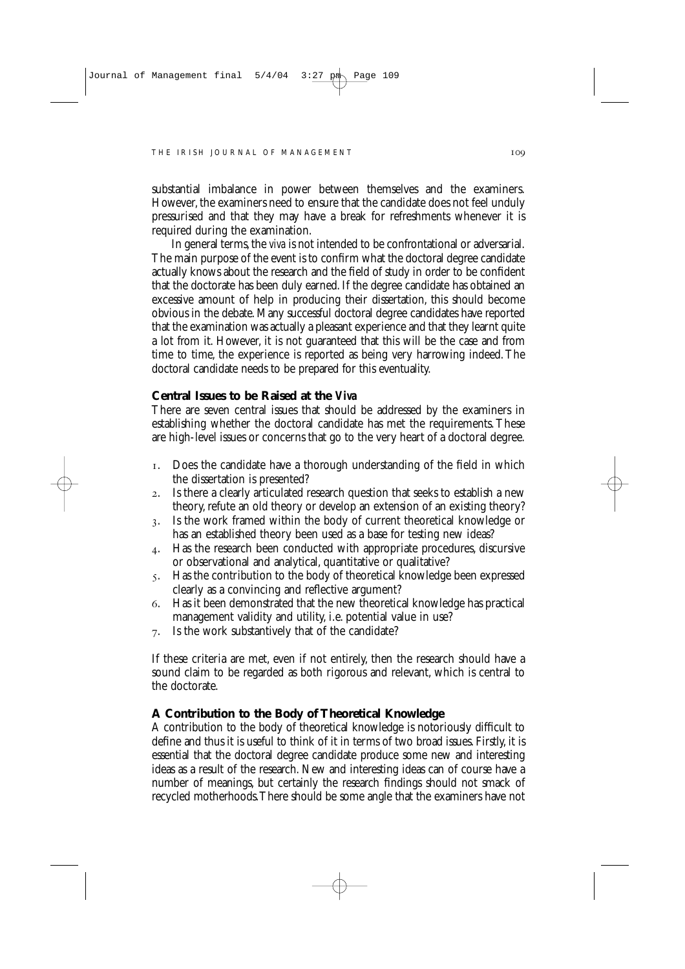substantial imbalance in power between themselves and the examiners. However, the examiners need to ensure that the candidate does not feel unduly pressurised and that they may have a break for refreshments whenever it is required during the examination.

In general terms, the *viva* is not intended to be confrontational or adversarial. The main purpose of the event is to confirm what the doctoral degree candidate actually knows about the research and the field of study in order to be confident that the doctorate has been duly earned. If the degree candidate has obtained an excessive amount of help in producing their dissertation, this should become obvious in the debate. Many successful doctoral degree candidates have reported that the examination was actually a pleasant experience and that they learnt quite a lot from it. However, it is not guaranteed that this will be the case and from time to time, the experience is reported as being very harrowing indeed.The doctoral candidate needs to be prepared for this eventuality.

## **Central Issues to be Raised at the** *Viva*

There are seven central issues that should be addressed by the examiners in establishing whether the doctoral candidate has met the requirements. These are high-level issues or concerns that go to the very heart of a doctoral degree.

- . Does the candidate have a thorough understanding of the field in which the dissertation is presented?
- . Is there a clearly articulated research question that seeks to establish a new theory, refute an old theory or develop an extension of an existing theory?
- . Is the work framed within the body of current theoretical knowledge or has an established theory been used as a base for testing new ideas?
- . Has the research been conducted with appropriate procedures, discursive or observational and analytical, quantitative or qualitative?
- . Has the contribution to the body of theoretical knowledge been expressed clearly as a convincing and reflective argument?
- . Has it been demonstrated that the new theoretical knowledge has practical management validity and utility, i.e. potential value in use?
- . Is the work substantively that of the candidate?

If these criteria are met, even if not entirely, then the research should have a sound claim to be regarded as both rigorous and relevant, which is central to the doctorate.

## **A Contribution to the Body of Theoretical Knowledge**

A contribution to the body of theoretical knowledge is notoriously difficult to define and thus it is useful to think of it in terms of two broad issues. Firstly, it is essential that the doctoral degree candidate produce some new and interesting ideas as a result of the research. New and interesting ideas can of course have a number of meanings, but certainly the research findings should not smack of recycled motherhoods.There should be some angle that the examiners have not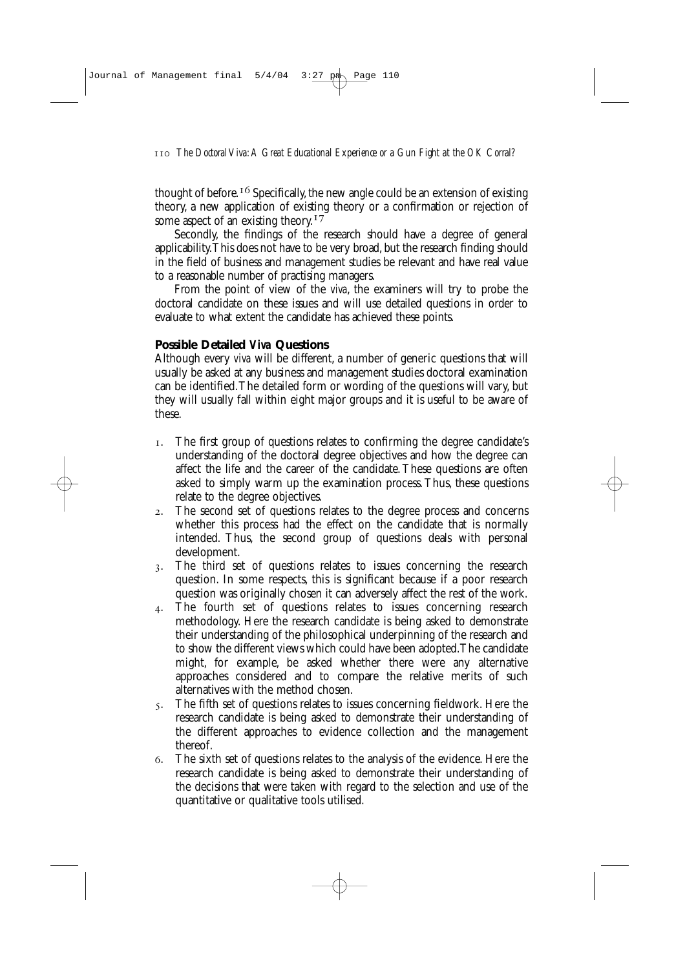thought of before. <sup>16</sup> Specifically, the new angle could be an extension of existing theory, a new application of existing theory or a confirmation or rejection of some aspect of an existing theory.<sup>17</sup>

Secondly, the findings of the research should have a degree of general applicability.This does not have to be very broad, but the research finding should in the field of business and management studies be relevant and have real value to a reasonable number of practising managers.

From the point of view of the *viva*, the examiners will try to probe the doctoral candidate on these issues and will use detailed questions in order to evaluate to what extent the candidate has achieved these points.

# **Possible Detailed** *Viva* **Questions**

Although every *viva* will be different, a number of generic questions that will usually be asked at any business and management studies doctoral examination can be identified.The detailed form or wording of the questions will vary, but they will usually fall within eight major groups and it is useful to be aware of these.

- . The first group of questions relates to confirming the degree candidate's understanding of the doctoral degree objectives and how the degree can affect the life and the career of the candidate. These questions are often asked to simply warm up the examination process.Thus, these questions relate to the degree objectives.
- . The second set of questions relates to the degree process and concerns whether this process had the effect on the candidate that is normally intended. Thus, the second group of questions deals with personal development.
- . The third set of questions relates to issues concerning the research question. In some respects, this is significant because if a poor research question was originally chosen it can adversely affect the rest of the work.
- . The fourth set of questions relates to issues concerning research methodology. Here the research candidate is being asked to demonstrate their understanding of the philosophical underpinning of the research and to show the different views which could have been adopted.The candidate might, for example, be asked whether there were any alternative approaches considered and to compare the relative merits of such alternatives with the method chosen.
- . The fifth set of questions relates to issues concerning fieldwork. Here the research candidate is being asked to demonstrate their understanding of the different approaches to evidence collection and the management thereof.
- . The sixth set of questions relates to the analysis of the evidence. Here the research candidate is being asked to demonstrate their understanding of the decisions that were taken with regard to the selection and use of the quantitative or qualitative tools utilised.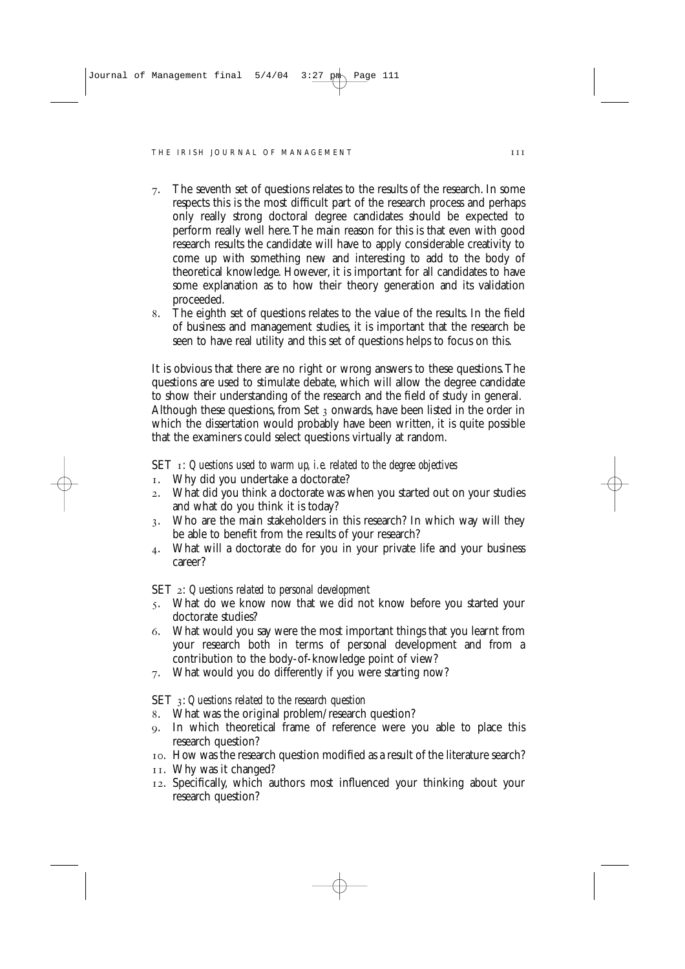- . The seventh set of questions relates to the results of the research. In some respects this is the most difficult part of the research process and perhaps only really strong doctoral degree candidates should be expected to perform really well here.The main reason for this is that even with good research results the candidate will have to apply considerable creativity to come up with something new and interesting to add to the body of theoretical knowledge. However, it is important for all candidates to have some explanation as to how their theory generation and its validation proceeded.
- . The eighth set of questions relates to the value of the results. In the field of business and management studies, it is important that the research be seen to have real utility and this set of questions helps to focus on this.

It is obvious that there are no right or wrong answers to these questions.The questions are used to stimulate debate, which will allow the degree candidate to show their understanding of the research and the field of study in general. Although these questions, from Set  $_3$  onwards, have been listed in the order in which the dissertation would probably have been written, it is quite possible that the examiners could select questions virtually at random.

## SET : *Questions used to warm up, i.e. related to the degree objectives*

- . Why did you undertake a doctorate?
- . What did you think a doctorate was when you started out on your studies and what do you think it is today?
- . Who are the main stakeholders in this research? In which way will they be able to benefit from the results of your research?
- . What will a doctorate do for you in your private life and your business career?

## SET 2: *Questions related to personal development*

- . What do we know now that we did not know before you started your doctorate studies?
- . What would you say were the most important things that you learnt from your research both in terms of personal development and from a contribution to the body-of-knowledge point of view?
- . What would you do differently if you were starting now?

## SET 3: *Questions related to the research question*

- . What was the original problem/research question?
- . In which theoretical frame of reference were you able to place this research question?
- . How was the research question modified as a result of the literature search?
- . Why was it changed?
- . Specifically, which authors most influenced your thinking about your research question?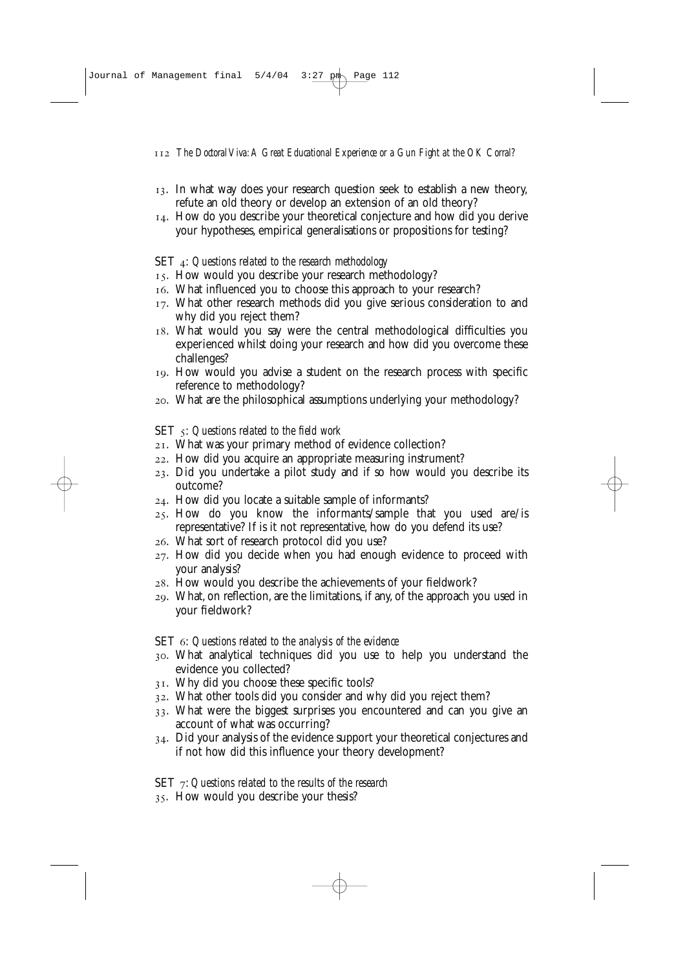- . In what way does your research question seek to establish a new theory, refute an old theory or develop an extension of an old theory?
- . How do you describe your theoretical conjecture and how did you derive your hypotheses, empirical generalisations or propositions for testing?

# SET 4: *Questions related to the research methodology*

- 15. How would you describe your research methodology?
- . What influenced you to choose this approach to your research?
- 17. What other research methods did you give serious consideration to and why did you reject them?
- . What would you say were the central methodological difficulties you experienced whilst doing your research and how did you overcome these challenges?
- . How would you advise a student on the research process with specific reference to methodology?
- . What are the philosophical assumptions underlying your methodology?

# SET : *Questions related to the field work*

- . What was your primary method of evidence collection?
- . How did you acquire an appropriate measuring instrument?
- . Did you undertake a pilot study and if so how would you describe its outcome?
- . How did you locate a suitable sample of informants?
- $25$ . How do you know the informants/sample that you used are/is representative? If is it not representative, how do you defend its use?
- . What sort of research protocol did you use?
- . How did you decide when you had enough evidence to proceed with your analysis?
- . How would you describe the achievements of your fieldwork?
- . What, on reflection, are the limitations, if any, of the approach you used in your fieldwork?

# SET 6: Questions related to the analysis of the evidence

- . What analytical techniques did you use to help you understand the evidence you collected?
- . Why did you choose these specific tools?
- . What other tools did you consider and why did you reject them?
- . What were the biggest surprises you encountered and can you give an account of what was occurring?
- . Did your analysis of the evidence support your theoretical conjectures and if not how did this influence your theory development?

# SET 7: Questions related to the results of the research

. How would you describe your thesis?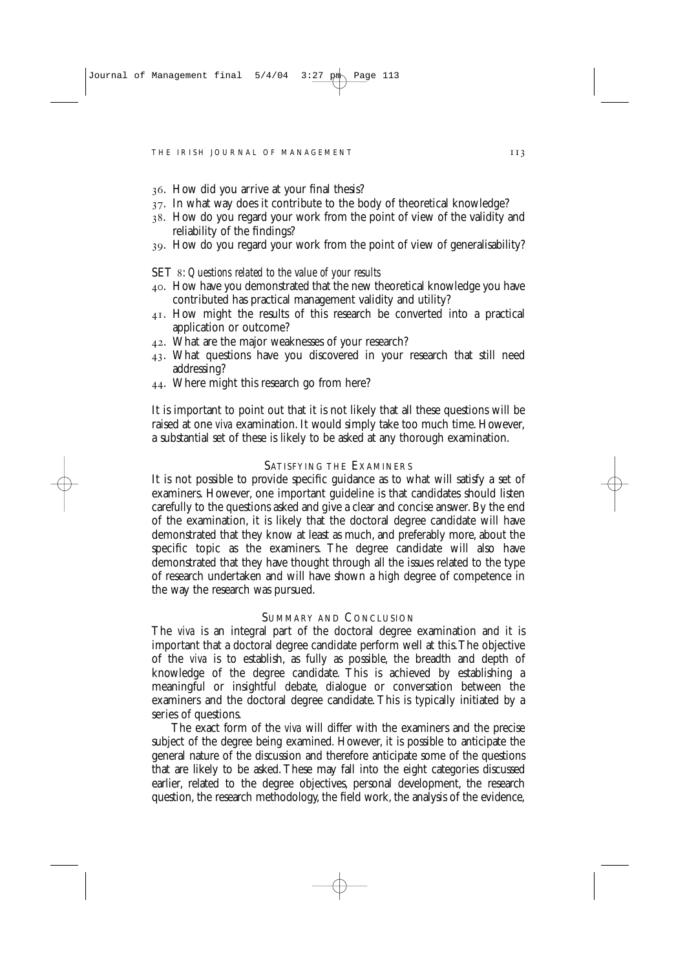- . How did you arrive at your final thesis?
- . In what way does it contribute to the body of theoretical knowledge?
- . How do you regard your work from the point of view of the validity and reliability of the findings?
- . How do you regard your work from the point of view of generalisability?

## SET 8: Questions related to the value of your results

- . How have you demonstrated that the new theoretical knowledge you have contributed has practical management validity and utility?
- . How might the results of this research be converted into a practical application or outcome?
- . What are the major weaknesses of your research?
- . What questions have you discovered in your research that still need addressing?
- . Where might this research go from here?

It is important to point out that it is not likely that all these questions will be raised at one *viva* examination. It would simply take too much time. However, a substantial set of these is likely to be asked at any thorough examination.

## SATISFYING THE EXAMINERS

It is not possible to provide specific guidance as to what will satisfy a set of examiners. However, one important guideline is that candidates should listen carefully to the questions asked and give a clear and concise answer. By the end of the examination, it is likely that the doctoral degree candidate will have demonstrated that they know at least as much, and preferably more, about the specific topic as the examiners. The degree candidate will also have demonstrated that they have thought through all the issues related to the type of research undertaken and will have shown a high degree of competence in the way the research was pursued.

## SUMMARY AND CONCLUSION

The *viva* is an integral part of the doctoral degree examination and it is important that a doctoral degree candidate perform well at this.The objective of the *viva* is to establish, as fully as possible, the breadth and depth of knowledge of the degree candidate. This is achieved by establishing a meaningful or insightful debate, dialogue or conversation between the examiners and the doctoral degree candidate. This is typically initiated by a series of questions.

The exact form of the *viva* will differ with the examiners and the precise subject of the degree being examined. However, it is possible to anticipate the general nature of the discussion and therefore anticipate some of the questions that are likely to be asked. These may fall into the eight categories discussed earlier, related to the degree objectives, personal development, the research question, the research methodology, the field work, the analysis of the evidence,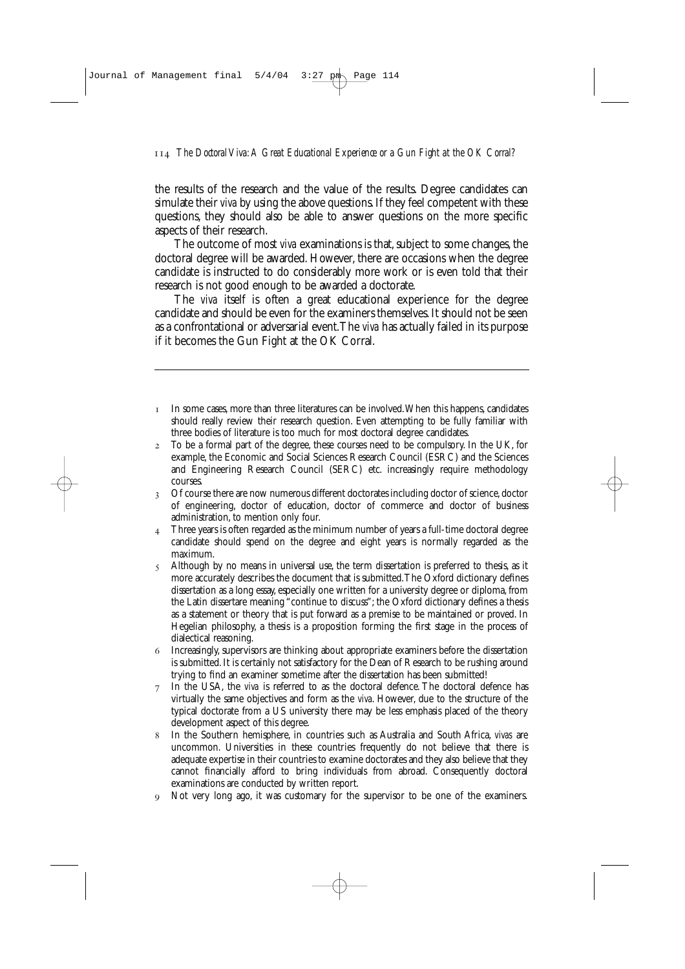the results of the research and the value of the results. Degree candidates can simulate their *viva* by using the above questions. If they feel competent with these questions, they should also be able to answer questions on the more specific aspects of their research.

The outcome of most *viva* examinations is that, subject to some changes, the doctoral degree will be awarded. However, there are occasions when the degree candidate is instructed to do considerably more work or is even told that their research is not good enough to be awarded a doctorate.

The *viva* itself is often a great educational experience for the degree candidate and should be even for the examiners themselves.It should not be seen as a confrontational or adversarial event.The *viva* has actually failed in its purpose if it becomes the Gun Fight at the OK Corral.

- To be a formal part of the degree, these courses need to be compulsory. In the UK, for example, the Economic and Social Sciences Research Council (ESRC) and the Sciences and Engineering Research Council (SERC) etc. increasingly require methodology courses.
- 3 Of course there are now numerous different doctorates including doctor of science, doctor of engineering, doctor of education, doctor of commerce and doctor of business administration, to mention only four.
- Three years is often regarded as the minimum number of years a full-time doctoral degree candidate should spend on the degree and eight years is normally regarded as the maximum.
- Although by no means in universal use, the term dissertation is preferred to thesis, as it more accurately describes the document that is submitted.The Oxford dictionary defines dissertation as a long essay, especially one written for a university degree or diploma, from the Latin dissertare meaning "continue to discuss"; the Oxford dictionary defines a thesis as a statement or theory that is put forward as a premise to be maintained or proved. In Hegelian philosophy, a thesis is a proposition forming the first stage in the process of dialectical reasoning.
- Increasingly, supervisors are thinking about appropriate examiners before the dissertation is submitted. It is certainly not satisfactory for the Dean of Research to be rushing around trying to find an examiner sometime after the dissertation has been submitted!
- 7 In the USA, the *viva* is referred to as the doctoral defence. The doctoral defence has virtually the same objectives and form as the *viva*. However, due to the structure of the typical doctorate from a US university there may be less emphasis placed of the theory development aspect of this degree.
- In the Southern hemisphere, in countries such as Australia and South Africa, *vivas* are uncommon. Universities in these countries frequently do not believe that there is adequate expertise in their countries to examine doctorates and they also believe that they cannot financially afford to bring individuals from abroad. Consequently doctoral examinations are conducted by written report.
- Not very long ago, it was customary for the supervisor to be one of the examiners.

 $I<sub>I</sub>$  In some cases, more than three literatures can be involved. When this happens, candidates should really review their research question. Even attempting to be fully familiar with three bodies of literature is too much for most doctoral degree candidates.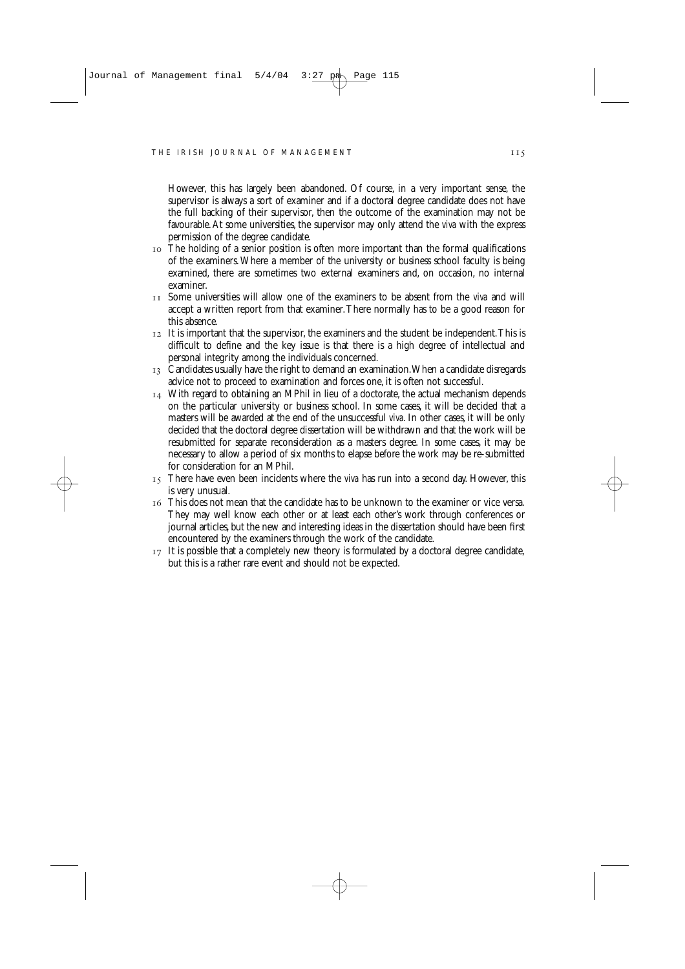However, this has largely been abandoned. Of course, in a very important sense, the supervisor is always a sort of examiner and if a doctoral degree candidate does not have the full backing of their supervisor, then the outcome of the examination may not be favourable.At some universities, the supervisor may only attend the *viva* with the express permission of the degree candidate.

- The holding of a senior position is often more important than the formal qualifications of the examiners.Where a member of the university or business school faculty is being examined, there are sometimes two external examiners and, on occasion, no internal examiner.
- Some universities will allow one of the examiners to be absent from the *viva* and will accept a written report from that examiner.There normally has to be a good reason for this absence.
- If is important that the supervisor, the examiners and the student be independent. This is difficult to define and the key issue is that there is a high degree of intellectual and personal integrity among the individuals concerned.
- Candidates usually have the right to demand an examination.When a candidate disregards advice not to proceed to examination and forces one, it is often not successful.
- With regard to obtaining an MPhil in lieu of a doctorate, the actual mechanism depends on the particular university or business school. In some cases, it will be decided that a masters will be awarded at the end of the unsuccessful *viva*. In other cases, it will be only decided that the doctoral degree dissertation will be withdrawn and that the work will be resubmitted for separate reconsideration as a masters degree. In some cases, it may be necessary to allow a period of six months to elapse before the work may be re-submitted for consideration for an MPhil.
- There have even been incidents where the *viva* has run into a second day. However, this is very unusual.
- This does not mean that the candidate has to be unknown to the examiner or vice versa. They may well know each other or at least each other's work through conferences or journal articles, but the new and interesting ideas in the dissertation should have been first encountered by the examiners through the work of the candidate.
- $_{17}$  It is possible that a completely new theory is formulated by a doctoral degree candidate, but this is a rather rare event and should not be expected.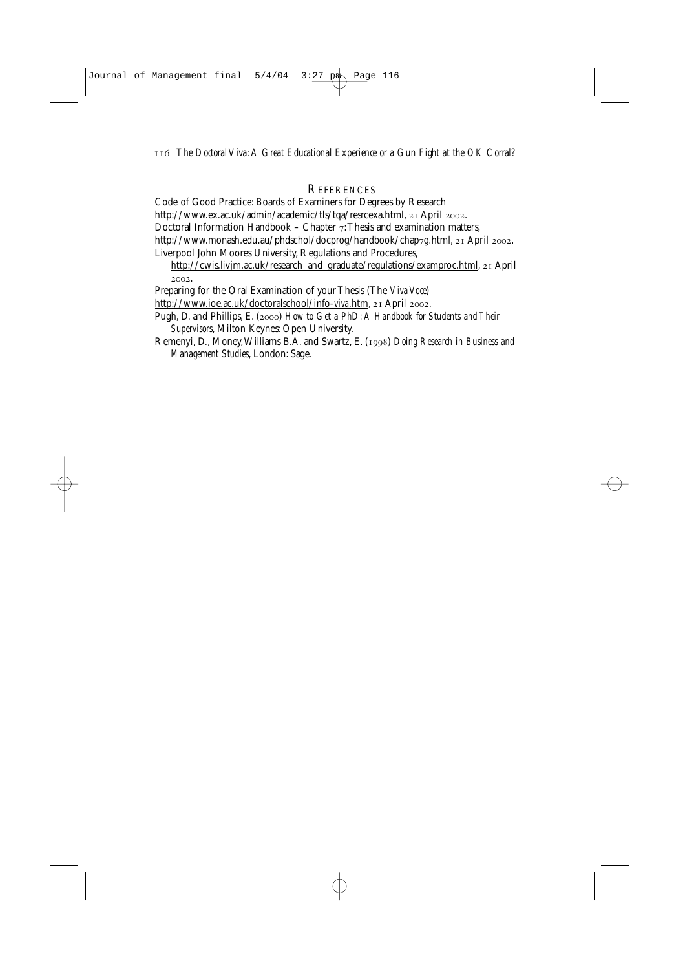#### **REFERENCES**

Code of Good Practice: Boards of Examiners for Degrees by Research

http://www.ex.ac.uk/admin/academic/tls/tqa/resrcexa.html, 21 April 2002.

Doctoral Information Handbook – Chapter  $7:$  Thesis and examination matters,

http://www.monash.edu.au/phdschol/docprog/handbook/chap7g.html, 21 April 2002.

Liverpool John Moores University, Regulations and Procedures, http://cwis.livjm.ac.uk/research\_and\_graduate/regulations/examproc.html, 21 April 2002.

Preparing for the Oral Examination of your Thesis (The *Viva Voce*)

http://www.ioe.ac.uk/doctoralschool/info-viva.htm, 21 April 2002.

Pugh, D. and Phillips, E. (2000) How to Get a PhD: A Handbook for Students and Their *Supervisors*, Milton Keynes: Open University.

Remenyi, D., Money, Williams B.A. and Swartz, E. (1998) *Doing Research in Business and Management Studies*, London: Sage.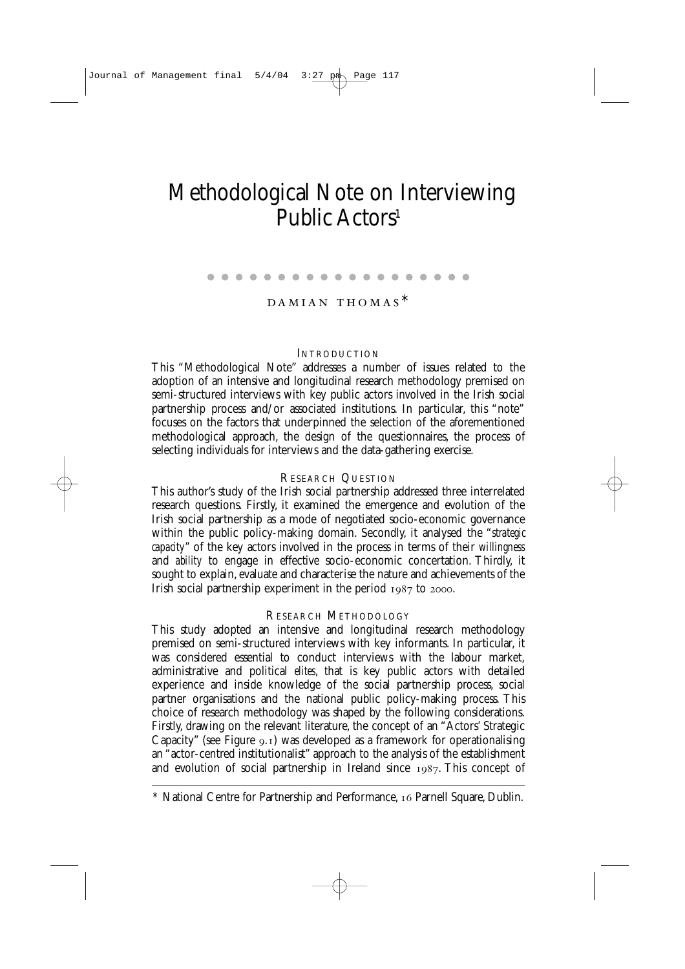# Methodological Note on Interviewing Public Actors<sup>1</sup>

. . . . . . . . . . . . . . . . . . .

# DAMIAN THOMAS\*

### **INTRODUCTION**

This "Methodological Note" addresses a number of issues related to the adoption of an intensive and longitudinal research methodology premised on semi-structured interviews with key public actors involved in the Irish social partnership process and/or associated institutions. In particular, this "note" focuses on the factors that underpinned the selection of the aforementioned methodological approach, the design of the questionnaires, the process of selecting individuals for interviews and the data-gathering exercise.

## RESEARCH QUESTION

This author's study of the Irish social partnership addressed three interrelated research questions. Firstly, it examined the emergence and evolution of the Irish social partnership as a mode of negotiated socio-economic governance within the public policy-making domain. Secondly, it analysed the "*strategic capacity*" of the key actors involved in the process in terms of their *willingness* and *ability* to engage in effective socio-economic concertation. Thirdly, it sought to explain, evaluate and characterise the nature and achievements of the Irish social partnership experiment in the period  $1987$  to 2000.

## RESEARCH METHODOLOGY

This study adopted an intensive and longitudinal research methodology premised on semi-structured interviews with key informants. In particular, it was considered essential to conduct interviews with the labour market, administrative and political *elites*, that is key public actors with detailed experience and inside knowledge of the social partnership process, social partner organisations and the national public policy-making process. This choice of research methodology was shaped by the following considerations. Firstly, drawing on the relevant literature, the concept of an "Actors' Strategic Capacity" (see Figure  $9.1$ ) was developed as a framework for operationalising an "actor-centred institutionalist" approach to the analysis of the establishment and evolution of social partnership in Ireland since  $1987$ . This concept of

<sup>\*</sup> National Centre for Partnership and Performance, 16 Parnell Square, Dublin.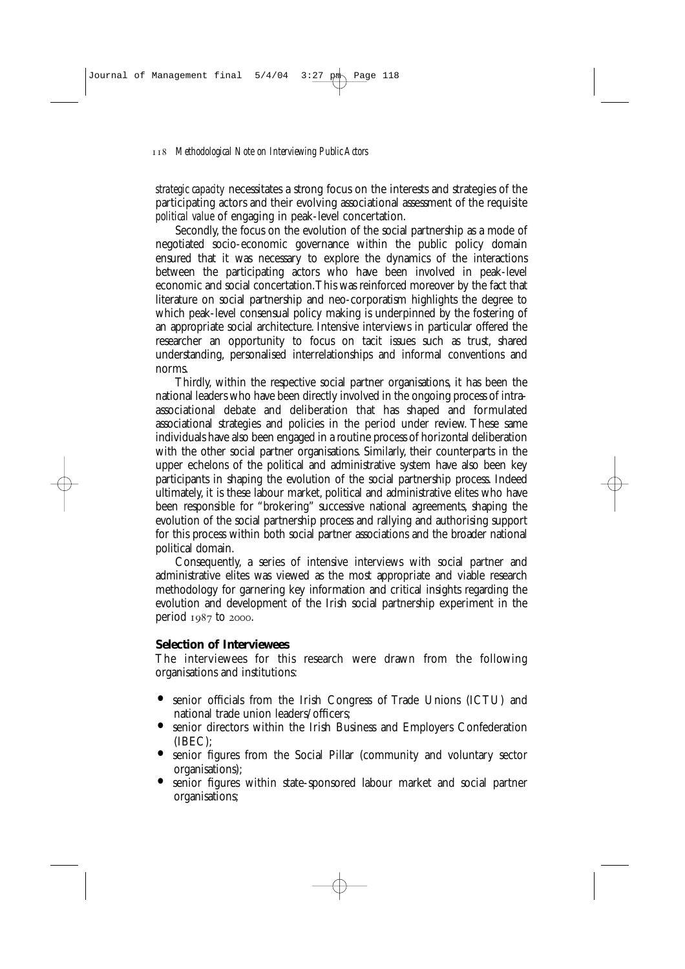*strategic capacity* necessitates a strong focus on the interests and strategies of the participating actors and their evolving associational assessment of the requisite *political value* of engaging in peak-level concertation.

Secondly, the focus on the evolution of the social partnership as a mode of negotiated socio-economic governance within the public policy domain ensured that it was necessary to explore the dynamics of the interactions between the participating actors who have been involved in peak-level economic and social concertation.This was reinforced moreover by the fact that literature on social partnership and neo-corporatism highlights the degree to which peak-level consensual policy making is underpinned by the fostering of an appropriate social architecture. Intensive interviews in particular offered the researcher an opportunity to focus on tacit issues such as trust, shared understanding, personalised interrelationships and informal conventions and norms.

Thirdly, within the respective social partner organisations, it has been the national leaders who have been directly involved in the ongoing process of intraassociational debate and deliberation that has shaped and formulated associational strategies and policies in the period under review. These same individuals have also been engaged in a routine process of horizontal deliberation with the other social partner organisations. Similarly, their counterparts in the upper echelons of the political and administrative system have also been key participants in shaping the evolution of the social partnership process. Indeed ultimately, it is these labour market, political and administrative elites who have been responsible for "brokering" successive national agreements, shaping the evolution of the social partnership process and rallying and authorising support for this process within both social partner associations and the broader national political domain.

Consequently, a series of intensive interviews with social partner and administrative elites was viewed as the most appropriate and viable research methodology for garnering key information and critical insights regarding the evolution and development of the Irish social partnership experiment in the period  $1987$  to 2000.

# **Selection of Interviewees**

The interviewees for this research were drawn from the following organisations and institutions:

- **•** senior officials from the Irish Congress of Trade Unions (ICTU) and national trade union leaders/officers;
- **•** senior directors within the Irish Business and Employers Confederation (IBEC);
- senior figures from the Social Pillar (community and voluntary sector organisations);
- **•** senior figures within state-sponsored labour market and social partner organisations;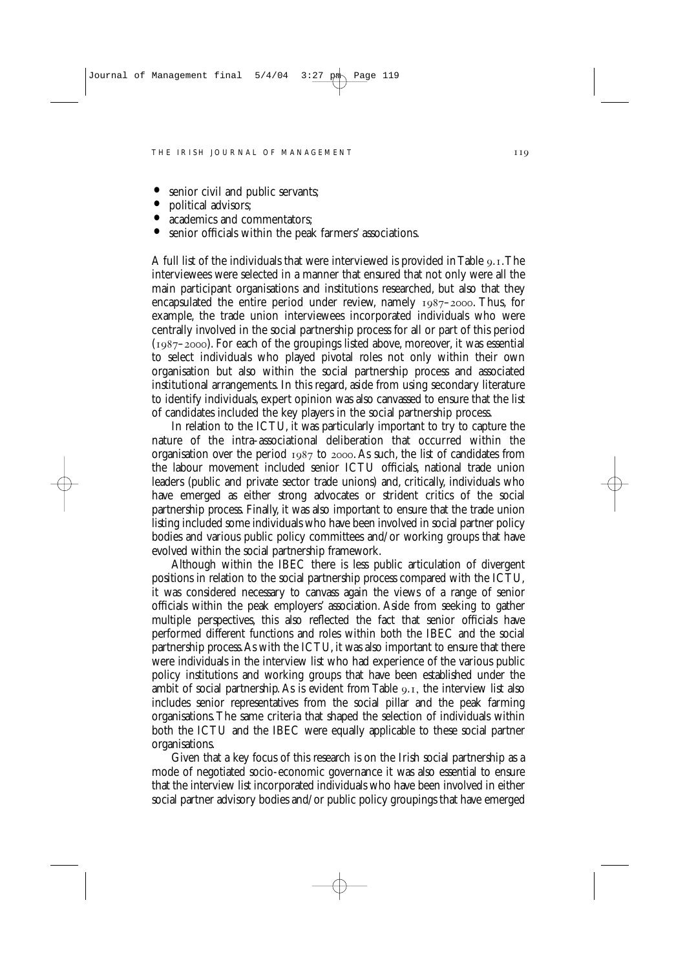- senior civil and public servants;
- **political advisors**;
- academics and commentators:
- **•** senior officials within the peak farmers' associations.

A full list of the individuals that were interviewed is provided in Table 9.1. The interviewees were selected in a manner that ensured that not only were all the main participant organisations and institutions researched, but also that they encapsulated the entire period under review, namely  $1987-2000$ . Thus, for example, the trade union interviewees incorporated individuals who were centrally involved in the social partnership process for all or part of this period  $(1987-2000)$ . For each of the groupings listed above, moreover, it was essential to select individuals who played pivotal roles not only within their own organisation but also within the social partnership process and associated institutional arrangements. In this regard, aside from using secondary literature to identify individuals, expert opinion was also canvassed to ensure that the list of candidates included the key players in the social partnership process.

In relation to the ICTU, it was particularly important to try to capture the nature of the intra-associational deliberation that occurred within the organisation over the period  $1987$  to 2000. As such, the list of candidates from the labour movement included senior ICTU officials, national trade union leaders (public and private sector trade unions) and, critically, individuals who have emerged as either strong advocates or strident critics of the social partnership process. Finally, it was also important to ensure that the trade union listing included some individuals who have been involved in social partner policy bodies and various public policy committees and/or working groups that have evolved within the social partnership framework.

Although within the IBEC there is less public articulation of divergent positions in relation to the social partnership process compared with the ICTU, it was considered necessary to canvass again the views of a range of senior officials within the peak employers' association. Aside from seeking to gather multiple perspectives, this also reflected the fact that senior officials have performed different functions and roles within both the IBEC and the social partnership process.As with the ICTU, it was also important to ensure that there were individuals in the interview list who had experience of the various public policy institutions and working groups that have been established under the ambit of social partnership. As is evident from Table  $9.1$ , the interview list also includes senior representatives from the social pillar and the peak farming organisations.The same criteria that shaped the selection of individuals within both the ICTU and the IBEC were equally applicable to these social partner organisations.

Given that a key focus of this research is on the Irish social partnership as a mode of negotiated socio-economic governance it was also essential to ensure that the interview list incorporated individuals who have been involved in either social partner advisory bodies and/or public policy groupings that have emerged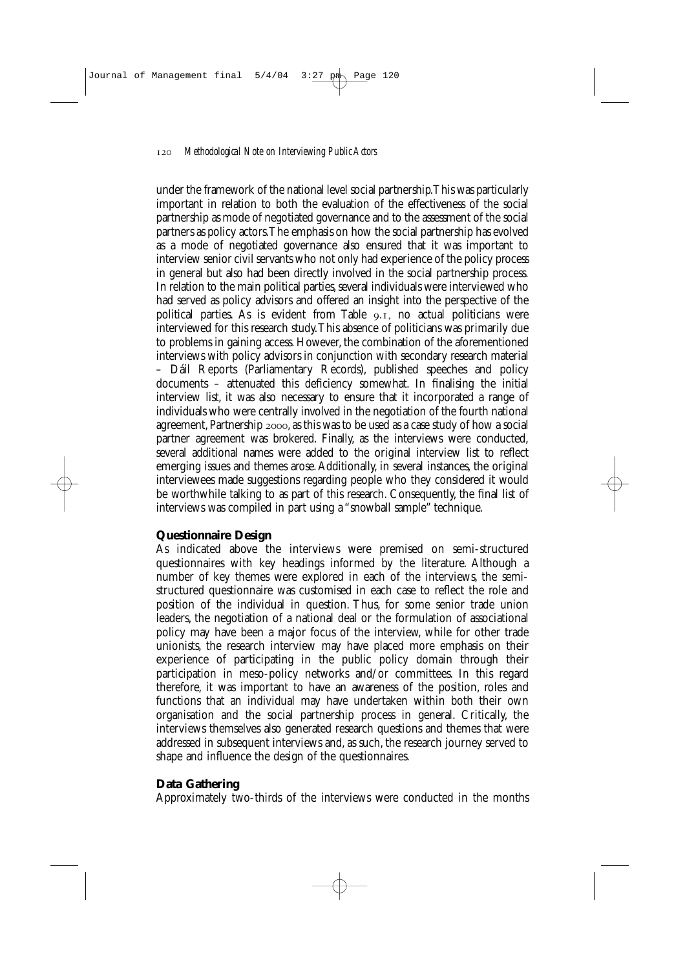under the framework of the national level social partnership.This was particularly important in relation to both the evaluation of the effectiveness of the social partnership as mode of negotiated governance and to the assessment of the social partners as policy actors.The emphasis on how the social partnership has evolved as a mode of negotiated governance also ensured that it was important to interview senior civil servants who not only had experience of the policy process in general but also had been directly involved in the social partnership process. In relation to the main political parties, several individuals were interviewed who had served as policy advisors and offered an insight into the perspective of the political parties. As is evident from Table  $9.1$ , no actual politicians were interviewed for this research study.This absence of politicians was primarily due to problems in gaining access. However, the combination of the aforementioned interviews with policy advisors in conjunction with secondary research material – Dáil Reports (Parliamentary Records), published speeches and policy documents – attenuated this deficiency somewhat. In finalising the initial interview list, it was also necessary to ensure that it incorporated a range of individuals who were centrally involved in the negotiation of the fourth national agreement, Partnership  $2000$ , as this was to be used as a case study of how a social partner agreement was brokered. Finally, as the interviews were conducted, several additional names were added to the original interview list to reflect emerging issues and themes arose.Additionally, in several instances, the original interviewees made suggestions regarding people who they considered it would be worthwhile talking to as part of this research. Consequently, the final list of interviews was compiled in part using a "snowball sample" technique.

# **Questionnaire Design**

As indicated above the interviews were premised on semi-structured questionnaires with key headings informed by the literature. Although a number of key themes were explored in each of the interviews, the semistructured questionnaire was customised in each case to reflect the role and position of the individual in question. Thus, for some senior trade union leaders, the negotiation of a national deal or the formulation of associational policy may have been a major focus of the interview, while for other trade unionists, the research interview may have placed more emphasis on their experience of participating in the public policy domain through their participation in meso-policy networks and/or committees. In this regard therefore, it was important to have an awareness of the position, roles and functions that an individual may have undertaken within both their own organisation and the social partnership process in general. Critically, the interviews themselves also generated research questions and themes that were addressed in subsequent interviews and, as such, the research journey served to shape and influence the design of the questionnaires.

# **Data Gathering**

Approximately two-thirds of the interviews were conducted in the months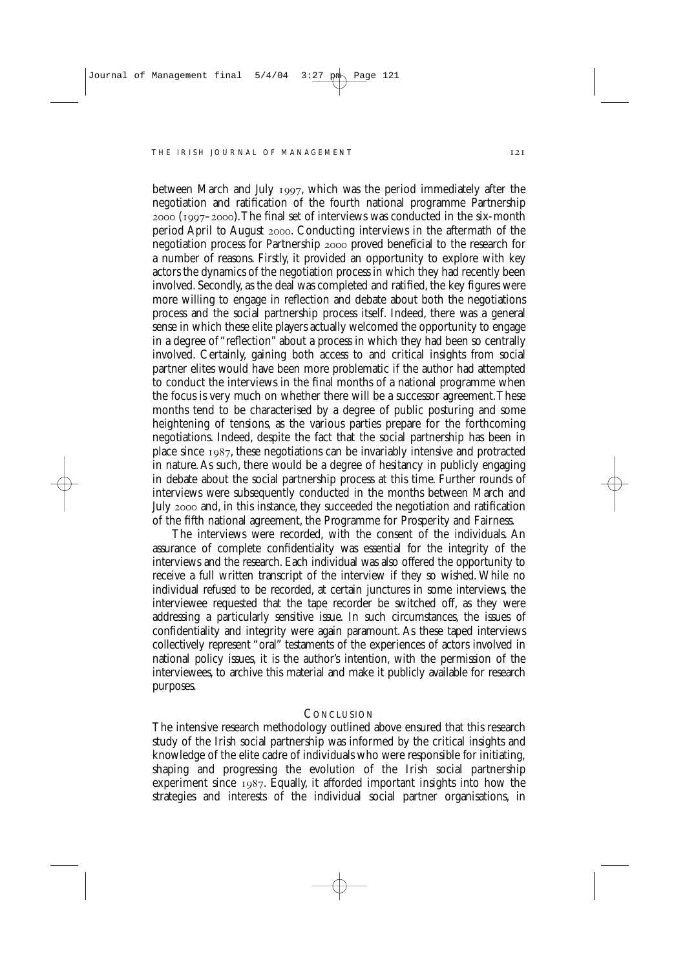between March and July  $1997$ , which was the period immediately after the negotiation and ratification of the fourth national programme Partnership  $2000$  ( $1997-2000$ ). The final set of interviews was conducted in the six-month period April to August 2000. Conducting interviews in the aftermath of the negotiation process for Partnership 2000 proved beneficial to the research for a number of reasons. Firstly, it provided an opportunity to explore with key actors the dynamics of the negotiation process in which they had recently been involved. Secondly, as the deal was completed and ratified, the key figures were more willing to engage in reflection and debate about both the negotiations process and the social partnership process itself. Indeed, there was a general sense in which these elite players actually welcomed the opportunity to engage in a degree of "reflection" about a process in which they had been so centrally involved. Certainly, gaining both access to and critical insights from social partner elites would have been more problematic if the author had attempted to conduct the interviews in the final months of a national programme when the focus is very much on whether there will be a successor agreement.These months tend to be characterised by a degree of public posturing and some heightening of tensions, as the various parties prepare for the forthcoming negotiations. Indeed, despite the fact that the social partnership has been in place since  $1987$ , these negotiations can be invariably intensive and protracted in nature. As such, there would be a degree of hesitancy in publicly engaging in debate about the social partnership process at this time. Further rounds of interviews were subsequently conducted in the months between March and July 2000 and, in this instance, they succeeded the negotiation and ratification of the fifth national agreement, the Programme for Prosperity and Fairness.

The interviews were recorded, with the consent of the individuals. An assurance of complete confidentiality was essential for the integrity of the interviews and the research. Each individual was also offered the opportunity to receive a full written transcript of the interview if they so wished. While no individual refused to be recorded, at certain junctures in some interviews, the interviewee requested that the tape recorder be switched off, as they were addressing a particularly sensitive issue. In such circumstances, the issues of confidentiality and integrity were again paramount. As these taped interviews collectively represent "oral" testaments of the experiences of actors involved in national policy issues, it is the author's intention, with the permission of the interviewees, to archive this material and make it publicly available for research purposes.

## **CONCLUSION**

The intensive research methodology outlined above ensured that this research study of the Irish social partnership was informed by the critical insights and knowledge of the elite cadre of individuals who were responsible for initiating, shaping and progressing the evolution of the Irish social partnership experiment since  $1987$ . Equally, it afforded important insights into how the strategies and interests of the individual social partner organisations, in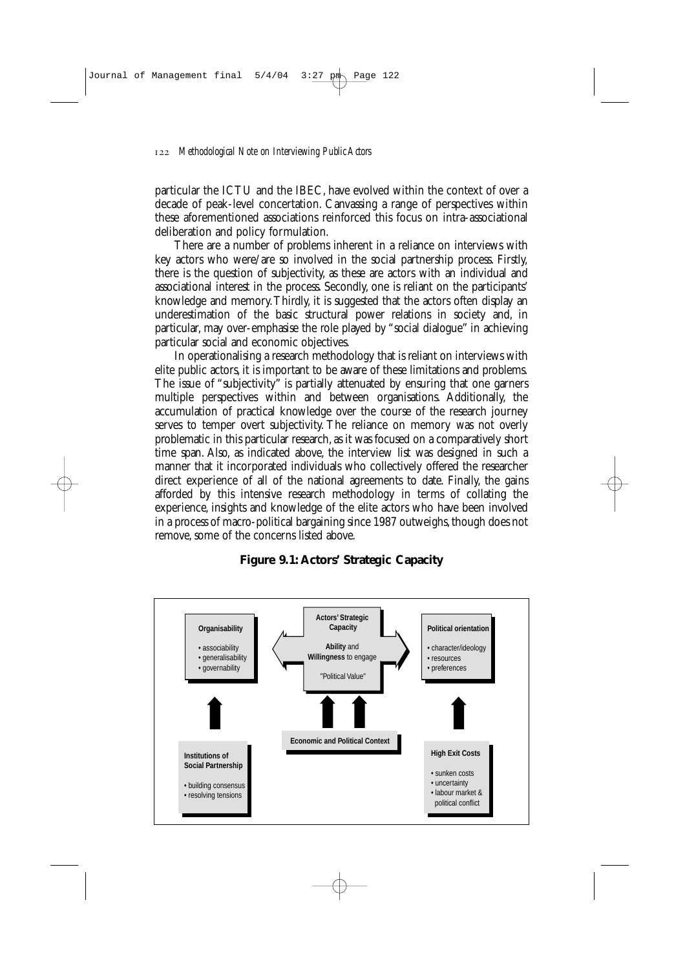particular the ICTU and the IBEC, have evolved within the context of over a decade of peak-level concertation. Canvassing a range of perspectives within these aforementioned associations reinforced this focus on intra-associational deliberation and policy formulation.

There are a number of problems inherent in a reliance on interviews with key actors who were/are so involved in the social partnership process. Firstly, there is the question of subjectivity, as these are actors with an individual and associational interest in the process. Secondly, one is reliant on the participants' knowledge and memory.Thirdly, it is suggested that the actors often display an underestimation of the basic structural power relations in society and, in particular, may over-emphasise the role played by "social dialogue" in achieving particular social and economic objectives.

In operationalising a research methodology that is reliant on interviews with elite public actors, it is important to be aware of these limitations and problems. The issue of "subjectivity" is partially attenuated by ensuring that one garners multiple perspectives within and between organisations. Additionally, the accumulation of practical knowledge over the course of the research journey serves to temper overt subjectivity. The reliance on memory was not overly problematic in this particular research, as it was focused on a comparatively short time span. Also, as indicated above, the interview list was designed in such a manner that it incorporated individuals who collectively offered the researcher direct experience of all of the national agreements to date. Finally, the gains afforded by this intensive research methodology in terms of collating the experience, insights and knowledge of the elite actors who have been involved in a process of macro-political bargaining since 1987 outweighs, though does not remove, some of the concerns listed above.



## **Figure 9.1: Actors' Strategic Capacity**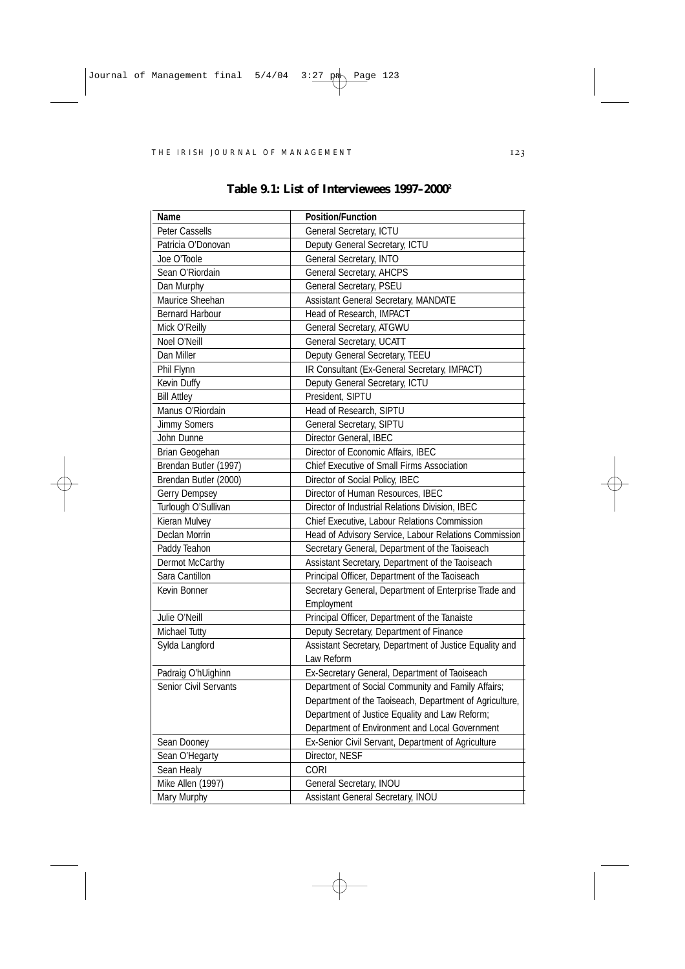| Name                         | <b>Position/Function</b>                                |  |  |  |
|------------------------------|---------------------------------------------------------|--|--|--|
| Peter Cassells               | General Secretary, ICTU                                 |  |  |  |
| Patricia O'Donovan           | Deputy General Secretary, ICTU                          |  |  |  |
| Joe O'Toole                  | General Secretary, INTO                                 |  |  |  |
| Sean O'Riordain              | General Secretary, AHCPS                                |  |  |  |
| Dan Murphy                   | General Secretary, PSEU                                 |  |  |  |
| Maurice Sheehan              | <b>Assistant General Secretary, MANDATE</b>             |  |  |  |
| <b>Bernard Harbour</b>       | Head of Research, IMPACT                                |  |  |  |
| Mick O'Reilly                | General Secretary, ATGWU                                |  |  |  |
| Noel O'Neill                 | General Secretary, UCATT                                |  |  |  |
| Dan Miller                   | Deputy General Secretary, TEEU                          |  |  |  |
| Phil Flynn                   | IR Consultant (Ex-General Secretary, IMPACT)            |  |  |  |
| Kevin Duffy                  | Deputy General Secretary, ICTU                          |  |  |  |
| <b>Bill Attley</b>           | President, SIPTU                                        |  |  |  |
| Manus O'Riordain             | Head of Research, SIPTU                                 |  |  |  |
| <b>Jimmy Somers</b>          | General Secretary, SIPTU                                |  |  |  |
| John Dunne                   | Director General, IBEC                                  |  |  |  |
| Brian Geogehan               | Director of Economic Affairs, IBEC                      |  |  |  |
| Brendan Butler (1997)        | Chief Executive of Small Firms Association              |  |  |  |
| Brendan Butler (2000)        | Director of Social Policy, IBEC                         |  |  |  |
| Gerry Dempsey                | Director of Human Resources, IBEC                       |  |  |  |
| Turlough O'Sullivan          | Director of Industrial Relations Division, IBEC         |  |  |  |
| Kieran Mulvey                | Chief Executive, Labour Relations Commission            |  |  |  |
| Declan Morrin                | Head of Advisory Service, Labour Relations Commission   |  |  |  |
| Paddy Teahon                 | Secretary General, Department of the Taoiseach          |  |  |  |
| Dermot McCarthy              | Assistant Secretary, Department of the Taoiseach        |  |  |  |
| Sara Cantillon               | Principal Officer, Department of the Taoiseach          |  |  |  |
| Kevin Bonner                 | Secretary General, Department of Enterprise Trade and   |  |  |  |
|                              | Employment                                              |  |  |  |
| Julie O'Neill                | Principal Officer, Department of the Tanaiste           |  |  |  |
| <b>Michael Tutty</b>         | Deputy Secretary, Department of Finance                 |  |  |  |
| Sylda Langford               | Assistant Secretary, Department of Justice Equality and |  |  |  |
|                              | Law Reform                                              |  |  |  |
| Padraig O'hUighinn           | Ex-Secretary General, Department of Taoiseach           |  |  |  |
| <b>Senior Civil Servants</b> | Department of Social Community and Family Affairs;      |  |  |  |
|                              | Department of the Taoiseach, Department of Agriculture, |  |  |  |
|                              | Department of Justice Equality and Law Reform;          |  |  |  |
|                              | Department of Environment and Local Government          |  |  |  |
| Sean Dooney                  | Ex-Senior Civil Servant, Department of Agriculture      |  |  |  |
| Sean O'Hegarty               | Director, NESF                                          |  |  |  |
| Sean Healy                   | <b>CORI</b>                                             |  |  |  |
| Mike Allen (1997)            | General Secretary, INOU                                 |  |  |  |
| Mary Murphy                  | Assistant General Secretary, INOU                       |  |  |  |

# **Table 9.1: List of Interviewees 1997–20002**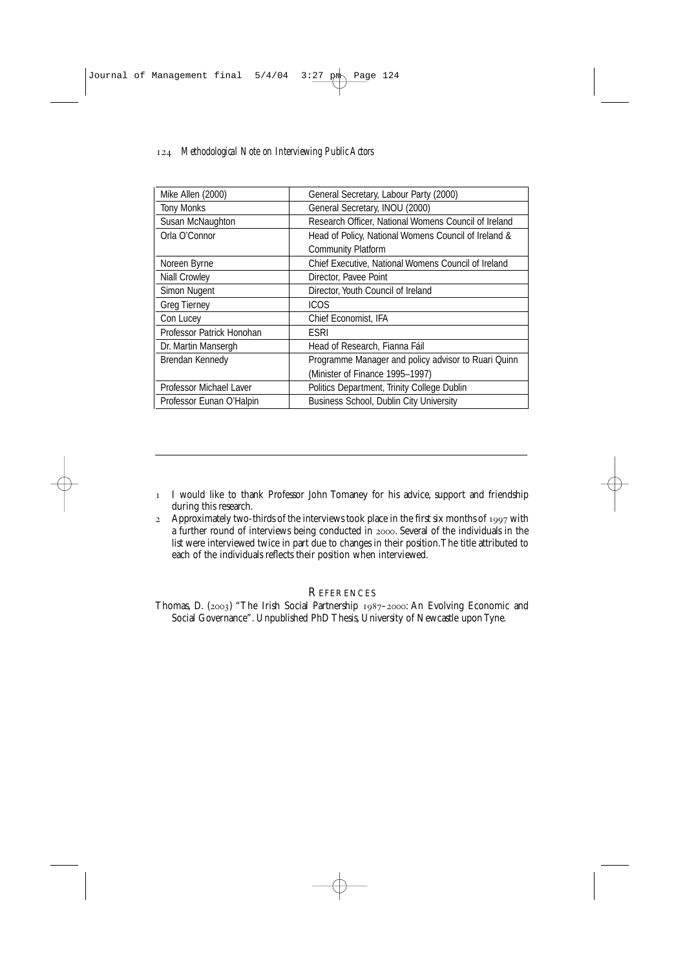| General Secretary, Labour Party (2000)               |  |  |  |
|------------------------------------------------------|--|--|--|
| General Secretary, INOU (2000)                       |  |  |  |
| Research Officer, National Womens Council of Ireland |  |  |  |
| Head of Policy, National Womens Council of Ireland & |  |  |  |
| <b>Community Platform</b>                            |  |  |  |
| Chief Executive, National Womens Council of Ireland  |  |  |  |
| Director, Pavee Point                                |  |  |  |
| Director, Youth Council of Ireland                   |  |  |  |
| <b>ICOS</b>                                          |  |  |  |
| Chief Economist, IFA                                 |  |  |  |
| ESRI                                                 |  |  |  |
| Head of Research, Fianna Fáil                        |  |  |  |
| Programme Manager and policy advisor to Ruari Quinn  |  |  |  |
| (Minister of Finance 1995–1997)                      |  |  |  |
| Politics Department, Trinity College Dublin          |  |  |  |
| Business School, Dublin City University              |  |  |  |
|                                                      |  |  |  |

- I would like to thank Professor John Tomaney for his advice, support and friendship during this research.
- $\alpha$  Approximately two-thirds of the interviews took place in the first six months of 1997 with a further round of interviews being conducted in 2000. Several of the individuals in the list were interviewed twice in part due to changes in their position.The title attributed to each of the individuals reflects their position when interviewed.

## **REFERENCES**

Thomas, D. (2003) "The Irish Social Partnership 1987-2000: An Evolving Economic and Social Governance". Unpublished PhD Thesis, University of Newcastle upon Tyne.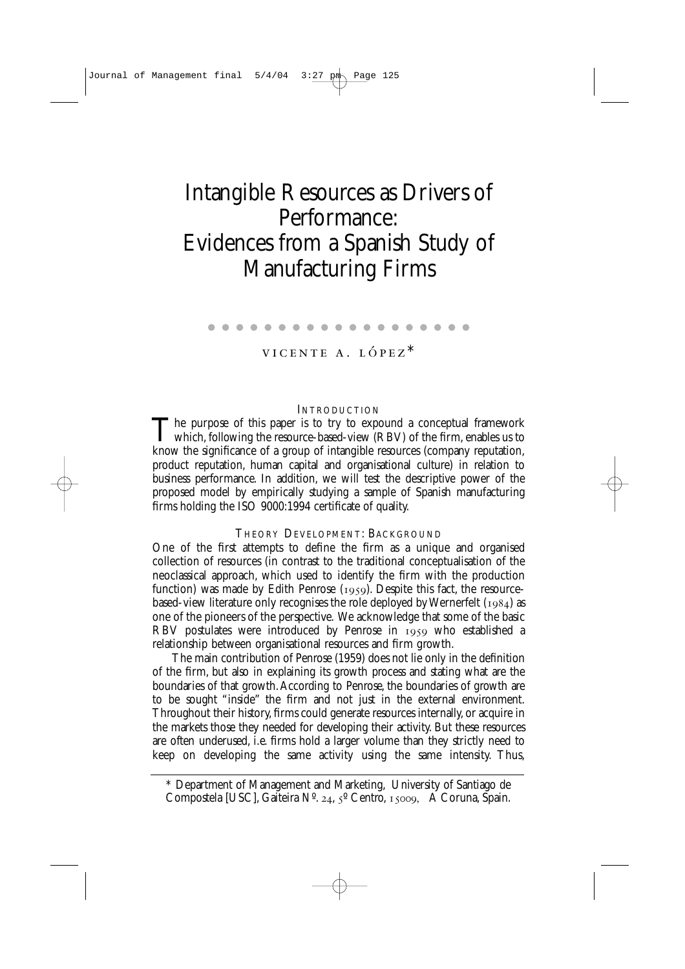# Intangible Resources as Drivers of Performance: Evidences from a Spanish Study of Manufacturing Firms

. . . . . . . . . . . . . . . . . . .

# VICENTE A. LÓPEZ<sup>\*</sup>

#### INTRODUCTION

The purpose of this paper is to try to expound a conceptual framework which, following the resource-based-view (RBV) of the firm, enables us to know the significance of a group of intangible resources (company reputation, product reputation, human capital and organisational culture) in relation to business performance. In addition, we will test the descriptive power of the proposed model by empirically studying a sample of Spanish manufacturing firms holding the ISO 9000:1994 certificate of quality.

## THEORY DEVELOPMENT: BACKGROUND

One of the first attempts to define the firm as a unique and organised collection of resources (in contrast to the traditional conceptualisation of the neoclassical approach, which used to identify the firm with the production function) was made by Edith Penrose  $(1959)$ . Despite this fact, the resourcebased-view literature only recognises the role deployed by Wernerfelt  $(1984)$  as one of the pioneers of the perspective. We acknowledge that some of the basic RBV postulates were introduced by Penrose in  $1959$  who established a relationship between organisational resources and firm growth.

The main contribution of Penrose (1959) does not lie only in the definition of the firm, but also in explaining its growth process and stating what are the boundaries of that growth.According to Penrose, the boundaries of growth are to be sought "inside" the firm and not just in the external environment. Throughout their history, firms could generate resources internally, or acquire in the markets those they needed for developing their activity. But these resources are often underused, i.e. firms hold a larger volume than they strictly need to keep on developing the same activity using the same intensity. Thus,

<sup>\*</sup> Department of Management and Marketing, University of Santiago de Compostela [USC], Gaiteira Nº. 24,  $5^{\circ}$  Centro, 15009, A Coruna, Spain.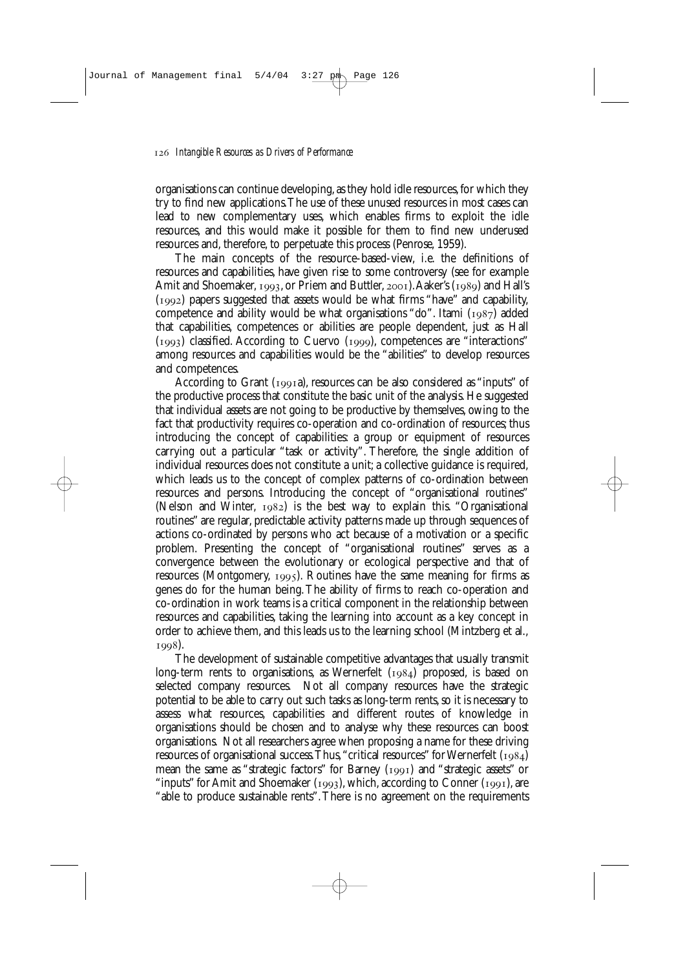organisations can continue developing, as they hold idle resources, for which they try to find new applications.The use of these unused resources in most cases can lead to new complementary uses, which enables firms to exploit the idle resources, and this would make it possible for them to find new underused resources and, therefore, to perpetuate this process (Penrose, 1959).

The main concepts of the resource-based-view, i.e. the definitions of resources and capabilities, have given rise to some controversy (see for example Amit and Shoemaker, 1993, or Priem and Buttler, 2001). Aaker's (1989) and Hall's  $(1992)$  papers suggested that assets would be what firms "have" and capability, competence and ability would be what organisations "do". Itami  $(1987)$  added that capabilities, competences or abilities are people dependent, just as Hall  $(1993)$  classified. According to Cuervo  $(1999)$ , competences are "interactions" among resources and capabilities would be the "abilities" to develop resources and competences.

According to Grant  $(1991a)$ , resources can be also considered as "inputs" of the productive process that constitute the basic unit of the analysis. He suggested that individual assets are not going to be productive by themselves, owing to the fact that productivity requires co-operation and co-ordination of resources; thus introducing the concept of capabilities: a group or equipment of resources carrying out a particular "task or activity". Therefore, the single addition of individual resources does not constitute a unit; a collective guidance is required, which leads us to the concept of complex patterns of co-ordination between resources and persons. Introducing the concept of "organisational routines" (Nelson and Winter,  $1982$ ) is the best way to explain this. "Organisational routines" are regular, predictable activity patterns made up through sequences of actions co-ordinated by persons who act because of a motivation or a specific problem. Presenting the concept of "organisational routines" serves as a convergence between the evolutionary or ecological perspective and that of resources (Montgomery,  $1995$ ). Routines have the same meaning for firms as genes do for the human being.The ability of firms to reach co-operation and co-ordination in work teams is a critical component in the relationship between resources and capabilities, taking the learning into account as a key concept in order to achieve them, and this leads us to the learning school (Mintzberg et al., 1998).

The development of sustainable competitive advantages that usually transmit long-term rents to organisations, as Wernerfelt  $(1984)$  proposed, is based on selected company resources. Not all company resources have the strategic potential to be able to carry out such tasks as long-term rents, so it is necessary to assess what resources, capabilities and different routes of knowledge in organisations should be chosen and to analyse why these resources can boost organisations. Not all researchers agree when proposing a name for these driving resources of organisational success. Thus, "critical resources" for Wernerfelt  $(1084)$ mean the same as "strategic factors" for Barney (1991) and "strategic assets" or "inputs" for Amit and Shoemaker  $(1993)$ , which, according to Conner  $(1991)$ , are "able to produce sustainable rents".There is no agreement on the requirements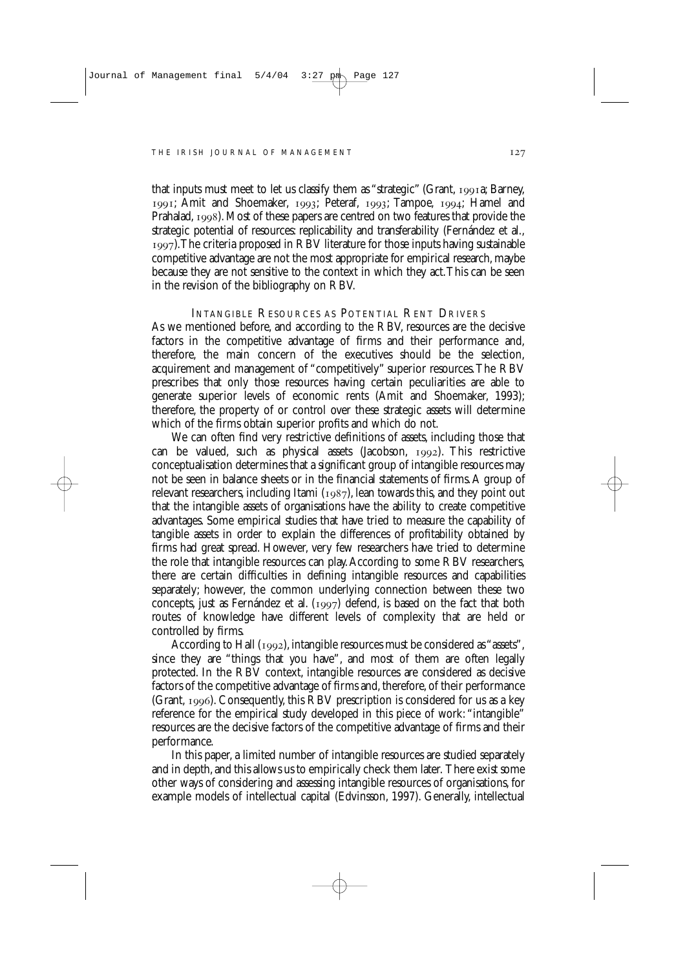that inputs must meet to let us classify them as "strategic" (Grant,  $I_{QQI}$ a; Barney, 1991; Amit and Shoemaker, 1993; Peteraf, 1993; Tampoe, 1994; Hamel and Prahalad, 1998). Most of these papers are centred on two features that provide the strategic potential of resources: replicability and transferability (Fernández et al., ).The criteria proposed in RBV literature for those inputs having sustainable competitive advantage are not the most appropriate for empirical research, maybe because they are not sensitive to the context in which they act.This can be seen in the revision of the bibliography on RBV.

INTANGIBLE RESOURCES AS POTENTIAL RENT DRIVERS As we mentioned before, and according to the RBV, resources are the decisive factors in the competitive advantage of firms and their performance and, therefore, the main concern of the executives should be the selection, acquirement and management of "competitively" superior resources.The RBV prescribes that only those resources having certain peculiarities are able to generate superior levels of economic rents (Amit and Shoemaker, 1993); therefore, the property of or control over these strategic assets will determine which of the firms obtain superior profits and which do not.

We can often find very restrictive definitions of assets, including those that can be valued, such as physical assets  $(Jacobson, 1992)$ . This restrictive conceptualisation determines that a significant group of intangible resources may not be seen in balance sheets or in the financial statements of firms.A group of relevant researchers, including Itami  $(1087)$ , lean towards this, and they point out that the intangible assets of organisations have the ability to create competitive advantages. Some empirical studies that have tried to measure the capability of tangible assets in order to explain the differences of profitability obtained by firms had great spread. However, very few researchers have tried to determine the role that intangible resources can play.According to some RBV researchers, there are certain difficulties in defining intangible resources and capabilities separately; however, the common underlying connection between these two concepts, just as Fernández et al.  $(1997)$  defend, is based on the fact that both routes of knowledge have different levels of complexity that are held or controlled by firms.

According to Hall (1992), intangible resources must be considered as "assets", since they are "things that you have", and most of them are often legally protected. In the RBV context, intangible resources are considered as decisive factors of the competitive advantage of firms and, therefore, of their performance (Grant,  $1996$ ). Consequently, this RBV prescription is considered for us as a key reference for the empirical study developed in this piece of work: "intangible" resources are the decisive factors of the competitive advantage of firms and their performance.

In this paper, a limited number of intangible resources are studied separately and in depth, and this allows us to empirically check them later. There exist some other ways of considering and assessing intangible resources of organisations, for example models of intellectual capital (Edvinsson, 1997). Generally, intellectual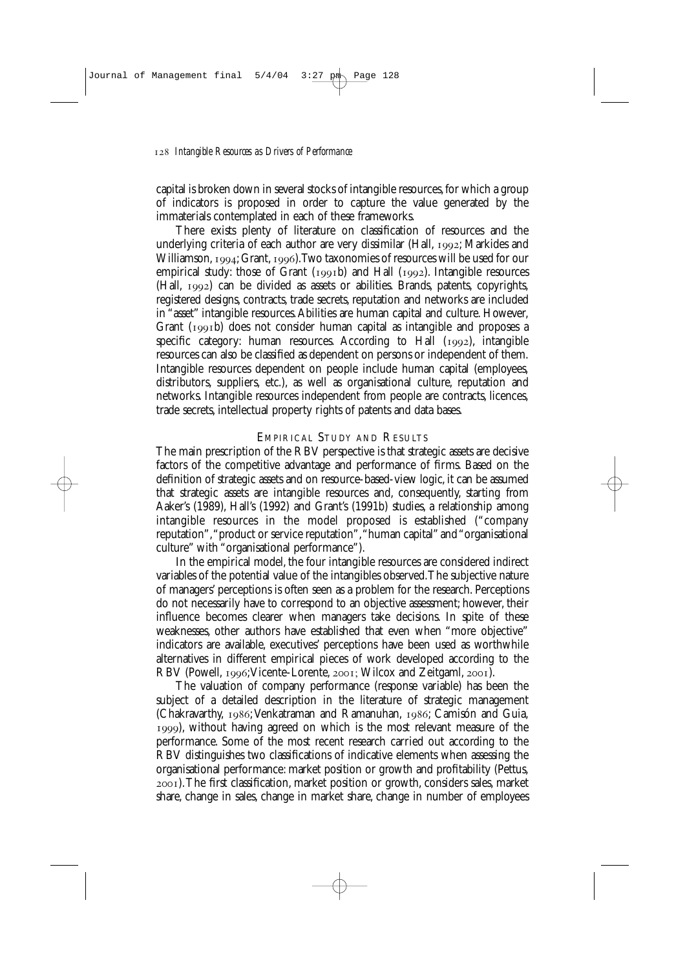capital is broken down in several stocks of intangible resources,for which a group of indicators is proposed in order to capture the value generated by the immaterials contemplated in each of these frameworks.

There exists plenty of literature on classification of resources and the underlying criteria of each author are very dissimilar (Hall,  $I992$ ; Markides and Williamson, 1994; Grant, 1996). Two taxonomies of resources will be used for our empirical study: those of Grant  $(1991b)$  and Hall  $(1992)$ . Intangible resources  $(Hall, 1992)$  can be divided as assets or abilities. Brands, patents, copyrights, registered designs, contracts, trade secrets, reputation and networks are included in "asset" intangible resources.Abilities are human capital and culture. However, Grant  $(1991b)$  does not consider human capital as intangible and proposes a specific category: human resources. According to Hall  $(1992)$ , intangible resources can also be classified as dependent on persons or independent of them. Intangible resources dependent on people include human capital (employees, distributors, suppliers, etc.), as well as organisational culture, reputation and networks. Intangible resources independent from people are contracts, licences, trade secrets, intellectual property rights of patents and data bases.

## EMPIRICAL STUDY AND RESULTS

The main prescription of the RBV perspective is that strategic assets are decisive factors of the competitive advantage and performance of firms. Based on the definition of strategic assets and on resource-based-view logic, it can be assumed that strategic assets are intangible resources and, consequently, starting from Aaker's (1989), Hall's (1992) and Grant's (1991b) studies, a relationship among intangible resources in the model proposed is established ("company reputation","product or service reputation","human capital" and "organisational culture" with "organisational performance").

In the empirical model, the four intangible resources are considered indirect variables of the potential value of the intangibles observed.The subjective nature of managers' perceptions is often seen as a problem for the research. Perceptions do not necessarily have to correspond to an objective assessment; however, their influence becomes clearer when managers take decisions. In spite of these weaknesses, other authors have established that even when "more objective" indicators are available, executives' perceptions have been used as worthwhile alternatives in different empirical pieces of work developed according to the RBV (Powell,  $1996$ ; Vicente-Lorente,  $2001$ ; Wilcox and Zeitgaml,  $2001$ ).

The valuation of company performance (response variable) has been the subject of a detailed description in the literature of strategic management (Chakravarthy, 1986; Venkatraman and Ramanuhan, 1986; Camisón and Guia, ), without having agreed on which is the most relevant measure of the performance. Some of the most recent research carried out according to the RBV distinguishes two classifications of indicative elements when assessing the organisational performance: market position or growth and profitability (Pettus, ).The first classification, market position or growth, considers sales, market share, change in sales, change in market share, change in number of employees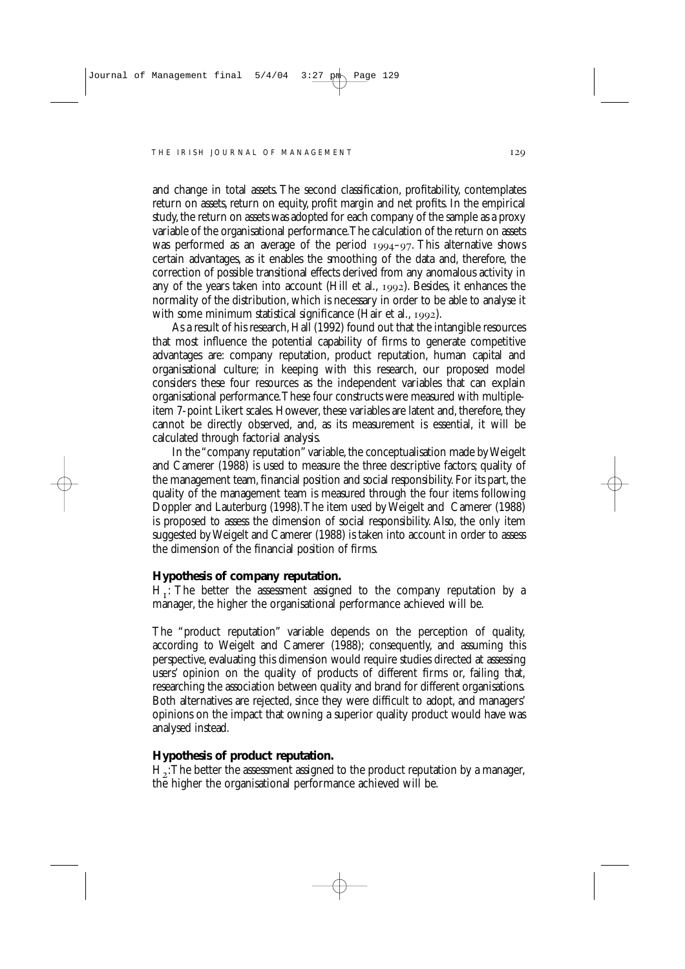and change in total assets. The second classification, profitability, contemplates return on assets, return on equity, profit margin and net profits. In the empirical study, the return on assets was adopted for each company of the sample as a proxy variable of the organisational performance.The calculation of the return on assets was performed as an average of the period  $1994-97$ . This alternative shows certain advantages, as it enables the smoothing of the data and, therefore, the correction of possible transitional effects derived from any anomalous activity in any of the years taken into account (Hill et al., 1992). Besides, it enhances the normality of the distribution, which is necessary in order to be able to analyse it with some minimum statistical significance (Hair et al.,  $1992$ ).

As a result of his research, Hall (1992) found out that the intangible resources that most influence the potential capability of firms to generate competitive advantages are: company reputation, product reputation, human capital and organisational culture; in keeping with this research, our proposed model considers these four resources as the independent variables that can explain organisational performance.These four constructs were measured with multipleitem 7-point Likert scales. However, these variables are latent and, therefore, they cannot be directly observed, and, as its measurement is essential, it will be calculated through factorial analysis.

In the "company reputation" variable, the conceptualisation made by Weigelt and Camerer (1988) is used to measure the three descriptive factors; quality of the management team, financial position and social responsibility. For its part, the quality of the management team is measured through the four items following Doppler and Lauterburg (1998).The item used by Weigelt and Camerer (1988) is proposed to assess the dimension of social responsibility. Also, the only item suggested by Weigelt and Camerer (1988) is taken into account in order to assess the dimension of the financial position of firms.

### **Hypothesis of company reputation.**

 $H<sub>r</sub>$ : The better the assessment assigned to the company reputation by a manager, the higher the organisational performance achieved will be.

The "product reputation" variable depends on the perception of quality, according to Weigelt and Camerer (1988); consequently, and assuming this perspective, evaluating this dimension would require studies directed at assessing users' opinion on the quality of products of different firms or, failing that, researching the association between quality and brand for different organisations. Both alternatives are rejected, since they were difficult to adopt, and managers' opinions on the impact that owning a superior quality product would have was analysed instead.

## **Hypothesis of product reputation.**

 $H_2$ : The better the assessment assigned to the product reputation by a manager, the higher the organisational performance achieved will be.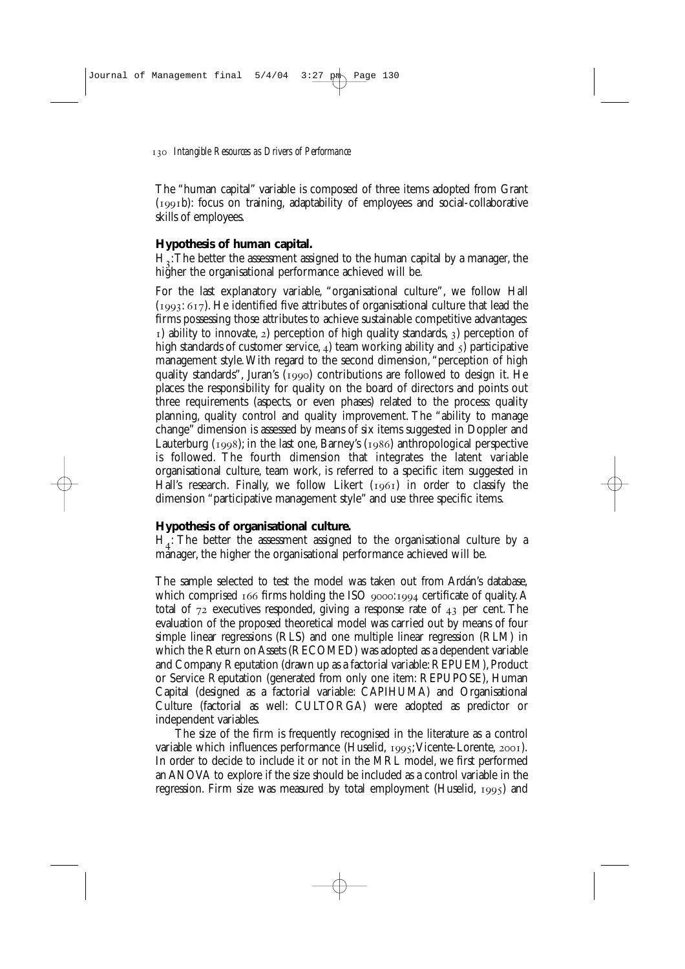The "human capital" variable is composed of three items adopted from Grant  $(1991b)$ : focus on training, adaptability of employees and social-collaborative skills of employees.

# **Hypothesis of human capital.**

H<sub>2</sub>: The better the assessment assigned to the human capital by a manager, the higher the organisational performance achieved will be.

For the last explanatory variable, "organisational culture", we follow Hall  $(1993: 617)$ . He identified five attributes of organisational culture that lead the firms possessing those attributes to achieve sustainable competitive advantages:  $_1$ ) ability to innovate,  $_2$ ) perception of high quality standards,  $_3$ ) perception of high standards of customer service,  $\phi$  team working ability and  $\phi$ ) participative management style.With regard to the second dimension, "perception of high quality standards", Juran's  $(1990)$  contributions are followed to design it. He places the responsibility for quality on the board of directors and points out three requirements (aspects, or even phases) related to the process: quality planning, quality control and quality improvement. The "ability to manage change" dimension is assessed by means of six items suggested in Doppler and Lauterburg  $(1998)$ ; in the last one, Barney's  $(1986)$  anthropological perspective is followed. The fourth dimension that integrates the latent variable organisational culture, team work, is referred to a specific item suggested in Hall's research. Finally, we follow Likert  $(i.061)$  in order to classify the dimension "participative management style" and use three specific items.

# **Hypothesis of organisational culture.**

 $H<sub>A</sub>$ : The better the assessment assigned to the organisational culture by a manager, the higher the organisational performance achieved will be.

The sample selected to test the model was taken out from Ardán's database, which comprised  $\overline{166}$  firms holding the ISO  $\overline{9000}$ :  $\overline{1994}$  certificate of quality. A total of  $72$  executives responded, giving a response rate of  $43$  per cent. The evaluation of the proposed theoretical model was carried out by means of four simple linear regressions (RLS) and one multiple linear regression (RLM) in which the Return on Assets (RECOMED) was adopted as a dependent variable and Company Reputation (drawn up as a factorial variable: REPUEM), Product or Service Reputation (generated from only one item: REPUPOSE), Human Capital (designed as a factorial variable: CAPIHUMA) and Organisational Culture (factorial as well: CULTORGA) were adopted as predictor or independent variables.

The size of the firm is frequently recognised in the literature as a control variable which influences performance (Huselid,  $1995$ ; Vicente-Lorente, 2001). In order to decide to include it or not in the MRL model, we first performed an ANOVA to explore if the size should be included as a control variable in the regression. Firm size was measured by total employment (Huselid,  $1995$ ) and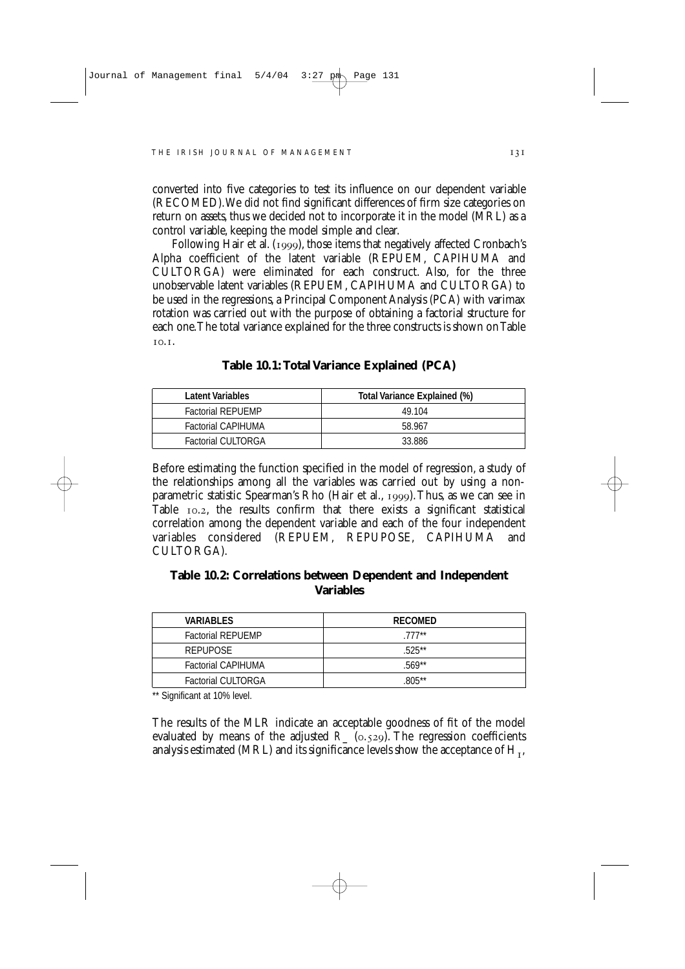converted into five categories to test its influence on our dependent variable (RECOMED).We did not find significant differences of firm size categories on return on assets, thus we decided not to incorporate it in the model (MRL) as a control variable, keeping the model simple and clear.

Following Hair et al. (1999), those items that negatively affected Cronbach's Alpha coefficient of the latent variable (REPUEM, CAPIHUMA and CULTORGA) were eliminated for each construct. Also, for the three unobservable latent variables (REPUEM, CAPIHUMA and CULTORGA) to be used in the regressions, a Principal Component Analysis (PCA) with varimax rotation was carried out with the purpose of obtaining a factorial structure for each one.The total variance explained for the three constructs is shown on Table TO.T.

| <b>Latent Variables</b>   | Total Variance Explained (%) |  |  |
|---------------------------|------------------------------|--|--|
| <b>Factorial REPUEMP</b>  | 49 104                       |  |  |
| <b>Factorial CAPIHUMA</b> | 58 967                       |  |  |
| <b>Factorial CULTORGA</b> | 33.886                       |  |  |

**Table 10.1:Total Variance Explained (PCA)**

Before estimating the function specified in the model of regression, a study of the relationships among all the variables was carried out by using a nonparametric statistic Spearman's Rho (Hair et al., 1999). Thus, as we can see in Table 10.2, the results confirm that there exists a significant statistical correlation among the dependent variable and each of the four independent variables considered (REPUEM, REPUPOSE, CAPIHUMA CULTORGA).

## **Table 10.2: Correlations between Dependent and Independent Variables**

| <b>VARIABLES</b>          | <b>RECOMED</b> |
|---------------------------|----------------|
| <b>Factorial REPUEMP</b>  | $777***$       |
| <b>REPUPOSE</b>           | $.525***$      |
| <b>Factorial CAPIHUMA</b> | $.569**$       |
| <b>Factorial CULTORGA</b> | .805**         |

\*\* Significant at 10% level.

The results of the MLR indicate an acceptable goodness of fit of the model evaluated by means of the adjusted  $R$  ( $\circ$ ,  $\circ$ ,  $\circ$ ). The regression coefficients analysis estimated (MRL) and its significance levels show the acceptance of  $H_{\tau}$ ,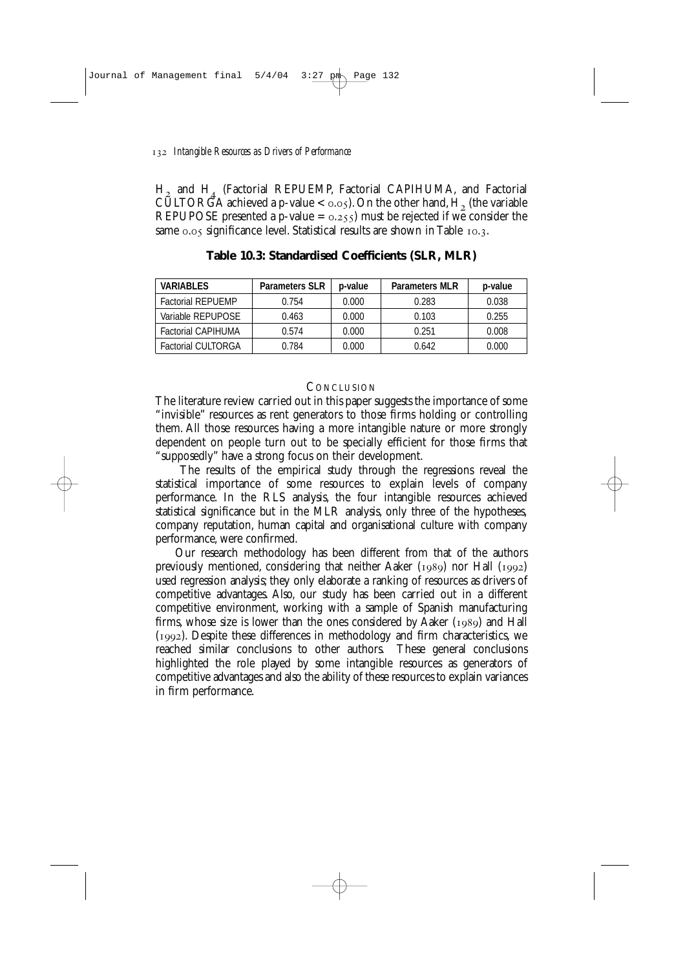H<sub>2</sub> and H<sub>4</sub> (Factorial REPUEMP, Factorial CAPIHUMA, and Factorial CULTORGA achieved a p-value  $< \circ .\circ$ ; On the other hand, H<sub>2</sub> (the variable REPUPOSE presented a p-value =  $0.255$ ) must be rejected if we consider the same  $0.05$  significance level. Statistical results are shown in Table  $10.3$ .

| VARIABLES                 | <b>Parameters SLR</b> | p-value | <b>Parameters MLR</b> | p-value |
|---------------------------|-----------------------|---------|-----------------------|---------|
| <b>Factorial REPUEMP</b>  | 0.754                 | 0.000   | 0.283                 | 0.038   |
| Variable REPUPOSE         | 0.463                 | 0.000   | 0.103                 | 0.255   |
| <b>Factorial CAPIHUMA</b> | 0.574                 | 0.000   | 0.251                 | 0.008   |
| <b>Factorial CULTORGA</b> | 0.784                 | 0.000   | 0.642                 | 0.000   |

**Table 10.3: Standardised Coefficients (SLR, MLR)**

## **CONCLUSION**

The literature review carried out in this paper suggests the importance of some "invisible" resources as rent generators to those firms holding or controlling them. All those resources having a more intangible nature or more strongly dependent on people turn out to be specially efficient for those firms that "supposedly" have a strong focus on their development.

The results of the empirical study through the regressions reveal the statistical importance of some resources to explain levels of company performance. In the RLS analysis, the four intangible resources achieved statistical significance but in the MLR analysis, only three of the hypotheses, company reputation, human capital and organisational culture with company performance, were confirmed.

Our research methodology has been different from that of the authors previously mentioned, considering that neither Aaker  $(1989)$  nor Hall  $(1992)$ used regression analysis; they only elaborate a ranking of resources as drivers of competitive advantages. Also, our study has been carried out in a different competitive environment, working with a sample of Spanish manufacturing firms, whose size is lower than the ones considered by Aaker  $(1989)$  and Hall  $(1992)$ . Despite these differences in methodology and firm characteristics, we reached similar conclusions to other authors. These general conclusions highlighted the role played by some intangible resources as generators of competitive advantages and also the ability of these resources to explain variances in firm performance.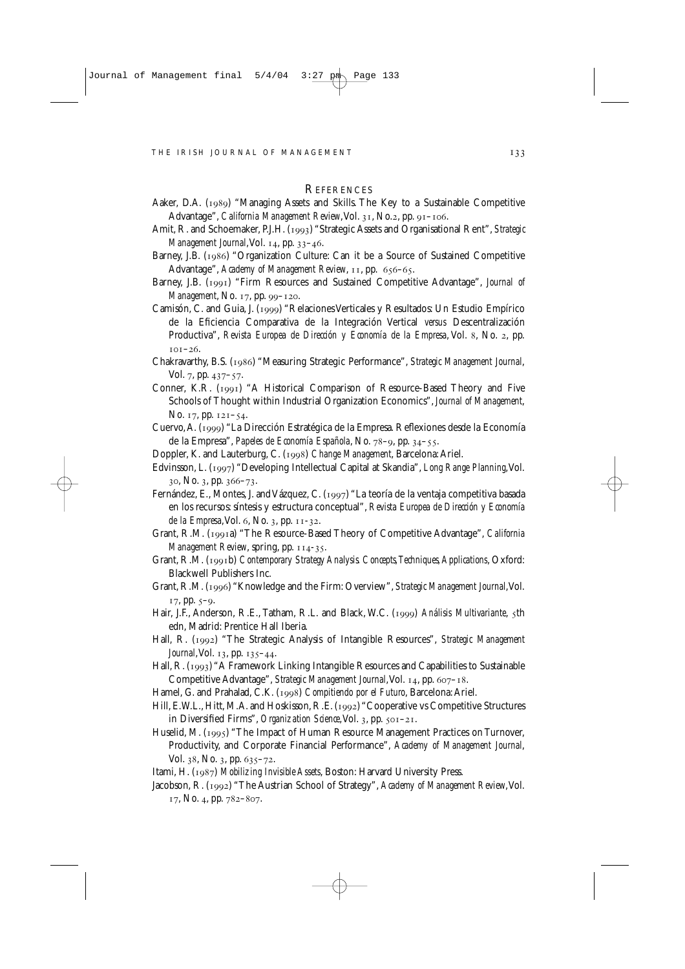#### **REFERENCES**

- Aaker, D.A. (1989) "Managing Assets and Skills. The Key to a Sustainable Competitive Advantage", *California Management Review*, Vol. 31, No.2, pp. 91-106.
- Amit, R. and Schoemaker, P.J.H. (1993) "Strategic Assets and Organisational Rent", *Strategic Management Journal*, Vol. 14, pp. 33-46.
- Barney, J.B. (1986) "Organization Culture: Can it be a Source of Sustained Competitive Advantage", *Academy of Management Review*, 11, pp. 656–65.
- Barney, J.B. (1991) "Firm Resources and Sustained Competitive Advantage", *Journal of Management*, No. 17, pp. 99-120.
- Camisón, C. and Guia, J. (1999) "Relaciones Verticales y Resultados: Un Estudio Empírico de la Eficiencia Comparativa de la Integración Vertical *versus* Descentralización Productiva", *Revista Europea de Dirección y Economía de la Empresa*, Vol. 8, No. 2, pp.  $101 - 26$ .
- Chakravarthy, B.S. (1986) "Measuring Strategic Performance", *Strategic Management Journal*, Vol. 7, pp. 437-57.
- Conner, K.R. (1991) "A Historical Comparison of Resource-Based Theory and Five Schools of Thought within Industrial Organization Economics", *Journal of Management*, No. 17, pp. 121-54.
- Cuervo, A. (1999) "La Dirección Estratégica de la Empresa. Reflexiones desde la Economía de la Empresa", *Papeles de Economía Española*, No. 78-9, pp. 34-55.
- Doppler, K. and Lauterburg, C. (1998) Change Management, Barcelona: Ariel.
- Edvinsson, L. (1997) "Developing Intellectual Capital at Skandia", *Long Range Planning*, Vol.  $30,$  No.  $3,$  pp.  $366 - 73$ .
- Fernández, E., Montes, J. and Vázquez, C. (1997) "La teoría de la ventaja competitiva basada en los recursos: síntesis y estructura conceptual", *Revista Europea de Dirección y Economía de la Empresa*, Vol. 6, No. 3, pp. 11-32.
- Grant, R.M. (1991a) "The Resource-Based Theory of Competitive Advantage", *California Management Review*, spring, pp. 114-35.
- Grant, R.M. (1991b) *Contemporary Strategy Analysis. Concepts, Techniques, Applications*, Oxford: Blackwell Publishers Inc.
- Grant, R.M. (1996) "Knowledge and the Firm: Overview", *Strategic Management Journal*, Vol.  $17, pp. 5-9.$
- Hair, J.F., Anderson, R.E., Tatham, R.L. and Black, W.C. (1999) Análisis Multivariante, 5th edn, Madrid: Prentice Hall Iberia.
- Hall, R. (1992) "The Strategic Analysis of Intangible Resources", *Strategic Management Journal*, Vol. 13, pp. 135-44.
- Hall, R. (1993) "A Framework Linking Intangible Resources and Capabilities to Sustainable Competitive Advantage", *Strategic Management Journal*, Vol. 14, pp. 607-18.
- Hamel, G. and Prahalad, C.K. (1998) *Compitiendo por el Futuro*, Barcelona: Ariel.
- Hill, E.W.L., Hitt, M.A. and Hoskisson, R.E. (1992) "Cooperative vs Competitive Structures in Diversified Firms", *Organization Science*, Vol. 3, pp. 501-21.
- Huselid, M. (1995) "The Impact of Human Resource Management Practices on Turnover, Productivity, and Corporate Financial Performance", *Academy of Management Journal*, Vol. 38, No. 3, pp. 635-72.
- Itami, H. (1987) Mobilizing Invisible Assets, Boston: Harvard University Press.
- Jacobson, R. (1992) "The Austrian School of Strategy", *Academy of Management Review*, Vol. 17, No. 4, pp. 782-807.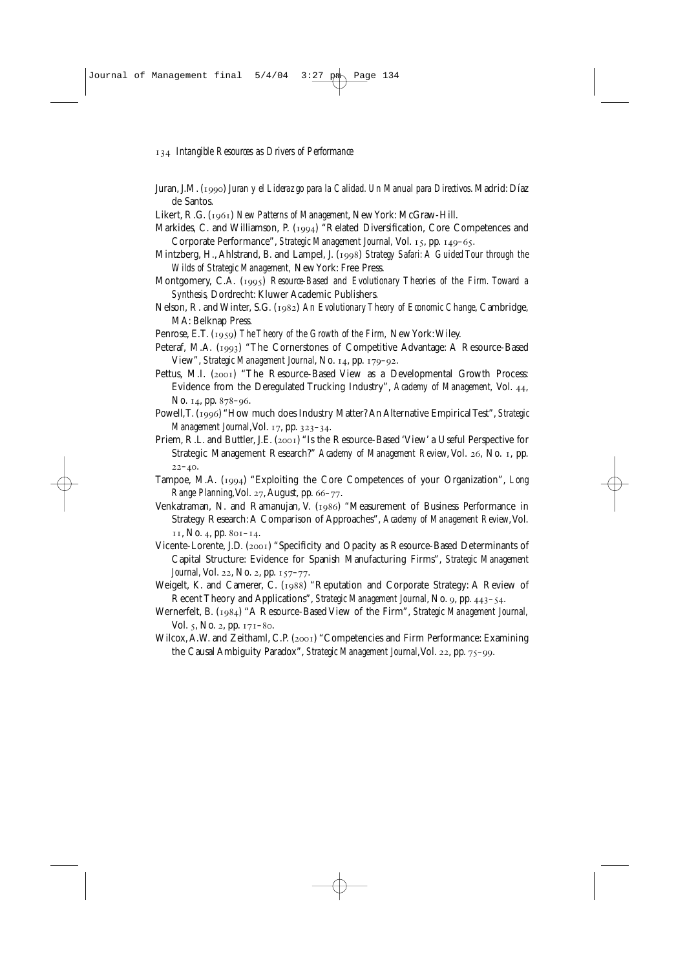- Juran, J.M. () *Juran y el Liderazgo para la Calidad. Un Manual para Directivos*. Madrid: Díaz de Santos.
- Likert, R.G. (1961) *New Patterns of Management*, New York: McGraw-Hill.
- Markides, C. and Williamson, P. (1994) "Related Diversification, Core Competences and Corporate Performance", *Strategic Management Journal*, Vol. 15, pp. 149-65.
- Mintzberg, H., Ahlstrand, B. and Lampel, J. (1998) Strategy Safari: A Guided Tour through the *Wilds of Strategic Management,* New York: Free Press.
- Montgomery, C.A. (1995) Resource-Based and Evolutionary Theories of the Firm. Toward a *Synthesis,* Dordrecht: Kluwer Academic Publishers.
- Nelson, R. and Winter, S.G. (1982) *An Evolutionary Theory of Economic Change*, Cambridge, MA: Belknap Press.
- Penrose, E.T. (1959) The Theory of the Growth of the Firm, New York: Wiley.
- Peteraf, M.A. (1993) "The Cornerstones of Competitive Advantage: A Resource-Based View", *Strategic Management Journal*, No. 14, pp. 179-92.
- Pettus, M.I. (2001) "The Resource-Based View as a Developmental Growth Process: Evidence from the Deregulated Trucking Industry", *Academy of Management*, Vol. 44, No. 14, pp. 878-96.
- Powell,T. () "How much does Industry Matter? An Alternative Empirical Test", *Strategic Management Journal*, Vol. 17, pp. 323-34.
- Priem, R.L. and Buttler, J.E. (2001) "Is the Resource-Based 'View' a Useful Perspective for Strategic Management Research?" *Academy of Management Review*, Vol. 26, No. 1, pp.  $22 - 40.$
- Tampoe, M.A. (1994) "Exploiting the Core Competences of your Organization", *Long Range Planning*, Vol. 27, August, pp. 66-77.
- Venkatraman, N. and Ramanujan, V. (1986) "Measurement of Business Performance in Strategy Research: A Comparison of Approaches", Academy of Management Review, Vol.  $II, No. 4, pp. 801-14.$
- Vicente-Lorente, J.D. (2001) "Specificity and Opacity as Resource-Based Determinants of Capital Structure: Evidence for Spanish Manufacturing Firms", *Strategic Management Journal, Vol. 22, No. 2, pp. 157-77.*
- Weigelt, K. and Camerer, C. (1988) "Reputation and Corporate Strategy: A Review of Recent Theory and Applications", *Strategic Management Journal*, No. 9, pp. 443-54.
- Wernerfelt, B. (1984) "A Resource-Based View of the Firm", *Strategic Management Journal*, Vol.  $5$ , No. 2, pp.  $171-80$ .
- Wilcox, A.W. and Zeithaml, C.P. (2001) "Competencies and Firm Performance: Examining the Causal Ambiguity Paradox", *Strategic Management Journal*, Vol. 22, pp. 75-99.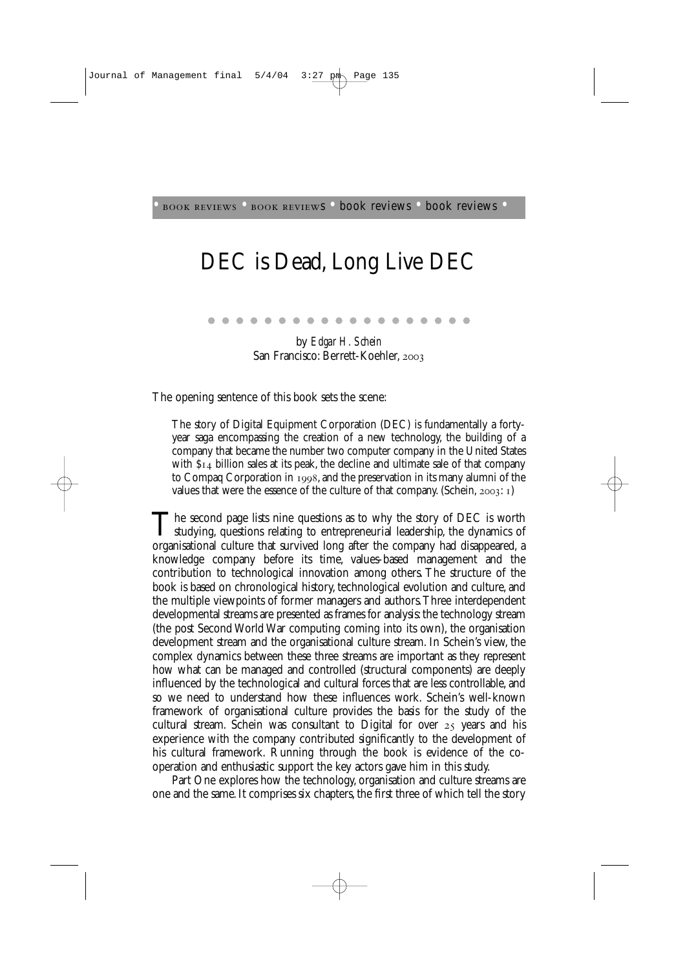**BOOK REVIEWS** • **BOOK REVIEWS** • **book reviews** • **book reviews** •

# DEC is Dead, Long Live DEC

by *Edgar H. Schein* San Francisco: Berrett-Koehler, 2003

The opening sentence of this book sets the scene:

The story of Digital Equipment Corporation (DEC) is fundamentally a fortyyear saga encompassing the creation of a new technology, the building of a company that became the number two computer company in the United States with  $S_{14}$  billion sales at its peak, the decline and ultimate sale of that company to Compaq Corporation in 1998, and the preservation in its many alumni of the values that were the essence of the culture of that company. (Schein,  $2003$ : I)

The second page lists nine questions as to why the story of DEC is worth<br>studying, questions relating to entrepreneurial leadership, the dynamics of<br>provided in the matter of long-free the company had discussed organisational culture that survived long after the company had disappeared, a knowledge company before its time, values-based management and the contribution to technological innovation among others. The structure of the book is based on chronological history, technological evolution and culture, and the multiple viewpoints of former managers and authors.Three interdependent developmental streams are presented as frames for analysis: the technology stream (the post Second World War computing coming into its own), the organisation development stream and the organisational culture stream. In Schein's view, the complex dynamics between these three streams are important as they represent how what can be managed and controlled (structural components) are deeply influenced by the technological and cultural forces that are less controllable, and so we need to understand how these influences work. Schein's well-known framework of organisational culture provides the basis for the study of the cultural stream. Schein was consultant to Digital for over  $25$  years and his experience with the company contributed significantly to the development of his cultural framework. Running through the book is evidence of the cooperation and enthusiastic support the key actors gave him in this study.

Part One explores how the technology, organisation and culture streams are one and the same. It comprises six chapters, the first three of which tell the story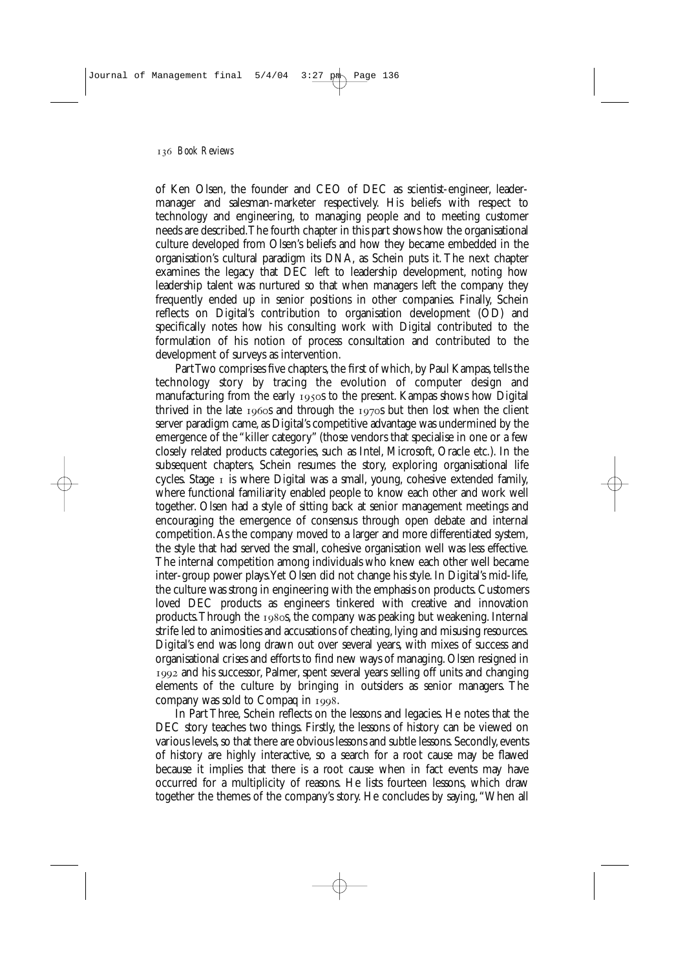of Ken Olsen, the founder and CEO of DEC as scientist-engineer, leadermanager and salesman-marketer respectively. His beliefs with respect to technology and engineering, to managing people and to meeting customer needs are described.The fourth chapter in this part shows how the organisational culture developed from Olsen's beliefs and how they became embedded in the organisation's cultural paradigm its DNA, as Schein puts it. The next chapter examines the legacy that DEC left to leadership development, noting how leadership talent was nurtured so that when managers left the company they frequently ended up in senior positions in other companies. Finally, Schein reflects on Digital's contribution to organisation development (OD) and specifically notes how his consulting work with Digital contributed to the formulation of his notion of process consultation and contributed to the development of surveys as intervention.

Part Two comprises five chapters, the first of which, by Paul Kampas, tells the technology story by tracing the evolution of computer design and manufacturing from the early  $1950$  to the present. Kampas shows how Digital thrived in the late 1960s and through the 1970s but then lost when the client server paradigm came, as Digital's competitive advantage was undermined by the emergence of the "killer category" (those vendors that specialise in one or a few closely related products categories, such as Intel, Microsoft, Oracle etc.). In the subsequent chapters, Schein resumes the story, exploring organisational life cycles. Stage  $\overline{I}$  is where Digital was a small, young, cohesive extended family, where functional familiarity enabled people to know each other and work well together. Olsen had a style of sitting back at senior management meetings and encouraging the emergence of consensus through open debate and internal competition.As the company moved to a larger and more differentiated system, the style that had served the small, cohesive organisation well was less effective. The internal competition among individuals who knew each other well became inter-group power plays.Yet Olsen did not change his style. In Digital's mid-life, the culture was strong in engineering with the emphasis on products. Customers loved DEC products as engineers tinkered with creative and innovation products. Through the  $198$ os, the company was peaking but weakening. Internal strife led to animosities and accusations of cheating, lying and misusing resources. Digital's end was long drawn out over several years, with mixes of success and organisational crises and efforts to find new ways of managing. Olsen resigned in and his successor, Palmer, spent several years selling off units and changing elements of the culture by bringing in outsiders as senior managers. The company was sold to Compaq in 1998.

In Part Three, Schein reflects on the lessons and legacies. He notes that the DEC story teaches two things. Firstly, the lessons of history can be viewed on various levels, so that there are obvious lessons and subtle lessons. Secondly, events of history are highly interactive, so a search for a root cause may be flawed because it implies that there is a root cause when in fact events may have occurred for a multiplicity of reasons. He lists fourteen lessons, which draw together the themes of the company's story. He concludes by saying,"When all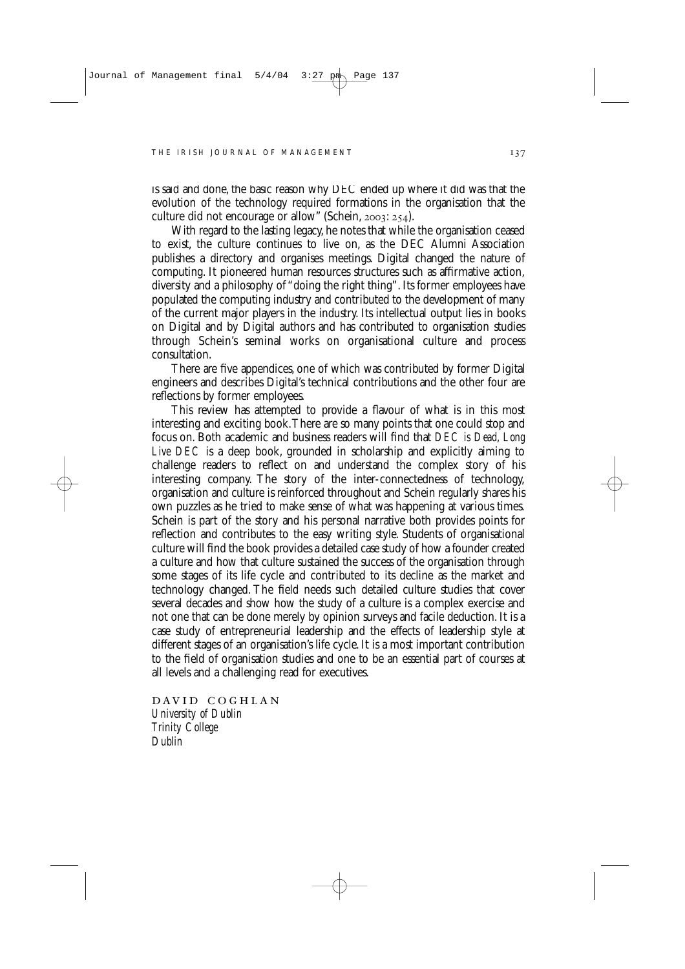is said and done, the basic reason why DEC ended up where it did was that the evolution of the technology required formations in the organisation that the culture did not encourage or allow" (Schein,  $2003$ :  $254$ ).

With regard to the lasting legacy, he notes that while the organisation ceased to exist, the culture continues to live on, as the DEC Alumni Association publishes a directory and organises meetings. Digital changed the nature of computing. It pioneered human resources structures such as affirmative action, diversity and a philosophy of "doing the right thing". Its former employees have populated the computing industry and contributed to the development of many of the current major players in the industry. Its intellectual output lies in books on Digital and by Digital authors and has contributed to organisation studies through Schein's seminal works on organisational culture and process consultation.

There are five appendices, one of which was contributed by former Digital engineers and describes Digital's technical contributions and the other four are reflections by former employees.

This review has attempted to provide a flavour of what is in this most interesting and exciting book.There are so many points that one could stop and focus on. Both academic and business readers will find that *DEC is Dead, Long Live DEC* is a deep book, grounded in scholarship and explicitly aiming to challenge readers to reflect on and understand the complex story of his interesting company. The story of the inter-connectedness of technology, organisation and culture is reinforced throughout and Schein regularly shares his own puzzles as he tried to make sense of what was happening at various times. Schein is part of the story and his personal narrative both provides points for reflection and contributes to the easy writing style. Students of organisational culture will find the book provides a detailed case study of how a founder created a culture and how that culture sustained the success of the organisation through some stages of its life cycle and contributed to its decline as the market and technology changed. The field needs such detailed culture studies that cover several decades and show how the study of a culture is a complex exercise and not one that can be done merely by opinion surveys and facile deduction. It is a case study of entrepreneurial leadership and the effects of leadership style at different stages of an organisation's life cycle. It is a most important contribution to the field of organisation studies and one to be an essential part of courses at all levels and a challenging read for executives.

DAVID COGHLAN *University of Dublin Trinity College Dublin*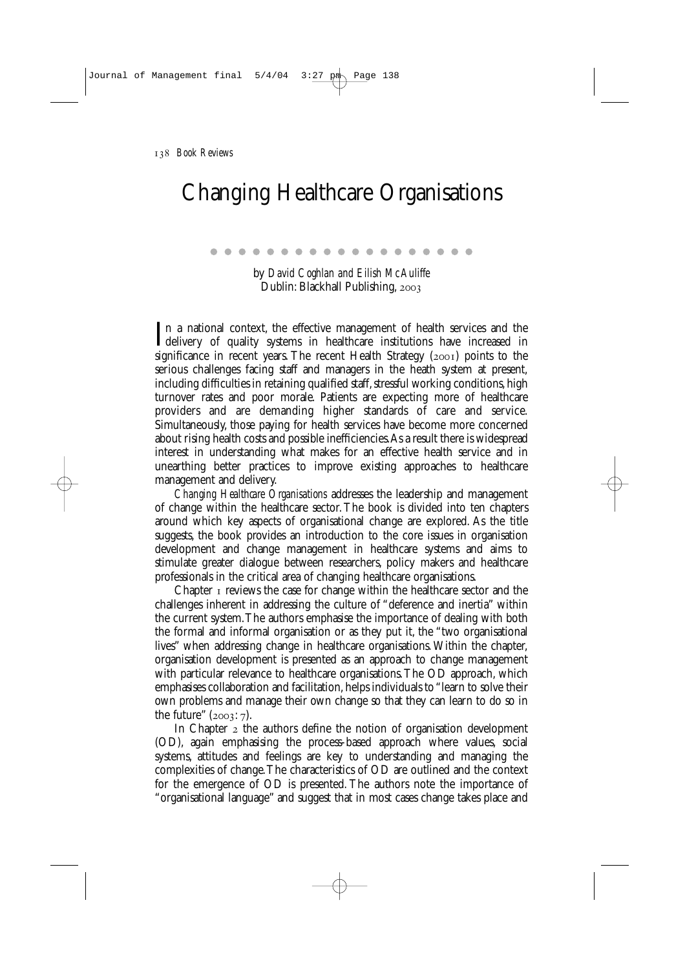## Changing Healthcare Organisations

. . . . .

by *David Coghlan and Eilish Mc Auliffe* Dublin: Blackhall Publishing,

In a national context, the effective management of health services and the delivery of quality systems in healthcare institutions have increased in delivery of quality systems in healthcare institutions have increased in significance in recent years. The recent Health Strategy  $(2001)$  points to the serious challenges facing staff and managers in the heath system at present, including difficulties in retaining qualified staff, stressful working conditions, high turnover rates and poor morale. Patients are expecting more of healthcare providers and are demanding higher standards of care and service. Simultaneously, those paying for health services have become more concerned about rising health costs and possible inefficiencies.As a result there is widespread interest in understanding what makes for an effective health service and in unearthing better practices to improve existing approaches to healthcare management and delivery.

*Changing Healthcare Organisations* addresses the leadership and management of change within the healthcare sector. The book is divided into ten chapters around which key aspects of organisational change are explored. As the title suggests, the book provides an introduction to the core issues in organisation development and change management in healthcare systems and aims to stimulate greater dialogue between researchers, policy makers and healthcare professionals in the critical area of changing healthcare organisations.

Chapter  $I$  reviews the case for change within the healthcare sector and the challenges inherent in addressing the culture of "deference and inertia" within the current system.The authors emphasise the importance of dealing with both the formal and informal organisation or as they put it, the "two organisational lives" when addressing change in healthcare organisations. Within the chapter, organisation development is presented as an approach to change management with particular relevance to healthcare organisations.The OD approach, which emphasises collaboration and facilitation, helps individuals to "learn to solve their own problems and manage their own change so that they can learn to do so in the future"  $(2003:7)$ .

In Chapter  $\alpha$  the authors define the notion of organisation development (OD), again emphasising the process-based approach where values, social systems, attitudes and feelings are key to understanding and managing the complexities of change.The characteristics of OD are outlined and the context for the emergence of OD is presented. The authors note the importance of "organisational language" and suggest that in most cases change takes place and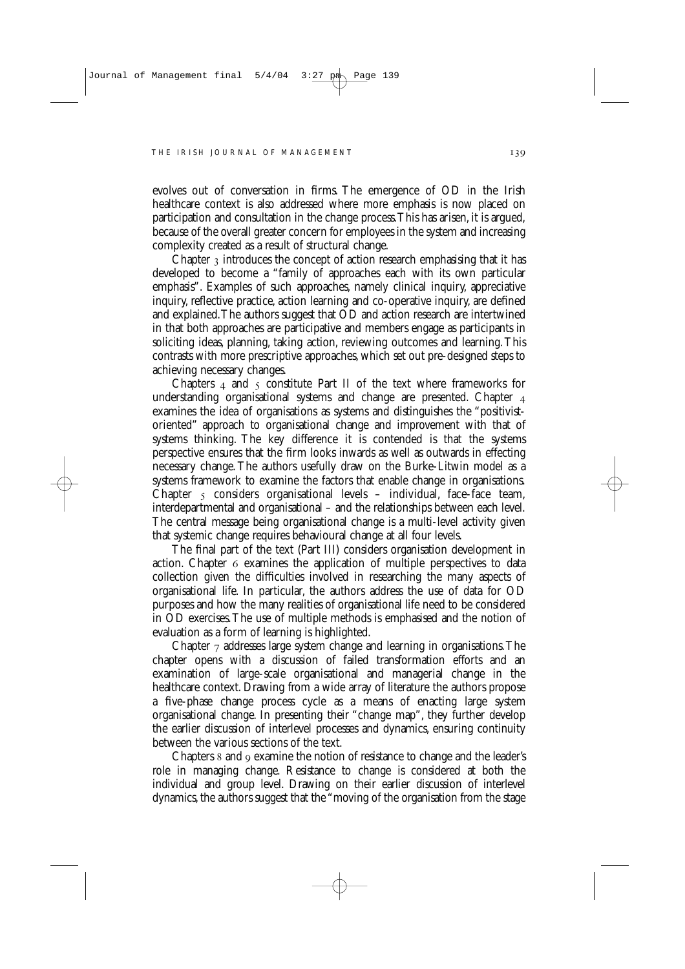evolves out of conversation in firms. The emergence of OD in the Irish healthcare context is also addressed where more emphasis is now placed on participation and consultation in the change process.This has arisen, it is argued, because of the overall greater concern for employees in the system and increasing complexity created as a result of structural change.

Chapter  $\alpha$  introduces the concept of action research emphasising that it has developed to become a "family of approaches each with its own particular emphasis". Examples of such approaches, namely clinical inquiry, appreciative inquiry, reflective practice, action learning and co-operative inquiry, are defined and explained.The authors suggest that OD and action research are intertwined in that both approaches are participative and members engage as participants in soliciting ideas, planning, taking action, reviewing outcomes and learning.This contrasts with more prescriptive approaches, which set out pre-designed steps to achieving necessary changes.

Chapters  $\frac{4}{5}$  and  $\frac{5}{5}$  constitute Part II of the text where frameworks for understanding organisational systems and change are presented. Chapter 4 examines the idea of organisations as systems and distinguishes the "positivistoriented" approach to organisational change and improvement with that of systems thinking. The key difference it is contended is that the systems perspective ensures that the firm looks inwards as well as outwards in effecting necessary change. The authors usefully draw on the Burke-Litwin model as a systems framework to examine the factors that enable change in organisations. Chapter  $\zeta$  considers organisational levels – individual, face-face team, interdepartmental and organisational – and the relationships between each level. The central message being organisational change is a multi-level activity given that systemic change requires behavioural change at all four levels.

The final part of the text (Part III) considers organisation development in action. Chapter 6 examines the application of multiple perspectives to data collection given the difficulties involved in researching the many aspects of organisational life. In particular, the authors address the use of data for OD purposes and how the many realities of organisational life need to be considered in OD exercises.The use of multiple methods is emphasised and the notion of evaluation as a form of learning is highlighted.

Chapter  $\tau$  addresses large system change and learning in organisations. The chapter opens with a discussion of failed transformation efforts and an examination of large-scale organisational and managerial change in the healthcare context. Drawing from a wide array of literature the authors propose a five-phase change process cycle as a means of enacting large system organisational change. In presenting their "change map", they further develop the earlier discussion of interlevel processes and dynamics, ensuring continuity between the various sections of the text.

Chapters 8 and 9 examine the notion of resistance to change and the leader's role in managing change. Resistance to change is considered at both the individual and group level. Drawing on their earlier discussion of interlevel dynamics, the authors suggest that the "moving of the organisation from the stage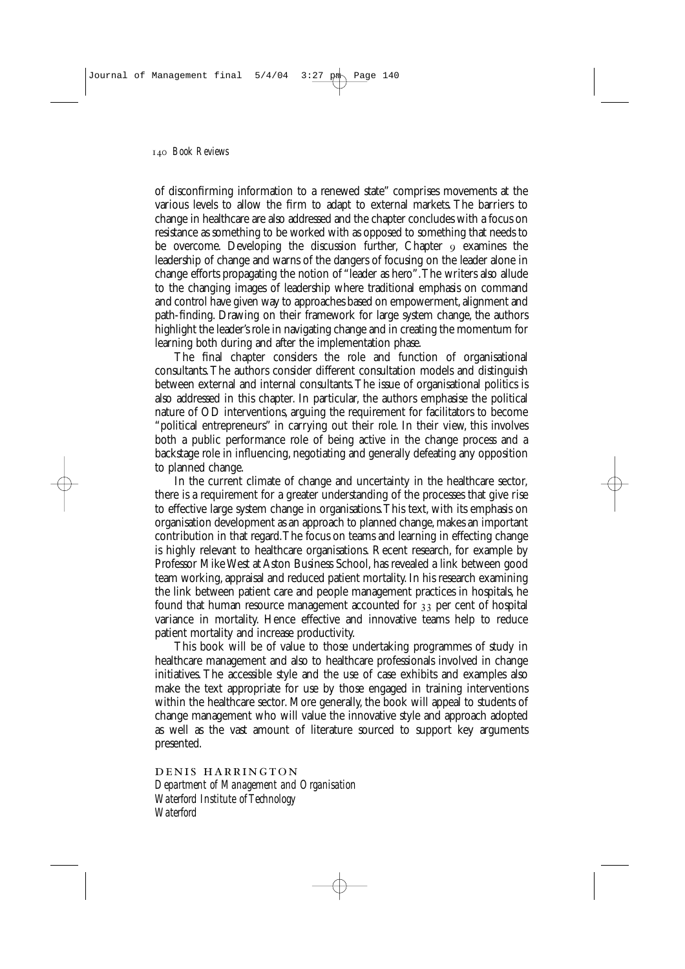of disconfirming information to a renewed state" comprises movements at the various levels to allow the firm to adapt to external markets. The barriers to change in healthcare are also addressed and the chapter concludes with a focus on resistance as something to be worked with as opposed to something that needs to be overcome. Developing the discussion further, Chapter  $\varphi$  examines the leadership of change and warns of the dangers of focusing on the leader alone in change efforts propagating the notion of "leader as hero".The writers also allude to the changing images of leadership where traditional emphasis on command and control have given way to approaches based on empowerment, alignment and path-finding. Drawing on their framework for large system change, the authors highlight the leader's role in navigating change and in creating the momentum for learning both during and after the implementation phase.

The final chapter considers the role and function of organisational consultants.The authors consider different consultation models and distinguish between external and internal consultants.The issue of organisational politics is also addressed in this chapter. In particular, the authors emphasise the political nature of OD interventions, arguing the requirement for facilitators to become "political entrepreneurs" in carrying out their role. In their view, this involves both a public performance role of being active in the change process and a backstage role in influencing, negotiating and generally defeating any opposition to planned change.

In the current climate of change and uncertainty in the healthcare sector, there is a requirement for a greater understanding of the processes that give rise to effective large system change in organisations.This text, with its emphasis on organisation development as an approach to planned change, makes an important contribution in that regard.The focus on teams and learning in effecting change is highly relevant to healthcare organisations. Recent research, for example by Professor Mike West at Aston Business School, has revealed a link between good team working, appraisal and reduced patient mortality. In his research examining the link between patient care and people management practices in hospitals, he found that human resource management accounted for  $33$  per cent of hospital variance in mortality. Hence effective and innovative teams help to reduce patient mortality and increase productivity.

This book will be of value to those undertaking programmes of study in healthcare management and also to healthcare professionals involved in change initiatives. The accessible style and the use of case exhibits and examples also make the text appropriate for use by those engaged in training interventions within the healthcare sector. More generally, the book will appeal to students of change management who will value the innovative style and approach adopted as well as the vast amount of literature sourced to support key arguments presented.

DENIS HARRINGTON *Department of Management and Organisation Waterford Institute of Technology Waterford*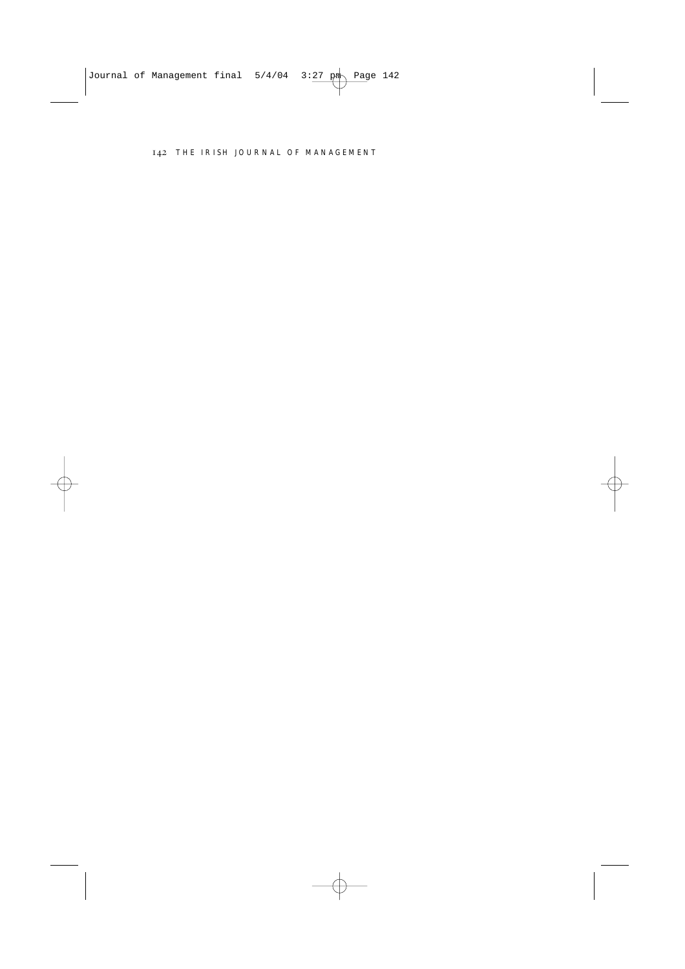## THE IRISH JOURNAL OF MANAGEMENT